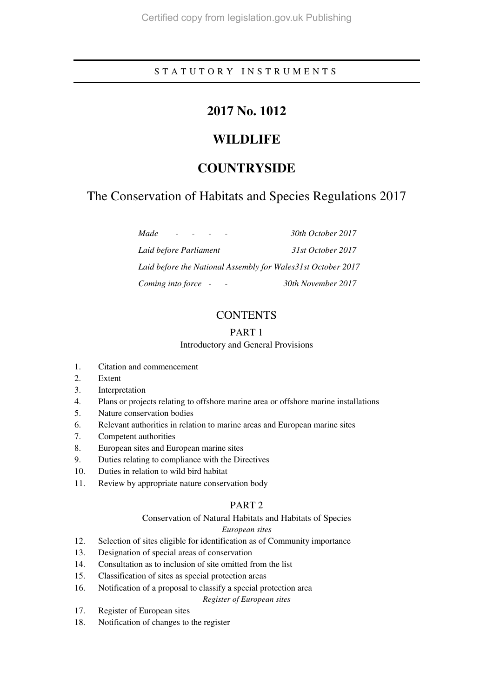## S T A T U T O R Y I N S T R U M E N T S

# **2017 No. 1012**

# **WILDLIFE**

# **COUNTRYSIDE**

# The Conservation of Habitats and Species Regulations 2017

*Made - - - - 30th October 2017 Laid before Parliament 31st October 2017 Laid before the National Assembly for Wales31st October 2017 Coming into force - - 30th November 2017* 

## **CONTENTS**

## PART 1

## Introductory and General Provisions

- 1. Citation and commencement
- 2. Extent
- 3. Interpretation
- 4. Plans or projects relating to offshore marine area or offshore marine installations
- 5. Nature conservation bodies
- 6. Relevant authorities in relation to marine areas and European marine sites
- 7. Competent authorities
- 8. European sites and European marine sites
- 9. Duties relating to compliance with the Directives
- 10. Duties in relation to wild bird habitat
- 11. Review by appropriate nature conservation body

## PART 2

## Conservation of Natural Habitats and Habitats of Species

## *European sites*

- 12. Selection of sites eligible for identification as of Community importance
- 13. Designation of special areas of conservation
- 14. Consultation as to inclusion of site omitted from the list
- 15. Classification of sites as special protection areas
- 16. Notification of a proposal to classify a special protection area *Register of European sites*

## 17. Register of European sites

18. Notification of changes to the register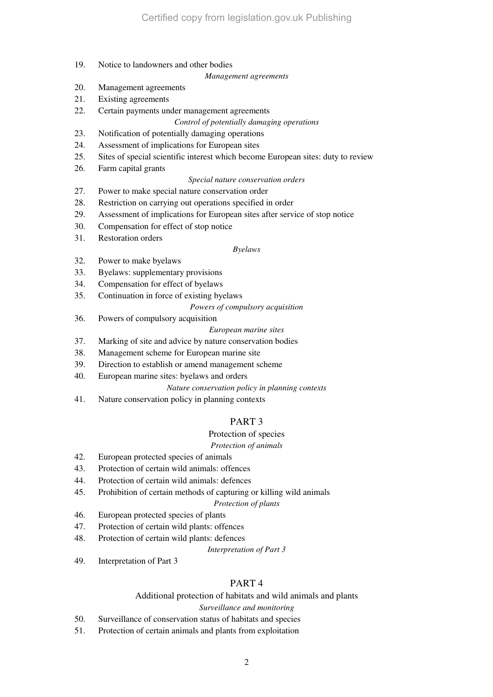19. Notice to landowners and other bodies

#### *Management agreements*

- 20. Management agreements
- 21. Existing agreements
- 22. Certain payments under management agreements

## *Control of potentially damaging operations*

- 23. Notification of potentially damaging operations
- 24. Assessment of implications for European sites
- 25. Sites of special scientific interest which become European sites: duty to review
- 26. Farm capital grants

### *Special nature conservation orders*

- 27. Power to make special nature conservation order
- 28. Restriction on carrying out operations specified in order
- 29. Assessment of implications for European sites after service of stop notice
- 30. Compensation for effect of stop notice
- 31. Restoration orders

## *Byelaws*

- 32. Power to make byelaws
- 33. Byelaws: supplementary provisions
- 34. Compensation for effect of byelaws
- 35. Continuation in force of existing byelaws

### *Powers of compulsory acquisition*

36. Powers of compulsory acquisition

### *European marine sites*

- 37. Marking of site and advice by nature conservation bodies
- 38. Management scheme for European marine site
- 39. Direction to establish or amend management scheme
- 40. European marine sites: byelaws and orders

### *Nature conservation policy in planning contexts*

41. Nature conservation policy in planning contexts

## PART 3

## Protection of species

### *Protection of animals*

- 42. European protected species of animals
- 43. Protection of certain wild animals: offences
- 44. Protection of certain wild animals: defences
- 45. Prohibition of certain methods of capturing or killing wild animals

### *Protection of plants*

- 46. European protected species of plants
- 47. Protection of certain wild plants: offences
- 48. Protection of certain wild plants: defences

*Interpretation of Part 3* 

49. Interpretation of Part 3

## PART 4

## Additional protection of habitats and wild animals and plants

### *Surveillance and monitoring*

- 50. Surveillance of conservation status of habitats and species
- 51. Protection of certain animals and plants from exploitation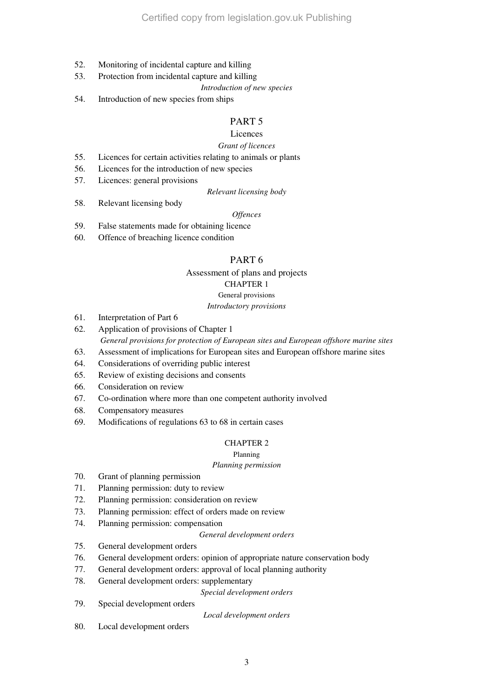- 52. Monitoring of incidental capture and killing
- 53. Protection from incidental capture and killing
	- *Introduction of new species*
- 54. Introduction of new species from ships

## PART 5

## Licences

#### *Grant of licences*

- 55. Licences for certain activities relating to animals or plants
- 56. Licences for the introduction of new species
- 57. Licences: general provisions

#### *Relevant licensing body*

58. Relevant licensing body

#### *Offences*

- 59. False statements made for obtaining licence
- 60. Offence of breaching licence condition

## PART 6

#### Assessment of plans and projects

## CHAPTER 1

## General provisions

*Introductory provisions* 

- 61. Interpretation of Part 6
- 62. Application of provisions of Chapter 1 *General provisions for protection of European sites and European offshore marine sites*
- 63. Assessment of implications for European sites and European offshore marine sites
- 64. Considerations of overriding public interest
- 65. Review of existing decisions and consents
- 66. Consideration on review
- 67. Co-ordination where more than one competent authority involved
- 68. Compensatory measures
- 69. Modifications of regulations 63 to 68 in certain cases

## CHAPTER 2

#### Planning

## *Planning permission*

- 70. Grant of planning permission
- 71. Planning permission: duty to review
- 72. Planning permission: consideration on review
- 73. Planning permission: effect of orders made on review
- 74. Planning permission: compensation

*General development orders* 

- 75. General development orders
- 76. General development orders: opinion of appropriate nature conservation body
- 77. General development orders: approval of local planning authority
- 78. General development orders: supplementary

*Special development orders* 

79. Special development orders

*Local development orders* 

80. Local development orders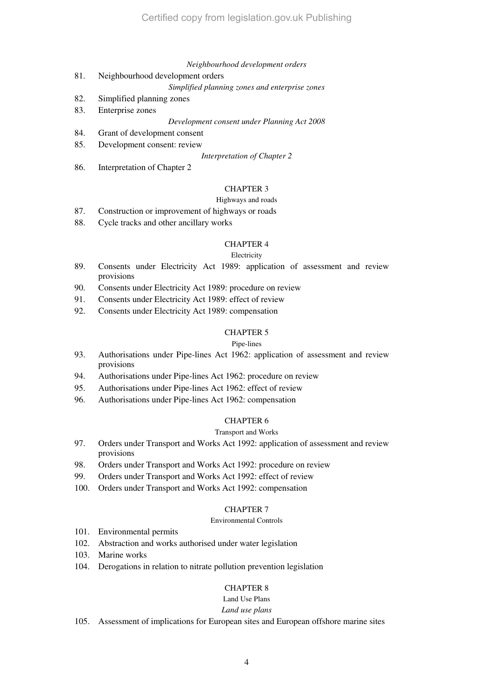#### *Neighbourhood development orders*

81. Neighbourhood development orders

*Simplified planning zones and enterprise zones* 

- 82. Simplified planning zones
- 83. Enterprise zones

*Development consent under Planning Act 2008* 

- 84. Grant of development consent
- 85. Development consent: review

*Interpretation of Chapter 2* 

86. Interpretation of Chapter 2

## CHAPTER 3

#### Highways and roads

- 87. Construction or improvement of highways or roads
- 88. Cycle tracks and other ancillary works

#### CHAPTER 4

#### Electricity

- 89. Consents under Electricity Act 1989: application of assessment and review provisions
- 90. Consents under Electricity Act 1989: procedure on review
- 91. Consents under Electricity Act 1989: effect of review
- 92. Consents under Electricity Act 1989: compensation

### CHAPTER 5

#### Pipe-lines

- 93. Authorisations under Pipe-lines Act 1962: application of assessment and review provisions
- 94. Authorisations under Pipe-lines Act 1962: procedure on review
- 95. Authorisations under Pipe-lines Act 1962: effect of review
- 96. Authorisations under Pipe-lines Act 1962: compensation

### CHAPTER 6

## Transport and Works

- 97. Orders under Transport and Works Act 1992: application of assessment and review provisions
- 98. Orders under Transport and Works Act 1992: procedure on review
- 99. Orders under Transport and Works Act 1992: effect of review
- 100. Orders under Transport and Works Act 1992: compensation

#### CHAPTER 7

#### Environmental Controls

- 101. Environmental permits
- 102. Abstraction and works authorised under water legislation
- 103. Marine works
- 104. Derogations in relation to nitrate pollution prevention legislation

## CHAPTER 8

Land Use Plans

#### *Land use plans*

105. Assessment of implications for European sites and European offshore marine sites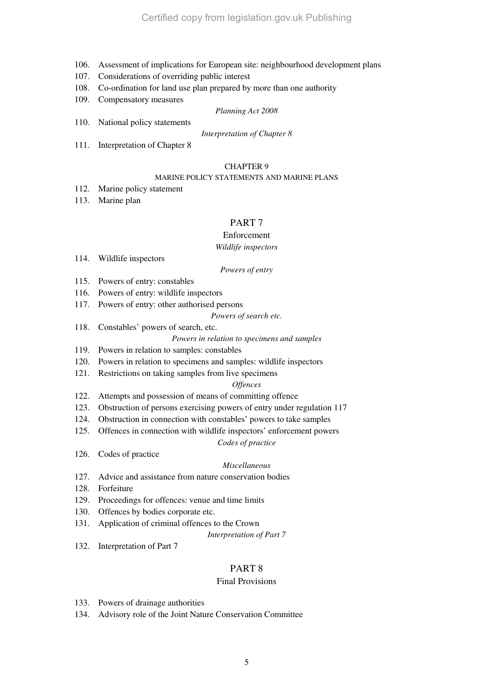- 106. Assessment of implications for European site: neighbourhood development plans
- 107. Considerations of overriding public interest
- 108. Co-ordination for land use plan prepared by more than one authority
- 109. Compensatory measures

#### *Planning Act 2008*

110. National policy statements

#### *Interpretation of Chapter 8*

111. Interpretation of Chapter 8

## CHAPTER 9

## MARINE POLICY STATEMENTS AND MARINE PLANS

- 112. Marine policy statement
- 113. Marine plan

## PART 7

### Enforcement

## *Wildlife inspectors*

114. Wildlife inspectors

### *Powers of entry*

- 115. Powers of entry: constables
- 116. Powers of entry: wildlife inspectors
- 117. Powers of entry: other authorised persons

#### *Powers of search etc.*

118. Constables' powers of search, etc.

## *Powers in relation to specimens and samples*

- 119. Powers in relation to samples: constables
- 120. Powers in relation to specimens and samples: wildlife inspectors
- 121. Restrictions on taking samples from live specimens

### *Offences*

- 122. Attempts and possession of means of committing offence
- 123. Obstruction of persons exercising powers of entry under regulation 117
- 124. Obstruction in connection with constables' powers to take samples
- 125. Offences in connection with wildlife inspectors' enforcement powers

### *Codes of practice*

126. Codes of practice

### *Miscellaneous*

- 127. Advice and assistance from nature conservation bodies
- 128. Forfeiture
- 129. Proceedings for offences: venue and time limits
- 130. Offences by bodies corporate etc.
- 131. Application of criminal offences to the Crown

*Interpretation of Part 7* 

132. Interpretation of Part 7

## PART 8

## Final Provisions

- 133. Powers of drainage authorities
- 134. Advisory role of the Joint Nature Conservation Committee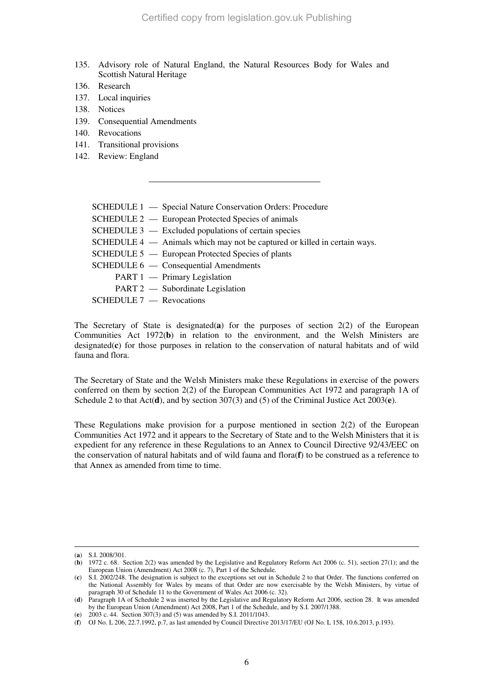- 135. Advisory role of Natural England, the Natural Resources Body for Wales and Scottish Natural Heritage
- 136. Research
- 137. Local inquiries
- 138. Notices
- 139. Consequential Amendments
- 140. Revocations
- 141. Transitional provisions
- 142. Review: England

| SCHEDULE 1 - Special Nature Conservation Orders: Procedure                |
|---------------------------------------------------------------------------|
| SCHEDULE 2 — European Protected Species of animals                        |
| SCHEDULE 3 — Excluded populations of certain species                      |
| SCHEDULE 4 — Animals which may not be captured or killed in certain ways. |
| SCHEDULE 5 — European Protected Species of plants                         |
| SCHEDULE 6 — Consequential Amendments                                     |
| PART 1 — Primary Legislation                                              |
| PART 2 — Subordinate Legislation                                          |
| SCHEDULE 7 - Revocations                                                  |

The Secretary of State is designated(**a**) for the purposes of section 2(2) of the European Communities Act 1972(**b**) in relation to the environment, and the Welsh Ministers are designated(**c**) for those purposes in relation to the conservation of natural habitats and of wild fauna and flora.

The Secretary of State and the Welsh Ministers make these Regulations in exercise of the powers conferred on them by section 2(2) of the European Communities Act 1972 and paragraph 1A of Schedule 2 to that Act(**d**), and by section 307(3) and (5) of the Criminal Justice Act 2003(**e**).

These Regulations make provision for a purpose mentioned in section 2(2) of the European Communities Act 1972 and it appears to the Secretary of State and to the Welsh Ministers that it is expedient for any reference in these Regulations to an Annex to Council Directive 92/43/EEC on the conservation of natural habitats and of wild fauna and flora(**f**) to be construed as a reference to that Annex as amended from time to time.

<sup>(</sup>**a**) S.I. 2008/301.

<sup>(</sup>**b**) 1972 c. 68. Section 2(2) was amended by the Legislative and Regulatory Reform Act 2006 (c. 51), section 27(1); and the European Union (Amendment) Act 2008 (c. 7), Part 1 of the Schedule.

<sup>(</sup>**c**) S.I. 2002/248. The designation is subject to the exceptions set out in Schedule 2 to that Order. The functions conferred on the National Assembly for Wales by means of that Order are now exercisable by the Welsh Ministers, by virtue of paragraph 30 of Schedule 11 to the Government of Wales Act 2006 (c. 32).

<sup>(</sup>**d**) Paragraph 1A of Schedule 2 was inserted by the Legislative and Regulatory Reform Act 2006, section 28. It was amended by the European Union (Amendment) Act 2008, Part 1 of the Schedule, and by S.I. 2007/1388.

<sup>(</sup>**e**) 2003 c. 44. Section 307(3) and (5) was amended by S.I. 2011/1043.

<sup>(</sup>**f**) OJ No. L 206, 22.7.1992, p.7, as last amended by Council Directive 2013/17/EU (OJ No. L 158, 10.6.2013, p.193).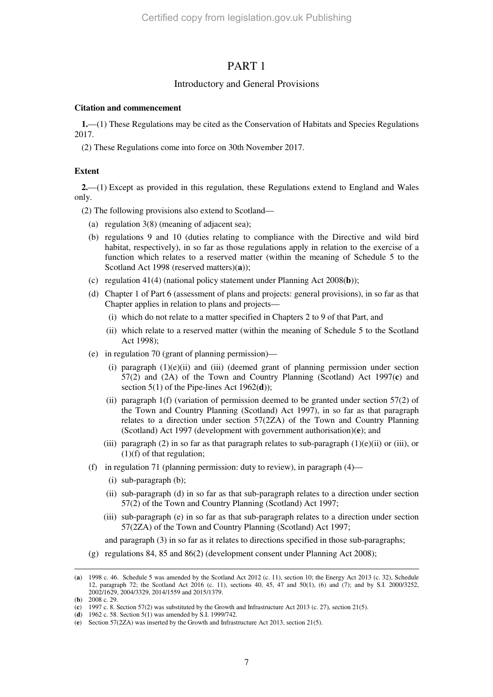## PART 1

### Introductory and General Provisions

#### **Citation and commencement**

**1.**—(1) These Regulations may be cited as the Conservation of Habitats and Species Regulations 2017.

(2) These Regulations come into force on 30th November 2017.

#### **Extent**

**2.**—(1) Except as provided in this regulation, these Regulations extend to England and Wales only.

(2) The following provisions also extend to Scotland—

- (a) regulation 3(8) (meaning of adjacent sea);
- (b) regulations 9 and 10 (duties relating to compliance with the Directive and wild bird habitat, respectively), in so far as those regulations apply in relation to the exercise of a function which relates to a reserved matter (within the meaning of Schedule 5 to the Scotland Act 1998 (reserved matters)(**a**));
- (c) regulation 41(4) (national policy statement under Planning Act 2008(**b**));
- (d) Chapter 1 of Part 6 (assessment of plans and projects: general provisions), in so far as that Chapter applies in relation to plans and projects—
	- (i) which do not relate to a matter specified in Chapters 2 to 9 of that Part, and
	- (ii) which relate to a reserved matter (within the meaning of Schedule 5 to the Scotland Act 1998);
- (e) in regulation 70 (grant of planning permission)—
	- (i) paragraph  $(1)(e)(ii)$  and (iii) (deemed grant of planning permission under section 57(2) and (2A) of the Town and Country Planning (Scotland) Act 1997(**c**) and section 5(1) of the Pipe-lines Act 1962(**d**));
	- (ii) paragraph 1(f) (variation of permission deemed to be granted under section 57(2) of the Town and Country Planning (Scotland) Act 1997), in so far as that paragraph relates to a direction under section 57(2ZA) of the Town and Country Planning (Scotland) Act 1997 (development with government authorisation)(**e**); and
	- (iii) paragraph (2) in so far as that paragraph relates to sub-paragraph  $(1)(e)(ii)$  or (iii), or (1)(f) of that regulation;
- (f) in regulation 71 (planning permission: duty to review), in paragraph  $(4)$ 
	- (i) sub-paragraph (b);
	- (ii) sub-paragraph (d) in so far as that sub-paragraph relates to a direction under section 57(2) of the Town and Country Planning (Scotland) Act 1997;
	- (iii) sub-paragraph (e) in so far as that sub-paragraph relates to a direction under section 57(2ZA) of the Town and Country Planning (Scotland) Act 1997;

and paragraph (3) in so far as it relates to directions specified in those sub-paragraphs;

(g) regulations 84, 85 and 86(2) (development consent under Planning Act 2008);

<sup>(</sup>**a**) 1998 c. 46. Schedule 5 was amended by the Scotland Act 2012 (c. 11), section 10; the Energy Act 2013 (c. 32), Schedule 12, paragraph 72; the Scotland Act 2016 (c. 11), sections 40, 45, 47 and 50(1), (6) and (7); and by S.I. 2000/3252, 2002/1629, 2004/3329, 2014/1559 and 2015/1379.

<sup>(</sup>**b**) 2008 c. 29.

<sup>(</sup>**c**) 1997 c. 8. Section 57(2) was substituted by the Growth and Infrastructure Act 2013 (c. 27), section 21(5).

<sup>(</sup>**d**) 1962 c. 58. Section 5(1) was amended by S.I. 1999/742.

<sup>(</sup>**e**) Section 57(2ZA) was inserted by the Growth and Infrastructure Act 2013, section 21(5).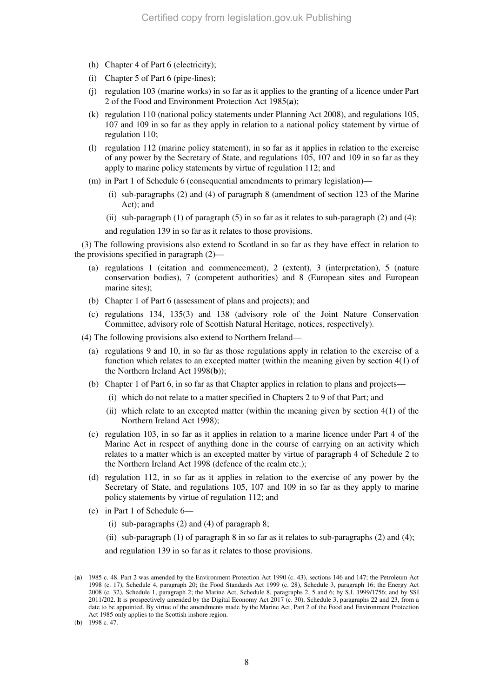- (h) Chapter 4 of Part 6 (electricity);
- (i) Chapter 5 of Part 6 (pipe-lines);
- (j) regulation 103 (marine works) in so far as it applies to the granting of a licence under Part 2 of the Food and Environment Protection Act 1985(**a**);
- (k) regulation 110 (national policy statements under Planning Act 2008), and regulations 105, 107 and 109 in so far as they apply in relation to a national policy statement by virtue of regulation 110;
- (l) regulation 112 (marine policy statement), in so far as it applies in relation to the exercise of any power by the Secretary of State, and regulations 105, 107 and 109 in so far as they apply to marine policy statements by virtue of regulation 112; and
- (m) in Part 1 of Schedule 6 (consequential amendments to primary legislation)—
	- (i) sub-paragraphs (2) and (4) of paragraph 8 (amendment of section 123 of the Marine Act); and
	- (ii) sub-paragraph  $(1)$  of paragraph  $(5)$  in so far as it relates to sub-paragraph  $(2)$  and  $(4)$ ;
	- and regulation 139 in so far as it relates to those provisions.

(3) The following provisions also extend to Scotland in so far as they have effect in relation to the provisions specified in paragraph (2)—

- (a) regulations 1 (citation and commencement), 2 (extent), 3 (interpretation), 5 (nature conservation bodies), 7 (competent authorities) and 8 (European sites and European marine sites);
- (b) Chapter 1 of Part 6 (assessment of plans and projects); and
- (c) regulations 134, 135(3) and 138 (advisory role of the Joint Nature Conservation Committee, advisory role of Scottish Natural Heritage, notices, respectively).
- (4) The following provisions also extend to Northern Ireland—
	- (a) regulations 9 and 10, in so far as those regulations apply in relation to the exercise of a function which relates to an excepted matter (within the meaning given by section 4(1) of the Northern Ireland Act 1998(**b**));
	- (b) Chapter 1 of Part 6, in so far as that Chapter applies in relation to plans and projects—
		- (i) which do not relate to a matter specified in Chapters 2 to 9 of that Part; and
		- (ii) which relate to an excepted matter (within the meaning given by section  $4(1)$  of the Northern Ireland Act 1998);
	- (c) regulation 103, in so far as it applies in relation to a marine licence under Part 4 of the Marine Act in respect of anything done in the course of carrying on an activity which relates to a matter which is an excepted matter by virtue of paragraph 4 of Schedule 2 to the Northern Ireland Act 1998 (defence of the realm etc.);
	- (d) regulation 112, in so far as it applies in relation to the exercise of any power by the Secretary of State, and regulations 105, 107 and 109 in so far as they apply to marine policy statements by virtue of regulation 112; and
	- (e) in Part 1 of Schedule 6—
		- (i) sub-paragraphs (2) and (4) of paragraph 8;
		- (ii) sub-paragraph (1) of paragraph 8 in so far as it relates to sub-paragraphs (2) and (4);

and regulation 139 in so far as it relates to those provisions.

(**b**) 1998 c. 47.

<sup>(</sup>**a**) 1985 c. 48. Part 2 was amended by the Environment Protection Act 1990 (c. 43), sections 146 and 147; the Petroleum Act 1998 (c. 17), Schedule 4, paragraph 20; the Food Standards Act 1999 (c. 28), Schedule 3, paragraph 16; the Energy Act 2008 (c. 32), Schedule 1, paragraph 2; the Marine Act, Schedule 8, paragraphs 2, 5 and 6; by S.I. 1999/1756; and by SSI 2011/202. It is prospectively amended by the Digital Economy Act 2017 (c. 30), Schedule 3, paragraphs 22 and 23, from a date to be appointed. By virtue of the amendments made by the Marine Act, Part 2 of the Food and Environment Protection Act 1985 only applies to the Scottish inshore region.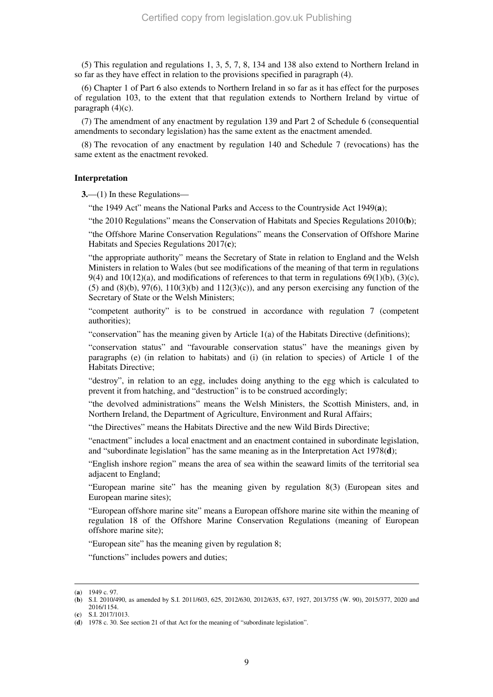(5) This regulation and regulations 1, 3, 5, 7, 8, 134 and 138 also extend to Northern Ireland in so far as they have effect in relation to the provisions specified in paragraph (4).

(6) Chapter 1 of Part 6 also extends to Northern Ireland in so far as it has effect for the purposes of regulation 103, to the extent that that regulation extends to Northern Ireland by virtue of paragraph (4)(c).

(7) The amendment of any enactment by regulation 139 and Part 2 of Schedule 6 (consequential amendments to secondary legislation) has the same extent as the enactment amended.

(8) The revocation of any enactment by regulation 140 and Schedule 7 (revocations) has the same extent as the enactment revoked.

## **Interpretation**

**3.**—(1) In these Regulations—

"the 1949 Act" means the National Parks and Access to the Countryside Act 1949(**a**);

"the 2010 Regulations" means the Conservation of Habitats and Species Regulations 2010(**b**);

"the Offshore Marine Conservation Regulations" means the Conservation of Offshore Marine Habitats and Species Regulations 2017(**c**);

"the appropriate authority" means the Secretary of State in relation to England and the Welsh Ministers in relation to Wales (but see modifications of the meaning of that term in regulations 9(4) and 10(12)(a), and modifications of references to that term in regulations  $69(1)(b)$ ,  $(3)(c)$ ,  $(5)$  and  $(8)(b)$ ,  $97(6)$ ,  $110(3)(b)$  and  $112(3)(c)$ ), and any person exercising any function of the Secretary of State or the Welsh Ministers;

"competent authority" is to be construed in accordance with regulation 7 (competent authorities);

"conservation" has the meaning given by Article 1(a) of the Habitats Directive (definitions);

"conservation status" and "favourable conservation status" have the meanings given by paragraphs (e) (in relation to habitats) and (i) (in relation to species) of Article 1 of the Habitats Directive;

"destroy", in relation to an egg, includes doing anything to the egg which is calculated to prevent it from hatching, and "destruction" is to be construed accordingly;

"the devolved administrations" means the Welsh Ministers, the Scottish Ministers, and, in Northern Ireland, the Department of Agriculture, Environment and Rural Affairs;

"the Directives" means the Habitats Directive and the new Wild Birds Directive;

"enactment" includes a local enactment and an enactment contained in subordinate legislation, and "subordinate legislation" has the same meaning as in the Interpretation Act 1978(**d**);

"English inshore region" means the area of sea within the seaward limits of the territorial sea adjacent to England;

"European marine site" has the meaning given by regulation 8(3) (European sites and European marine sites);

"European offshore marine site" means a European offshore marine site within the meaning of regulation 18 of the Offshore Marine Conservation Regulations (meaning of European offshore marine site);

"European site" has the meaning given by regulation 8;

"functions" includes powers and duties;

<sup>(</sup>**a**) 1949 c. 97.

<sup>(</sup>**b**) S.I. 2010/490, as amended by S.I. 2011/603, 625, 2012/630, 2012/635, 637, 1927, 2013/755 (W. 90), 2015/377, 2020 and 2016/1154.

<sup>(</sup>**c**) S.I. 2017/1013.

<sup>(</sup>**d**) 1978 c. 30. See section 21 of that Act for the meaning of "subordinate legislation".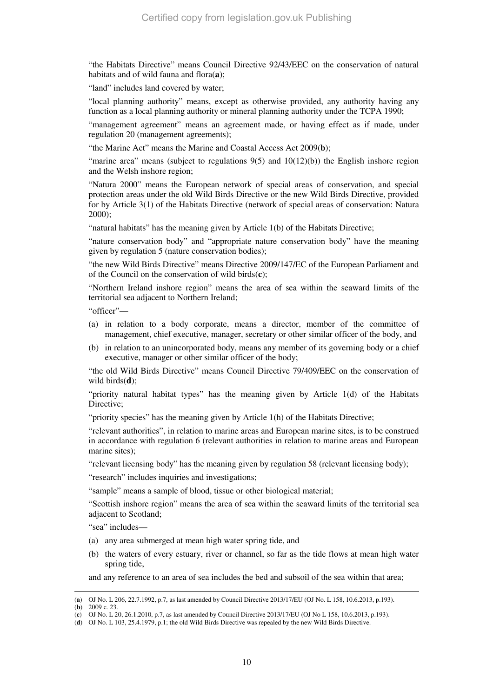"the Habitats Directive" means Council Directive 92/43/EEC on the conservation of natural habitats and of wild fauna and flora(**a**);

"land" includes land covered by water;

"local planning authority" means, except as otherwise provided, any authority having any function as a local planning authority or mineral planning authority under the TCPA 1990;

"management agreement" means an agreement made, or having effect as if made, under regulation 20 (management agreements);

"the Marine Act" means the Marine and Coastal Access Act 2009(**b**);

"marine area" means (subject to regulations  $9(5)$  and  $10(12)(b)$ ) the English inshore region and the Welsh inshore region;

"Natura 2000" means the European network of special areas of conservation, and special protection areas under the old Wild Birds Directive or the new Wild Birds Directive, provided for by Article 3(1) of the Habitats Directive (network of special areas of conservation: Natura 2000);

"natural habitats" has the meaning given by Article 1(b) of the Habitats Directive;

"nature conservation body" and "appropriate nature conservation body" have the meaning given by regulation 5 (nature conservation bodies);

"the new Wild Birds Directive" means Directive 2009/147/EC of the European Parliament and of the Council on the conservation of wild birds(**c**);

"Northern Ireland inshore region" means the area of sea within the seaward limits of the territorial sea adjacent to Northern Ireland;

"officer"—

- (a) in relation to a body corporate, means a director, member of the committee of management, chief executive, manager, secretary or other similar officer of the body, and
- (b) in relation to an unincorporated body, means any member of its governing body or a chief executive, manager or other similar officer of the body;

"the old Wild Birds Directive" means Council Directive 79/409/EEC on the conservation of wild birds(**d**);

"priority natural habitat types" has the meaning given by Article 1(d) of the Habitats Directive;

"priority species" has the meaning given by Article 1(h) of the Habitats Directive;

"relevant authorities", in relation to marine areas and European marine sites, is to be construed in accordance with regulation 6 (relevant authorities in relation to marine areas and European marine sites);

"relevant licensing body" has the meaning given by regulation 58 (relevant licensing body);

"research" includes inquiries and investigations;

"sample" means a sample of blood, tissue or other biological material;

"Scottish inshore region" means the area of sea within the seaward limits of the territorial sea adjacent to Scotland;

"sea" includes—

- (a) any area submerged at mean high water spring tide, and
- (b) the waters of every estuary, river or channel, so far as the tide flows at mean high water spring tide,

and any reference to an area of sea includes the bed and subsoil of the sea within that area;

<sup>(</sup>**a**) OJ No. L 206, 22.7.1992, p.7, as last amended by Council Directive 2013/17/EU (OJ No. L 158, 10.6.2013, p.193).

<sup>(</sup>**b**) 2009 c. 23.

<sup>(</sup>**c**) OJ No. L 20, 26.1.2010, p.7, as last amended by Council Directive 2013/17/EU (OJ No L 158, 10.6.2013, p.193).

<sup>(</sup>**d**) OJ No. L 103, 25.4.1979, p.1; the old Wild Birds Directive was repealed by the new Wild Birds Directive.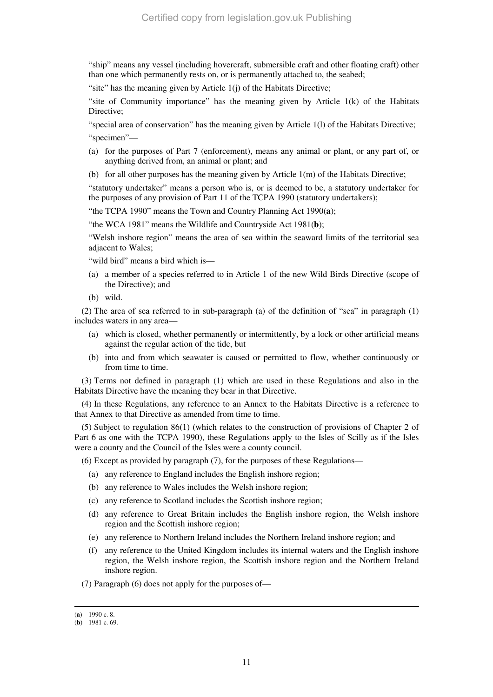"ship" means any vessel (including hovercraft, submersible craft and other floating craft) other than one which permanently rests on, or is permanently attached to, the seabed;

"site" has the meaning given by Article 1(j) of the Habitats Directive;

"site of Community importance" has the meaning given by Article  $1(k)$  of the Habitats Directive;

"special area of conservation" has the meaning given by Article 1(l) of the Habitats Directive; "specimen"—

- (a) for the purposes of Part 7 (enforcement), means any animal or plant, or any part of, or anything derived from, an animal or plant; and
- (b) for all other purposes has the meaning given by Article 1(m) of the Habitats Directive;

"statutory undertaker" means a person who is, or is deemed to be, a statutory undertaker for the purposes of any provision of Part 11 of the TCPA 1990 (statutory undertakers);

"the TCPA 1990" means the Town and Country Planning Act 1990(**a**);

"the WCA 1981" means the Wildlife and Countryside Act 1981(**b**);

"Welsh inshore region" means the area of sea within the seaward limits of the territorial sea adjacent to Wales;

"wild bird" means a bird which is—

- (a) a member of a species referred to in Article 1 of the new Wild Birds Directive (scope of the Directive); and
- (b) wild.

(2) The area of sea referred to in sub-paragraph (a) of the definition of "sea" in paragraph (1) includes waters in any area—

- (a) which is closed, whether permanently or intermittently, by a lock or other artificial means against the regular action of the tide, but
- (b) into and from which seawater is caused or permitted to flow, whether continuously or from time to time.

(3) Terms not defined in paragraph (1) which are used in these Regulations and also in the Habitats Directive have the meaning they bear in that Directive.

(4) In these Regulations, any reference to an Annex to the Habitats Directive is a reference to that Annex to that Directive as amended from time to time.

(5) Subject to regulation 86(1) (which relates to the construction of provisions of Chapter 2 of Part 6 as one with the TCPA 1990), these Regulations apply to the Isles of Scilly as if the Isles were a county and the Council of the Isles were a county council.

- (6) Except as provided by paragraph (7), for the purposes of these Regulations—
	- (a) any reference to England includes the English inshore region;
	- (b) any reference to Wales includes the Welsh inshore region;
	- (c) any reference to Scotland includes the Scottish inshore region;
	- (d) any reference to Great Britain includes the English inshore region, the Welsh inshore region and the Scottish inshore region;
	- (e) any reference to Northern Ireland includes the Northern Ireland inshore region; and
	- (f) any reference to the United Kingdom includes its internal waters and the English inshore region, the Welsh inshore region, the Scottish inshore region and the Northern Ireland inshore region.

(7) Paragraph (6) does not apply for the purposes of—

<sup>(</sup>**a**) 1990 c. 8.

<sup>(</sup>**b**) 1981 c. 69.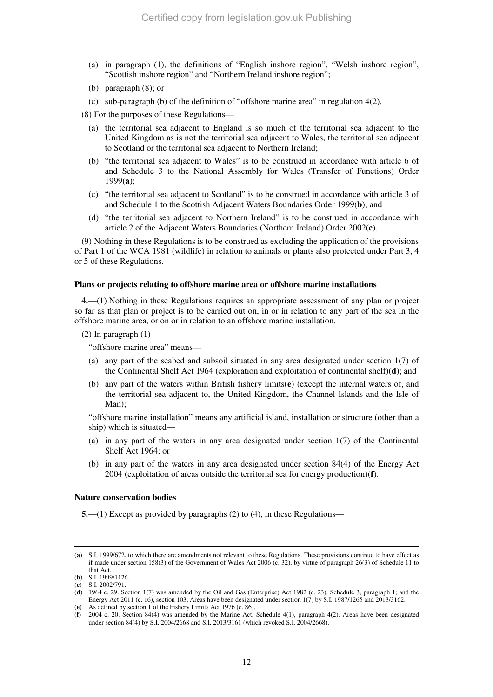- (a) in paragraph (1), the definitions of "English inshore region", "Welsh inshore region", "Scottish inshore region" and "Northern Ireland inshore region";
- (b) paragraph (8); or
- (c) sub-paragraph (b) of the definition of "offshore marine area" in regulation 4(2).

(8) For the purposes of these Regulations—

- (a) the territorial sea adjacent to England is so much of the territorial sea adjacent to the United Kingdom as is not the territorial sea adjacent to Wales, the territorial sea adjacent to Scotland or the territorial sea adjacent to Northern Ireland;
- (b) "the territorial sea adjacent to Wales" is to be construed in accordance with article 6 of and Schedule 3 to the National Assembly for Wales (Transfer of Functions) Order 1999(**a**);
- (c) "the territorial sea adjacent to Scotland" is to be construed in accordance with article 3 of and Schedule 1 to the Scottish Adjacent Waters Boundaries Order 1999(**b**); and
- (d) "the territorial sea adjacent to Northern Ireland" is to be construed in accordance with article 2 of the Adjacent Waters Boundaries (Northern Ireland) Order 2002(**c**).

(9) Nothing in these Regulations is to be construed as excluding the application of the provisions of Part 1 of the WCA 1981 (wildlife) in relation to animals or plants also protected under Part 3, 4 or 5 of these Regulations.

#### **Plans or projects relating to offshore marine area or offshore marine installations**

**4.**—(1) Nothing in these Regulations requires an appropriate assessment of any plan or project so far as that plan or project is to be carried out on, in or in relation to any part of the sea in the offshore marine area, or on or in relation to an offshore marine installation.

 $(2)$  In paragraph  $(1)$ —

"offshore marine area" means—

- (a) any part of the seabed and subsoil situated in any area designated under section 1(7) of the Continental Shelf Act 1964 (exploration and exploitation of continental shelf)(**d**); and
- (b) any part of the waters within British fishery limits(**e**) (except the internal waters of, and the territorial sea adjacent to, the United Kingdom, the Channel Islands and the Isle of Man);

"offshore marine installation" means any artificial island, installation or structure (other than a ship) which is situated—

- (a) in any part of the waters in any area designated under section 1(7) of the Continental Shelf Act 1964; or
- (b) in any part of the waters in any area designated under section 84(4) of the Energy Act 2004 (exploitation of areas outside the territorial sea for energy production)(**f**).

#### **Nature conservation bodies**

**5.**—(1) Except as provided by paragraphs (2) to (4), in these Regulations—

<sup>(</sup>**a**) S.I. 1999/672, to which there are amendments not relevant to these Regulations. These provisions continue to have effect as if made under section 158(3) of the Government of Wales Act 2006 (c. 32), by virtue of paragraph 26(3) of Schedule 11 to that Act.

<sup>(</sup>**b**) S.I. 1999/1126.

<sup>(</sup>**c**) S.I. 2002/791.

<sup>(</sup>**d**) 1964 c. 29. Section 1(7) was amended by the Oil and Gas (Enterprise) Act 1982 (c. 23), Schedule 3, paragraph 1; and the Energy Act 2011 (c. 16), section 103. Areas have been designated under section 1(7) by S.I. 1987/1265 and 2013/3162. (**e**) As defined by section 1 of the Fishery Limits Act 1976 (c. 86).

<sup>(</sup>**f**) 2004 c. 20. Section 84(4) was amended by the Marine Act, Schedule 4(1), paragraph 4(2). Areas have been designated under section 84(4) by S.I. 2004/2668 and S.I. 2013/3161 (which revoked S.I. 2004/2668).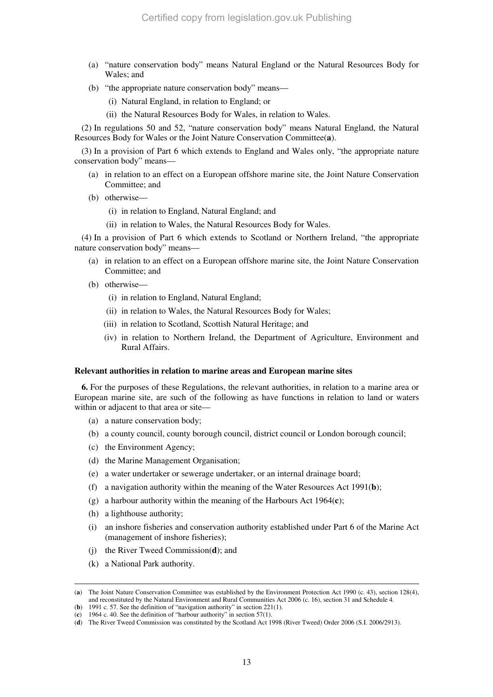- (a) "nature conservation body" means Natural England or the Natural Resources Body for Wales; and
- (b) "the appropriate nature conservation body" means—
	- (i) Natural England, in relation to England; or
	- (ii) the Natural Resources Body for Wales, in relation to Wales.

(2) In regulations 50 and 52, "nature conservation body" means Natural England, the Natural Resources Body for Wales or the Joint Nature Conservation Committee(**a**).

(3) In a provision of Part 6 which extends to England and Wales only, "the appropriate nature conservation body" means—

- (a) in relation to an effect on a European offshore marine site, the Joint Nature Conservation Committee; and
- (b) otherwise—
	- (i) in relation to England, Natural England; and
	- (ii) in relation to Wales, the Natural Resources Body for Wales.

(4) In a provision of Part 6 which extends to Scotland or Northern Ireland, "the appropriate nature conservation body" means—

- (a) in relation to an effect on a European offshore marine site, the Joint Nature Conservation Committee; and
- (b) otherwise—
	- (i) in relation to England, Natural England;
	- (ii) in relation to Wales, the Natural Resources Body for Wales;
	- (iii) in relation to Scotland, Scottish Natural Heritage; and
	- (iv) in relation to Northern Ireland, the Department of Agriculture, Environment and Rural Affairs.

#### **Relevant authorities in relation to marine areas and European marine sites**

**6.** For the purposes of these Regulations, the relevant authorities, in relation to a marine area or European marine site, are such of the following as have functions in relation to land or waters within or adjacent to that area or site—

- (a) a nature conservation body;
- (b) a county council, county borough council, district council or London borough council;
- (c) the Environment Agency;
- (d) the Marine Management Organisation;
- (e) a water undertaker or sewerage undertaker, or an internal drainage board;
- (f) a navigation authority within the meaning of the Water Resources Act 1991(**b**);
- (g) a harbour authority within the meaning of the Harbours Act 1964(**c**);
- (h) a lighthouse authority;
- (i) an inshore fisheries and conservation authority established under Part 6 of the Marine Act (management of inshore fisheries);
- (j) the River Tweed Commission(**d**); and
- (k) a National Park authority.

<sup>(</sup>**a**) The Joint Nature Conservation Committee was established by the Environment Protection Act 1990 (c. 43), section 128(4), and reconstituted by the Natural Environment and Rural Communities Act 2006 (c. 16), section 31 and Schedule 4. (**b**) 1991 c. 57. See the definition of "navigation authority" in section 221(1).

<sup>(</sup>**c**) 1964 c. 40. See the definition of "harbour authority" in section 57(1).

<sup>(</sup>**d**) The River Tweed Commission was constituted by the Scotland Act 1998 (River Tweed) Order 2006 (S.I. 2006/2913).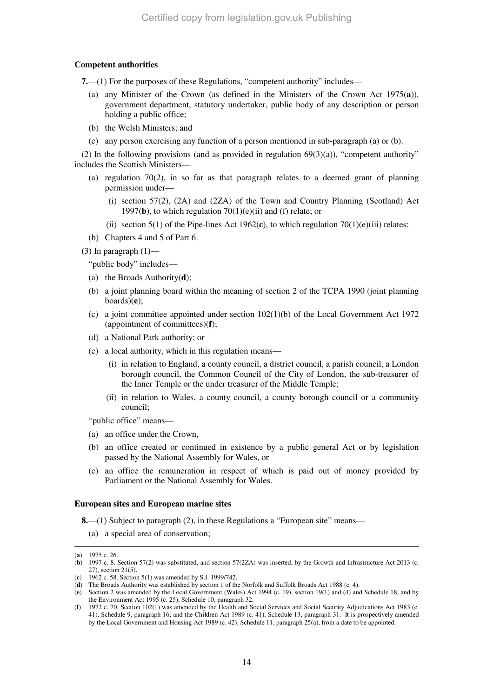## **Competent authorities**

**7.**—(1) For the purposes of these Regulations, "competent authority" includes—

- (a) any Minister of the Crown (as defined in the Ministers of the Crown Act 1975(**a**)), government department, statutory undertaker, public body of any description or person holding a public office;
- (b) the Welsh Ministers; and
- (c) any person exercising any function of a person mentioned in sub-paragraph (a) or (b).

(2) In the following provisions (and as provided in regulation  $69(3)(a)$ ), "competent authority" includes the Scottish Ministers—

- (a) regulation 70(2), in so far as that paragraph relates to a deemed grant of planning permission under—
	- (i) section  $57(2)$ ,  $(2A)$  and  $(2ZA)$  of the Town and Country Planning (Scotland) Act 1997(**b**), to which regulation  $70(1)(e)$ (ii) and (f) relate; or
	- (ii) section 5(1) of the Pipe-lines Act 1962 $(c)$ , to which regulation 70(1) $(e)$ (iii) relates;
- (b) Chapters 4 and 5 of Part 6.

(3) In paragraph  $(1)$ —

"public body" includes—

- (a) the Broads Authority(**d**);
- (b) a joint planning board within the meaning of section 2 of the TCPA 1990 (joint planning boards)(**e**);
- (c) a joint committee appointed under section 102(1)(b) of the Local Government Act 1972 (appointment of committees)(**f**);
- (d) a National Park authority; or
- (e) a local authority, which in this regulation means—
	- (i) in relation to England, a county council, a district council, a parish council, a London borough council, the Common Council of the City of London, the sub-treasurer of the Inner Temple or the under treasurer of the Middle Temple;
	- (ii) in relation to Wales, a county council, a county borough council or a community council;

"public office" means—

- (a) an office under the Crown,
- (b) an office created or continued in existence by a public general Act or by legislation passed by the National Assembly for Wales, or
- (c) an office the remuneration in respect of which is paid out of money provided by Parliament or the National Assembly for Wales.

### **European sites and European marine sites**

**8.**—(1) Subject to paragraph (2), in these Regulations a "European site" means—

(a) a special area of conservation;

<sup>(</sup>**a**) 1975 c. 26.

<sup>(</sup>**b**) 1997 c. 8. Section 57(2) was substituted, and section 57(2ZA) was inserted, by the Growth and Infrastructure Act 2013 (c. 27), section 21(5).

<sup>(</sup>**c**) 1962 c. 58. Section 5(1) was amended by S.I. 1999/742.

<sup>(</sup>**d**) The Broads Authority was established by section 1 of the Norfolk and Suffolk Broads Act 1988 (c. 4).

<sup>(</sup>**e**) Section 2 was amended by the Local Government (Wales) Act 1994 (c. 19), section 19(1) and (4) and Schedule 18; and by the Environment Act 1995 (c. 25), Schedule 10, paragraph 32.

<sup>(</sup>**f**) 1972 c. 70. Section 102(1) was amended by the Health and Social Services and Social Security Adjudications Act 1983 (c. 41), Schedule 9, paragraph 16; and the Children Act 1989 (c. 41), Schedule 13, paragraph 31. It is prospectively amended by the Local Government and Housing Act 1989 (c. 42), Schedule 11, paragraph 25(a), from a date to be appointed.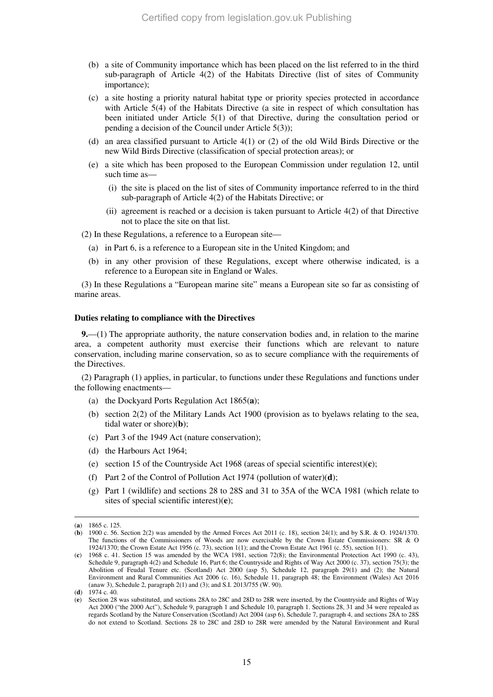- (b) a site of Community importance which has been placed on the list referred to in the third sub-paragraph of Article 4(2) of the Habitats Directive (list of sites of Community importance);
- (c) a site hosting a priority natural habitat type or priority species protected in accordance with Article 5(4) of the Habitats Directive (a site in respect of which consultation has been initiated under Article 5(1) of that Directive, during the consultation period or pending a decision of the Council under Article 5(3));
- (d) an area classified pursuant to Article 4(1) or (2) of the old Wild Birds Directive or the new Wild Birds Directive (classification of special protection areas); or
- (e) a site which has been proposed to the European Commission under regulation 12, until such time as-
	- (i) the site is placed on the list of sites of Community importance referred to in the third sub-paragraph of Article 4(2) of the Habitats Directive; or
	- (ii) agreement is reached or a decision is taken pursuant to Article 4(2) of that Directive not to place the site on that list.

(2) In these Regulations, a reference to a European site—

- (a) in Part 6, is a reference to a European site in the United Kingdom; and
- (b) in any other provision of these Regulations, except where otherwise indicated, is a reference to a European site in England or Wales.

(3) In these Regulations a "European marine site" means a European site so far as consisting of marine areas.

#### **Duties relating to compliance with the Directives**

**9.**—(1) The appropriate authority, the nature conservation bodies and, in relation to the marine area, a competent authority must exercise their functions which are relevant to nature conservation, including marine conservation, so as to secure compliance with the requirements of the Directives.

(2) Paragraph (1) applies, in particular, to functions under these Regulations and functions under the following enactments—

- (a) the Dockyard Ports Regulation Act 1865(**a**);
- (b) section 2(2) of the Military Lands Act 1900 (provision as to byelaws relating to the sea, tidal water or shore)(**b**);
- (c) Part 3 of the 1949 Act (nature conservation);
- (d) the Harbours Act 1964;
- (e) section 15 of the Countryside Act 1968 (areas of special scientific interest)(**c**);
- (f) Part 2 of the Control of Pollution Act 1974 (pollution of water)(**d**);
- (g) Part 1 (wildlife) and sections 28 to 28S and 31 to 35A of the WCA 1981 (which relate to sites of special scientific interest)(**e**);

<sup>(</sup>**a**) 1865 c. 125.

<sup>(</sup>**b**) 1900 c. 56. Section 2(2) was amended by the Armed Forces Act 2011 (c. 18), section 24(1); and by S.R. & O. 1924/1370. The functions of the Commissioners of Woods are now exercisable by the Crown Estate Commissioners: SR & O 1924/1370; the Crown Estate Act 1956 (c. 73), section 1(1); and the Crown Estate Act 1961 (c. 55), section 1(1).

<sup>(</sup>**c**) 1968 c. 41. Section 15 was amended by the WCA 1981, section 72(8); the Environmental Protection Act 1990 (c. 43), Schedule 9, paragraph 4(2) and Schedule 16, Part 6; the Countryside and Rights of Way Act 2000 (c. 37), section 75(3); the Abolition of Feudal Tenure etc. (Scotland) Act 2000 (asp 5), Schedule 12, paragraph 29(1) and (2); the Natural Environment and Rural Communities Act 2006 (c. 16), Schedule 11, paragraph 48; the Environment (Wales) Act 2016 (anaw 3), Schedule 2, paragraph 2(1) and (3); and S.I. 2013/755 (W. 90).

<sup>(</sup>**d**) 1974 c. 40.

<sup>(</sup>**e**) Section 28 was substituted, and sections 28A to 28C and 28D to 28R were inserted, by the Countryside and Rights of Way Act 2000 ("the 2000 Act"), Schedule 9, paragraph 1 and Schedule 10, paragraph 1. Sections 28, 31 and 34 were repealed as regards Scotland by the Nature Conservation (Scotland) Act 2004 (asp 6), Schedule 7, paragraph 4, and sections 28A to 28S do not extend to Scotland. Sections 28 to 28C and 28D to 28R were amended by the Natural Environment and Rural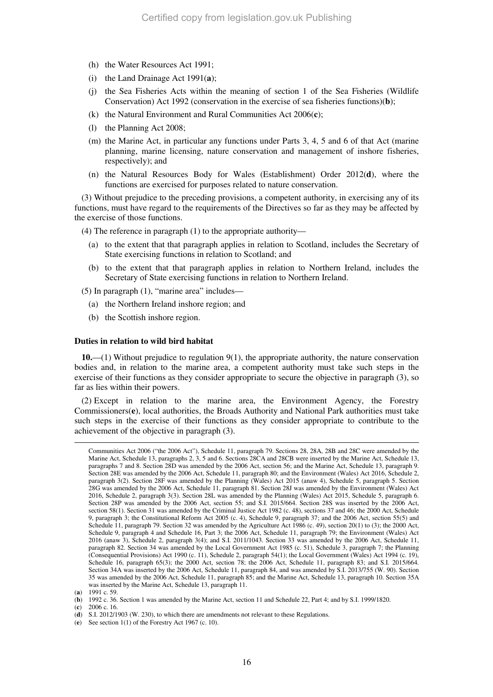- (h) the Water Resources Act 1991;
- (i) the Land Drainage Act 1991(**a**);
- (j) the Sea Fisheries Acts within the meaning of section 1 of the Sea Fisheries (Wildlife Conservation) Act 1992 (conservation in the exercise of sea fisheries functions)(**b**);
- (k) the Natural Environment and Rural Communities Act 2006(**c**);
- (l) the Planning Act 2008;
- (m) the Marine Act, in particular any functions under Parts 3, 4, 5 and 6 of that Act (marine planning, marine licensing, nature conservation and management of inshore fisheries, respectively); and
- (n) the Natural Resources Body for Wales (Establishment) Order 2012(**d**), where the functions are exercised for purposes related to nature conservation.

(3) Without prejudice to the preceding provisions, a competent authority, in exercising any of its functions, must have regard to the requirements of the Directives so far as they may be affected by the exercise of those functions.

(4) The reference in paragraph (1) to the appropriate authority—

- (a) to the extent that that paragraph applies in relation to Scotland, includes the Secretary of State exercising functions in relation to Scotland; and
- (b) to the extent that that paragraph applies in relation to Northern Ireland, includes the Secretary of State exercising functions in relation to Northern Ireland.

(5) In paragraph (1), "marine area" includes—

- (a) the Northern Ireland inshore region; and
- (b) the Scottish inshore region.

#### **Duties in relation to wild bird habitat**

**10.**—(1) Without prejudice to regulation 9(1), the appropriate authority, the nature conservation bodies and, in relation to the marine area, a competent authority must take such steps in the exercise of their functions as they consider appropriate to secure the objective in paragraph (3), so far as lies within their powers.

(2) Except in relation to the marine area, the Environment Agency, the Forestry Commissioners(**e**), local authorities, the Broads Authority and National Park authorities must take such steps in the exercise of their functions as they consider appropriate to contribute to the achievement of the objective in paragraph (3).

-

(**c**) 2006 c. 16.

Communities Act 2006 ("the 2006 Act"), Schedule 11, paragraph 79. Sections 28, 28A, 28B and 28C were amended by the Marine Act, Schedule 13, paragraphs 2, 3, 5 and 6. Sections 28CA and 28CB were inserted by the Marine Act, Schedule 13, paragraphs 7 and 8. Section 28D was amended by the 2006 Act, section 56; and the Marine Act, Schedule 13, paragraph 9. Section 28E was amended by the 2006 Act, Schedule 11, paragraph 80; and the Environment (Wales) Act 2016, Schedule 2, paragraph 3(2). Section 28F was amended by the Planning (Wales) Act 2015 (anaw 4), Schedule 5, paragraph 5. Section 28G was amended by the 2006 Act, Schedule 11, paragraph 81. Section 28J was amended by the Environment (Wales) Act 2016, Schedule 2, paragraph 3(3). Section 28L was amended by the Planning (Wales) Act 2015, Schedule 5, paragraph 6. Section 28P was amended by the 2006 Act, section 55; and S.I. 2015/664. Section 28S was inserted by the 2006 Act, section 58(1). Section 31 was amended by the Criminal Justice Act 1982 (c. 48), sections 37 and 46; the 2000 Act, Schedule 9, paragraph 3; the Constitutional Reform Act 2005 (c. 4), Schedule 9, paragraph 37; and the 2006 Act, section 55(5) and Schedule 11, paragraph 79. Section 32 was amended by the Agriculture Act 1986 (c. 49), section 20(1) to (3); the 2000 Act, Schedule 9, paragraph 4 and Schedule 16, Part 3; the 2006 Act, Schedule 11, paragraph 79; the Environment (Wales) Act 2016 (anaw 3), Schedule 2, paragraph 3(4); and S.I. 2011/1043. Section 33 was amended by the 2006 Act, Schedule 11, paragraph 82. Section 34 was amended by the Local Government Act 1985 (c. 51), Schedule 3, paragraph 7; the Planning (Consequential Provisions) Act 1990 (c. 11), Schedule 2, paragraph 54(1); the Local Government (Wales) Act 1994 (c. 19), Schedule 16, paragraph 65(3); the 2000 Act, section 78; the 2006 Act, Schedule 11, paragraph 83; and S.I. 2015/664. Section 34A was inserted by the 2006 Act, Schedule 11, paragraph 84, and was amended by S.I. 2013/755 (W. 90). Section 35 was amended by the 2006 Act, Schedule 11, paragraph 85; and the Marine Act, Schedule 13, paragraph 10. Section 35A was inserted by the Marine Act, Schedule 13, paragraph 11.

<sup>(</sup>**a**) 1991 c. 59.

<sup>(</sup>**b**) 1992 c. 36. Section 1 was amended by the Marine Act, section 11 and Schedule 22, Part 4; and by S.I. 1999/1820.

<sup>(</sup>**d**) S.I. 2012/1903 (W. 230), to which there are amendments not relevant to these Regulations.

<sup>(</sup>**e**) See section 1(1) of the Forestry Act 1967 (c. 10).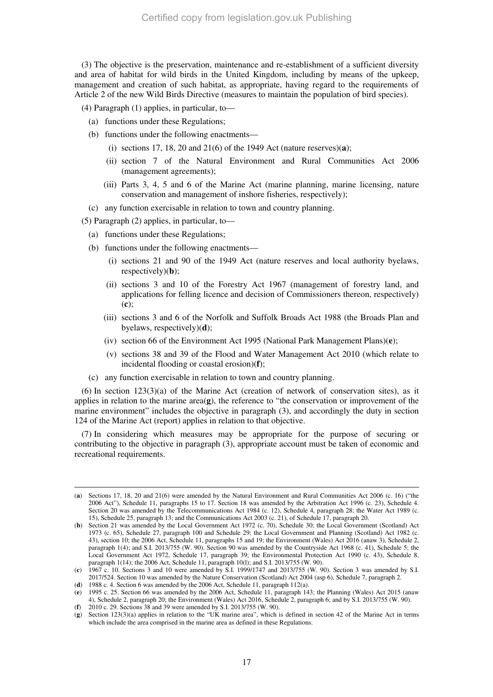(3) The objective is the preservation, maintenance and re-establishment of a sufficient diversity and area of habitat for wild birds in the United Kingdom, including by means of the upkeep, management and creation of such habitat, as appropriate, having regard to the requirements of Article 2 of the new Wild Birds Directive (measures to maintain the population of bird species).

(4) Paragraph (1) applies, in particular, to—

- (a) functions under these Regulations;
- (b) functions under the following enactments—
	- (i) sections 17, 18, 20 and 21(6) of the 1949 Act (nature reserves)(**a**);
	- (ii) section 7 of the Natural Environment and Rural Communities Act 2006 (management agreements);
	- (iii) Parts 3, 4, 5 and 6 of the Marine Act (marine planning, marine licensing, nature conservation and management of inshore fisheries, respectively);
- (c) any function exercisable in relation to town and country planning.

(5) Paragraph (2) applies, in particular, to—

- (a) functions under these Regulations;
- (b) functions under the following enactments—
	- (i) sections 21 and 90 of the 1949 Act (nature reserves and local authority byelaws, respectively)(**b**);
	- (ii) sections 3 and 10 of the Forestry Act 1967 (management of forestry land, and applications for felling licence and decision of Commissioners thereon, respectively) (**c**);
	- (iii) sections 3 and 6 of the Norfolk and Suffolk Broads Act 1988 (the Broads Plan and byelaws, respectively)(**d**);
	- (iv) section 66 of the Environment Act 1995 (National Park Management Plans)(**e**);
	- (v) sections 38 and 39 of the Flood and Water Management Act 2010 (which relate to incidental flooding or coastal erosion)(**f**);
- (c) any function exercisable in relation to town and country planning.

 $(6)$  In section 123(3)(a) of the Marine Act (creation of network of conservation sites), as it applies in relation to the marine  $area(\mathbf{g})$ , the reference to "the conservation or improvement of the marine environment" includes the objective in paragraph (3), and accordingly the duty in section 124 of the Marine Act (report) applies in relation to that objective.

(7) In considering which measures may be appropriate for the purpose of securing or contributing to the objective in paragraph (3), appropriate account must be taken of economic and recreational requirements.

<sup>(</sup>**a**) Sections 17, 18, 20 and 21(6) were amended by the Natural Environment and Rural Communities Act 2006 (c. 16) ("the 2006 Act"), Schedule 11, paragraphs 15 to 17. Section 18 was amended by the Arbitration Act 1996 (c. 23), Schedule 4. Section 20 was amended by the Telecommunications Act 1984 (c. 12), Schedule 4, paragraph 28; the Water Act 1989 (c. 15), Schedule 25, paragraph 13; and the Communications Act 2003 (c. 21), of Schedule 17, paragraph 20.

<sup>(</sup>**b**) Section 21 was amended by the Local Government Act 1972 (c. 70), Schedule 30; the Local Government (Scotland) Act 1973 (c. 65), Schedule 27, paragraph 100 and Schedule 29; the Local Government and Planning (Scotland) Act 1982 (c. 43), section 10; the 2006 Act, Schedule 11, paragraphs 15 and 19; the Environment (Wales) Act 2016 (anaw 3), Schedule 2, paragraph 1(4); and S.I. 2013/755 (W. 90). Section 90 was amended by the Countryside Act 1968 (c. 41), Schedule 5; the Local Government Act 1972, Schedule 17, paragraph 39; the Environmental Protection Act 1990 (c. 43), Schedule 8, paragraph 1(14); the 2006 Act, Schedule 11, paragraph 10(l); and S.I. 2013/755 (W. 90).

<sup>(</sup>**c**) 1967 c. 10. Sections 3 and 10 were amended by S.I. 1999/1747 and 2013/755 (W. 90). Section 3 was amended by S.I. 2017/524. Section 10 was amended by the Nature Conservation (Scotland) Act 2004 (asp 6), Schedule 7, paragraph 2.

<sup>(</sup>**d**) 1988 c. 4. Section 6 was amended by the 2006 Act, Schedule 11, paragraph 112(a).

<sup>(</sup>**e**) 1995 c. 25. Section 66 was amended by the 2006 Act, Schedule 11, paragraph 143; the Planning (Wales) Act 2015 (anaw 4), Schedule 2, paragraph 20; the Environment (Wales) Act 2016, Schedule 2, paragraph 6; and by S.I. 2013/755 (W. 90).

<sup>(</sup>**f**) 2010 c. 29. Sections 38 and 39 were amended by S.I. 2013/755 (W. 90).

<sup>(</sup>**g**) Section 123(3)(a) applies in relation to the "UK marine area", which is defined in section 42 of the Marine Act in terms which include the area comprised in the marine area as defined in these Regulations.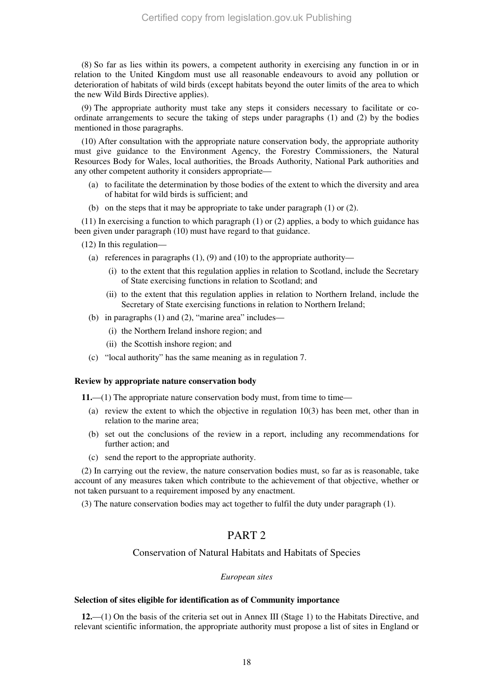(8) So far as lies within its powers, a competent authority in exercising any function in or in relation to the United Kingdom must use all reasonable endeavours to avoid any pollution or deterioration of habitats of wild birds (except habitats beyond the outer limits of the area to which the new Wild Birds Directive applies).

(9) The appropriate authority must take any steps it considers necessary to facilitate or coordinate arrangements to secure the taking of steps under paragraphs (1) and (2) by the bodies mentioned in those paragraphs.

(10) After consultation with the appropriate nature conservation body, the appropriate authority must give guidance to the Environment Agency, the Forestry Commissioners, the Natural Resources Body for Wales, local authorities, the Broads Authority, National Park authorities and any other competent authority it considers appropriate—

- (a) to facilitate the determination by those bodies of the extent to which the diversity and area of habitat for wild birds is sufficient; and
- (b) on the steps that it may be appropriate to take under paragraph (1) or (2).

(11) In exercising a function to which paragraph (1) or (2) applies, a body to which guidance has been given under paragraph (10) must have regard to that guidance.

(12) In this regulation—

- (a) references in paragraphs  $(1)$ ,  $(9)$  and  $(10)$  to the appropriate authority—
	- (i) to the extent that this regulation applies in relation to Scotland, include the Secretary of State exercising functions in relation to Scotland; and
	- (ii) to the extent that this regulation applies in relation to Northern Ireland, include the Secretary of State exercising functions in relation to Northern Ireland;
- (b) in paragraphs  $(1)$  and  $(2)$ , "marine area" includes—
	- (i) the Northern Ireland inshore region; and
	- (ii) the Scottish inshore region; and
- (c) "local authority" has the same meaning as in regulation 7.

#### **Review by appropriate nature conservation body**

**11.**—(1) The appropriate nature conservation body must, from time to time—

- (a) review the extent to which the objective in regulation 10(3) has been met, other than in relation to the marine area;
- (b) set out the conclusions of the review in a report, including any recommendations for further action; and
- (c) send the report to the appropriate authority.

(2) In carrying out the review, the nature conservation bodies must, so far as is reasonable, take account of any measures taken which contribute to the achievement of that objective, whether or not taken pursuant to a requirement imposed by any enactment.

(3) The nature conservation bodies may act together to fulfil the duty under paragraph (1).

## PART 2

### Conservation of Natural Habitats and Habitats of Species

#### *European sites*

#### **Selection of sites eligible for identification as of Community importance**

**12.**—(1) On the basis of the criteria set out in Annex III (Stage 1) to the Habitats Directive, and relevant scientific information, the appropriate authority must propose a list of sites in England or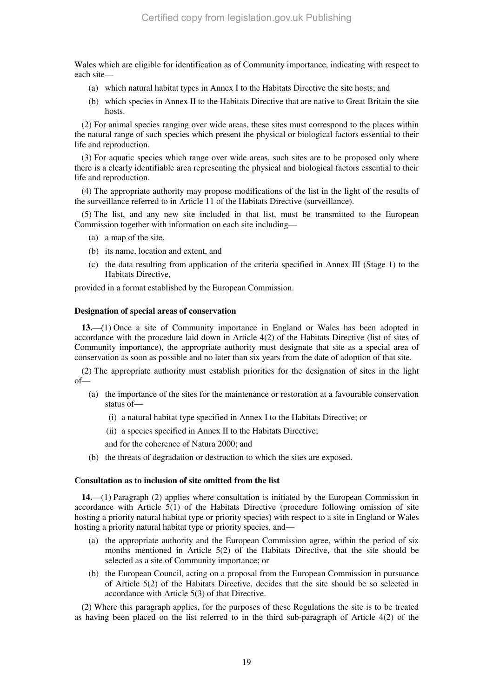Wales which are eligible for identification as of Community importance, indicating with respect to each site—

- (a) which natural habitat types in Annex I to the Habitats Directive the site hosts; and
- (b) which species in Annex II to the Habitats Directive that are native to Great Britain the site hosts.

(2) For animal species ranging over wide areas, these sites must correspond to the places within the natural range of such species which present the physical or biological factors essential to their life and reproduction.

(3) For aquatic species which range over wide areas, such sites are to be proposed only where there is a clearly identifiable area representing the physical and biological factors essential to their life and reproduction.

(4) The appropriate authority may propose modifications of the list in the light of the results of the surveillance referred to in Article 11 of the Habitats Directive (surveillance).

(5) The list, and any new site included in that list, must be transmitted to the European Commission together with information on each site including—

- (a) a map of the site,
- (b) its name, location and extent, and
- (c) the data resulting from application of the criteria specified in Annex III (Stage 1) to the Habitats Directive,

provided in a format established by the European Commission.

#### **Designation of special areas of conservation**

**13.**—(1) Once a site of Community importance in England or Wales has been adopted in accordance with the procedure laid down in Article 4(2) of the Habitats Directive (list of sites of Community importance), the appropriate authority must designate that site as a special area of conservation as soon as possible and no later than six years from the date of adoption of that site.

(2) The appropriate authority must establish priorities for the designation of sites in the light of—

- (a) the importance of the sites for the maintenance or restoration at a favourable conservation status of—
	- (i) a natural habitat type specified in Annex I to the Habitats Directive; or
	- (ii) a species specified in Annex II to the Habitats Directive;

and for the coherence of Natura 2000; and

(b) the threats of degradation or destruction to which the sites are exposed.

#### **Consultation as to inclusion of site omitted from the list**

**14.**—(1) Paragraph (2) applies where consultation is initiated by the European Commission in accordance with Article 5(1) of the Habitats Directive (procedure following omission of site hosting a priority natural habitat type or priority species) with respect to a site in England or Wales hosting a priority natural habitat type or priority species, and—

- (a) the appropriate authority and the European Commission agree, within the period of six months mentioned in Article 5(2) of the Habitats Directive, that the site should be selected as a site of Community importance; or
- (b) the European Council, acting on a proposal from the European Commission in pursuance of Article 5(2) of the Habitats Directive, decides that the site should be so selected in accordance with Article 5(3) of that Directive.

(2) Where this paragraph applies, for the purposes of these Regulations the site is to be treated as having been placed on the list referred to in the third sub-paragraph of Article 4(2) of the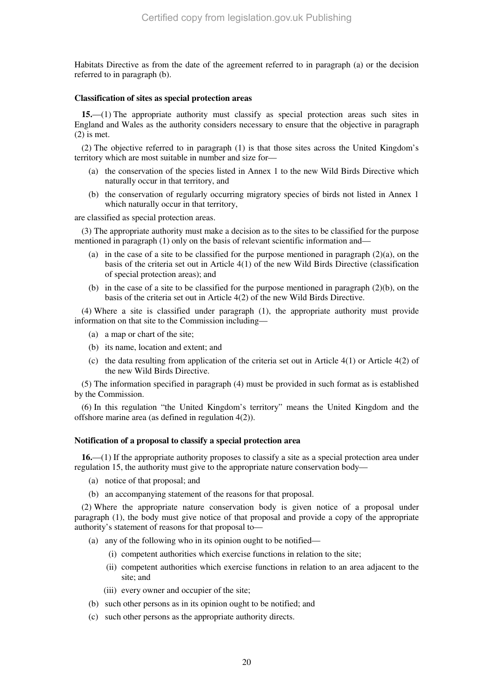Habitats Directive as from the date of the agreement referred to in paragraph (a) or the decision referred to in paragraph (b).

#### **Classification of sites as special protection areas**

**15.**—(1) The appropriate authority must classify as special protection areas such sites in England and Wales as the authority considers necessary to ensure that the objective in paragraph (2) is met.

(2) The objective referred to in paragraph (1) is that those sites across the United Kingdom's territory which are most suitable in number and size for—

- (a) the conservation of the species listed in Annex 1 to the new Wild Birds Directive which naturally occur in that territory, and
- (b) the conservation of regularly occurring migratory species of birds not listed in Annex 1 which naturally occur in that territory,

are classified as special protection areas.

(3) The appropriate authority must make a decision as to the sites to be classified for the purpose mentioned in paragraph (1) only on the basis of relevant scientific information and—

- (a) in the case of a site to be classified for the purpose mentioned in paragraph  $(2)(a)$ , on the basis of the criteria set out in Article 4(1) of the new Wild Birds Directive (classification of special protection areas); and
- (b) in the case of a site to be classified for the purpose mentioned in paragraph (2)(b), on the basis of the criteria set out in Article 4(2) of the new Wild Birds Directive.

(4) Where a site is classified under paragraph (1), the appropriate authority must provide information on that site to the Commission including—

- (a) a map or chart of the site;
- (b) its name, location and extent; and
- (c) the data resulting from application of the criteria set out in Article  $4(1)$  or Article  $4(2)$  of the new Wild Birds Directive.

(5) The information specified in paragraph (4) must be provided in such format as is established by the Commission.

(6) In this regulation "the United Kingdom's territory" means the United Kingdom and the offshore marine area (as defined in regulation 4(2)).

#### **Notification of a proposal to classify a special protection area**

**16.**—(1) If the appropriate authority proposes to classify a site as a special protection area under regulation 15, the authority must give to the appropriate nature conservation body—

- (a) notice of that proposal; and
- (b) an accompanying statement of the reasons for that proposal.

(2) Where the appropriate nature conservation body is given notice of a proposal under paragraph (1), the body must give notice of that proposal and provide a copy of the appropriate authority's statement of reasons for that proposal to—

- (a) any of the following who in its opinion ought to be notified—
	- (i) competent authorities which exercise functions in relation to the site;
	- (ii) competent authorities which exercise functions in relation to an area adjacent to the site; and
	- (iii) every owner and occupier of the site;
- (b) such other persons as in its opinion ought to be notified; and
- (c) such other persons as the appropriate authority directs.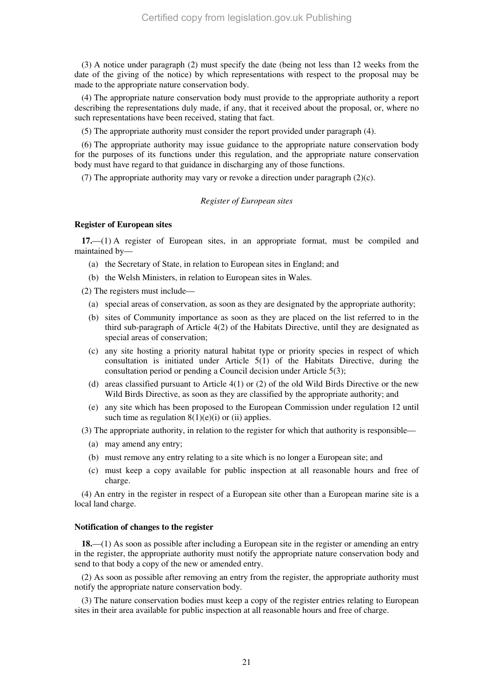(3) A notice under paragraph (2) must specify the date (being not less than 12 weeks from the date of the giving of the notice) by which representations with respect to the proposal may be made to the appropriate nature conservation body.

(4) The appropriate nature conservation body must provide to the appropriate authority a report describing the representations duly made, if any, that it received about the proposal, or, where no such representations have been received, stating that fact.

(5) The appropriate authority must consider the report provided under paragraph (4).

(6) The appropriate authority may issue guidance to the appropriate nature conservation body for the purposes of its functions under this regulation, and the appropriate nature conservation body must have regard to that guidance in discharging any of those functions.

(7) The appropriate authority may vary or revoke a direction under paragraph (2)(c).

#### *Register of European sites*

#### **Register of European sites**

**17.**—(1) A register of European sites, in an appropriate format, must be compiled and maintained by—

- (a) the Secretary of State, in relation to European sites in England; and
- (b) the Welsh Ministers, in relation to European sites in Wales.

(2) The registers must include—

- (a) special areas of conservation, as soon as they are designated by the appropriate authority;
- (b) sites of Community importance as soon as they are placed on the list referred to in the third sub-paragraph of Article 4(2) of the Habitats Directive, until they are designated as special areas of conservation;
- (c) any site hosting a priority natural habitat type or priority species in respect of which consultation is initiated under Article 5(1) of the Habitats Directive, during the consultation period or pending a Council decision under Article 5(3);
- (d) areas classified pursuant to Article  $4(1)$  or (2) of the old Wild Birds Directive or the new Wild Birds Directive, as soon as they are classified by the appropriate authority; and
- (e) any site which has been proposed to the European Commission under regulation 12 until such time as regulation  $8(1)(e)(i)$  or (ii) applies.

(3) The appropriate authority, in relation to the register for which that authority is responsible—

- (a) may amend any entry;
- (b) must remove any entry relating to a site which is no longer a European site; and
- (c) must keep a copy available for public inspection at all reasonable hours and free of charge.

(4) An entry in the register in respect of a European site other than a European marine site is a local land charge.

#### **Notification of changes to the register**

**18.**—(1) As soon as possible after including a European site in the register or amending an entry in the register, the appropriate authority must notify the appropriate nature conservation body and send to that body a copy of the new or amended entry.

(2) As soon as possible after removing an entry from the register, the appropriate authority must notify the appropriate nature conservation body.

(3) The nature conservation bodies must keep a copy of the register entries relating to European sites in their area available for public inspection at all reasonable hours and free of charge.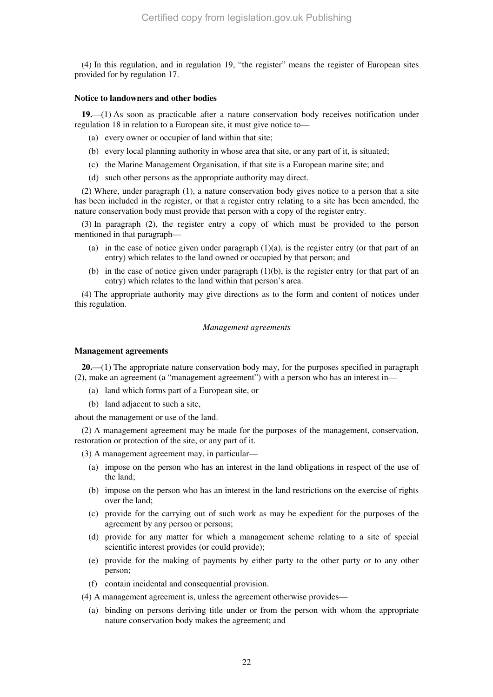(4) In this regulation, and in regulation 19, "the register" means the register of European sites provided for by regulation 17.

#### **Notice to landowners and other bodies**

**19.**—(1) As soon as practicable after a nature conservation body receives notification under regulation 18 in relation to a European site, it must give notice to—

- (a) every owner or occupier of land within that site;
- (b) every local planning authority in whose area that site, or any part of it, is situated;
- (c) the Marine Management Organisation, if that site is a European marine site; and
- (d) such other persons as the appropriate authority may direct.

(2) Where, under paragraph (1), a nature conservation body gives notice to a person that a site has been included in the register, or that a register entry relating to a site has been amended, the nature conservation body must provide that person with a copy of the register entry.

(3) In paragraph (2), the register entry a copy of which must be provided to the person mentioned in that paragraph—

- (a) in the case of notice given under paragraph  $(1)(a)$ , is the register entry (or that part of an entry) which relates to the land owned or occupied by that person; and
- (b) in the case of notice given under paragraph (1)(b), is the register entry (or that part of an entry) which relates to the land within that person's area.

(4) The appropriate authority may give directions as to the form and content of notices under this regulation.

#### *Management agreements*

#### **Management agreements**

**20.**—(1) The appropriate nature conservation body may, for the purposes specified in paragraph (2), make an agreement (a "management agreement") with a person who has an interest in—

- (a) land which forms part of a European site, or
- (b) land adjacent to such a site,

about the management or use of the land.

(2) A management agreement may be made for the purposes of the management, conservation, restoration or protection of the site, or any part of it.

(3) A management agreement may, in particular—

- (a) impose on the person who has an interest in the land obligations in respect of the use of the land;
- (b) impose on the person who has an interest in the land restrictions on the exercise of rights over the land;
- (c) provide for the carrying out of such work as may be expedient for the purposes of the agreement by any person or persons;
- (d) provide for any matter for which a management scheme relating to a site of special scientific interest provides (or could provide);
- (e) provide for the making of payments by either party to the other party or to any other person;
- (f) contain incidental and consequential provision.

(4) A management agreement is, unless the agreement otherwise provides—

(a) binding on persons deriving title under or from the person with whom the appropriate nature conservation body makes the agreement; and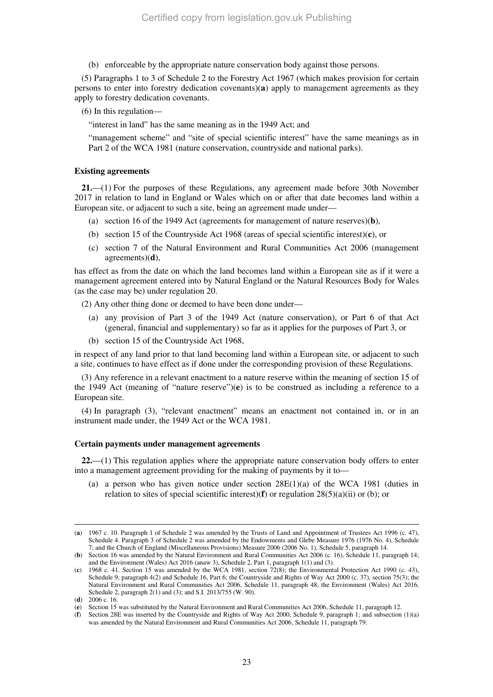(b) enforceable by the appropriate nature conservation body against those persons.

(5) Paragraphs 1 to 3 of Schedule 2 to the Forestry Act 1967 (which makes provision for certain persons to enter into forestry dedication covenants)(**a**) apply to management agreements as they apply to forestry dedication covenants.

(6) In this regulation—

"interest in land" has the same meaning as in the 1949 Act; and

"management scheme" and "site of special scientific interest" have the same meanings as in Part 2 of the WCA 1981 (nature conservation, countryside and national parks).

#### **Existing agreements**

**21.**—(1) For the purposes of these Regulations, any agreement made before 30th November 2017 in relation to land in England or Wales which on or after that date becomes land within a European site, or adjacent to such a site, being an agreement made under—

- (a) section 16 of the 1949 Act (agreements for management of nature reserves)(**b**),
- (b) section 15 of the Countryside Act 1968 (areas of special scientific interest)(**c**), or
- (c) section 7 of the Natural Environment and Rural Communities Act 2006 (management agreements)(**d**),

has effect as from the date on which the land becomes land within a European site as if it were a management agreement entered into by Natural England or the Natural Resources Body for Wales (as the case may be) under regulation 20.

(2) Any other thing done or deemed to have been done under—

- (a) any provision of Part 3 of the 1949 Act (nature conservation), or Part 6 of that Act (general, financial and supplementary) so far as it applies for the purposes of Part 3, or
- (b) section 15 of the Countryside Act 1968,

in respect of any land prior to that land becoming land within a European site, or adjacent to such a site, continues to have effect as if done under the corresponding provision of these Regulations.

(3) Any reference in a relevant enactment to a nature reserve within the meaning of section 15 of the 1949 Act (meaning of "nature reserve")(**e**) is to be construed as including a reference to a European site.

(4) In paragraph (3), "relevant enactment" means an enactment not contained in, or in an instrument made under, the 1949 Act or the WCA 1981.

#### **Certain payments under management agreements**

**22.**—(1) This regulation applies where the appropriate nature conservation body offers to enter into a management agreement providing for the making of payments by it to—

(a) a person who has given notice under section  $28E(1)(a)$  of the WCA 1981 (duties in relation to sites of special scientific interest)(**f**) or regulation 28(5)(a)(ii) or (b); or

<sup>(</sup>**a**) 1967 c. 10. Paragraph 1 of Schedule 2 was amended by the Trusts of Land and Appointment of Trustees Act 1996 (c. 47), Schedule 4. Paragraph 3 of Schedule 2 was amended by the Endowments and Glebe Measure 1976 (1976 No. 4), Schedule 7; and the Church of England (Miscellaneous Provisions) Measure 2006 (2006 No. 1), Schedule 5, paragraph 14.

<sup>(</sup>**b**) Section 16 was amended by the Natural Environment and Rural Communities Act 2006 (c. 16), Schedule 11, paragraph 14; and the Environment (Wales) Act 2016 (anaw 3), Schedule 2, Part 1, paragraph 1(1) and (3).

<sup>(</sup>**c**) 1968 c. 41. Section 15 was amended by the WCA 1981, section 72(8); the Environmental Protection Act 1990 (c. 43), Schedule 9, paragraph 4(2) and Schedule 16, Part 6; the Countryside and Rights of Way Act 2000 (c. 37), section 75(3); the Natural Environment and Rural Communities Act 2006, Schedule 11, paragraph 48; the Environment (Wales) Act 2016, Schedule 2, paragraph 2(1) and (3); and S.I. 2013/755 (W. 90).

<sup>(</sup>**d**) 2006 c. 16.

<sup>(</sup>**e**) Section 15 was substituted by the Natural Environment and Rural Communities Act 2006, Schedule 11, paragraph 12.

<sup>(</sup>**f**) Section 28E was inserted by the Countryside and Rights of Way Act 2000, Schedule 9, paragraph 1; and subsection (1)(a) was amended by the Natural Environment and Rural Communities Act 2006, Schedule 11, paragraph 79.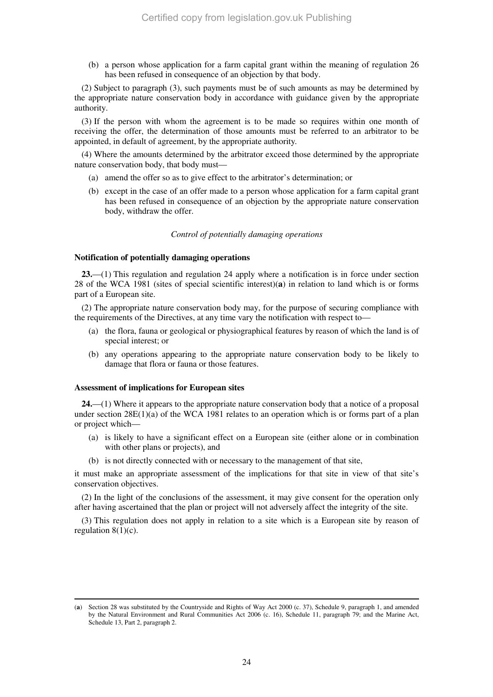(b) a person whose application for a farm capital grant within the meaning of regulation 26 has been refused in consequence of an objection by that body.

(2) Subject to paragraph (3), such payments must be of such amounts as may be determined by the appropriate nature conservation body in accordance with guidance given by the appropriate authority.

(3) If the person with whom the agreement is to be made so requires within one month of receiving the offer, the determination of those amounts must be referred to an arbitrator to be appointed, in default of agreement, by the appropriate authority*.*

(4) Where the amounts determined by the arbitrator exceed those determined by the appropriate nature conservation body, that body must—

- (a) amend the offer so as to give effect to the arbitrator's determination; or
- (b) except in the case of an offer made to a person whose application for a farm capital grant has been refused in consequence of an objection by the appropriate nature conservation body, withdraw the offer.

#### *Control of potentially damaging operations*

#### **Notification of potentially damaging operations**

**23.**—(1) This regulation and regulation 24 apply where a notification is in force under section 28 of the WCA 1981 (sites of special scientific interest)(**a**) in relation to land which is or forms part of a European site.

(2) The appropriate nature conservation body may, for the purpose of securing compliance with the requirements of the Directives, at any time vary the notification with respect to—

- (a) the flora, fauna or geological or physiographical features by reason of which the land is of special interest; or
- (b) any operations appearing to the appropriate nature conservation body to be likely to damage that flora or fauna or those features.

#### **Assessment of implications for European sites**

-

**24.**—(1) Where it appears to the appropriate nature conservation body that a notice of a proposal under section  $28E(1)(a)$  of the WCA 1981 relates to an operation which is or forms part of a plan or project which—

- (a) is likely to have a significant effect on a European site (either alone or in combination with other plans or projects), and
- (b) is not directly connected with or necessary to the management of that site,

it must make an appropriate assessment of the implications for that site in view of that site's conservation objectives.

(2) In the light of the conclusions of the assessment, it may give consent for the operation only after having ascertained that the plan or project will not adversely affect the integrity of the site.

(3) This regulation does not apply in relation to a site which is a European site by reason of regulation 8(1)(c).

<sup>(</sup>**a**) Section 28 was substituted by the Countryside and Rights of Way Act 2000 (c. 37), Schedule 9, paragraph 1, and amended by the Natural Environment and Rural Communities Act 2006 (c. 16), Schedule 11, paragraph 79; and the Marine Act, Schedule 13, Part 2, paragraph 2.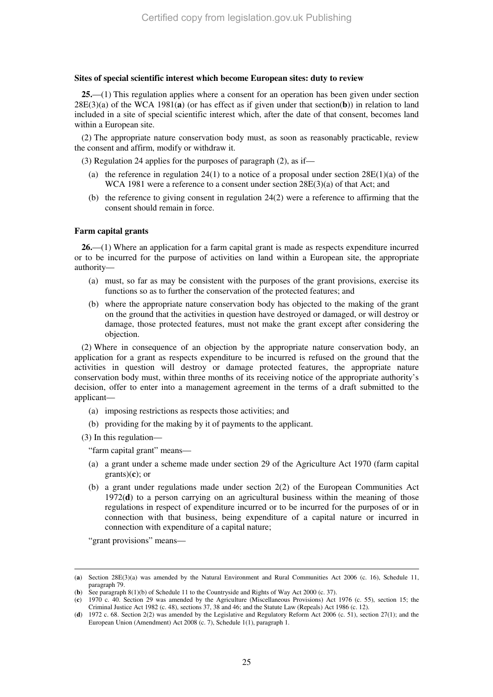### **Sites of special scientific interest which become European sites: duty to review**

**25.**—(1) This regulation applies where a consent for an operation has been given under section 28E(3)(a) of the WCA 1981(**a**) (or has effect as if given under that section(**b**)) in relation to land included in a site of special scientific interest which, after the date of that consent, becomes land within a European site.

(2) The appropriate nature conservation body must, as soon as reasonably practicable, review the consent and affirm, modify or withdraw it.

(3) Regulation 24 applies for the purposes of paragraph (2), as if—

- (a) the reference in regulation 24(1) to a notice of a proposal under section  $28E(1)(a)$  of the WCA 1981 were a reference to a consent under section 28E(3)(a) of that Act; and
- (b) the reference to giving consent in regulation 24(2) were a reference to affirming that the consent should remain in force.

## **Farm capital grants**

**26.**—(1) Where an application for a farm capital grant is made as respects expenditure incurred or to be incurred for the purpose of activities on land within a European site, the appropriate authority—

- (a) must, so far as may be consistent with the purposes of the grant provisions, exercise its functions so as to further the conservation of the protected features; and
- (b) where the appropriate nature conservation body has objected to the making of the grant on the ground that the activities in question have destroyed or damaged, or will destroy or damage, those protected features, must not make the grant except after considering the objection.

(2) Where in consequence of an objection by the appropriate nature conservation body, an application for a grant as respects expenditure to be incurred is refused on the ground that the activities in question will destroy or damage protected features, the appropriate nature conservation body must, within three months of its receiving notice of the appropriate authority's decision, offer to enter into a management agreement in the terms of a draft submitted to the applicant—

- (a) imposing restrictions as respects those activities; and
- (b) providing for the making by it of payments to the applicant.

(3) In this regulation—

"farm capital grant" means—

- (a) a grant under a scheme made under section 29 of the Agriculture Act 1970 (farm capital grants)(**c**); or
- (b) a grant under regulations made under section 2(2) of the European Communities Act 1972(**d**) to a person carrying on an agricultural business within the meaning of those regulations in respect of expenditure incurred or to be incurred for the purposes of or in connection with that business, being expenditure of a capital nature or incurred in connection with expenditure of a capital nature;

"grant provisions" means—

<sup>-</sup>(**a**) Section 28E(3)(a) was amended by the Natural Environment and Rural Communities Act 2006 (c. 16), Schedule 11, paragraph 79.

<sup>(</sup>**b**) See paragraph 8(1)(b) of Schedule 11 to the Countryside and Rights of Way Act 2000 (c. 37).

<sup>(</sup>**c**) 1970 c. 40. Section 29 was amended by the Agriculture (Miscellaneous Provisions) Act 1976 (c. 55), section 15; the Criminal Justice Act 1982 (c. 48), sections 37, 38 and 46; and the Statute Law (Repeals) Act 1986 (c. 12).

<sup>(</sup>**d**) 1972 c. 68. Section 2(2) was amended by the Legislative and Regulatory Reform Act 2006 (c. 51), section 27(1); and the European Union (Amendment) Act 2008 (c. 7), Schedule 1(1), paragraph 1.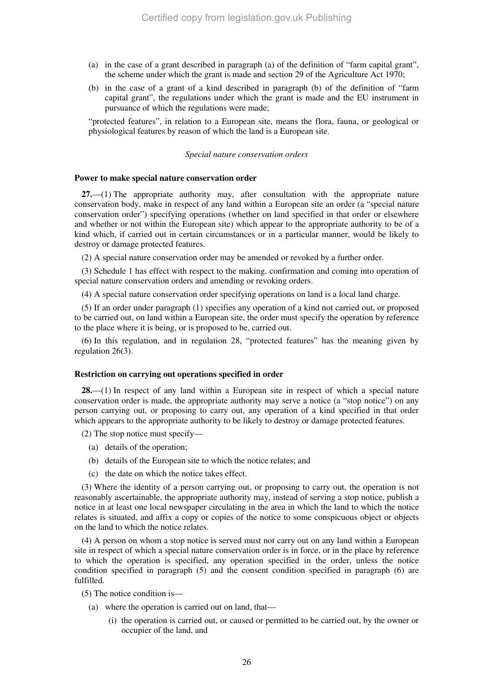- (a) in the case of a grant described in paragraph (a) of the definition of "farm capital grant", the scheme under which the grant is made and section 29 of the Agriculture Act 1970;
- (b) in the case of a grant of a kind described in paragraph (b) of the definition of "farm capital grant", the regulations under which the grant is made and the EU instrument in pursuance of which the regulations were made;

"protected features", in relation to a European site, means the flora, fauna, or geological or physiological features by reason of which the land is a European site.

#### *Special nature conservation orders*

#### **Power to make special nature conservation order**

**27.**—(1) The appropriate authority may, after consultation with the appropriate nature conservation body, make in respect of any land within a European site an order (a "special nature conservation order") specifying operations (whether on land specified in that order or elsewhere and whether or not within the European site) which appear to the appropriate authority to be of a kind which, if carried out in certain circumstances or in a particular manner, would be likely to destroy or damage protected features.

(2) A special nature conservation order may be amended or revoked by a further order.

(3) Schedule 1 has effect with respect to the making, confirmation and coming into operation of special nature conservation orders and amending or revoking orders.

(4) A special nature conservation order specifying operations on land is a local land charge.

(5) If an order under paragraph (1) specifies any operation of a kind not carried out, or proposed to be carried out, on land within a European site, the order must specify the operation by reference to the place where it is being, or is proposed to be, carried out.

(6) In this regulation, and in regulation 28, "protected features" has the meaning given by regulation 26(3).

#### **Restriction on carrying out operations specified in order**

**28.**—(1) In respect of any land within a European site in respect of which a special nature conservation order is made, the appropriate authority may serve a notice (a "stop notice") on any person carrying out, or proposing to carry out, any operation of a kind specified in that order which appears to the appropriate authority to be likely to destroy or damage protected features.

(2) The stop notice must specify—

- (a) details of the operation;
- (b) details of the European site to which the notice relates; and
- (c) the date on which the notice takes effect.

(3) Where the identity of a person carrying out, or proposing to carry out, the operation is not reasonably ascertainable, the appropriate authority may, instead of serving a stop notice, publish a notice in at least one local newspaper circulating in the area in which the land to which the notice relates is situated, and affix a copy or copies of the notice to some conspicuous object or objects on the land to which the notice relates.

(4) A person on whom a stop notice is served must not carry out on any land within a European site in respect of which a special nature conservation order is in force, or in the place by reference to which the operation is specified, any operation specified in the order, unless the notice condition specified in paragraph (5) and the consent condition specified in paragraph (6) are fulfilled.

(5) The notice condition is—

- (a) where the operation is carried out on land, that—
	- (i) the operation is carried out, or caused or permitted to be carried out, by the owner or occupier of the land, and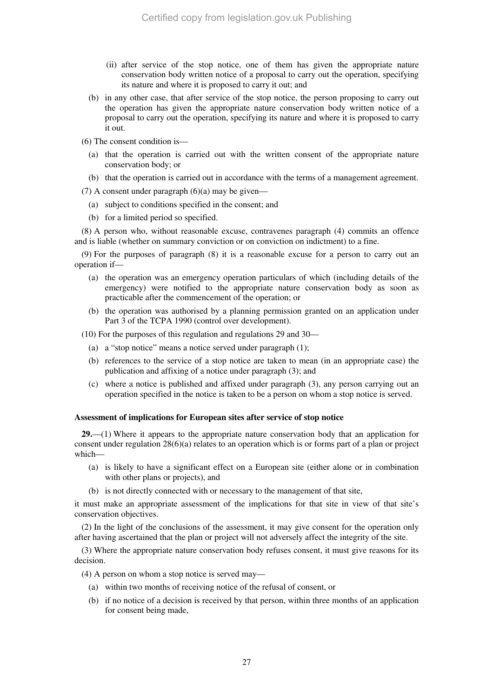- (ii) after service of the stop notice, one of them has given the appropriate nature conservation body written notice of a proposal to carry out the operation, specifying its nature and where it is proposed to carry it out; and
- (b) in any other case, that after service of the stop notice, the person proposing to carry out the operation has given the appropriate nature conservation body written notice of a proposal to carry out the operation, specifying its nature and where it is proposed to carry it out.
- (6) The consent condition is—
	- (a) that the operation is carried out with the written consent of the appropriate nature conservation body; or
	- (b) that the operation is carried out in accordance with the terms of a management agreement.

(7) A consent under paragraph  $(6)(a)$  may be given—

- (a) subject to conditions specified in the consent; and
- (b) for a limited period so specified.

(8) A person who, without reasonable excuse, contravenes paragraph (4) commits an offence and is liable (whether on summary conviction or on conviction on indictment) to a fine.

(9) For the purposes of paragraph (8) it is a reasonable excuse for a person to carry out an operation if—

- (a) the operation was an emergency operation particulars of which (including details of the emergency) were notified to the appropriate nature conservation body as soon as practicable after the commencement of the operation; or
- (b) the operation was authorised by a planning permission granted on an application under Part 3 of the TCPA 1990 (control over development).

(10) For the purposes of this regulation and regulations 29 and 30—

- (a) a "stop notice" means a notice served under paragraph (1);
- (b) references to the service of a stop notice are taken to mean (in an appropriate case) the publication and affixing of a notice under paragraph (3); and
- (c) where a notice is published and affixed under paragraph (3), any person carrying out an operation specified in the notice is taken to be a person on whom a stop notice is served.

### **Assessment of implications for European sites after service of stop notice**

**29.**—(1) Where it appears to the appropriate nature conservation body that an application for consent under regulation 28(6)(a) relates to an operation which is or forms part of a plan or project which—

- (a) is likely to have a significant effect on a European site (either alone or in combination with other plans or projects), and
- (b) is not directly connected with or necessary to the management of that site,

it must make an appropriate assessment of the implications for that site in view of that site's conservation objectives.

(2) In the light of the conclusions of the assessment, it may give consent for the operation only after having ascertained that the plan or project will not adversely affect the integrity of the site.

(3) Where the appropriate nature conservation body refuses consent, it must give reasons for its decision.

- (4) A person on whom a stop notice is served may—
	- (a) within two months of receiving notice of the refusal of consent, or
	- (b) if no notice of a decision is received by that person, within three months of an application for consent being made,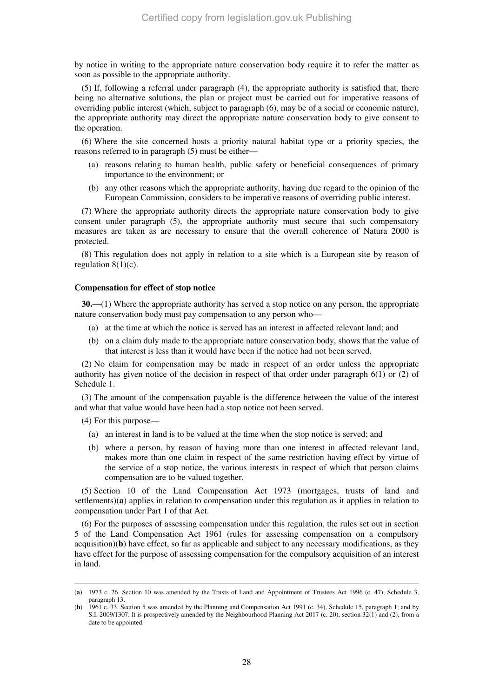by notice in writing to the appropriate nature conservation body require it to refer the matter as soon as possible to the appropriate authority.

(5) If, following a referral under paragraph (4), the appropriate authority is satisfied that, there being no alternative solutions, the plan or project must be carried out for imperative reasons of overriding public interest (which, subject to paragraph (6), may be of a social or economic nature), the appropriate authority may direct the appropriate nature conservation body to give consent to the operation.

(6) Where the site concerned hosts a priority natural habitat type or a priority species, the reasons referred to in paragraph (5) must be either—

- (a) reasons relating to human health, public safety or beneficial consequences of primary importance to the environment; or
- (b) any other reasons which the appropriate authority, having due regard to the opinion of the European Commission, considers to be imperative reasons of overriding public interest.

(7) Where the appropriate authority directs the appropriate nature conservation body to give consent under paragraph (5), the appropriate authority must secure that such compensatory measures are taken as are necessary to ensure that the overall coherence of Natura 2000 is protected.

(8) This regulation does not apply in relation to a site which is a European site by reason of regulation  $8(1)(c)$ .

#### **Compensation for effect of stop notice**

**30.**—(1) Where the appropriate authority has served a stop notice on any person, the appropriate nature conservation body must pay compensation to any person who—

- (a) at the time at which the notice is served has an interest in affected relevant land; and
- (b) on a claim duly made to the appropriate nature conservation body, shows that the value of that interest is less than it would have been if the notice had not been served.

(2) No claim for compensation may be made in respect of an order unless the appropriate authority has given notice of the decision in respect of that order under paragraph 6(1) or (2) of Schedule 1.

(3) The amount of the compensation payable is the difference between the value of the interest and what that value would have been had a stop notice not been served.

(4) For this purpose—

-

- (a) an interest in land is to be valued at the time when the stop notice is served; and
- (b) where a person, by reason of having more than one interest in affected relevant land, makes more than one claim in respect of the same restriction having effect by virtue of the service of a stop notice, the various interests in respect of which that person claims compensation are to be valued together.

(5) Section 10 of the Land Compensation Act 1973 (mortgages, trusts of land and settlements)(**a**) applies in relation to compensation under this regulation as it applies in relation to compensation under Part 1 of that Act.

(6) For the purposes of assessing compensation under this regulation, the rules set out in section 5 of the Land Compensation Act 1961 (rules for assessing compensation on a compulsory acquisition)(**b**) have effect, so far as applicable and subject to any necessary modifications, as they have effect for the purpose of assessing compensation for the compulsory acquisition of an interest in land.

<sup>(</sup>**a**) 1973 c. 26. Section 10 was amended by the Trusts of Land and Appointment of Trustees Act 1996 (c. 47), Schedule 3, paragraph 13.

<sup>(</sup>**b**) 1961 c. 33. Section 5 was amended by the Planning and Compensation Act 1991 (c. 34), Schedule 15, paragraph 1; and by S.I. 2009/1307. It is prospectively amended by the Neighbourhood Planning Act 2017 (c. 20), section 32(1) and (2), from a date to be appointed.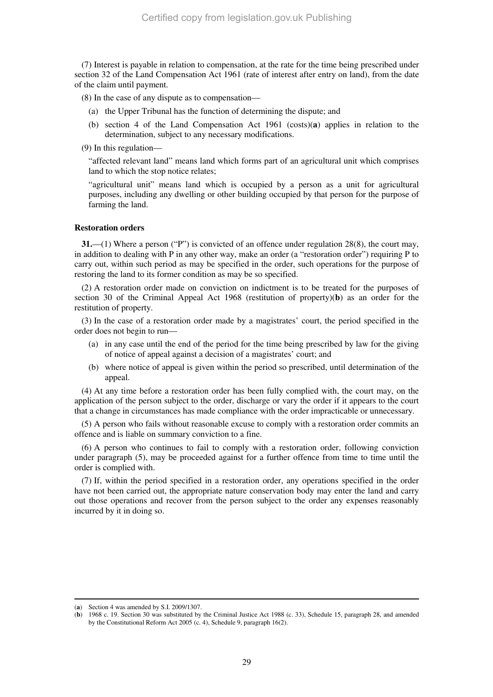(7) Interest is payable in relation to compensation, at the rate for the time being prescribed under section 32 of the Land Compensation Act 1961 (rate of interest after entry on land), from the date of the claim until payment.

(8) In the case of any dispute as to compensation—

- (a) the Upper Tribunal has the function of determining the dispute; and
- (b) section 4 of the Land Compensation Act 1961 (costs)(**a**) applies in relation to the determination, subject to any necessary modifications.

(9) In this regulation—

"affected relevant land" means land which forms part of an agricultural unit which comprises land to which the stop notice relates;

"agricultural unit" means land which is occupied by a person as a unit for agricultural purposes, including any dwelling or other building occupied by that person for the purpose of farming the land.

#### **Restoration orders**

**31.**—(1) Where a person ("P") is convicted of an offence under regulation 28(8), the court may, in addition to dealing with P in any other way, make an order (a "restoration order") requiring P to carry out, within such period as may be specified in the order, such operations for the purpose of restoring the land to its former condition as may be so specified.

(2) A restoration order made on conviction on indictment is to be treated for the purposes of section 30 of the Criminal Appeal Act 1968 (restitution of property)(**b**) as an order for the restitution of property.

(3) In the case of a restoration order made by a magistrates' court, the period specified in the order does not begin to run—

- (a) in any case until the end of the period for the time being prescribed by law for the giving of notice of appeal against a decision of a magistrates' court; and
- (b) where notice of appeal is given within the period so prescribed, until determination of the appeal.

(4) At any time before a restoration order has been fully complied with, the court may, on the application of the person subject to the order, discharge or vary the order if it appears to the court that a change in circumstances has made compliance with the order impracticable or unnecessary.

(5) A person who fails without reasonable excuse to comply with a restoration order commits an offence and is liable on summary conviction to a fine.

(6) A person who continues to fail to comply with a restoration order, following conviction under paragraph (5), may be proceeded against for a further offence from time to time until the order is complied with.

(7) If, within the period specified in a restoration order, any operations specified in the order have not been carried out, the appropriate nature conservation body may enter the land and carry out those operations and recover from the person subject to the order any expenses reasonably incurred by it in doing so.

<sup>(</sup>**a**) Section 4 was amended by S.I. 2009/1307.

<sup>(</sup>**b**) 1968 c. 19. Section 30 was substituted by the Criminal Justice Act 1988 (c. 33), Schedule 15, paragraph 28, and amended by the Constitutional Reform Act 2005 (c. 4), Schedule 9, paragraph 16(2).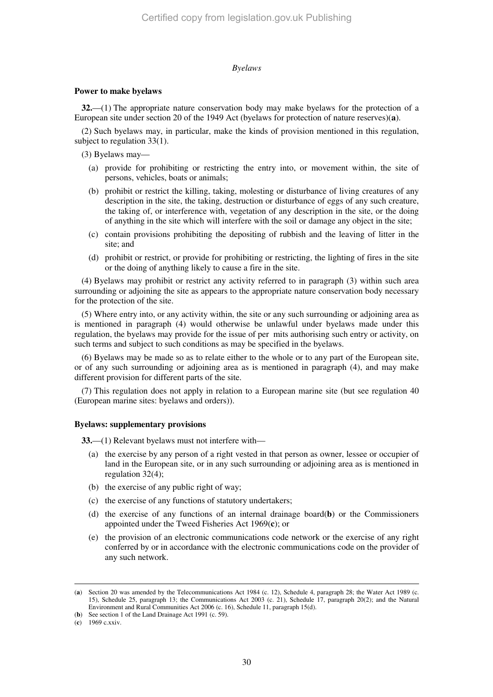## *Byelaws*

#### **Power to make byelaws**

**32.**—(1) The appropriate nature conservation body may make byelaws for the protection of a European site under section 20 of the 1949 Act (byelaws for protection of nature reserves)(**a**).

(2) Such byelaws may, in particular, make the kinds of provision mentioned in this regulation, subject to regulation 33(1).

(3) Byelaws may—

- (a) provide for prohibiting or restricting the entry into, or movement within, the site of persons, vehicles, boats or animals;
- (b) prohibit or restrict the killing, taking, molesting or disturbance of living creatures of any description in the site, the taking, destruction or disturbance of eggs of any such creature, the taking of, or interference with, vegetation of any description in the site, or the doing of anything in the site which will interfere with the soil or damage any object in the site;
- (c) contain provisions prohibiting the depositing of rubbish and the leaving of litter in the site; and
- (d) prohibit or restrict, or provide for prohibiting or restricting, the lighting of fires in the site or the doing of anything likely to cause a fire in the site.

(4) Byelaws may prohibit or restrict any activity referred to in paragraph (3) within such area surrounding or adjoining the site as appears to the appropriate nature conservation body necessary for the protection of the site.

(5) Where entry into, or any activity within, the site or any such surrounding or adjoining area as is mentioned in paragraph (4) would otherwise be unlawful under byelaws made under this regulation, the byelaws may provide for the issue of per mits authorising such entry or activity, on such terms and subject to such conditions as may be specified in the byelaws.

(6) Byelaws may be made so as to relate either to the whole or to any part of the European site, or of any such surrounding or adjoining area as is mentioned in paragraph (4), and may make different provision for different parts of the site.

(7) This regulation does not apply in relation to a European marine site (but see regulation 40 (European marine sites: byelaws and orders)).

## **Byelaws: supplementary provisions**

**33.**—(1) Relevant byelaws must not interfere with—

- (a) the exercise by any person of a right vested in that person as owner, lessee or occupier of land in the European site, or in any such surrounding or adjoining area as is mentioned in regulation 32(4);
- (b) the exercise of any public right of way;
- (c) the exercise of any functions of statutory undertakers;
- (d) the exercise of any functions of an internal drainage board(**b**) or the Commissioners appointed under the Tweed Fisheries Act 1969(**c**); or
- (e) the provision of an electronic communications code network or the exercise of any right conferred by or in accordance with the electronic communications code on the provider of any such network.

<sup>(</sup>**a**) Section 20 was amended by the Telecommunications Act 1984 (c. 12), Schedule 4, paragraph 28; the Water Act 1989 (c. 15), Schedule 25, paragraph 13; the Communications Act 2003 (c. 21), Schedule 17, paragraph 20(2); and the Natural Environment and Rural Communities Act 2006 (c. 16), Schedule 11, paragraph 15(d).

<sup>(</sup>**b**) See section 1 of the Land Drainage Act 1991 (c. 59).

<sup>(</sup>**c**) 1969 c.xxiv.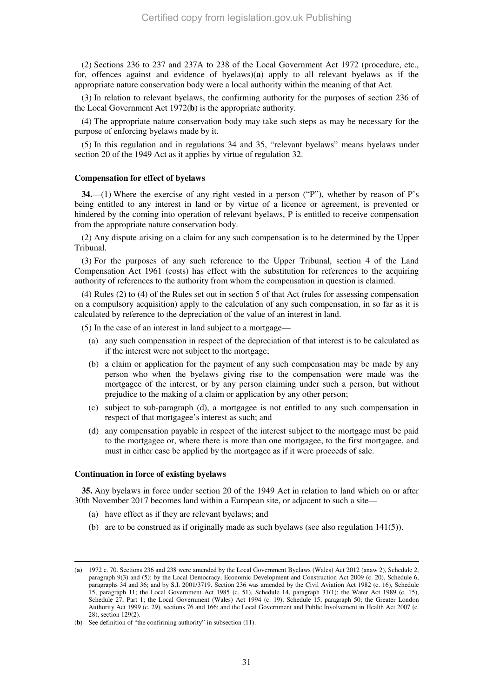(2) Sections 236 to 237 and 237A to 238 of the Local Government Act 1972 (procedure, etc., for, offences against and evidence of byelaws)(**a**) apply to all relevant byelaws as if the appropriate nature conservation body were a local authority within the meaning of that Act.

(3) In relation to relevant byelaws, the confirming authority for the purposes of section 236 of the Local Government Act 1972(**b**) is the appropriate authority.

(4) The appropriate nature conservation body may take such steps as may be necessary for the purpose of enforcing byelaws made by it.

(5) In this regulation and in regulations 34 and 35, "relevant byelaws" means byelaws under section 20 of the 1949 Act as it applies by virtue of regulation 32.

#### **Compensation for effect of byelaws**

**34.**—(1) Where the exercise of any right vested in a person ("P"), whether by reason of P's being entitled to any interest in land or by virtue of a licence or agreement, is prevented or hindered by the coming into operation of relevant byelaws, P is entitled to receive compensation from the appropriate nature conservation body.

(2) Any dispute arising on a claim for any such compensation is to be determined by the Upper Tribunal.

(3) For the purposes of any such reference to the Upper Tribunal, section 4 of the Land Compensation Act 1961 (costs) has effect with the substitution for references to the acquiring authority of references to the authority from whom the compensation in question is claimed.

(4) Rules (2) to (4) of the Rules set out in section 5 of that Act (rules for assessing compensation on a compulsory acquisition) apply to the calculation of any such compensation, in so far as it is calculated by reference to the depreciation of the value of an interest in land.

(5) In the case of an interest in land subject to a mortgage—

- (a) any such compensation in respect of the depreciation of that interest is to be calculated as if the interest were not subject to the mortgage;
- (b) a claim or application for the payment of any such compensation may be made by any person who when the byelaws giving rise to the compensation were made was the mortgagee of the interest, or by any person claiming under such a person, but without prejudice to the making of a claim or application by any other person;
- (c) subject to sub-paragraph (d), a mortgagee is not entitled to any such compensation in respect of that mortgagee's interest as such; and
- (d) any compensation payable in respect of the interest subject to the mortgage must be paid to the mortgagee or, where there is more than one mortgagee, to the first mortgagee, and must in either case be applied by the mortgagee as if it were proceeds of sale.

#### **Continuation in force of existing byelaws**

-

**35.** Any byelaws in force under section 20 of the 1949 Act in relation to land which on or after 30th November 2017 becomes land within a European site, or adjacent to such a site—

- (a) have effect as if they are relevant byelaws; and
- (b) are to be construed as if originally made as such byelaws (see also regulation  $141(5)$ ).

<sup>(</sup>**a**) 1972 c. 70. Sections 236 and 238 were amended by the Local Government Byelaws (Wales) Act 2012 (anaw 2), Schedule 2, paragraph 9(3) and (5); by the Local Democracy, Economic Development and Construction Act 2009 (c. 20), Schedule 6, paragraphs 34 and 36; and by S.I. 2001/3719. Section 236 was amended by the Civil Aviation Act 1982 (c. 16), Schedule 15, paragraph 11; the Local Government Act 1985 (c. 51), Schedule 14, paragraph 31(1); the Water Act 1989 (c. 15), Schedule 27, Part 1; the Local Government (Wales) Act 1994 (c. 19), Schedule 15, paragraph 50; the Greater London Authority Act 1999 (c. 29), sections 76 and 166; and the Local Government and Public Involvement in Health Act 2007 (c. 28), section 129(2).

<sup>(</sup>**b**) See definition of "the confirming authority" in subsection (11).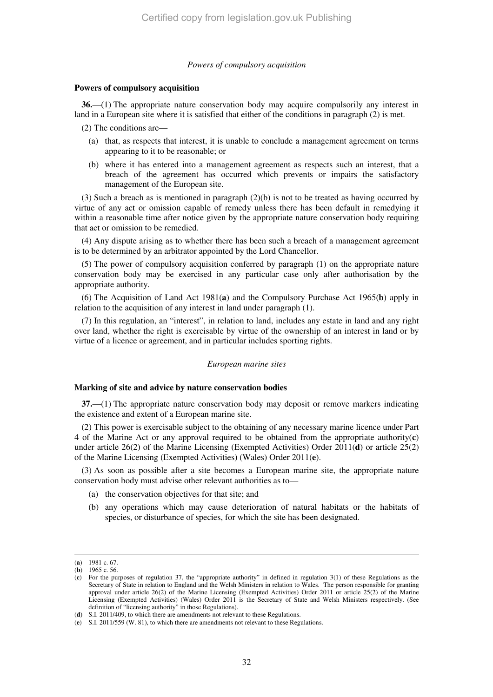#### *Powers of compulsory acquisition*

#### **Powers of compulsory acquisition**

**36.**—(1) The appropriate nature conservation body may acquire compulsorily any interest in land in a European site where it is satisfied that either of the conditions in paragraph (2) is met.

(2) The conditions are—

- (a) that, as respects that interest, it is unable to conclude a management agreement on terms appearing to it to be reasonable; or
- (b) where it has entered into a management agreement as respects such an interest, that a breach of the agreement has occurred which prevents or impairs the satisfactory management of the European site.

(3) Such a breach as is mentioned in paragraph (2)(b) is not to be treated as having occurred by virtue of any act or omission capable of remedy unless there has been default in remedying it within a reasonable time after notice given by the appropriate nature conservation body requiring that act or omission to be remedied.

(4) Any dispute arising as to whether there has been such a breach of a management agreement is to be determined by an arbitrator appointed by the Lord Chancellor.

(5) The power of compulsory acquisition conferred by paragraph (1) on the appropriate nature conservation body may be exercised in any particular case only after authorisation by the appropriate authority.

(6) The Acquisition of Land Act 1981(**a**) and the Compulsory Purchase Act 1965(**b**) apply in relation to the acquisition of any interest in land under paragraph (1).

(7) In this regulation, an "interest", in relation to land, includes any estate in land and any right over land, whether the right is exercisable by virtue of the ownership of an interest in land or by virtue of a licence or agreement, and in particular includes sporting rights.

#### *European marine sites*

#### **Marking of site and advice by nature conservation bodies**

**37.**—(1) The appropriate nature conservation body may deposit or remove markers indicating the existence and extent of a European marine site.

(2) This power is exercisable subject to the obtaining of any necessary marine licence under Part 4 of the Marine Act or any approval required to be obtained from the appropriate authority(**c**) under article 26(2) of the Marine Licensing (Exempted Activities) Order 2011(**d**) or article 25(2) of the Marine Licensing (Exempted Activities) (Wales) Order 2011(**e**).

(3) As soon as possible after a site becomes a European marine site, the appropriate nature conservation body must advise other relevant authorities as to—

- (a) the conservation objectives for that site; and
- (b) any operations which may cause deterioration of natural habitats or the habitats of species, or disturbance of species, for which the site has been designated.

<sup>(</sup>**a**) 1981 c. 67.

<sup>(</sup>**b**) 1965 c. 56.

<sup>(</sup>**c**) For the purposes of regulation 37, the "appropriate authority" in defined in regulation 3(1) of these Regulations as the Secretary of State in relation to England and the Welsh Ministers in relation to Wales. The person responsible for granting approval under article 26(2) of the Marine Licensing (Exempted Activities) Order 2011 or article 25(2) of the Marine Licensing (Exempted Activities) (Wales) Order 2011 is the Secretary of State and Welsh Ministers respectively. (See definition of "licensing authority" in those Regulations).

<sup>(</sup>**d**) S.I. 2011/409, to which there are amendments not relevant to these Regulations.

<sup>(</sup>**e**) S.I. 2011/559 (W. 81), to which there are amendments not relevant to these Regulations.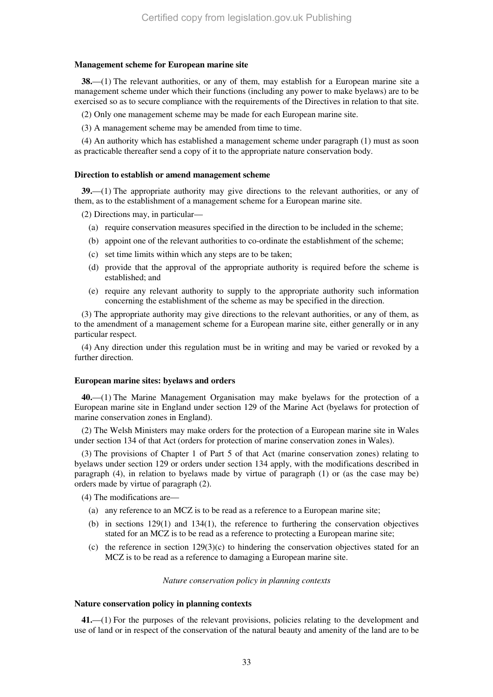#### **Management scheme for European marine site**

**38.**—(1) The relevant authorities, or any of them, may establish for a European marine site a management scheme under which their functions (including any power to make byelaws) are to be exercised so as to secure compliance with the requirements of the Directives in relation to that site.

(2) Only one management scheme may be made for each European marine site.

(3) A management scheme may be amended from time to time.

(4) An authority which has established a management scheme under paragraph (1) must as soon as practicable thereafter send a copy of it to the appropriate nature conservation body.

#### **Direction to establish or amend management scheme**

**39.**—(1) The appropriate authority may give directions to the relevant authorities, or any of them, as to the establishment of a management scheme for a European marine site.

(2) Directions may, in particular—

- (a) require conservation measures specified in the direction to be included in the scheme;
- (b) appoint one of the relevant authorities to co-ordinate the establishment of the scheme;
- (c) set time limits within which any steps are to be taken;
- (d) provide that the approval of the appropriate authority is required before the scheme is established; and
- (e) require any relevant authority to supply to the appropriate authority such information concerning the establishment of the scheme as may be specified in the direction.

(3) The appropriate authority may give directions to the relevant authorities, or any of them, as to the amendment of a management scheme for a European marine site, either generally or in any particular respect.

(4) Any direction under this regulation must be in writing and may be varied or revoked by a further direction.

#### **European marine sites: byelaws and orders**

**40.**—(1) The Marine Management Organisation may make byelaws for the protection of a European marine site in England under section 129 of the Marine Act (byelaws for protection of marine conservation zones in England).

(2) The Welsh Ministers may make orders for the protection of a European marine site in Wales under section 134 of that Act (orders for protection of marine conservation zones in Wales).

(3) The provisions of Chapter 1 of Part 5 of that Act (marine conservation zones) relating to byelaws under section 129 or orders under section 134 apply, with the modifications described in paragraph (4), in relation to byelaws made by virtue of paragraph (1) or (as the case may be) orders made by virtue of paragraph (2).

(4) The modifications are—

- (a) any reference to an MCZ is to be read as a reference to a European marine site;
- (b) in sections 129(1) and 134(1), the reference to furthering the conservation objectives stated for an MCZ is to be read as a reference to protecting a European marine site;
- (c) the reference in section  $129(3)(c)$  to hindering the conservation objectives stated for an MCZ is to be read as a reference to damaging a European marine site.

#### *Nature conservation policy in planning contexts*

#### **Nature conservation policy in planning contexts**

**41.**—(1) For the purposes of the relevant provisions, policies relating to the development and use of land or in respect of the conservation of the natural beauty and amenity of the land are to be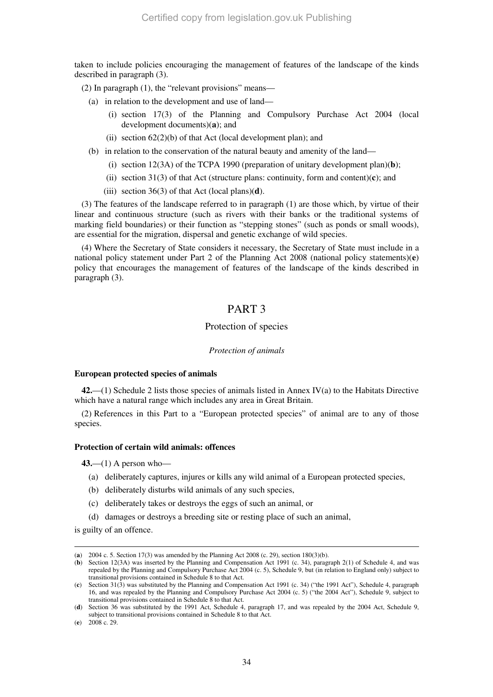taken to include policies encouraging the management of features of the landscape of the kinds described in paragraph (3).

(2) In paragraph  $(1)$ , the "relevant provisions" means—

- (a) in relation to the development and use of land—
	- (i) section 17(3) of the Planning and Compulsory Purchase Act 2004 (local development documents)(**a**); and
	- (ii) section  $62(2)(b)$  of that Act (local development plan); and
- (b) in relation to the conservation of the natural beauty and amenity of the land—
	- (i) section  $12(3A)$  of the TCPA 1990 (preparation of unitary development plan)(**b**);
	- (ii) section 31(3) of that Act (structure plans: continuity, form and content)(**c**); and
	- (iii) section  $36(3)$  of that Act (local plans)(**d**).

(3) The features of the landscape referred to in paragraph (1) are those which, by virtue of their linear and continuous structure (such as rivers with their banks or the traditional systems of marking field boundaries) or their function as "stepping stones" (such as ponds or small woods), are essential for the migration, dispersal and genetic exchange of wild species.

(4) Where the Secretary of State considers it necessary, the Secretary of State must include in a national policy statement under Part 2 of the Planning Act 2008 (national policy statements)(**e**) policy that encourages the management of features of the landscape of the kinds described in paragraph (3).

## PART 3

## Protection of species

#### *Protection of animals*

#### **European protected species of animals**

**42.**—(1) Schedule 2 lists those species of animals listed in Annex IV(a) to the Habitats Directive which have a natural range which includes any area in Great Britain.

(2) References in this Part to a "European protected species" of animal are to any of those species.

#### **Protection of certain wild animals: offences**

**43.**—(1) A person who—

- (a) deliberately captures, injures or kills any wild animal of a European protected species,
- (b) deliberately disturbs wild animals of any such species,
- (c) deliberately takes or destroys the eggs of such an animal, or
- (d) damages or destroys a breeding site or resting place of such an animal,

is guilty of an offence.

<sup>(</sup>**a**) 2004 c. 5. Section 17(3) was amended by the Planning Act 2008 (c. 29), section 180(3)(b).

<sup>(</sup>**b**) Section 12(3A) was inserted by the Planning and Compensation Act 1991 (c. 34), paragraph 2(1) of Schedule 4, and was repealed by the Planning and Compulsory Purchase Act 2004 (c. 5), Schedule 9, but (in relation to England only) subject to transitional provisions contained in Schedule 8 to that Act.

<sup>(</sup>**c**) Section 31(3) was substituted by the Planning and Compensation Act 1991 (c. 34) ("the 1991 Act"), Schedule 4, paragraph 16, and was repealed by the Planning and Compulsory Purchase Act 2004 (c. 5) ("the 2004 Act"), Schedule 9, subject to transitional provisions contained in Schedule 8 to that Act.

<sup>(</sup>**d**) Section 36 was substituted by the 1991 Act, Schedule 4, paragraph 17, and was repealed by the 2004 Act, Schedule 9, subject to transitional provisions contained in Schedule 8 to that Act.

<sup>(</sup>**e**) 2008 c. 29.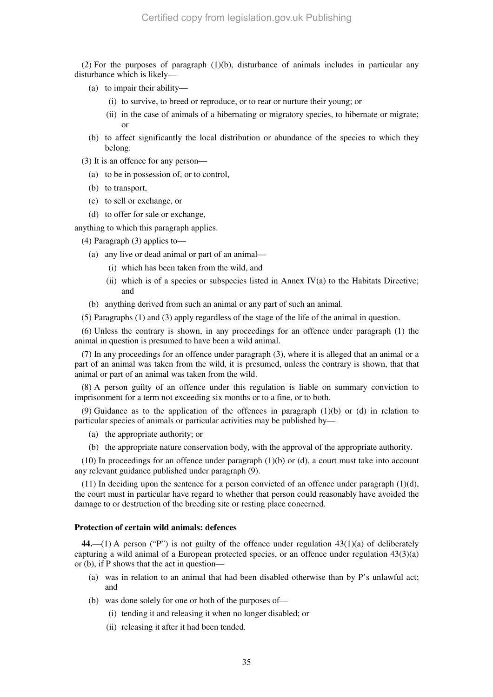(2) For the purposes of paragraph (1)(b), disturbance of animals includes in particular any disturbance which is likely—

- (a) to impair their ability—
	- (i) to survive, to breed or reproduce, or to rear or nurture their young; or
	- (ii) in the case of animals of a hibernating or migratory species, to hibernate or migrate; or
- (b) to affect significantly the local distribution or abundance of the species to which they belong.
- (3) It is an offence for any person—
	- (a) to be in possession of, or to control,
	- (b) to transport,
	- (c) to sell or exchange, or
	- (d) to offer for sale or exchange,

anything to which this paragraph applies.

(4) Paragraph (3) applies to—

- (a) any live or dead animal or part of an animal—
	- (i) which has been taken from the wild, and
	- (ii) which is of a species or subspecies listed in Annex IV(a) to the Habitats Directive; and
- (b) anything derived from such an animal or any part of such an animal.
- (5) Paragraphs (1) and (3) apply regardless of the stage of the life of the animal in question.

(6) Unless the contrary is shown, in any proceedings for an offence under paragraph (1) the animal in question is presumed to have been a wild animal.

(7) In any proceedings for an offence under paragraph (3), where it is alleged that an animal or a part of an animal was taken from the wild, it is presumed, unless the contrary is shown, that that animal or part of an animal was taken from the wild.

(8) A person guilty of an offence under this regulation is liable on summary conviction to imprisonment for a term not exceeding six months or to a fine, or to both.

(9) Guidance as to the application of the offences in paragraph (1)(b) or (d) in relation to particular species of animals or particular activities may be published by—

- (a) the appropriate authority; or
- (b) the appropriate nature conservation body, with the approval of the appropriate authority.

 $(10)$  In proceedings for an offence under paragraph  $(1)(b)$  or  $(d)$ , a court must take into account any relevant guidance published under paragraph (9).

(11) In deciding upon the sentence for a person convicted of an offence under paragraph  $(1)(d)$ , the court must in particular have regard to whether that person could reasonably have avoided the damage to or destruction of the breeding site or resting place concerned.

#### **Protection of certain wild animals: defences**

**44.**—(1) A person ("P") is not guilty of the offence under regulation 43(1)(a) of deliberately capturing a wild animal of a European protected species, or an offence under regulation 43(3)(a) or (b), if P shows that the act in question—

- (a) was in relation to an animal that had been disabled otherwise than by P's unlawful act; and
- (b) was done solely for one or both of the purposes of—
	- (i) tending it and releasing it when no longer disabled; or
	- (ii) releasing it after it had been tended.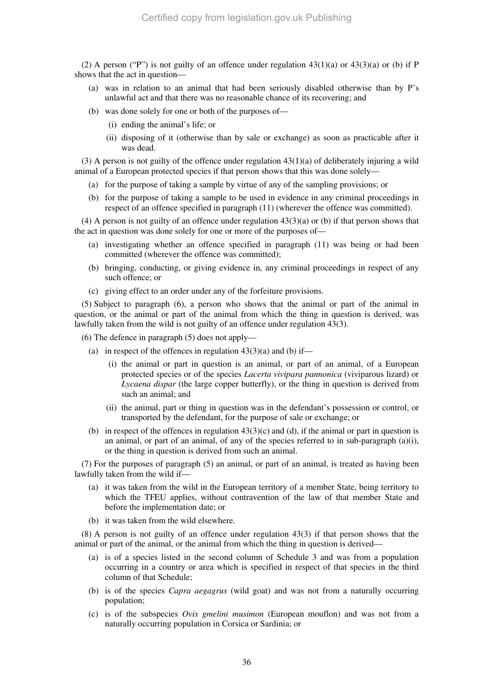(2) A person ("P") is not guilty of an offence under regulation  $43(1)(a)$  or  $43(3)(a)$  or (b) if P shows that the act in question—

- (a) was in relation to an animal that had been seriously disabled otherwise than by P's unlawful act and that there was no reasonable chance of its recovering; and
- (b) was done solely for one or both of the purposes of—
	- (i) ending the animal's life; or
	- (ii) disposing of it (otherwise than by sale or exchange) as soon as practicable after it was dead.

(3) A person is not guilty of the offence under regulation  $43(1)(a)$  of deliberately injuring a wild animal of a European protected species if that person shows that this was done solely—

- (a) for the purpose of taking a sample by virtue of any of the sampling provisions; or
- (b) for the purpose of taking a sample to be used in evidence in any criminal proceedings in respect of an offence specified in paragraph (11) (wherever the offence was committed).

(4) A person is not guilty of an offence under regulation 43(3)(a) or (b) if that person shows that the act in question was done solely for one or more of the purposes of—

- (a) investigating whether an offence specified in paragraph (11) was being or had been committed (wherever the offence was committed);
- (b) bringing, conducting, or giving evidence in, any criminal proceedings in respect of any such offence; or
- (c) giving effect to an order under any of the forfeiture provisions.

(5) Subject to paragraph (6), a person who shows that the animal or part of the animal in question, or the animal or part of the animal from which the thing in question is derived, was lawfully taken from the wild is not guilty of an offence under regulation 43(3).

(6) The defence in paragraph (5) does not apply—

- (a) in respect of the offences in regulation  $43(3)(a)$  and (b) if—
	- (i) the animal or part in question is an animal, or part of an animal, of a European protected species or of the species *Lacerta vivipara pannonica* (viviparous lizard) or *Lycaena dispar* (the large copper butterfly), or the thing in question is derived from such an animal; and
	- (ii) the animal, part or thing in question was in the defendant's possession or control, or transported by the defendant, for the purpose of sale or exchange; or
- (b) in respect of the offences in regulation  $43(3)(c)$  and (d), if the animal or part in question is an animal, or part of an animal, of any of the species referred to in sub-paragraph  $(a)(i)$ , or the thing in question is derived from such an animal.

(7) For the purposes of paragraph (5) an animal, or part of an animal, is treated as having been lawfully taken from the wild if—

- (a) it was taken from the wild in the European territory of a member State, being territory to which the TFEU applies, without contravention of the law of that member State and before the implementation date; or
- (b) it was taken from the wild elsewhere.

(8) A person is not guilty of an offence under regulation 43(3) if that person shows that the animal or part of the animal, or the animal from which the thing in question is derived—

- (a) is of a species listed in the second column of Schedule 3 and was from a population occurring in a country or area which is specified in respect of that species in the third column of that Schedule;
- (b) is of the species *Capra aegagrus* (wild goat) and was not from a naturally occurring population;
- (c) is of the subspecies *Ovis gmelini musimon* (European mouflon) and was not from a naturally occurring population in Corsica or Sardinia; or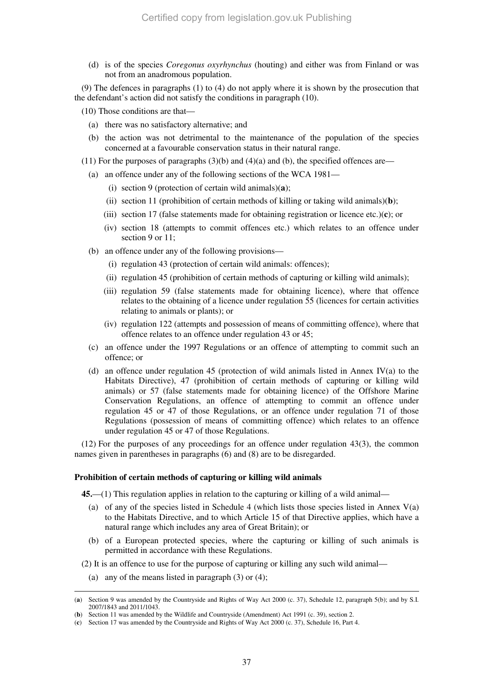(d) is of the species *Coregonus oxyrhynchus* (houting) and either was from Finland or was not from an anadromous population.

(9) The defences in paragraphs (1) to (4) do not apply where it is shown by the prosecution that the defendant's action did not satisfy the conditions in paragraph (10).

(10) Those conditions are that—

- (a) there was no satisfactory alternative; and
- (b) the action was not detrimental to the maintenance of the population of the species concerned at a favourable conservation status in their natural range.
- (11) For the purposes of paragraphs  $(3)(b)$  and  $(4)(a)$  and  $(b)$ , the specified offences are—
	- (a) an offence under any of the following sections of the WCA 1981—
		- (i) section 9 (protection of certain wild animals)(**a**);
		- (ii) section 11 (prohibition of certain methods of killing or taking wild animals)(**b**);
		- (iii) section 17 (false statements made for obtaining registration or licence etc.)(**c**); or
		- (iv) section 18 (attempts to commit offences etc.) which relates to an offence under section 9 or 11;
	- (b) an offence under any of the following provisions—
		- (i) regulation 43 (protection of certain wild animals: offences);
		- (ii) regulation 45 (prohibition of certain methods of capturing or killing wild animals);
		- (iii) regulation 59 (false statements made for obtaining licence), where that offence relates to the obtaining of a licence under regulation 55 (licences for certain activities relating to animals or plants); or
		- (iv) regulation 122 (attempts and possession of means of committing offence), where that offence relates to an offence under regulation 43 or 45;
	- (c) an offence under the 1997 Regulations or an offence of attempting to commit such an offence; or
	- (d) an offence under regulation 45 (protection of wild animals listed in Annex IV(a) to the Habitats Directive), 47 (prohibition of certain methods of capturing or killing wild animals) or 57 (false statements made for obtaining licence) of the Offshore Marine Conservation Regulations, an offence of attempting to commit an offence under regulation 45 or 47 of those Regulations, or an offence under regulation 71 of those Regulations (possession of means of committing offence) which relates to an offence under regulation 45 or 47 of those Regulations.

(12) For the purposes of any proceedings for an offence under regulation 43(3), the common names given in parentheses in paragraphs (6) and (8) are to be disregarded.

#### **Prohibition of certain methods of capturing or killing wild animals**

**45.**—(1) This regulation applies in relation to the capturing or killing of a wild animal—

- (a) of any of the species listed in Schedule 4 (which lists those species listed in Annex  $V(a)$ to the Habitats Directive, and to which Article 15 of that Directive applies, which have a natural range which includes any area of Great Britain); or
- (b) of a European protected species, where the capturing or killing of such animals is permitted in accordance with these Regulations.
- (2) It is an offence to use for the purpose of capturing or killing any such wild animal—
- (a) any of the means listed in paragraph (3) or (4);

<sup>(</sup>**a**) Section 9 was amended by the Countryside and Rights of Way Act 2000 (c. 37), Schedule 12, paragraph 5(b); and by S.I. 2007/1843 and 2011/1043.

<sup>(</sup>**b**) Section 11 was amended by the Wildlife and Countryside (Amendment) Act 1991 (c. 39), section 2.

<sup>(</sup>**c**) Section 17 was amended by the Countryside and Rights of Way Act 2000 (c. 37), Schedule 16, Part 4.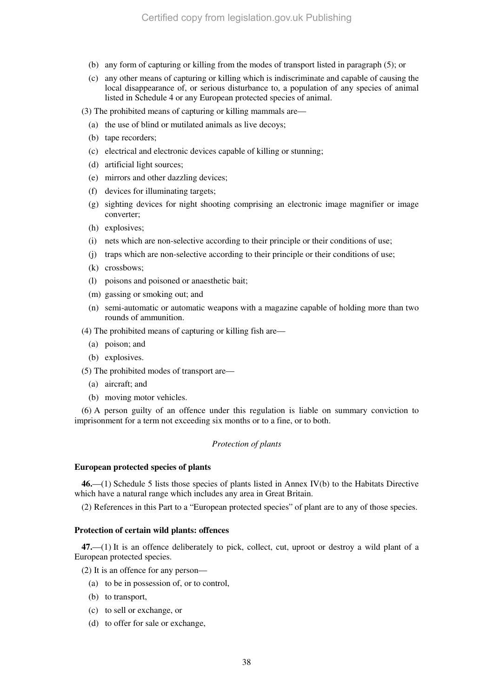- (b) any form of capturing or killing from the modes of transport listed in paragraph (5); or
- (c) any other means of capturing or killing which is indiscriminate and capable of causing the local disappearance of, or serious disturbance to, a population of any species of animal listed in Schedule 4 or any European protected species of animal.
- (3) The prohibited means of capturing or killing mammals are—
	- (a) the use of blind or mutilated animals as live decoys;
	- (b) tape recorders;
	- (c) electrical and electronic devices capable of killing or stunning;
	- (d) artificial light sources;
	- (e) mirrors and other dazzling devices;
	- (f) devices for illuminating targets;
	- (g) sighting devices for night shooting comprising an electronic image magnifier or image converter;
	- (h) explosives;
	- (i) nets which are non-selective according to their principle or their conditions of use;
	- (j) traps which are non-selective according to their principle or their conditions of use;
	- (k) crossbows;
	- (l) poisons and poisoned or anaesthetic bait;
	- (m) gassing or smoking out; and
	- (n) semi-automatic or automatic weapons with a magazine capable of holding more than two rounds of ammunition.
- (4) The prohibited means of capturing or killing fish are—
	- (a) poison; and
	- (b) explosives.

(5) The prohibited modes of transport are—

- (a) aircraft; and
- (b) moving motor vehicles.

(6) A person guilty of an offence under this regulation is liable on summary conviction to imprisonment for a term not exceeding six months or to a fine, or to both.

## *Protection of plants*

### **European protected species of plants**

**46.**—(1) Schedule 5 lists those species of plants listed in Annex IV(b) to the Habitats Directive which have a natural range which includes any area in Great Britain.

(2) References in this Part to a "European protected species" of plant are to any of those species.

### **Protection of certain wild plants: offences**

**47.**—(1) It is an offence deliberately to pick, collect, cut, uproot or destroy a wild plant of a European protected species.

(2) It is an offence for any person—

- (a) to be in possession of, or to control,
- (b) to transport,
- (c) to sell or exchange, or
- (d) to offer for sale or exchange,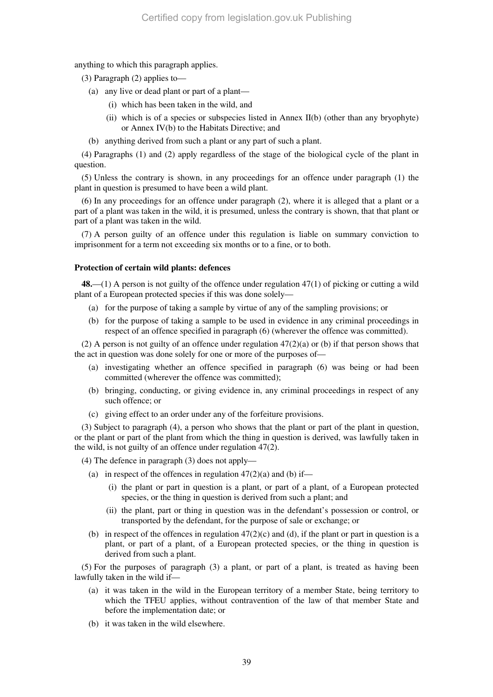anything to which this paragraph applies.

(3) Paragraph (2) applies to—

- (a) any live or dead plant or part of a plant—
	- (i) which has been taken in the wild, and
	- (ii) which is of a species or subspecies listed in Annex II(b) (other than any bryophyte) or Annex IV(b) to the Habitats Directive; and
- (b) anything derived from such a plant or any part of such a plant.

(4) Paragraphs (1) and (2) apply regardless of the stage of the biological cycle of the plant in question.

(5) Unless the contrary is shown, in any proceedings for an offence under paragraph (1) the plant in question is presumed to have been a wild plant.

(6) In any proceedings for an offence under paragraph (2), where it is alleged that a plant or a part of a plant was taken in the wild, it is presumed, unless the contrary is shown, that that plant or part of a plant was taken in the wild.

(7) A person guilty of an offence under this regulation is liable on summary conviction to imprisonment for a term not exceeding six months or to a fine, or to both.

#### **Protection of certain wild plants: defences**

**48.**—(1) A person is not guilty of the offence under regulation 47(1) of picking or cutting a wild plant of a European protected species if this was done solely—

- (a) for the purpose of taking a sample by virtue of any of the sampling provisions; or
- (b) for the purpose of taking a sample to be used in evidence in any criminal proceedings in respect of an offence specified in paragraph (6) (wherever the offence was committed).

(2) A person is not guilty of an offence under regulation 47(2)(a) or (b) if that person shows that the act in question was done solely for one or more of the purposes of—

- (a) investigating whether an offence specified in paragraph (6) was being or had been committed (wherever the offence was committed);
- (b) bringing, conducting, or giving evidence in, any criminal proceedings in respect of any such offence; or
- (c) giving effect to an order under any of the forfeiture provisions.

(3) Subject to paragraph (4), a person who shows that the plant or part of the plant in question, or the plant or part of the plant from which the thing in question is derived, was lawfully taken in the wild, is not guilty of an offence under regulation 47(2).

(4) The defence in paragraph (3) does not apply—

- (a) in respect of the offences in regulation  $47(2)(a)$  and (b) if—
	- (i) the plant or part in question is a plant, or part of a plant, of a European protected species, or the thing in question is derived from such a plant; and
	- (ii) the plant, part or thing in question was in the defendant's possession or control, or transported by the defendant, for the purpose of sale or exchange; or
- (b) in respect of the offences in regulation  $47(2)(c)$  and (d), if the plant or part in question is a plant, or part of a plant, of a European protected species, or the thing in question is derived from such a plant.

(5) For the purposes of paragraph (3) a plant, or part of a plant, is treated as having been lawfully taken in the wild if—

- (a) it was taken in the wild in the European territory of a member State, being territory to which the TFEU applies, without contravention of the law of that member State and before the implementation date; or
- (b) it was taken in the wild elsewhere.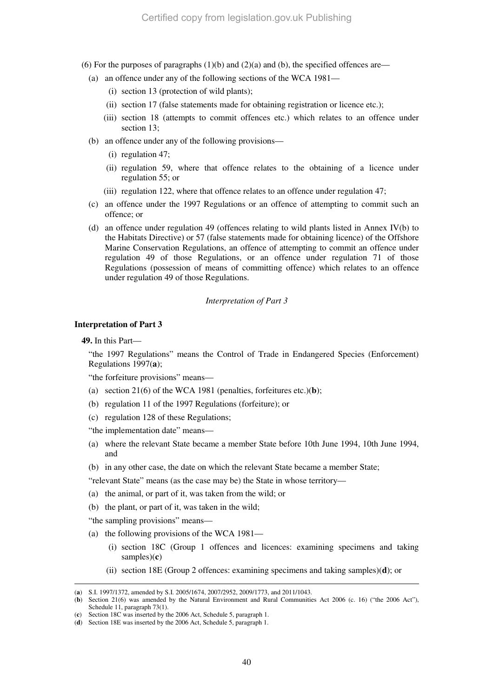- (6) For the purposes of paragraphs  $(1)(b)$  and  $(2)(a)$  and  $(b)$ , the specified offences are—
	- (a) an offence under any of the following sections of the WCA 1981—
		- (i) section 13 (protection of wild plants);
		- (ii) section 17 (false statements made for obtaining registration or licence etc.);
		- (iii) section 18 (attempts to commit offences etc.) which relates to an offence under section 13;
	- (b) an offence under any of the following provisions—
		- (i) regulation 47;
		- (ii) regulation 59, where that offence relates to the obtaining of a licence under regulation 55; or
		- (iii) regulation 122, where that offence relates to an offence under regulation 47;
	- (c) an offence under the 1997 Regulations or an offence of attempting to commit such an offence; or
	- (d) an offence under regulation 49 (offences relating to wild plants listed in Annex IV(b) to the Habitats Directive) or 57 (false statements made for obtaining licence) of the Offshore Marine Conservation Regulations, an offence of attempting to commit an offence under regulation 49 of those Regulations, or an offence under regulation 71 of those Regulations (possession of means of committing offence) which relates to an offence under regulation 49 of those Regulations.

#### *Interpretation of Part 3*

### **Interpretation of Part 3**

**49.** In this Part—

"the 1997 Regulations" means the Control of Trade in Endangered Species (Enforcement) Regulations 1997(**a**);

"the forfeiture provisions" means—

- (a) section 21(6) of the WCA 1981 (penalties, forfeitures etc.)(**b**);
- (b) regulation 11 of the 1997 Regulations (forfeiture); or
- (c) regulation 128 of these Regulations;

"the implementation date" means—

- (a) where the relevant State became a member State before 10th June 1994, 10th June 1994, and
- (b) in any other case, the date on which the relevant State became a member State;
- "relevant State" means (as the case may be) the State in whose territory—
- (a) the animal, or part of it, was taken from the wild; or
- (b) the plant, or part of it, was taken in the wild;
- "the sampling provisions" means—
- (a) the following provisions of the WCA 1981—
	- (i) section 18C (Group 1 offences and licences: examining specimens and taking samples)(**c**)
	- (ii) section 18E (Group 2 offences: examining specimens and taking samples)(**d**); or

<sup>-</sup>(**a**) S.I. 1997/1372, amended by S.I. 2005/1674, 2007/2952, 2009/1773, and 2011/1043.

<sup>(</sup>**b**) Section 21(6) was amended by the Natural Environment and Rural Communities Act 2006 (c. 16) ("the 2006 Act"), Schedule 11, paragraph 73(1).

<sup>(</sup>**c**) Section 18C was inserted by the 2006 Act, Schedule 5, paragraph 1.

<sup>(</sup>**d**) Section 18E was inserted by the 2006 Act, Schedule 5, paragraph 1.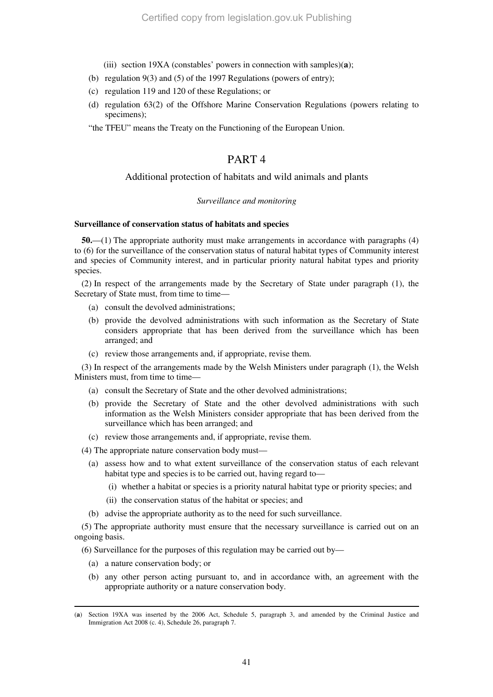- (iii) section 19XA (constables' powers in connection with samples)(**a**);
- (b) regulation 9(3) and (5) of the 1997 Regulations (powers of entry);
- (c) regulation 119 and 120 of these Regulations; or
- (d) regulation 63(2) of the Offshore Marine Conservation Regulations (powers relating to specimens);

"the TFEU" means the Treaty on the Functioning of the European Union.

# PART 4

### Additional protection of habitats and wild animals and plants

### *Surveillance and monitoring*

### **Surveillance of conservation status of habitats and species**

**50.**—(1) The appropriate authority must make arrangements in accordance with paragraphs (4) to (6) for the surveillance of the conservation status of natural habitat types of Community interest and species of Community interest, and in particular priority natural habitat types and priority species.

(2) In respect of the arrangements made by the Secretary of State under paragraph (1), the Secretary of State must, from time to time—

- (a) consult the devolved administrations;
- (b) provide the devolved administrations with such information as the Secretary of State considers appropriate that has been derived from the surveillance which has been arranged; and
- (c) review those arrangements and, if appropriate, revise them.

(3) In respect of the arrangements made by the Welsh Ministers under paragraph (1), the Welsh Ministers must, from time to time—

- (a) consult the Secretary of State and the other devolved administrations;
- (b) provide the Secretary of State and the other devolved administrations with such information as the Welsh Ministers consider appropriate that has been derived from the surveillance which has been arranged; and
- (c) review those arrangements and, if appropriate, revise them.

(4) The appropriate nature conservation body must—

- (a) assess how and to what extent surveillance of the conservation status of each relevant habitat type and species is to be carried out, having regard to—
	- (i) whether a habitat or species is a priority natural habitat type or priority species; and
	- (ii) the conservation status of the habitat or species; and
- (b) advise the appropriate authority as to the need for such surveillance.

(5) The appropriate authority must ensure that the necessary surveillance is carried out on an ongoing basis.

(6) Surveillance for the purposes of this regulation may be carried out by—

(a) a nature conservation body; or

-

(b) any other person acting pursuant to, and in accordance with, an agreement with the appropriate authority or a nature conservation body.

<sup>(</sup>**a**) Section 19XA was inserted by the 2006 Act, Schedule 5, paragraph 3, and amended by the Criminal Justice and Immigration Act 2008 (c. 4), Schedule 26, paragraph 7.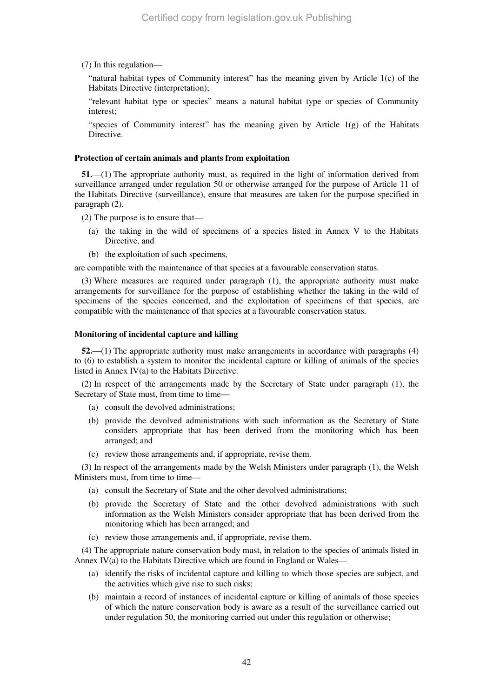(7) In this regulation—

"natural habitat types of Community interest" has the meaning given by Article 1(c) of the Habitats Directive (interpretation);

"relevant habitat type or species" means a natural habitat type or species of Community interest;

"species of Community interest" has the meaning given by Article  $1(g)$  of the Habitats Directive.

#### **Protection of certain animals and plants from exploitation**

**51.**—(1) The appropriate authority must, as required in the light of information derived from surveillance arranged under regulation 50 or otherwise arranged for the purpose of Article 11 of the Habitats Directive (surveillance), ensure that measures are taken for the purpose specified in paragraph (2).

(2) The purpose is to ensure that—

- (a) the taking in the wild of specimens of a species listed in Annex V to the Habitats Directive, and
- (b) the exploitation of such specimens,

are compatible with the maintenance of that species at a favourable conservation status.

(3) Where measures are required under paragraph (1), the appropriate authority must make arrangements for surveillance for the purpose of establishing whether the taking in the wild of specimens of the species concerned, and the exploitation of specimens of that species, are compatible with the maintenance of that species at a favourable conservation status.

#### **Monitoring of incidental capture and killing**

**52.**—(1) The appropriate authority must make arrangements in accordance with paragraphs (4) to (6) to establish a system to monitor the incidental capture or killing of animals of the species listed in Annex IV(a) to the Habitats Directive.

(2) In respect of the arrangements made by the Secretary of State under paragraph (1), the Secretary of State must, from time to time—

- (a) consult the devolved administrations;
- (b) provide the devolved administrations with such information as the Secretary of State considers appropriate that has been derived from the monitoring which has been arranged; and
- (c) review those arrangements and, if appropriate, revise them.

(3) In respect of the arrangements made by the Welsh Ministers under paragraph (1), the Welsh Ministers must, from time to time—

- (a) consult the Secretary of State and the other devolved administrations;
- (b) provide the Secretary of State and the other devolved administrations with such information as the Welsh Ministers consider appropriate that has been derived from the monitoring which has been arranged; and
- (c) review those arrangements and, if appropriate, revise them.

(4) The appropriate nature conservation body must, in relation to the species of animals listed in Annex  $IV(a)$  to the Habitats Directive which are found in England or Wales—

- (a) identify the risks of incidental capture and killing to which those species are subject, and the activities which give rise to such risks;
- (b) maintain a record of instances of incidental capture or killing of animals of those species of which the nature conservation body is aware as a result of the surveillance carried out under regulation 50, the monitoring carried out under this regulation or otherwise;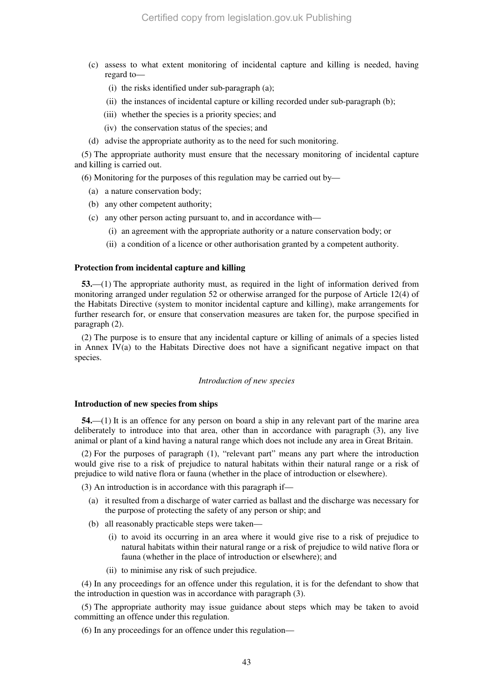- (c) assess to what extent monitoring of incidental capture and killing is needed, having regard to—
	- (i) the risks identified under sub-paragraph (a);
	- (ii) the instances of incidental capture or killing recorded under sub-paragraph (b);
	- (iii) whether the species is a priority species; and
	- (iv) the conservation status of the species; and
- (d) advise the appropriate authority as to the need for such monitoring.

(5) The appropriate authority must ensure that the necessary monitoring of incidental capture and killing is carried out.

(6) Monitoring for the purposes of this regulation may be carried out by—

- (a) a nature conservation body;
- (b) any other competent authority;
- (c) any other person acting pursuant to, and in accordance with—
	- (i) an agreement with the appropriate authority or a nature conservation body; or
	- (ii) a condition of a licence or other authorisation granted by a competent authority.

### **Protection from incidental capture and killing**

**53.**—(1) The appropriate authority must, as required in the light of information derived from monitoring arranged under regulation 52 or otherwise arranged for the purpose of Article 12(4) of the Habitats Directive (system to monitor incidental capture and killing), make arrangements for further research for, or ensure that conservation measures are taken for, the purpose specified in paragraph (2).

(2) The purpose is to ensure that any incidental capture or killing of animals of a species listed in Annex IV(a) to the Habitats Directive does not have a significant negative impact on that species.

#### *Introduction of new species*

### **Introduction of new species from ships**

**54.**—(1) It is an offence for any person on board a ship in any relevant part of the marine area deliberately to introduce into that area, other than in accordance with paragraph (3), any live animal or plant of a kind having a natural range which does not include any area in Great Britain.

(2) For the purposes of paragraph (1), "relevant part" means any part where the introduction would give rise to a risk of prejudice to natural habitats within their natural range or a risk of prejudice to wild native flora or fauna (whether in the place of introduction or elsewhere).

(3) An introduction is in accordance with this paragraph if—

- (a) it resulted from a discharge of water carried as ballast and the discharge was necessary for the purpose of protecting the safety of any person or ship; and
- (b) all reasonably practicable steps were taken—
	- (i) to avoid its occurring in an area where it would give rise to a risk of prejudice to natural habitats within their natural range or a risk of prejudice to wild native flora or fauna (whether in the place of introduction or elsewhere); and
	- (ii) to minimise any risk of such prejudice.

(4) In any proceedings for an offence under this regulation, it is for the defendant to show that the introduction in question was in accordance with paragraph (3).

(5) The appropriate authority may issue guidance about steps which may be taken to avoid committing an offence under this regulation.

(6) In any proceedings for an offence under this regulation—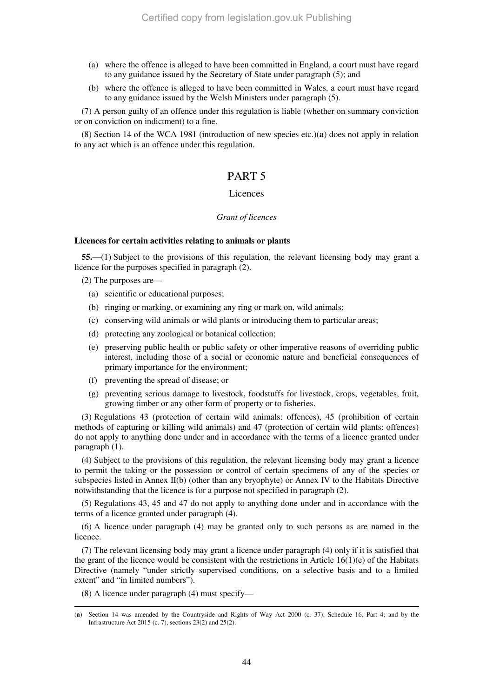- (a) where the offence is alleged to have been committed in England, a court must have regard to any guidance issued by the Secretary of State under paragraph (5); and
- (b) where the offence is alleged to have been committed in Wales, a court must have regard to any guidance issued by the Welsh Ministers under paragraph (5).

(7) A person guilty of an offence under this regulation is liable (whether on summary conviction or on conviction on indictment) to a fine.

(8) Section 14 of the WCA 1981 (introduction of new species etc.)(**a**) does not apply in relation to any act which is an offence under this regulation.

# PART 5

### **Licences**

#### *Grant of licences*

### **Licences for certain activities relating to animals or plants**

**55.**—(1) Subject to the provisions of this regulation, the relevant licensing body may grant a licence for the purposes specified in paragraph (2).

(2) The purposes are—

- (a) scientific or educational purposes;
- (b) ringing or marking, or examining any ring or mark on, wild animals;
- (c) conserving wild animals or wild plants or introducing them to particular areas;
- (d) protecting any zoological or botanical collection;
- (e) preserving public health or public safety or other imperative reasons of overriding public interest, including those of a social or economic nature and beneficial consequences of primary importance for the environment;
- (f) preventing the spread of disease; or
- (g) preventing serious damage to livestock, foodstuffs for livestock, crops, vegetables, fruit, growing timber or any other form of property or to fisheries.

(3) Regulations 43 (protection of certain wild animals: offences), 45 (prohibition of certain methods of capturing or killing wild animals) and 47 (protection of certain wild plants: offences) do not apply to anything done under and in accordance with the terms of a licence granted under paragraph (1).

(4) Subject to the provisions of this regulation, the relevant licensing body may grant a licence to permit the taking or the possession or control of certain specimens of any of the species or subspecies listed in Annex II(b) (other than any bryophyte) or Annex IV to the Habitats Directive notwithstanding that the licence is for a purpose not specified in paragraph (2).

(5) Regulations 43, 45 and 47 do not apply to anything done under and in accordance with the terms of a licence granted under paragraph (4).

(6) A licence under paragraph (4) may be granted only to such persons as are named in the licence.

(7) The relevant licensing body may grant a licence under paragraph (4) only if it is satisfied that the grant of the licence would be consistent with the restrictions in Article 16(1)(e) of the Habitats Directive (namely "under strictly supervised conditions, on a selective basis and to a limited extent" and "in limited numbers").

(8) A licence under paragraph (4) must specify—

<sup>(</sup>**a**) Section 14 was amended by the Countryside and Rights of Way Act 2000 (c. 37), Schedule 16, Part 4; and by the Infrastructure Act 2015 (c. 7), sections 23(2) and 25(2).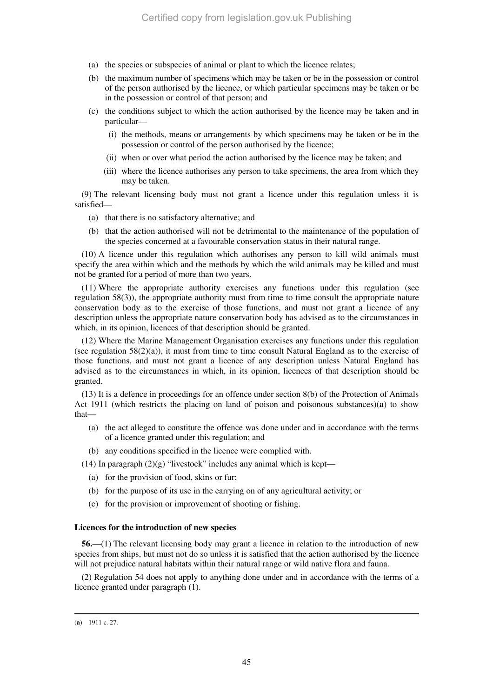- (a) the species or subspecies of animal or plant to which the licence relates;
- (b) the maximum number of specimens which may be taken or be in the possession or control of the person authorised by the licence, or which particular specimens may be taken or be in the possession or control of that person; and
- (c) the conditions subject to which the action authorised by the licence may be taken and in particular—
	- (i) the methods, means or arrangements by which specimens may be taken or be in the possession or control of the person authorised by the licence;
	- (ii) when or over what period the action authorised by the licence may be taken; and
	- (iii) where the licence authorises any person to take specimens, the area from which they may be taken.

(9) The relevant licensing body must not grant a licence under this regulation unless it is satisfied—

- (a) that there is no satisfactory alternative; and
- (b) that the action authorised will not be detrimental to the maintenance of the population of the species concerned at a favourable conservation status in their natural range.

(10) A licence under this regulation which authorises any person to kill wild animals must specify the area within which and the methods by which the wild animals may be killed and must not be granted for a period of more than two years.

(11) Where the appropriate authority exercises any functions under this regulation (see regulation 58(3)), the appropriate authority must from time to time consult the appropriate nature conservation body as to the exercise of those functions, and must not grant a licence of any description unless the appropriate nature conservation body has advised as to the circumstances in which, in its opinion, licences of that description should be granted.

(12) Where the Marine Management Organisation exercises any functions under this regulation (see regulation  $58(2)(a)$ ), it must from time to time consult Natural England as to the exercise of those functions, and must not grant a licence of any description unless Natural England has advised as to the circumstances in which, in its opinion, licences of that description should be granted.

(13) It is a defence in proceedings for an offence under section 8(b) of the Protection of Animals Act 1911 (which restricts the placing on land of poison and poisonous substances)(**a**) to show that—

- (a) the act alleged to constitute the offence was done under and in accordance with the terms of a licence granted under this regulation; and
- (b) any conditions specified in the licence were complied with.

(14) In paragraph  $(2)(g)$  "livestock" includes any animal which is kept—

- (a) for the provision of food, skins or fur;
- (b) for the purpose of its use in the carrying on of any agricultural activity; or
- (c) for the provision or improvement of shooting or fishing.

### **Licences for the introduction of new species**

**56.**—(1) The relevant licensing body may grant a licence in relation to the introduction of new species from ships, but must not do so unless it is satisfied that the action authorised by the licence will not prejudice natural habitats within their natural range or wild native flora and fauna.

(2) Regulation 54 does not apply to anything done under and in accordance with the terms of a licence granted under paragraph (1).

<sup>-</sup>(**a**) 1911 c. 27.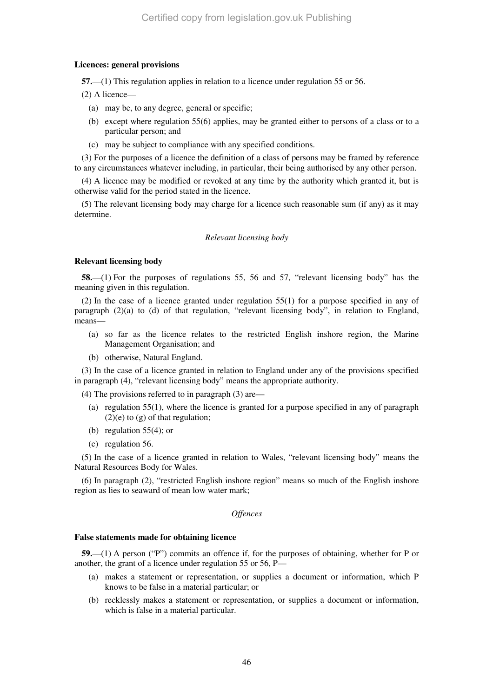### **Licences: general provisions**

**57.**—(1) This regulation applies in relation to a licence under regulation 55 or 56.

- (2) A licence—
	- (a) may be, to any degree, general or specific;
	- (b) except where regulation 55(6) applies, may be granted either to persons of a class or to a particular person; and
	- (c) may be subject to compliance with any specified conditions.

(3) For the purposes of a licence the definition of a class of persons may be framed by reference to any circumstances whatever including, in particular, their being authorised by any other person.

(4) A licence may be modified or revoked at any time by the authority which granted it, but is otherwise valid for the period stated in the licence.

(5) The relevant licensing body may charge for a licence such reasonable sum (if any) as it may determine.

### *Relevant licensing body*

### **Relevant licensing body**

**58.**—(1) For the purposes of regulations 55, 56 and 57, "relevant licensing body" has the meaning given in this regulation.

(2) In the case of a licence granted under regulation 55(1) for a purpose specified in any of paragraph (2)(a) to (d) of that regulation, "relevant licensing body", in relation to England, means—

- (a) so far as the licence relates to the restricted English inshore region, the Marine Management Organisation; and
- (b) otherwise, Natural England.

(3) In the case of a licence granted in relation to England under any of the provisions specified in paragraph (4), "relevant licensing body" means the appropriate authority.

(4) The provisions referred to in paragraph (3) are—

- (a) regulation 55(1), where the licence is granted for a purpose specified in any of paragraph  $(2)(e)$  to  $(g)$  of that regulation;
- (b) regulation  $55(4)$ ; or
- (c) regulation 56.

(5) In the case of a licence granted in relation to Wales, "relevant licensing body" means the Natural Resources Body for Wales.

(6) In paragraph (2), "restricted English inshore region" means so much of the English inshore region as lies to seaward of mean low water mark;

### *Offences*

### **False statements made for obtaining licence**

**59.**—(1) A person ("P") commits an offence if, for the purposes of obtaining, whether for P or another, the grant of a licence under regulation 55 or 56, P—

- (a) makes a statement or representation, or supplies a document or information, which P knows to be false in a material particular; or
- (b) recklessly makes a statement or representation, or supplies a document or information, which is false in a material particular.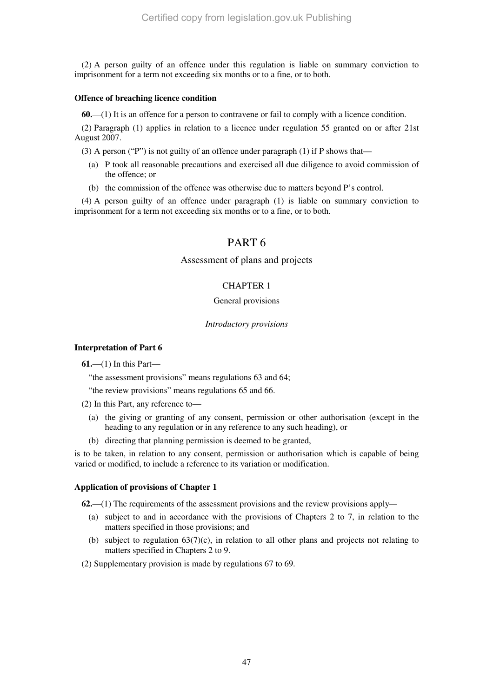(2) A person guilty of an offence under this regulation is liable on summary conviction to imprisonment for a term not exceeding six months or to a fine, or to both.

### **Offence of breaching licence condition**

**60.**—(1) It is an offence for a person to contravene or fail to comply with a licence condition.

(2) Paragraph (1) applies in relation to a licence under regulation 55 granted on or after 21st August 2007.

(3) A person ("P") is not guilty of an offence under paragraph (1) if P shows that—

- (a) P took all reasonable precautions and exercised all due diligence to avoid commission of the offence; or
- (b) the commission of the offence was otherwise due to matters beyond P's control.

(4) A person guilty of an offence under paragraph (1) is liable on summary conviction to imprisonment for a term not exceeding six months or to a fine, or to both.

# PART 6

### Assessment of plans and projects

# CHAPTER 1

### General provisions

### *Introductory provisions*

### **Interpretation of Part 6**

**61.**—(1) In this Part—

"the assessment provisions" means regulations 63 and 64;

"the review provisions" means regulations 65 and 66.

- (2) In this Part, any reference to—
	- (a) the giving or granting of any consent, permission or other authorisation (except in the heading to any regulation or in any reference to any such heading), or
	- (b) directing that planning permission is deemed to be granted,

is to be taken, in relation to any consent, permission or authorisation which is capable of being varied or modified, to include a reference to its variation or modification.

### **Application of provisions of Chapter 1**

**62.**—(1) The requirements of the assessment provisions and the review provisions apply*—*

- (a) subject to and in accordance with the provisions of Chapters 2 to 7, in relation to the matters specified in those provisions; and
- (b) subject to regulation  $63(7)(c)$ , in relation to all other plans and projects not relating to matters specified in Chapters 2 to 9.

(2) Supplementary provision is made by regulations 67 to 69.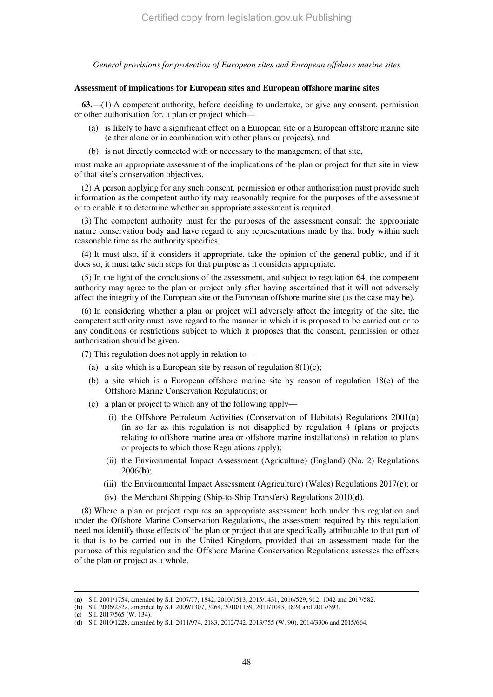*General provisions for protection of European sites and European offshore marine sites* 

#### **Assessment of implications for European sites and European offshore marine sites**

**63.**—(1) A competent authority, before deciding to undertake, or give any consent, permission or other authorisation for, a plan or project which—

- (a) is likely to have a significant effect on a European site or a European offshore marine site (either alone or in combination with other plans or projects), and
- (b) is not directly connected with or necessary to the management of that site,

must make an appropriate assessment of the implications of the plan or project for that site in view of that site's conservation objectives.

(2) A person applying for any such consent, permission or other authorisation must provide such information as the competent authority may reasonably require for the purposes of the assessment or to enable it to determine whether an appropriate assessment is required.

(3) The competent authority must for the purposes of the assessment consult the appropriate nature conservation body and have regard to any representations made by that body within such reasonable time as the authority specifies.

(4) It must also, if it considers it appropriate, take the opinion of the general public, and if it does so, it must take such steps for that purpose as it considers appropriate.

(5) In the light of the conclusions of the assessment, and subject to regulation 64, the competent authority may agree to the plan or project only after having ascertained that it will not adversely affect the integrity of the European site or the European offshore marine site (as the case may be).

(6) In considering whether a plan or project will adversely affect the integrity of the site, the competent authority must have regard to the manner in which it is proposed to be carried out or to any conditions or restrictions subject to which it proposes that the consent, permission or other authorisation should be given.

(7) This regulation does not apply in relation to—

- (a) a site which is a European site by reason of regulation  $8(1)(c)$ ;
- (b) a site which is a European offshore marine site by reason of regulation 18(c) of the Offshore Marine Conservation Regulations; or
- (c) a plan or project to which any of the following apply—
	- (i) the Offshore Petroleum Activities (Conservation of Habitats) Regulations 2001(**a**) (in so far as this regulation is not disapplied by regulation 4 (plans or projects relating to offshore marine area or offshore marine installations) in relation to plans or projects to which those Regulations apply);
	- (ii) the Environmental Impact Assessment (Agriculture) (England) (No. 2) Regulations 2006(**b**);
	- (iii) the Environmental Impact Assessment (Agriculture) (Wales) Regulations 2017(**c**); or
	- (iv) the Merchant Shipping (Ship-to-Ship Transfers) Regulations 2010(**d**).

(8) Where a plan or project requires an appropriate assessment both under this regulation and under the Offshore Marine Conservation Regulations, the assessment required by this regulation need not identify those effects of the plan or project that are specifically attributable to that part of it that is to be carried out in the United Kingdom, provided that an assessment made for the purpose of this regulation and the Offshore Marine Conservation Regulations assesses the effects of the plan or project as a whole.

(**c**) S.I. 2017/565 (W. 134).

<sup>(</sup>**a**) S.I. 2001/1754, amended by S.I. 2007/77, 1842, 2010/1513, 2015/1431, 2016/529, 912, 1042 and 2017/582.

<sup>(</sup>**b**) S.I. 2006/2522, amended by S.I. 2009/1307, 3264, 2010/1159, 2011/1043, 1824 and 2017/593.

<sup>(</sup>**d**) S.I. 2010/1228, amended by S.I. 2011/974, 2183, 2012/742, 2013/755 (W. 90), 2014/3306 and 2015/664.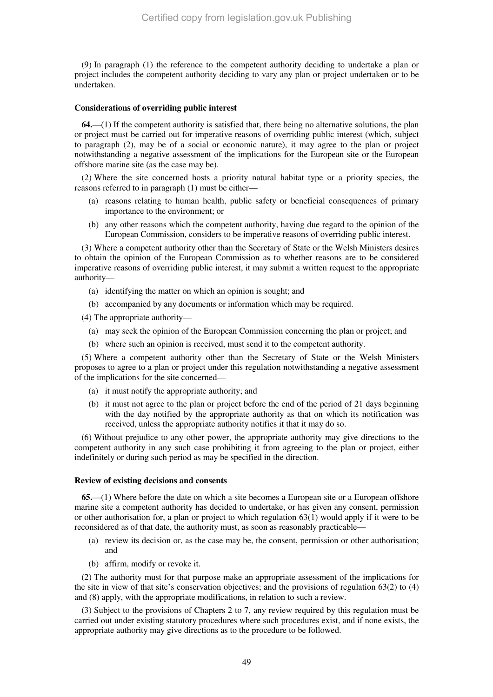(9) In paragraph (1) the reference to the competent authority deciding to undertake a plan or project includes the competent authority deciding to vary any plan or project undertaken or to be undertaken.

#### **Considerations of overriding public interest**

**64.**—(1) If the competent authority is satisfied that, there being no alternative solutions, the plan or project must be carried out for imperative reasons of overriding public interest (which, subject to paragraph (2), may be of a social or economic nature), it may agree to the plan or project notwithstanding a negative assessment of the implications for the European site or the European offshore marine site (as the case may be).

(2) Where the site concerned hosts a priority natural habitat type or a priority species, the reasons referred to in paragraph (1) must be either—

- (a) reasons relating to human health, public safety or beneficial consequences of primary importance to the environment; or
- (b) any other reasons which the competent authority, having due regard to the opinion of the European Commission, considers to be imperative reasons of overriding public interest.

(3) Where a competent authority other than the Secretary of State or the Welsh Ministers desires to obtain the opinion of the European Commission as to whether reasons are to be considered imperative reasons of overriding public interest, it may submit a written request to the appropriate authority—

- (a) identifying the matter on which an opinion is sought; and
- (b) accompanied by any documents or information which may be required.
- (4) The appropriate authority—
	- (a) may seek the opinion of the European Commission concerning the plan or project; and
	- (b) where such an opinion is received, must send it to the competent authority.

(5) Where a competent authority other than the Secretary of State or the Welsh Ministers proposes to agree to a plan or project under this regulation notwithstanding a negative assessment of the implications for the site concerned—

- (a) it must notify the appropriate authority; and
- (b) it must not agree to the plan or project before the end of the period of 21 days beginning with the day notified by the appropriate authority as that on which its notification was received, unless the appropriate authority notifies it that it may do so.

(6) Without prejudice to any other power, the appropriate authority may give directions to the competent authority in any such case prohibiting it from agreeing to the plan or project, either indefinitely or during such period as may be specified in the direction.

### **Review of existing decisions and consents**

**65.**—(1) Where before the date on which a site becomes a European site or a European offshore marine site a competent authority has decided to undertake, or has given any consent, permission or other authorisation for, a plan or project to which regulation 63(1) would apply if it were to be reconsidered as of that date, the authority must, as soon as reasonably practicable—

- (a) review its decision or, as the case may be, the consent, permission or other authorisation; and
- (b) affirm, modify or revoke it.

(2) The authority must for that purpose make an appropriate assessment of the implications for the site in view of that site's conservation objectives; and the provisions of regulation 63(2) to (4) and (8) apply, with the appropriate modifications, in relation to such a review.

(3) Subject to the provisions of Chapters 2 to 7, any review required by this regulation must be carried out under existing statutory procedures where such procedures exist, and if none exists, the appropriate authority may give directions as to the procedure to be followed.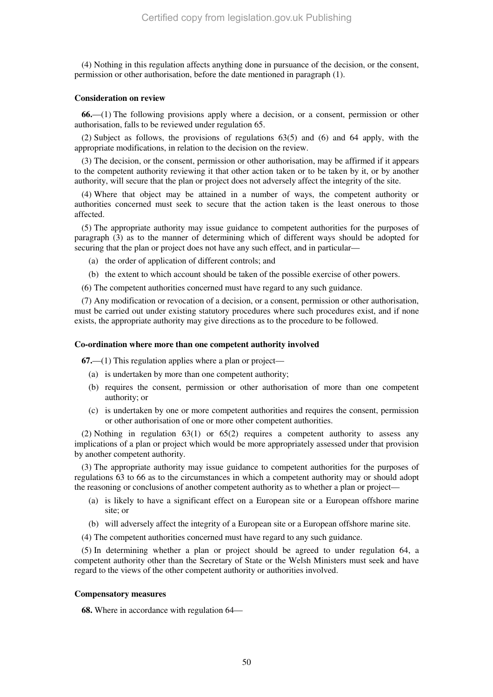(4) Nothing in this regulation affects anything done in pursuance of the decision, or the consent, permission or other authorisation, before the date mentioned in paragraph (1).

#### **Consideration on review**

**66.**—(1) The following provisions apply where a decision, or a consent, permission or other authorisation, falls to be reviewed under regulation 65.

(2) Subject as follows, the provisions of regulations 63(5) and (6) and 64 apply, with the appropriate modifications, in relation to the decision on the review.

(3) The decision, or the consent, permission or other authorisation, may be affirmed if it appears to the competent authority reviewing it that other action taken or to be taken by it, or by another authority, will secure that the plan or project does not adversely affect the integrity of the site.

(4) Where that object may be attained in a number of ways, the competent authority or authorities concerned must seek to secure that the action taken is the least onerous to those affected.

(5) The appropriate authority may issue guidance to competent authorities for the purposes of paragraph (3) as to the manner of determining which of different ways should be adopted for securing that the plan or project does not have any such effect, and in particular—

- (a) the order of application of different controls; and
- (b) the extent to which account should be taken of the possible exercise of other powers.
- (6) The competent authorities concerned must have regard to any such guidance.

(7) Any modification or revocation of a decision, or a consent, permission or other authorisation, must be carried out under existing statutory procedures where such procedures exist, and if none exists, the appropriate authority may give directions as to the procedure to be followed.

#### **Co-ordination where more than one competent authority involved**

**67.**—(1) This regulation applies where a plan or project—

- (a) is undertaken by more than one competent authority;
- (b) requires the consent, permission or other authorisation of more than one competent authority; or
- (c) is undertaken by one or more competent authorities and requires the consent, permission or other authorisation of one or more other competent authorities.

(2) Nothing in regulation 63(1) or 65(2) requires a competent authority to assess any implications of a plan or project which would be more appropriately assessed under that provision by another competent authority.

(3) The appropriate authority may issue guidance to competent authorities for the purposes of regulations 63 to 66 as to the circumstances in which a competent authority may or should adopt the reasoning or conclusions of another competent authority as to whether a plan or project—

- (a) is likely to have a significant effect on a European site or a European offshore marine site; or
- (b) will adversely affect the integrity of a European site or a European offshore marine site.
- (4) The competent authorities concerned must have regard to any such guidance.

(5) In determining whether a plan or project should be agreed to under regulation 64, a competent authority other than the Secretary of State or the Welsh Ministers must seek and have regard to the views of the other competent authority or authorities involved.

### **Compensatory measures**

**68.** Where in accordance with regulation 64—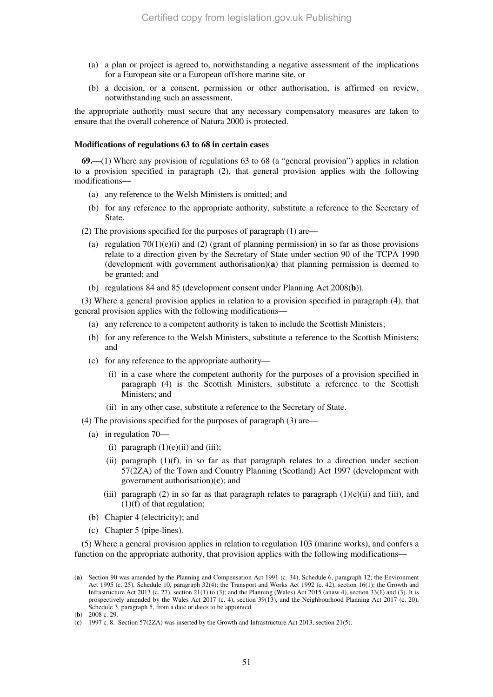- (a) a plan or project is agreed to, notwithstanding a negative assessment of the implications for a European site or a European offshore marine site, or
- (b) a decision, or a consent, permission or other authorisation, is affirmed on review, notwithstanding such an assessment,

the appropriate authority must secure that any necessary compensatory measures are taken to ensure that the overall coherence of Natura 2000 is protected.

#### **Modifications of regulations 63 to 68 in certain cases**

**69.**—(1) Where any provision of regulations 63 to 68 (a "general provision") applies in relation to a provision specified in paragraph (2), that general provision applies with the following modifications—

- (a) any reference to the Welsh Ministers is omitted; and
- (b) for any reference to the appropriate authority, substitute a reference to the Secretary of State.

(2) The provisions specified for the purposes of paragraph (1) are—

- (a) regulation  $70(1)(e)(i)$  and (2) (grant of planning permission) in so far as those provisions relate to a direction given by the Secretary of State under section 90 of the TCPA 1990 (development with government authorisation)(**a**) that planning permission is deemed to be granted; and
- (b) regulations 84 and 85 (development consent under Planning Act 2008(**b**)).

(3) Where a general provision applies in relation to a provision specified in paragraph (4), that general provision applies with the following modifications—

- (a) any reference to a competent authority is taken to include the Scottish Ministers;
- (b) for any reference to the Welsh Ministers, substitute a reference to the Scottish Ministers; and
- (c) for any reference to the appropriate authority—
	- (i) in a case where the competent authority for the purposes of a provision specified in paragraph (4) is the Scottish Ministers, substitute a reference to the Scottish Ministers; and
	- (ii) in any other case, substitute a reference to the Secretary of State.
- (4) The provisions specified for the purposes of paragraph (3) are—
	- (a) in regulation 70—
		- (i) paragraph  $(1)(e)(ii)$  and  $(iii)$ ;
		- (ii) paragraph  $(1)(f)$ , in so far as that paragraph relates to a direction under section 57(2ZA) of the Town and Country Planning (Scotland) Act 1997 (development with government authorisation)(**c**); and
		- (iii) paragraph (2) in so far as that paragraph relates to paragraph  $(1)(e)$ (ii) and (iii), and  $(1)(f)$  of that regulation;
	- (b) Chapter 4 (electricity); and
	- (c) Chapter 5 (pipe-lines).

(5) Where a general provision applies in relation to regulation 103 (marine works), and confers a function on the appropriate authority, that provision applies with the following modifications—

<sup>(</sup>**a**) Section 90 was amended by the Planning and Compensation Act 1991 (c. 34), Schedule 6, paragraph 12; the Environment Act 1995 (c. 25), Schedule 10, paragraph 32(4); the Transport and Works Act 1992 (c. 42), section 16(1); the Growth and Infrastructure Act 2013 (c. 27), section 21(1) to (3); and the Planning (Wales) Act 2015 (anaw 4), section 33(1) and (3). It is prospectively amended by the Wales Act 2017 (c. 4), section 39(13), and the Neighbourhood Planning Act 2017 (c. 20), Schedule 3, paragraph 5, from a date or dates to be appointed.

<sup>(</sup>**b**) 2008 c. 29.

<sup>(</sup>**c**) 1997 c. 8. Section 57(2ZA) was inserted by the Growth and Infrastructure Act 2013, section 21(5).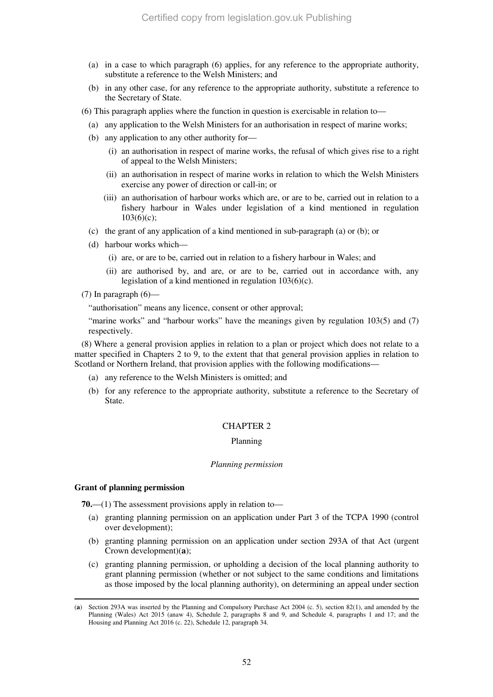- (a) in a case to which paragraph (6) applies, for any reference to the appropriate authority, substitute a reference to the Welsh Ministers; and
- (b) in any other case, for any reference to the appropriate authority, substitute a reference to the Secretary of State.
- (6) This paragraph applies where the function in question is exercisable in relation to—
	- (a) any application to the Welsh Ministers for an authorisation in respect of marine works;
	- (b) any application to any other authority for—
		- (i) an authorisation in respect of marine works, the refusal of which gives rise to a right of appeal to the Welsh Ministers;
		- (ii) an authorisation in respect of marine works in relation to which the Welsh Ministers exercise any power of direction or call-in; or
		- (iii) an authorisation of harbour works which are, or are to be, carried out in relation to a fishery harbour in Wales under legislation of a kind mentioned in regulation 103(6)(c);
	- (c) the grant of any application of a kind mentioned in sub-paragraph (a) or (b); or
	- (d) harbour works which—
		- (i) are, or are to be, carried out in relation to a fishery harbour in Wales; and
		- (ii) are authorised by, and are, or are to be, carried out in accordance with, any legislation of a kind mentioned in regulation 103(6)(c).
- (7) In paragraph  $(6)$ —

"authorisation" means any licence, consent or other approval;

"marine works" and "harbour works" have the meanings given by regulation 103(5) and (7) respectively.

(8) Where a general provision applies in relation to a plan or project which does not relate to a matter specified in Chapters 2 to 9, to the extent that that general provision applies in relation to Scotland or Northern Ireland, that provision applies with the following modifications—

- (a) any reference to the Welsh Ministers is omitted; and
- (b) for any reference to the appropriate authority, substitute a reference to the Secretary of State.

#### CHAPTER 2

### Planning

#### *Planning permission*

#### **Grant of planning permission**

**70.**—(1) The assessment provisions apply in relation to—

- (a) granting planning permission on an application under Part 3 of the TCPA 1990 (control over development);
- (b) granting planning permission on an application under section 293A of that Act (urgent Crown development)(**a**);
- (c) granting planning permission, or upholding a decision of the local planning authority to grant planning permission (whether or not subject to the same conditions and limitations as those imposed by the local planning authority), on determining an appeal under section

<sup>-</sup>(**a**) Section 293A was inserted by the Planning and Compulsory Purchase Act 2004 (c. 5), section 82(1), and amended by the Planning (Wales) Act 2015 (anaw 4), Schedule 2, paragraphs 8 and 9, and Schedule 4, paragraphs 1 and 17; and the Housing and Planning Act 2016 (c. 22), Schedule 12, paragraph 34.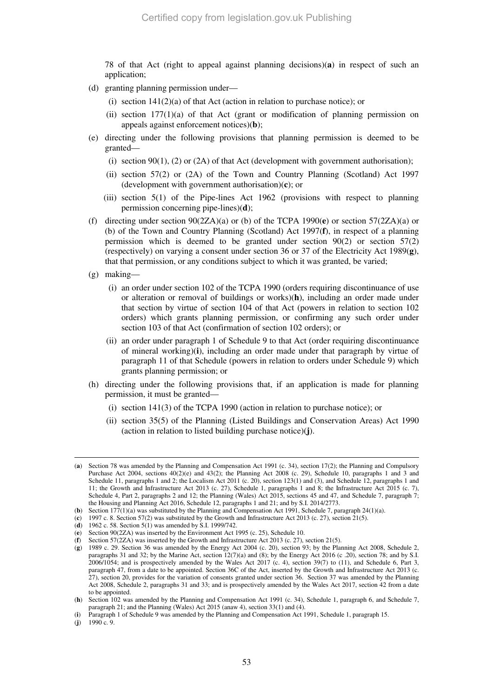78 of that Act (right to appeal against planning decisions)(**a**) in respect of such an application;

- (d) granting planning permission under—
	- (i) section  $141(2)(a)$  of that Act (action in relation to purchase notice); or
	- (ii) section  $177(1)(a)$  of that Act (grant or modification of planning permission on appeals against enforcement notices)(**b**);
- (e) directing under the following provisions that planning permission is deemed to be granted—
	- (i) section  $90(1)$ , (2) or (2A) of that Act (development with government authorisation);
	- (ii) section 57(2) or (2A) of the Town and Country Planning (Scotland) Act 1997 (development with government authorisation)(**c**); or
	- (iii) section 5(1) of the Pipe-lines Act 1962 (provisions with respect to planning permission concerning pipe-lines)(**d**);
- (f) directing under section 90(2ZA)(a) or (b) of the TCPA 1990(**e**) or section 57(2ZA)(a) or (b) of the Town and Country Planning (Scotland) Act 1997(**f**), in respect of a planning permission which is deemed to be granted under section 90(2) or section 57(2) (respectively) on varying a consent under section 36 or 37 of the Electricity Act 1989(**g**), that that permission, or any conditions subject to which it was granted, be varied;
- (g) making—
	- (i) an order under section 102 of the TCPA 1990 (orders requiring discontinuance of use or alteration or removal of buildings or works)(**h**), including an order made under that section by virtue of section 104 of that Act (powers in relation to section 102 orders) which grants planning permission, or confirming any such order under section 103 of that Act (confirmation of section 102 orders); or
	- (ii) an order under paragraph 1 of Schedule 9 to that Act (order requiring discontinuance of mineral working)(**i**), including an order made under that paragraph by virtue of paragraph 11 of that Schedule (powers in relation to orders under Schedule 9) which grants planning permission; or
- (h) directing under the following provisions that, if an application is made for planning permission, it must be granted—
	- (i) section 141(3) of the TCPA 1990 (action in relation to purchase notice); or
	- (ii) section 35(5) of the Planning (Listed Buildings and Conservation Areas) Act 1990 (action in relation to listed building purchase notice)(**j**).

<sup>(</sup>**a**) Section 78 was amended by the Planning and Compensation Act 1991 (c. 34), section 17(2); the Planning and Compulsory Purchase Act 2004, sections 40(2)(e) and 43(2); the Planning Act 2008 (c. 29), Schedule 10, paragraphs 1 and 3 and Schedule 11, paragraphs 1 and 2; the Localism Act 2011 (c. 20), section 123(1) and (3), and Schedule 12, paragraphs 1 and 11; the Growth and Infrastructure Act 2013 (c. 27), Schedule 1, paragraphs 1 and 8; the Infrastructure Act 2015 (c. 7), Schedule 4, Part 2, paragraphs 2 and 12; the Planning (Wales) Act 2015, sections 45 and 47, and Schedule 7, paragraph 7; the Housing and Planning Act 2016, Schedule 12, paragraphs 1 and 21; and by S.I. 2014/2773.

<sup>(</sup>**b**) Section 177(1)(a) was substituted by the Planning and Compensation Act 1991, Schedule 7, paragraph 24(1)(a).

<sup>(</sup>**c**) 1997 c. 8. Section 57(2) was substituted by the Growth and Infrastructure Act 2013 (c. 27), section 21(5).

<sup>(</sup>**d**) 1962 c. 58. Section 5(1) was amended by S.I. 1999/742.

<sup>(</sup>**e**) Section 90(2ZA) was inserted by the Environment Act 1995 (c. 25), Schedule 10.

<sup>(</sup>**f**) Section 57(2ZA) was inserted by the Growth and Infrastructure Act 2013 (c. 27), section 21(5).

<sup>(</sup>**g**) 1989 c. 29. Section 36 was amended by the Energy Act 2004 (c. 20), section 93; by the Planning Act 2008, Schedule 2, paragraphs 31 and 32; by the Marine Act, section 12(7)(a) and (8); by the Energy Act 2016 (c .20), section 78; and by S.I.  $2006/1054$ ; and is prospectively amended by the Wales Act 2017 (c. 4), section 39(7) to (11), and Schedule 6, Part 3, paragraph 47, from a date to be appointed. Section 36C of the Act, inserted by the Growth and Infrastructure Act 2013 (c. 27), section 20, provides for the variation of consents granted under section 36. Section 37 was amended by the Planning Act 2008, Schedule 2, paragraphs 31 and 33; and is prospectively amended by the Wales Act 2017, section 42 from a date to be appointed.

<sup>(</sup>**h**) Section 102 was amended by the Planning and Compensation Act 1991 (c. 34), Schedule 1, paragraph 6, and Schedule 7, paragraph 21; and the Planning (Wales) Act 2015 (anaw 4), section 33(1) and (4).

<sup>(</sup>**i**) Paragraph 1 of Schedule 9 was amended by the Planning and Compensation Act 1991, Schedule 1, paragraph 15.

<sup>(</sup>**j**) 1990 c. 9.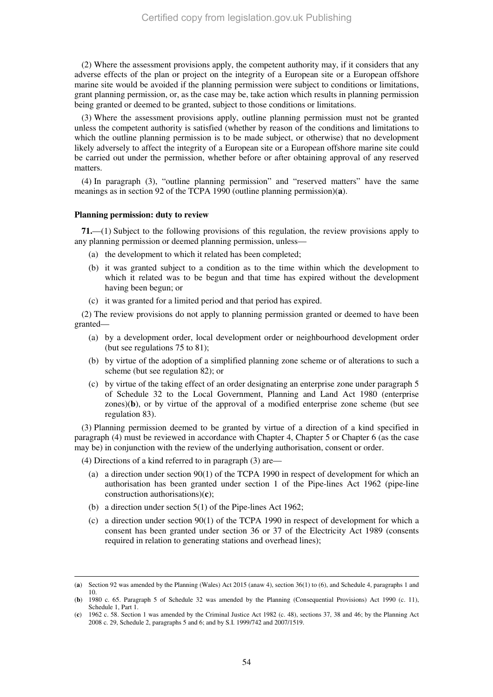(2) Where the assessment provisions apply, the competent authority may, if it considers that any adverse effects of the plan or project on the integrity of a European site or a European offshore marine site would be avoided if the planning permission were subject to conditions or limitations, grant planning permission, or, as the case may be, take action which results in planning permission being granted or deemed to be granted, subject to those conditions or limitations.

(3) Where the assessment provisions apply, outline planning permission must not be granted unless the competent authority is satisfied (whether by reason of the conditions and limitations to which the outline planning permission is to be made subject, or otherwise) that no development likely adversely to affect the integrity of a European site or a European offshore marine site could be carried out under the permission, whether before or after obtaining approval of any reserved matters.

(4) In paragraph (3), "outline planning permission" and "reserved matters" have the same meanings as in section 92 of the TCPA 1990 (outline planning permission)(**a**).

### **Planning permission: duty to review**

**71.**—(1) Subject to the following provisions of this regulation, the review provisions apply to any planning permission or deemed planning permission, unless—

- (a) the development to which it related has been completed;
- (b) it was granted subject to a condition as to the time within which the development to which it related was to be begun and that time has expired without the development having been begun; or
- (c) it was granted for a limited period and that period has expired.

(2) The review provisions do not apply to planning permission granted or deemed to have been granted—

- (a) by a development order, local development order or neighbourhood development order (but see regulations 75 to 81);
- (b) by virtue of the adoption of a simplified planning zone scheme or of alterations to such a scheme (but see regulation 82); or
- (c) by virtue of the taking effect of an order designating an enterprise zone under paragraph 5 of Schedule 32 to the Local Government, Planning and Land Act 1980 (enterprise zones)(**b**), or by virtue of the approval of a modified enterprise zone scheme (but see regulation 83).

(3) Planning permission deemed to be granted by virtue of a direction of a kind specified in paragraph (4) must be reviewed in accordance with Chapter 4, Chapter 5 or Chapter 6 (as the case may be) in conjunction with the review of the underlying authorisation, consent or order.

(4) Directions of a kind referred to in paragraph (3) are—

- (a) a direction under section 90(1) of the TCPA 1990 in respect of development for which an authorisation has been granted under section 1 of the Pipe-lines Act 1962 (pipe-line construction authorisations)(**c**);
- (b) a direction under section 5(1) of the Pipe-lines Act 1962;
- (c) a direction under section 90(1) of the TCPA 1990 in respect of development for which a consent has been granted under section 36 or 37 of the Electricity Act 1989 (consents required in relation to generating stations and overhead lines);

<sup>(</sup>**a**) Section 92 was amended by the Planning (Wales) Act 2015 (anaw 4), section 36(1) to (6), and Schedule 4, paragraphs 1 and 10.

<sup>(</sup>**b**) 1980 c. 65. Paragraph 5 of Schedule 32 was amended by the Planning (Consequential Provisions) Act 1990 (c. 11), Schedule 1, Part 1.

<sup>(</sup>**c**) 1962 c. 58. Section 1 was amended by the Criminal Justice Act 1982 (c. 48), sections 37, 38 and 46; by the Planning Act 2008 c. 29, Schedule 2, paragraphs 5 and 6; and by S.I. 1999/742 and 2007/1519.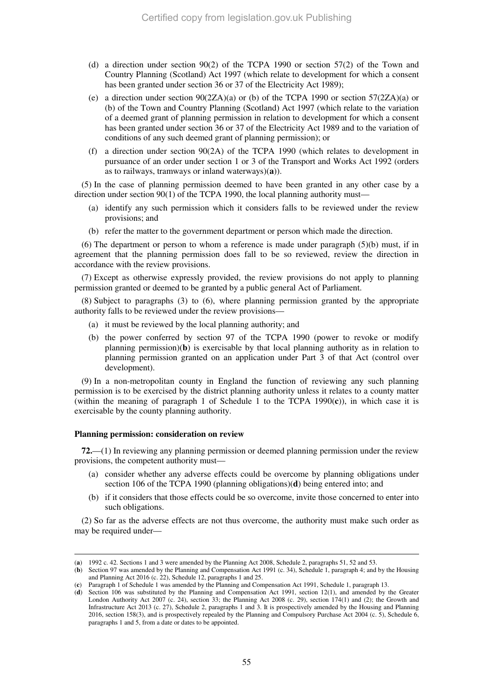- (d) a direction under section 90(2) of the TCPA 1990 or section 57(2) of the Town and Country Planning (Scotland) Act 1997 (which relate to development for which a consent has been granted under section 36 or 37 of the Electricity Act 1989);
- (e) a direction under section  $90(2ZA)(a)$  or (b) of the TCPA 1990 or section 57(2ZA)(a) or (b) of the Town and Country Planning (Scotland) Act 1997 (which relate to the variation of a deemed grant of planning permission in relation to development for which a consent has been granted under section 36 or 37 of the Electricity Act 1989 and to the variation of conditions of any such deemed grant of planning permission); or
- (f) a direction under section 90(2A) of the TCPA 1990 (which relates to development in pursuance of an order under section 1 or 3 of the Transport and Works Act 1992 (orders as to railways, tramways or inland waterways)(**a**)).

(5) In the case of planning permission deemed to have been granted in any other case by a direction under section 90(1) of the TCPA 1990, the local planning authority must—

- (a) identify any such permission which it considers falls to be reviewed under the review provisions; and
- (b) refer the matter to the government department or person which made the direction.

(6) The department or person to whom a reference is made under paragraph  $(5)(b)$  must, if in agreement that the planning permission does fall to be so reviewed, review the direction in accordance with the review provisions.

(7) Except as otherwise expressly provided, the review provisions do not apply to planning permission granted or deemed to be granted by a public general Act of Parliament.

(8) Subject to paragraphs (3) to (6), where planning permission granted by the appropriate authority falls to be reviewed under the review provisions—

- (a) it must be reviewed by the local planning authority; and
- (b) the power conferred by section 97 of the TCPA 1990 (power to revoke or modify planning permission)(**b**) is exercisable by that local planning authority as in relation to planning permission granted on an application under Part 3 of that Act (control over development).

(9) In a non-metropolitan county in England the function of reviewing any such planning permission is to be exercised by the district planning authority unless it relates to a county matter (within the meaning of paragraph 1 of Schedule 1 to the TCPA 1990(**c**)), in which case it is exercisable by the county planning authority.

#### **Planning permission: consideration on review**

-

**72.**—(1) In reviewing any planning permission or deemed planning permission under the review provisions, the competent authority must—

- (a) consider whether any adverse effects could be overcome by planning obligations under section 106 of the TCPA 1990 (planning obligations)(**d**) being entered into; and
- (b) if it considers that those effects could be so overcome, invite those concerned to enter into such obligations.

(2) So far as the adverse effects are not thus overcome, the authority must make such order as may be required under—

<sup>(</sup>**a**) 1992 c. 42. Sections 1 and 3 were amended by the Planning Act 2008, Schedule 2, paragraphs 51, 52 and 53.

<sup>(</sup>**b**) Section 97 was amended by the Planning and Compensation Act 1991 (c. 34), Schedule 1, paragraph 4; and by the Housing and Planning Act 2016 (c. 22), Schedule 12, paragraphs 1 and 25.

<sup>(</sup>**c**) Paragraph 1 of Schedule 1 was amended by the Planning and Compensation Act 1991, Schedule 1, paragraph 13.

<sup>(</sup>**d**) Section 106 was substituted by the Planning and Compensation Act 1991, section 12(1), and amended by the Greater London Authority Act 2007 (c. 24), section 33; the Planning Act 2008 (c. 29), section 174(1) and (2); the Growth and Infrastructure Act 2013 (c. 27), Schedule 2, paragraphs 1 and 3. It is prospectively amended by the Housing and Planning 2016, section 158(3), and is prospectively repealed by the Planning and Compulsory Purchase Act 2004 (c. 5), Schedule 6, paragraphs 1 and 5, from a date or dates to be appointed.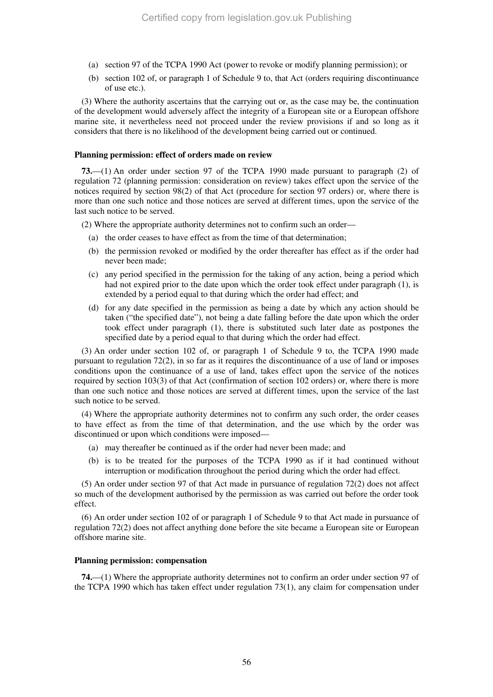- (a) section 97 of the TCPA 1990 Act (power to revoke or modify planning permission); or
- (b) section 102 of, or paragraph 1 of Schedule 9 to, that Act (orders requiring discontinuance of use etc.).

(3) Where the authority ascertains that the carrying out or, as the case may be, the continuation of the development would adversely affect the integrity of a European site or a European offshore marine site, it nevertheless need not proceed under the review provisions if and so long as it considers that there is no likelihood of the development being carried out or continued.

### **Planning permission: effect of orders made on review**

**73.**—(1) An order under section 97 of the TCPA 1990 made pursuant to paragraph (2) of regulation 72 (planning permission: consideration on review) takes effect upon the service of the notices required by section 98(2) of that Act (procedure for section 97 orders) or, where there is more than one such notice and those notices are served at different times, upon the service of the last such notice to be served.

(2) Where the appropriate authority determines not to confirm such an order—

- (a) the order ceases to have effect as from the time of that determination;
- (b) the permission revoked or modified by the order thereafter has effect as if the order had never been made;
- (c) any period specified in the permission for the taking of any action, being a period which had not expired prior to the date upon which the order took effect under paragraph (1), is extended by a period equal to that during which the order had effect; and
- (d) for any date specified in the permission as being a date by which any action should be taken ("the specified date"), not being a date falling before the date upon which the order took effect under paragraph (1), there is substituted such later date as postpones the specified date by a period equal to that during which the order had effect.

(3) An order under section 102 of, or paragraph 1 of Schedule 9 to, the TCPA 1990 made pursuant to regulation 72(2), in so far as it requires the discontinuance of a use of land or imposes conditions upon the continuance of a use of land, takes effect upon the service of the notices required by section 103(3) of that Act (confirmation of section 102 orders) or, where there is more than one such notice and those notices are served at different times, upon the service of the last such notice to be served.

(4) Where the appropriate authority determines not to confirm any such order, the order ceases to have effect as from the time of that determination, and the use which by the order was discontinued or upon which conditions were imposed—

- (a) may thereafter be continued as if the order had never been made; and
- (b) is to be treated for the purposes of the TCPA 1990 as if it had continued without interruption or modification throughout the period during which the order had effect.

(5) An order under section 97 of that Act made in pursuance of regulation 72(2) does not affect so much of the development authorised by the permission as was carried out before the order took effect.

(6) An order under section 102 of or paragraph 1 of Schedule 9 to that Act made in pursuance of regulation 72(2) does not affect anything done before the site became a European site or European offshore marine site.

#### **Planning permission: compensation**

**74.**—(1) Where the appropriate authority determines not to confirm an order under section 97 of the TCPA 1990 which has taken effect under regulation 73(1), any claim for compensation under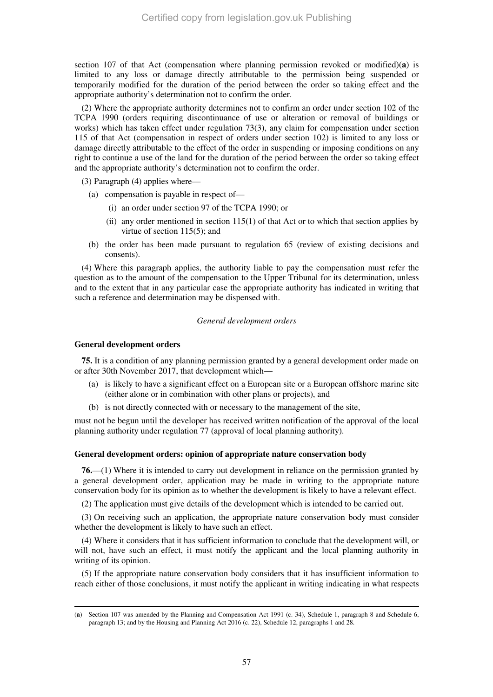section 107 of that Act (compensation where planning permission revoked or modified)(**a**) is limited to any loss or damage directly attributable to the permission being suspended or temporarily modified for the duration of the period between the order so taking effect and the appropriate authority's determination not to confirm the order.

(2) Where the appropriate authority determines not to confirm an order under section 102 of the TCPA 1990 (orders requiring discontinuance of use or alteration or removal of buildings or works) which has taken effect under regulation 73(3), any claim for compensation under section 115 of that Act (compensation in respect of orders under section 102) is limited to any loss or damage directly attributable to the effect of the order in suspending or imposing conditions on any right to continue a use of the land for the duration of the period between the order so taking effect and the appropriate authority's determination not to confirm the order.

(3) Paragraph (4) applies where—

- (a) compensation is payable in respect of—
	- (i) an order under section 97 of the TCPA 1990; or
	- (ii) any order mentioned in section 115(1) of that Act or to which that section applies by virtue of section 115(5); and
- (b) the order has been made pursuant to regulation 65 (review of existing decisions and consents).

(4) Where this paragraph applies, the authority liable to pay the compensation must refer the question as to the amount of the compensation to the Upper Tribunal for its determination, unless and to the extent that in any particular case the appropriate authority has indicated in writing that such a reference and determination may be dispensed with.

#### *General development orders*

### **General development orders**

-

**75.** It is a condition of any planning permission granted by a general development order made on or after 30th November 2017, that development which—

- (a) is likely to have a significant effect on a European site or a European offshore marine site (either alone or in combination with other plans or projects), and
- (b) is not directly connected with or necessary to the management of the site,

must not be begun until the developer has received written notification of the approval of the local planning authority under regulation 77 (approval of local planning authority).

### **General development orders: opinion of appropriate nature conservation body**

**76.**—(1) Where it is intended to carry out development in reliance on the permission granted by a general development order, application may be made in writing to the appropriate nature conservation body for its opinion as to whether the development is likely to have a relevant effect.

(2) The application must give details of the development which is intended to be carried out.

(3) On receiving such an application, the appropriate nature conservation body must consider whether the development is likely to have such an effect.

(4) Where it considers that it has sufficient information to conclude that the development will, or will not, have such an effect, it must notify the applicant and the local planning authority in writing of its opinion.

(5) If the appropriate nature conservation body considers that it has insufficient information to reach either of those conclusions, it must notify the applicant in writing indicating in what respects

<sup>(</sup>**a**) Section 107 was amended by the Planning and Compensation Act 1991 (c. 34), Schedule 1, paragraph 8 and Schedule 6, paragraph 13; and by the Housing and Planning Act 2016 (c. 22), Schedule 12, paragraphs 1 and 28.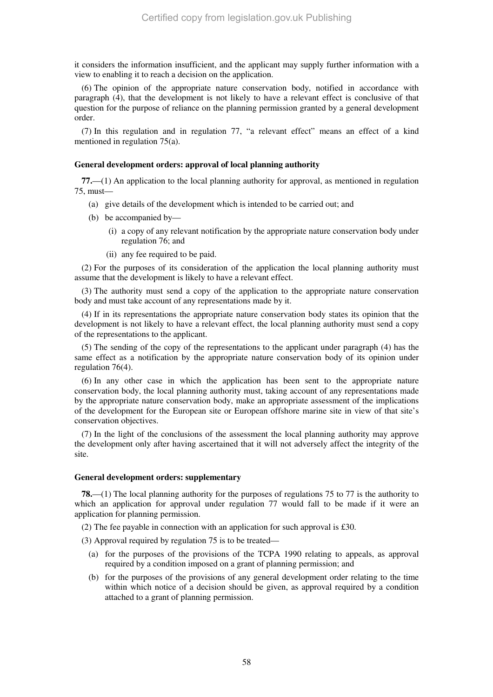it considers the information insufficient, and the applicant may supply further information with a view to enabling it to reach a decision on the application.

(6) The opinion of the appropriate nature conservation body, notified in accordance with paragraph (4), that the development is not likely to have a relevant effect is conclusive of that question for the purpose of reliance on the planning permission granted by a general development order.

(7) In this regulation and in regulation 77, "a relevant effect" means an effect of a kind mentioned in regulation 75(a).

### **General development orders: approval of local planning authority**

**77.**—(1) An application to the local planning authority for approval, as mentioned in regulation 75, must—

- (a) give details of the development which is intended to be carried out; and
- (b) be accompanied by—
	- (i) a copy of any relevant notification by the appropriate nature conservation body under regulation 76; and
	- (ii) any fee required to be paid.

(2) For the purposes of its consideration of the application the local planning authority must assume that the development is likely to have a relevant effect.

(3) The authority must send a copy of the application to the appropriate nature conservation body and must take account of any representations made by it.

(4) If in its representations the appropriate nature conservation body states its opinion that the development is not likely to have a relevant effect, the local planning authority must send a copy of the representations to the applicant.

(5) The sending of the copy of the representations to the applicant under paragraph (4) has the same effect as a notification by the appropriate nature conservation body of its opinion under regulation 76(4).

(6) In any other case in which the application has been sent to the appropriate nature conservation body, the local planning authority must, taking account of any representations made by the appropriate nature conservation body, make an appropriate assessment of the implications of the development for the European site or European offshore marine site in view of that site's conservation objectives.

(7) In the light of the conclusions of the assessment the local planning authority may approve the development only after having ascertained that it will not adversely affect the integrity of the site.

### **General development orders: supplementary**

**78.**—(1) The local planning authority for the purposes of regulations 75 to 77 is the authority to which an application for approval under regulation 77 would fall to be made if it were an application for planning permission.

(2) The fee payable in connection with an application for such approval is £30.

(3) Approval required by regulation 75 is to be treated—

- (a) for the purposes of the provisions of the TCPA 1990 relating to appeals, as approval required by a condition imposed on a grant of planning permission; and
- (b) for the purposes of the provisions of any general development order relating to the time within which notice of a decision should be given, as approval required by a condition attached to a grant of planning permission.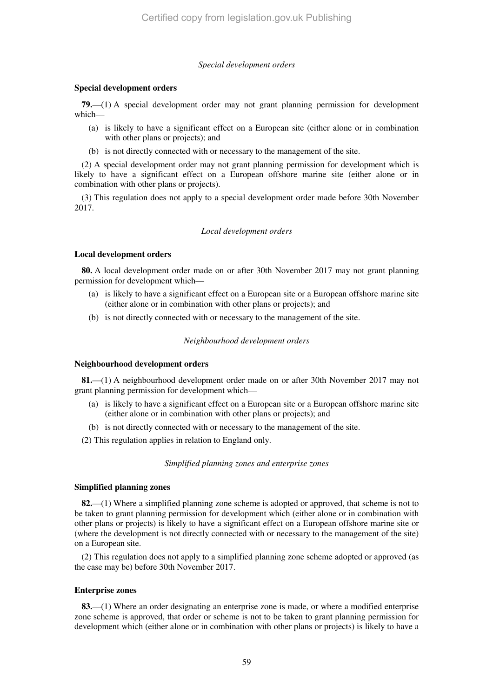### *Special development orders*

### **Special development orders**

**79.**—(1) A special development order may not grant planning permission for development which—

- (a) is likely to have a significant effect on a European site (either alone or in combination with other plans or projects); and
- (b) is not directly connected with or necessary to the management of the site.

(2) A special development order may not grant planning permission for development which is likely to have a significant effect on a European offshore marine site (either alone or in combination with other plans or projects).

(3) This regulation does not apply to a special development order made before 30th November 2017.

### *Local development orders*

### **Local development orders**

**80.** A local development order made on or after 30th November 2017 may not grant planning permission for development which—

- (a) is likely to have a significant effect on a European site or a European offshore marine site (either alone or in combination with other plans or projects); and
- (b) is not directly connected with or necessary to the management of the site.

### *Neighbourhood development orders*

### **Neighbourhood development orders**

**81.**—(1) A neighbourhood development order made on or after 30th November 2017 may not grant planning permission for development which—

- (a) is likely to have a significant effect on a European site or a European offshore marine site (either alone or in combination with other plans or projects); and
- (b) is not directly connected with or necessary to the management of the site.
- (2) This regulation applies in relation to England only.

### *Simplified planning zones and enterprise zones*

### **Simplified planning zones**

**82.**—(1) Where a simplified planning zone scheme is adopted or approved, that scheme is not to be taken to grant planning permission for development which (either alone or in combination with other plans or projects) is likely to have a significant effect on a European offshore marine site or (where the development is not directly connected with or necessary to the management of the site) on a European site.

(2) This regulation does not apply to a simplified planning zone scheme adopted or approved (as the case may be) before 30th November 2017.

### **Enterprise zones**

**83.**—(1) Where an order designating an enterprise zone is made, or where a modified enterprise zone scheme is approved, that order or scheme is not to be taken to grant planning permission for development which (either alone or in combination with other plans or projects) is likely to have a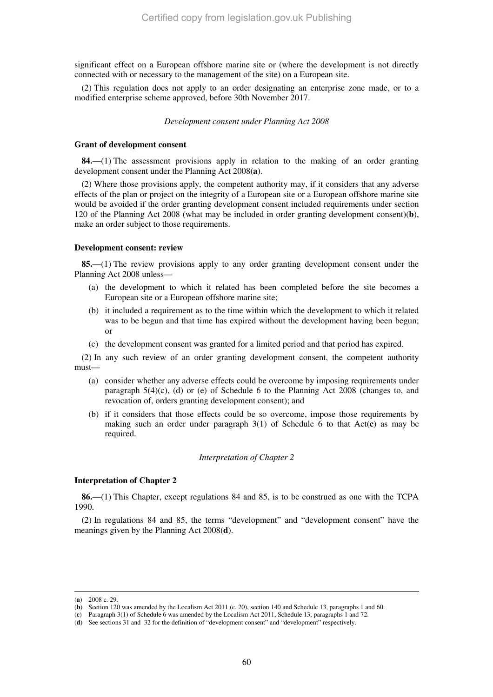significant effect on a European offshore marine site or (where the development is not directly connected with or necessary to the management of the site) on a European site.

(2) This regulation does not apply to an order designating an enterprise zone made, or to a modified enterprise scheme approved, before 30th November 2017.

### *Development consent under Planning Act 2008*

#### **Grant of development consent**

**84.**—(1) The assessment provisions apply in relation to the making of an order granting development consent under the Planning Act 2008(**a**).

(2) Where those provisions apply, the competent authority may, if it considers that any adverse effects of the plan or project on the integrity of a European site or a European offshore marine site would be avoided if the order granting development consent included requirements under section 120 of the Planning Act 2008 (what may be included in order granting development consent)(**b**), make an order subject to those requirements.

#### **Development consent: review**

**85.**—(1) The review provisions apply to any order granting development consent under the Planning Act 2008 unless—

- (a) the development to which it related has been completed before the site becomes a European site or a European offshore marine site;
- (b) it included a requirement as to the time within which the development to which it related was to be begun and that time has expired without the development having been begun; or
- (c) the development consent was granted for a limited period and that period has expired.

(2) In any such review of an order granting development consent, the competent authority must—

- (a) consider whether any adverse effects could be overcome by imposing requirements under paragraph  $5(4)(c)$ , (d) or (e) of Schedule 6 to the Planning Act 2008 (changes to, and revocation of, orders granting development consent); and
- (b) if it considers that those effects could be so overcome, impose those requirements by making such an order under paragraph 3(1) of Schedule 6 to that Act(**c**) as may be required.

### *Interpretation of Chapter 2*

#### **Interpretation of Chapter 2**

**86.**—(1) This Chapter, except regulations 84 and 85, is to be construed as one with the TCPA 1990.

(2) In regulations 84 and 85, the terms "development" and "development consent" have the meanings given by the Planning Act 2008(**d**).

<sup>(</sup>**a**) 2008 c. 29.

<sup>(</sup>**b**) Section 120 was amended by the Localism Act 2011 (c. 20), section 140 and Schedule 13, paragraphs 1 and 60.

<sup>(</sup>**c**) Paragraph 3(1) of Schedule 6 was amended by the Localism Act 2011, Schedule 13, paragraphs 1 and 72.

<sup>(</sup>**d**) See sections 31 and 32 for the definition of "development consent" and "development" respectively.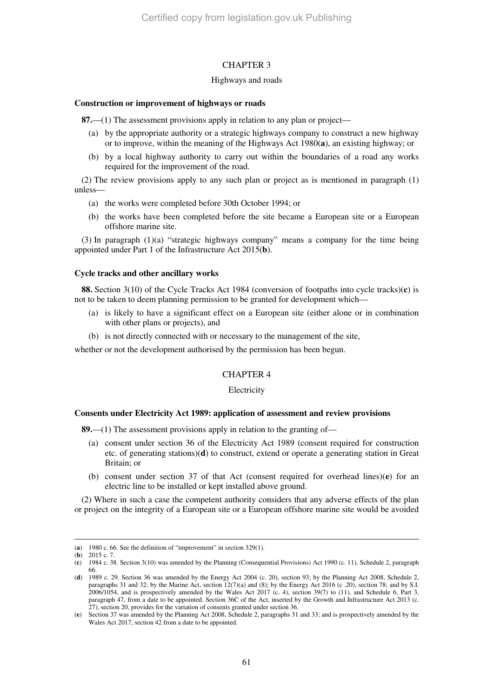### CHAPTER 3

### Highways and roads

#### **Construction or improvement of highways or roads**

**87.**—(1) The assessment provisions apply in relation to any plan or project—

- (a) by the appropriate authority or a strategic highways company to construct a new highway or to improve, within the meaning of the Highways Act 1980(**a**), an existing highway; or
- (b) by a local highway authority to carry out within the boundaries of a road any works required for the improvement of the road.

(2) The review provisions apply to any such plan or project as is mentioned in paragraph (1) unless—

- (a) the works were completed before 30th October 1994; or
- (b) the works have been completed before the site became a European site or a European offshore marine site.

 $(3)$  In paragraph  $(1)(a)$  "strategic highways company" means a company for the time being appointed under Part 1 of the Infrastructure Act 2015(**b**).

#### **Cycle tracks and other ancillary works**

**88.** Section 3(10) of the Cycle Tracks Act 1984 (conversion of footpaths into cycle tracks)(**c**) is not to be taken to deem planning permission to be granted for development which—

- (a) is likely to have a significant effect on a European site (either alone or in combination with other plans or projects), and
- (b) is not directly connected with or necessary to the management of the site,

whether or not the development authorised by the permission has been begun.

### CHAPTER 4

#### **Electricity**

#### **Consents under Electricity Act 1989: application of assessment and review provisions**

**89.**—(1) The assessment provisions apply in relation to the granting of—

- (a) consent under section 36 of the Electricity Act 1989 (consent required for construction etc. of generating stations)(**d**) to construct, extend or operate a generating station in Great Britain; or
- (b) consent under section 37 of that Act (consent required for overhead lines)(**e**) for an electric line to be installed or kept installed above ground.

(2) Where in such a case the competent authority considers that any adverse effects of the plan or project on the integrity of a European site or a European offshore marine site would be avoided

<sup>(</sup>**a**) 1980 c. 66. See the definition of "improvement" in section 329(1).

<sup>(</sup>**b**) 2015 c. 7.

<sup>(</sup>**c**) 1984 c. 38. Section 3(10) was amended by the Planning (Consequential Provisions) Act 1990 (c. 11), Schedule 2, paragraph 66.

<sup>(</sup>**d**) 1989 c. 29. Section 36 was amended by the Energy Act 2004 (c. 20), section 93; by the Planning Act 2008, Schedule 2, paragraphs 31 and 32; by the Marine Act, section 12(7)(a) and (8); by the Energy Act 2016 (c .20), section 78; and by S.I. 2006/1054, and is prospectively amended by the Wales Act 2017 (c. 4), section 39(7) to (11), and Schedule 6, Part 3, paragraph 47, from a date to be appointed. Section 36C of the Act, inserted by the Growth and Infrastructure Act 2013 (c. 27), section 20, provides for the variation of consents granted under section 36.

<sup>(</sup>**e**) Section 37 was amended by the Planning Act 2008, Schedule 2, paragraphs 31 and 33; and is prospectively amended by the Wales Act 2017, section 42 from a date to be appointed.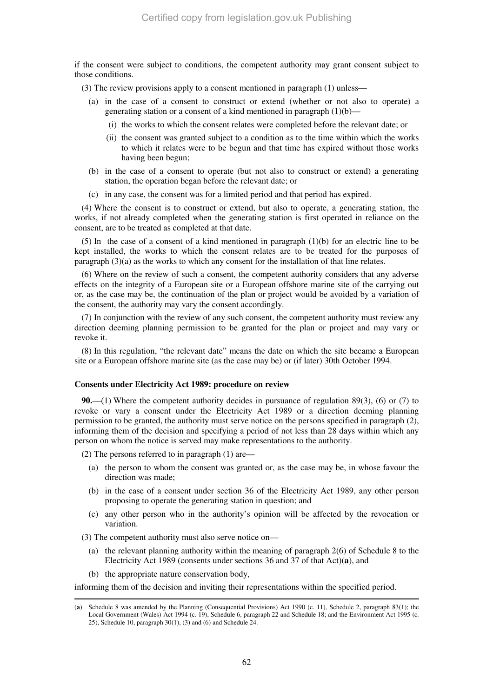if the consent were subject to conditions, the competent authority may grant consent subject to those conditions.

(3) The review provisions apply to a consent mentioned in paragraph (1) unless—

- (a) in the case of a consent to construct or extend (whether or not also to operate) a generating station or a consent of a kind mentioned in paragraph  $(1)(b)$ —
	- (i) the works to which the consent relates were completed before the relevant date; or
	- (ii) the consent was granted subject to a condition as to the time within which the works to which it relates were to be begun and that time has expired without those works having been begun;
- (b) in the case of a consent to operate (but not also to construct or extend) a generating station, the operation began before the relevant date; or
- (c) in any case, the consent was for a limited period and that period has expired.

(4) Where the consent is to construct or extend, but also to operate, a generating station, the works, if not already completed when the generating station is first operated in reliance on the consent, are to be treated as completed at that date.

(5) In the case of a consent of a kind mentioned in paragraph (1)(b) for an electric line to be kept installed, the works to which the consent relates are to be treated for the purposes of paragraph  $(3)(a)$  as the works to which any consent for the installation of that line relates.

(6) Where on the review of such a consent, the competent authority considers that any adverse effects on the integrity of a European site or a European offshore marine site of the carrying out or, as the case may be, the continuation of the plan or project would be avoided by a variation of the consent, the authority may vary the consent accordingly.

(7) In conjunction with the review of any such consent, the competent authority must review any direction deeming planning permission to be granted for the plan or project and may vary or revoke it.

(8) In this regulation, "the relevant date" means the date on which the site became a European site or a European offshore marine site (as the case may be) or (if later) 30th October 1994.

### **Consents under Electricity Act 1989: procedure on review**

**90.**—(1) Where the competent authority decides in pursuance of regulation 89(3), (6) or (7) to revoke or vary a consent under the Electricity Act 1989 or a direction deeming planning permission to be granted, the authority must serve notice on the persons specified in paragraph (2), informing them of the decision and specifying a period of not less than 28 days within which any person on whom the notice is served may make representations to the authority.

(2) The persons referred to in paragraph (1) are—

- (a) the person to whom the consent was granted or, as the case may be, in whose favour the direction was made;
- (b) in the case of a consent under section 36 of the Electricity Act 1989, any other person proposing to operate the generating station in question; and
- (c) any other person who in the authority's opinion will be affected by the revocation or variation.

(3) The competent authority must also serve notice on—

- (a) the relevant planning authority within the meaning of paragraph 2(6) of Schedule 8 to the Electricity Act 1989 (consents under sections 36 and 37 of that Act)(**a**), and
- (b) the appropriate nature conservation body,

-

informing them of the decision and inviting their representations within the specified period.

<sup>(</sup>**a**) Schedule 8 was amended by the Planning (Consequential Provisions) Act 1990 (c. 11), Schedule 2, paragraph 83(1); the Local Government (Wales) Act 1994 (c. 19), Schedule 6, paragraph 22 and Schedule 18; and the Environment Act 1995 (c. 25), Schedule 10, paragraph 30(1), (3) and (6) and Schedule 24.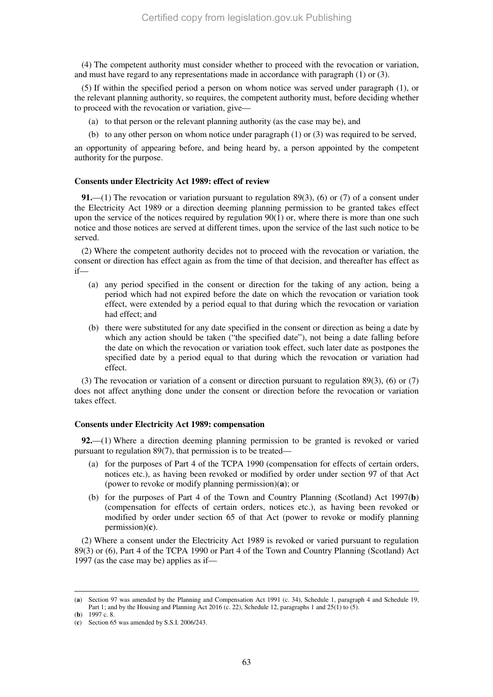(4) The competent authority must consider whether to proceed with the revocation or variation, and must have regard to any representations made in accordance with paragraph (1) or (3).

(5) If within the specified period a person on whom notice was served under paragraph (1), or the relevant planning authority, so requires, the competent authority must, before deciding whether to proceed with the revocation or variation, give—

- (a) to that person or the relevant planning authority (as the case may be), and
- (b) to any other person on whom notice under paragraph  $(1)$  or  $(3)$  was required to be served,

an opportunity of appearing before, and being heard by, a person appointed by the competent authority for the purpose.

#### **Consents under Electricity Act 1989: effect of review**

**91.**—(1) The revocation or variation pursuant to regulation 89(3), (6) or (7) of a consent under the Electricity Act 1989 or a direction deeming planning permission to be granted takes effect upon the service of the notices required by regulation  $90(1)$  or, where there is more than one such notice and those notices are served at different times, upon the service of the last such notice to be served.

(2) Where the competent authority decides not to proceed with the revocation or variation, the consent or direction has effect again as from the time of that decision, and thereafter has effect as if—

- (a) any period specified in the consent or direction for the taking of any action, being a period which had not expired before the date on which the revocation or variation took effect, were extended by a period equal to that during which the revocation or variation had effect; and
- (b) there were substituted for any date specified in the consent or direction as being a date by which any action should be taken ("the specified date"), not being a date falling before the date on which the revocation or variation took effect, such later date as postpones the specified date by a period equal to that during which the revocation or variation had effect.

(3) The revocation or variation of a consent or direction pursuant to regulation 89(3), (6) or (7) does not affect anything done under the consent or direction before the revocation or variation takes effect.

### **Consents under Electricity Act 1989: compensation**

**92.**—(1) Where a direction deeming planning permission to be granted is revoked or varied pursuant to regulation 89(7), that permission is to be treated—

- (a) for the purposes of Part 4 of the TCPA 1990 (compensation for effects of certain orders, notices etc.), as having been revoked or modified by order under section 97 of that Act (power to revoke or modify planning permission)(**a**); or
- (b) for the purposes of Part 4 of the Town and Country Planning (Scotland) Act 1997(**b**) (compensation for effects of certain orders, notices etc.), as having been revoked or modified by order under section 65 of that Act (power to revoke or modify planning permission)(**c**).

(2) Where a consent under the Electricity Act 1989 is revoked or varied pursuant to regulation 89(3) or (6), Part 4 of the TCPA 1990 or Part 4 of the Town and Country Planning (Scotland) Act 1997 (as the case may be) applies as if—

<sup>(</sup>**a**) Section 97 was amended by the Planning and Compensation Act 1991 (c. 34), Schedule 1, paragraph 4 and Schedule 19, Part 1; and by the Housing and Planning Act 2016 (c. 22), Schedule 12, paragraphs 1 and  $25(1)$  to  $(5)$ . (**b**) 1997 c. 8.

<sup>(</sup>**c**) Section 65 was amended by S.S.I. 2006/243.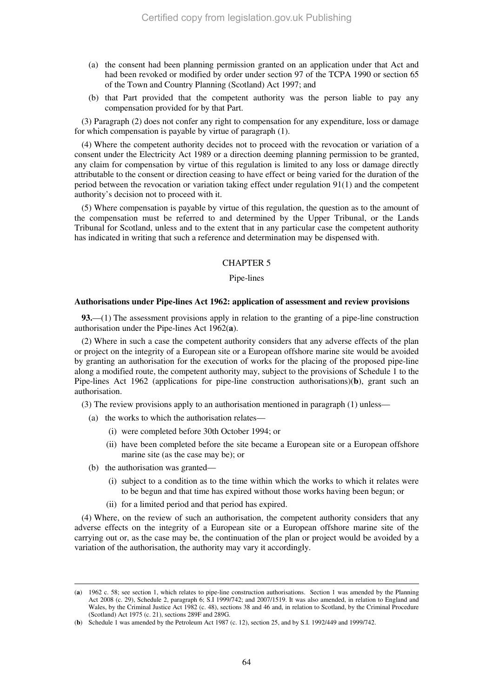- (a) the consent had been planning permission granted on an application under that Act and had been revoked or modified by order under section 97 of the TCPA 1990 or section 65 of the Town and Country Planning (Scotland) Act 1997; and
- (b) that Part provided that the competent authority was the person liable to pay any compensation provided for by that Part.

(3) Paragraph (2) does not confer any right to compensation for any expenditure, loss or damage for which compensation is payable by virtue of paragraph (1).

(4) Where the competent authority decides not to proceed with the revocation or variation of a consent under the Electricity Act 1989 or a direction deeming planning permission to be granted, any claim for compensation by virtue of this regulation is limited to any loss or damage directly attributable to the consent or direction ceasing to have effect or being varied for the duration of the period between the revocation or variation taking effect under regulation 91(1) and the competent authority's decision not to proceed with it.

(5) Where compensation is payable by virtue of this regulation, the question as to the amount of the compensation must be referred to and determined by the Upper Tribunal, or the Lands Tribunal for Scotland, unless and to the extent that in any particular case the competent authority has indicated in writing that such a reference and determination may be dispensed with.

#### CHAPTER 5

#### Pipe-lines

#### **Authorisations under Pipe-lines Act 1962: application of assessment and review provisions**

**93.**—(1) The assessment provisions apply in relation to the granting of a pipe-line construction authorisation under the Pipe-lines Act 1962(**a**).

(2) Where in such a case the competent authority considers that any adverse effects of the plan or project on the integrity of a European site or a European offshore marine site would be avoided by granting an authorisation for the execution of works for the placing of the proposed pipe-line along a modified route, the competent authority may, subject to the provisions of Schedule 1 to the Pipe-lines Act 1962 (applications for pipe-line construction authorisations)(**b**), grant such an authorisation.

(3) The review provisions apply to an authorisation mentioned in paragraph (1) unless—

- (a) the works to which the authorisation relates—
	- (i) were completed before 30th October 1994; or
	- (ii) have been completed before the site became a European site or a European offshore marine site (as the case may be); or
- (b) the authorisation was granted—

-

- (i) subject to a condition as to the time within which the works to which it relates were to be begun and that time has expired without those works having been begun; or
- (ii) for a limited period and that period has expired.

(4) Where, on the review of such an authorisation, the competent authority considers that any adverse effects on the integrity of a European site or a European offshore marine site of the carrying out or, as the case may be, the continuation of the plan or project would be avoided by a variation of the authorisation, the authority may vary it accordingly.

<sup>(</sup>**a**) 1962 c. 58; see section 1, which relates to pipe-line construction authorisations. Section 1 was amended by the Planning Act 2008 (c. 29), Schedule 2, paragraph 6; S.I 1999/742; and 2007/1519. It was also amended, in relation to England and Wales, by the Criminal Justice Act 1982 (c. 48), sections 38 and 46 and, in relation to Scotland, by the Criminal Procedure (Scotland) Act 1975 (c. 21), sections 289F and 289G.

<sup>(</sup>**b**) Schedule 1 was amended by the Petroleum Act 1987 (c. 12), section 25, and by S.I. 1992/449 and 1999/742.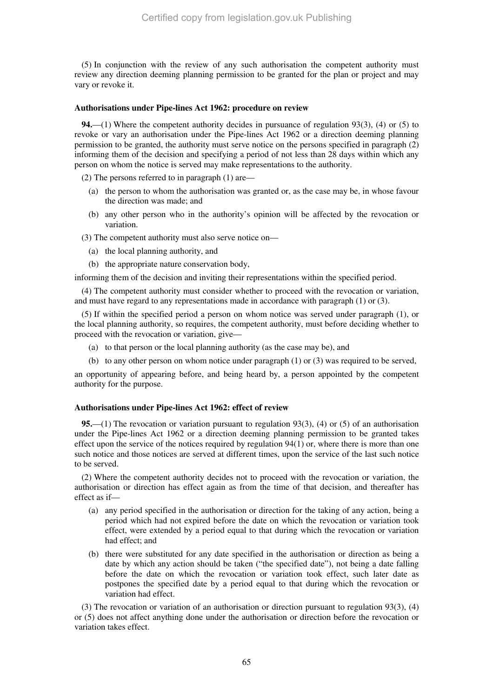(5) In conjunction with the review of any such authorisation the competent authority must review any direction deeming planning permission to be granted for the plan or project and may vary or revoke it.

### **Authorisations under Pipe-lines Act 1962: procedure on review**

**94.**—(1) Where the competent authority decides in pursuance of regulation 93(3), (4) or (5) to revoke or vary an authorisation under the Pipe-lines Act 1962 or a direction deeming planning permission to be granted, the authority must serve notice on the persons specified in paragraph (2) informing them of the decision and specifying a period of not less than 28 days within which any person on whom the notice is served may make representations to the authority.

(2) The persons referred to in paragraph (1) are—

- (a) the person to whom the authorisation was granted or, as the case may be, in whose favour the direction was made; and
- (b) any other person who in the authority's opinion will be affected by the revocation or variation.

(3) The competent authority must also serve notice on—

- (a) the local planning authority, and
- (b) the appropriate nature conservation body,

informing them of the decision and inviting their representations within the specified period.

(4) The competent authority must consider whether to proceed with the revocation or variation, and must have regard to any representations made in accordance with paragraph (1) or (3).

(5) If within the specified period a person on whom notice was served under paragraph (1), or the local planning authority, so requires, the competent authority, must before deciding whether to proceed with the revocation or variation, give—

- (a) to that person or the local planning authority (as the case may be), and
- (b) to any other person on whom notice under paragraph (1) or (3) was required to be served,

an opportunity of appearing before, and being heard by, a person appointed by the competent authority for the purpose.

#### **Authorisations under Pipe-lines Act 1962: effect of review**

**95.**—(1) The revocation or variation pursuant to regulation 93(3), (4) or (5) of an authorisation under the Pipe-lines Act 1962 or a direction deeming planning permission to be granted takes effect upon the service of the notices required by regulation  $94(1)$  or, where there is more than one such notice and those notices are served at different times, upon the service of the last such notice to be served.

(2) Where the competent authority decides not to proceed with the revocation or variation, the authorisation or direction has effect again as from the time of that decision, and thereafter has effect as if—

- (a) any period specified in the authorisation or direction for the taking of any action, being a period which had not expired before the date on which the revocation or variation took effect, were extended by a period equal to that during which the revocation or variation had effect; and
- (b) there were substituted for any date specified in the authorisation or direction as being a date by which any action should be taken ("the specified date"), not being a date falling before the date on which the revocation or variation took effect, such later date as postpones the specified date by a period equal to that during which the revocation or variation had effect.

(3) The revocation or variation of an authorisation or direction pursuant to regulation 93(3), (4) or (5) does not affect anything done under the authorisation or direction before the revocation or variation takes effect.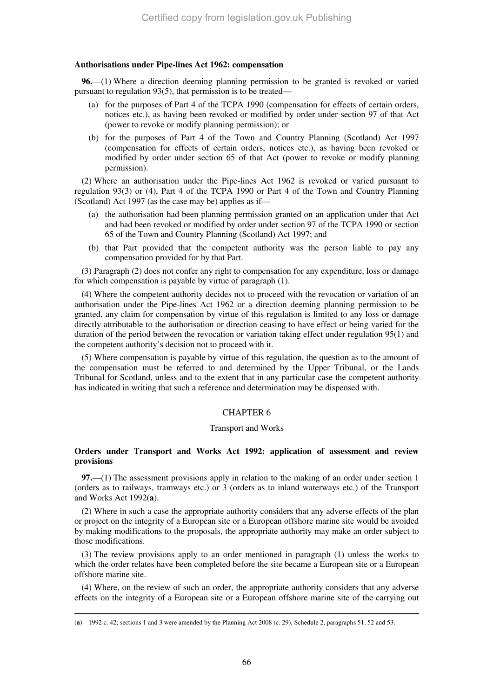### **Authorisations under Pipe-lines Act 1962: compensation**

**96.**—(1) Where a direction deeming planning permission to be granted is revoked or varied pursuant to regulation 93(5), that permission is to be treated—

- (a) for the purposes of Part 4 of the TCPA 1990 (compensation for effects of certain orders, notices etc.), as having been revoked or modified by order under section 97 of that Act (power to revoke or modify planning permission); or
- (b) for the purposes of Part 4 of the Town and Country Planning (Scotland) Act 1997 (compensation for effects of certain orders, notices etc.), as having been revoked or modified by order under section 65 of that Act (power to revoke or modify planning permission).

(2) Where an authorisation under the Pipe-lines Act 1962 is revoked or varied pursuant to regulation 93(3) or (4), Part 4 of the TCPA 1990 or Part 4 of the Town and Country Planning (Scotland) Act 1997 (as the case may be) applies as if—

- (a) the authorisation had been planning permission granted on an application under that Act and had been revoked or modified by order under section 97 of the TCPA 1990 or section 65 of the Town and Country Planning (Scotland) Act 1997; and
- (b) that Part provided that the competent authority was the person liable to pay any compensation provided for by that Part.

(3) Paragraph (2) does not confer any right to compensation for any expenditure, loss or damage for which compensation is payable by virtue of paragraph (1).

(4) Where the competent authority decides not to proceed with the revocation or variation of an authorisation under the Pipe-lines Act 1962 or a direction deeming planning permission to be granted, any claim for compensation by virtue of this regulation is limited to any loss or damage directly attributable to the authorisation or direction ceasing to have effect or being varied for the duration of the period between the revocation or variation taking effect under regulation 95(1) and the competent authority's decision not to proceed with it.

(5) Where compensation is payable by virtue of this regulation, the question as to the amount of the compensation must be referred to and determined by the Upper Tribunal, or the Lands Tribunal for Scotland, unless and to the extent that in any particular case the competent authority has indicated in writing that such a reference and determination may be dispensed with.

### CHAPTER 6

#### Transport and Works

### **Orders under Transport and Works Act 1992: application of assessment and review provisions**

**97.**—(1) The assessment provisions apply in relation to the making of an order under section 1 (orders as to railways, tramways etc.) or 3 (orders as to inland waterways etc.) of the Transport and Works Act 1992(**a**).

(2) Where in such a case the appropriate authority considers that any adverse effects of the plan or project on the integrity of a European site or a European offshore marine site would be avoided by making modifications to the proposals, the appropriate authority may make an order subject to those modifications.

(3) The review provisions apply to an order mentioned in paragraph (1) unless the works to which the order relates have been completed before the site became a European site or a European offshore marine site.

(4) Where, on the review of such an order, the appropriate authority considers that any adverse effects on the integrity of a European site or a European offshore marine site of the carrying out

<sup>(</sup>**a**) 1992 c. 42; sections 1 and 3 were amended by the Planning Act 2008 (c. 29), Schedule 2, paragraphs 51, 52 and 53.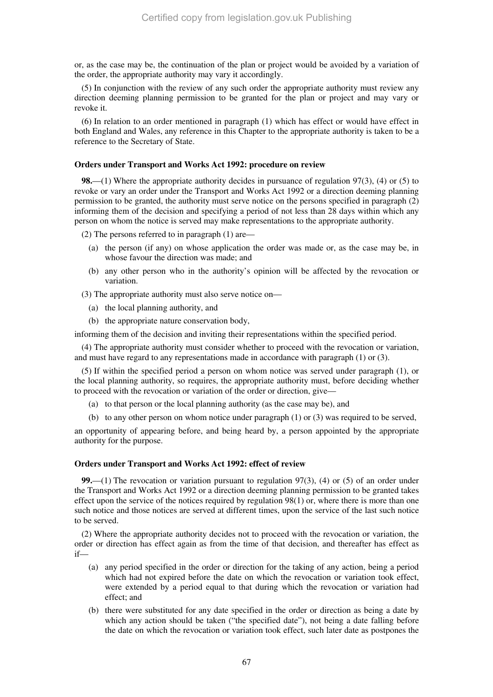or, as the case may be, the continuation of the plan or project would be avoided by a variation of the order, the appropriate authority may vary it accordingly.

(5) In conjunction with the review of any such order the appropriate authority must review any direction deeming planning permission to be granted for the plan or project and may vary or revoke it.

(6) In relation to an order mentioned in paragraph (1) which has effect or would have effect in both England and Wales, any reference in this Chapter to the appropriate authority is taken to be a reference to the Secretary of State.

### **Orders under Transport and Works Act 1992: procedure on review**

**98.**—(1) Where the appropriate authority decides in pursuance of regulation 97(3), (4) or (5) to revoke or vary an order under the Transport and Works Act 1992 or a direction deeming planning permission to be granted, the authority must serve notice on the persons specified in paragraph (2) informing them of the decision and specifying a period of not less than 28 days within which any person on whom the notice is served may make representations to the appropriate authority.

(2) The persons referred to in paragraph (1) are—

- (a) the person (if any) on whose application the order was made or, as the case may be, in whose favour the direction was made; and
- (b) any other person who in the authority's opinion will be affected by the revocation or variation.

(3) The appropriate authority must also serve notice on—

- (a) the local planning authority, and
- (b) the appropriate nature conservation body,

informing them of the decision and inviting their representations within the specified period.

(4) The appropriate authority must consider whether to proceed with the revocation or variation, and must have regard to any representations made in accordance with paragraph (1) or (3).

(5) If within the specified period a person on whom notice was served under paragraph (1), or the local planning authority, so requires, the appropriate authority must, before deciding whether to proceed with the revocation or variation of the order or direction, give—

- (a) to that person or the local planning authority (as the case may be), and
- (b) to any other person on whom notice under paragraph (1) or (3) was required to be served,

an opportunity of appearing before, and being heard by, a person appointed by the appropriate authority for the purpose.

#### **Orders under Transport and Works Act 1992: effect of review**

**99.**—(1) The revocation or variation pursuant to regulation 97(3), (4) or (5) of an order under the Transport and Works Act 1992 or a direction deeming planning permission to be granted takes effect upon the service of the notices required by regulation 98(1) or, where there is more than one such notice and those notices are served at different times, upon the service of the last such notice to be served.

(2) Where the appropriate authority decides not to proceed with the revocation or variation, the order or direction has effect again as from the time of that decision, and thereafter has effect as if—

- (a) any period specified in the order or direction for the taking of any action, being a period which had not expired before the date on which the revocation or variation took effect, were extended by a period equal to that during which the revocation or variation had effect; and
- (b) there were substituted for any date specified in the order or direction as being a date by which any action should be taken ("the specified date"), not being a date falling before the date on which the revocation or variation took effect, such later date as postpones the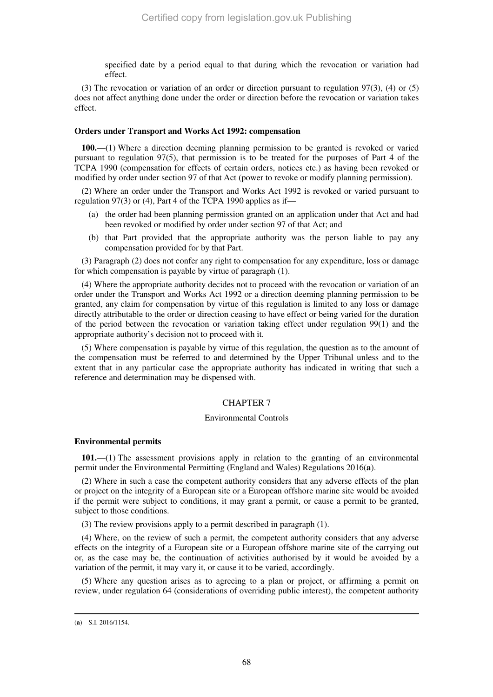specified date by a period equal to that during which the revocation or variation had effect.

(3) The revocation or variation of an order or direction pursuant to regulation 97(3), (4) or (5) does not affect anything done under the order or direction before the revocation or variation takes effect.

#### **Orders under Transport and Works Act 1992: compensation**

**100.**—(1) Where a direction deeming planning permission to be granted is revoked or varied pursuant to regulation 97(5), that permission is to be treated for the purposes of Part 4 of the TCPA 1990 (compensation for effects of certain orders, notices etc.) as having been revoked or modified by order under section 97 of that Act (power to revoke or modify planning permission).

(2) Where an order under the Transport and Works Act 1992 is revoked or varied pursuant to regulation 97(3) or (4), Part 4 of the TCPA 1990 applies as if—

- (a) the order had been planning permission granted on an application under that Act and had been revoked or modified by order under section 97 of that Act; and
- (b) that Part provided that the appropriate authority was the person liable to pay any compensation provided for by that Part.

(3) Paragraph (2) does not confer any right to compensation for any expenditure, loss or damage for which compensation is payable by virtue of paragraph (1).

(4) Where the appropriate authority decides not to proceed with the revocation or variation of an order under the Transport and Works Act 1992 or a direction deeming planning permission to be granted, any claim for compensation by virtue of this regulation is limited to any loss or damage directly attributable to the order or direction ceasing to have effect or being varied for the duration of the period between the revocation or variation taking effect under regulation 99(1) and the appropriate authority's decision not to proceed with it.

(5) Where compensation is payable by virtue of this regulation, the question as to the amount of the compensation must be referred to and determined by the Upper Tribunal unless and to the extent that in any particular case the appropriate authority has indicated in writing that such a reference and determination may be dispensed with.

### CHAPTER 7

#### Environmental Controls

### **Environmental permits**

**101.**—(1) The assessment provisions apply in relation to the granting of an environmental permit under the Environmental Permitting (England and Wales) Regulations 2016(**a**).

(2) Where in such a case the competent authority considers that any adverse effects of the plan or project on the integrity of a European site or a European offshore marine site would be avoided if the permit were subject to conditions, it may grant a permit, or cause a permit to be granted, subject to those conditions.

(3) The review provisions apply to a permit described in paragraph (1).

(4) Where, on the review of such a permit, the competent authority considers that any adverse effects on the integrity of a European site or a European offshore marine site of the carrying out or, as the case may be, the continuation of activities authorised by it would be avoided by a variation of the permit, it may vary it, or cause it to be varied, accordingly.

(5) Where any question arises as to agreeing to a plan or project, or affirming a permit on review, under regulation 64 (considerations of overriding public interest), the competent authority

<sup>(</sup>**a**) S.I. 2016/1154.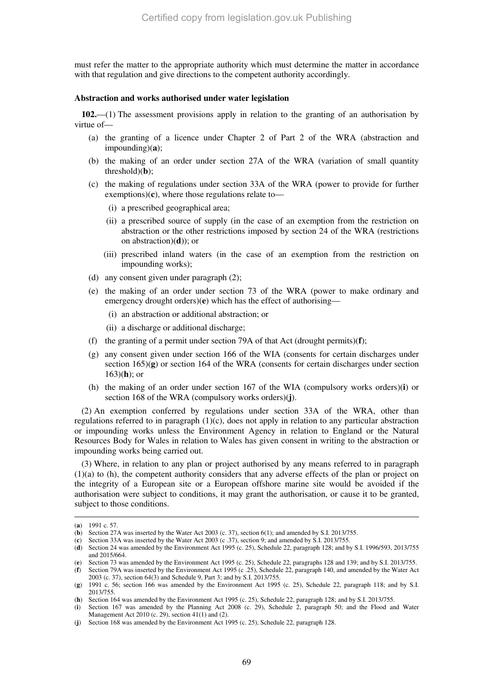must refer the matter to the appropriate authority which must determine the matter in accordance with that regulation and give directions to the competent authority accordingly.

#### **Abstraction and works authorised under water legislation**

**102.**—(1) The assessment provisions apply in relation to the granting of an authorisation by virtue of—

- (a) the granting of a licence under Chapter 2 of Part 2 of the WRA (abstraction and impounding)(**a**);
- (b) the making of an order under section 27A of the WRA (variation of small quantity threshold)(**b**);
- (c) the making of regulations under section 33A of the WRA (power to provide for further exemptions)(**c**), where those regulations relate to—
	- (i) a prescribed geographical area;
	- (ii) a prescribed source of supply (in the case of an exemption from the restriction on abstraction or the other restrictions imposed by section 24 of the WRA (restrictions on abstraction)(**d**)); or
	- (iii) prescribed inland waters (in the case of an exemption from the restriction on impounding works);
- (d) any consent given under paragraph (2);
- (e) the making of an order under section 73 of the WRA (power to make ordinary and emergency drought orders)(**e**) which has the effect of authorising—
	- (i) an abstraction or additional abstraction; or
	- (ii) a discharge or additional discharge;
- (f) the granting of a permit under section 79A of that Act (drought permits)(**f**);
- (g) any consent given under section 166 of the WIA (consents for certain discharges under section 165)(**g**) or section 164 of the WRA (consents for certain discharges under section 163)(**h**); or
- (h) the making of an order under section 167 of the WIA (compulsory works orders)(**i**) or section 168 of the WRA (compulsory works orders)(**j**).

(2) An exemption conferred by regulations under section 33A of the WRA, other than regulations referred to in paragraph  $(1)(c)$ , does not apply in relation to any particular abstraction or impounding works unless the Environment Agency in relation to England or the Natural Resources Body for Wales in relation to Wales has given consent in writing to the abstraction or impounding works being carried out.

(3) Where, in relation to any plan or project authorised by any means referred to in paragraph (1)(a) to (h), the competent authority considers that any adverse effects of the plan or project on the integrity of a European site or a European offshore marine site would be avoided if the authorisation were subject to conditions, it may grant the authorisation, or cause it to be granted, subject to those conditions.

<sup>(</sup>**a**) 1991 c. 57.

<sup>(</sup>**b**) Section 27A was inserted by the Water Act 2003 (c. 37), section 6(1); and amended by S.I. 2013/755.

<sup>(</sup>**c**) Section 33A was inserted by the Water Act 2003 (c .37), section 9; and amended by S.I. 2013/755.

<sup>(</sup>**d**) Section 24 was amended by the Environment Act 1995 (c. 25), Schedule 22, paragraph 128; and by S.I. 1996/593, 2013/755 and 2015/664.

<sup>(</sup>**e**) Section 73 was amended by the Environment Act 1995 (c. 25), Schedule 22, paragraphs 128 and 139; and by S.I. 2013/755. (**f**) Section 79A was inserted by the Environment Act 1995 (c .25), Schedule 22, paragraph 140, and amended by the Water Act

<sup>2003 (</sup>c. 37), section 64(3) and Schedule 9, Part 3; and by S.I. 2013/755. (**g**) 1991 c. 56; section 166 was amended by the Environment Act 1995 (c. 25), Schedule 22, paragraph 118; and by S.I.

<sup>2013/755.</sup> 

<sup>(</sup>**h**) Section 164 was amended by the Environment Act 1995 (c. 25), Schedule 22, paragraph 128; and by S.I. 2013/755.

<sup>(</sup>**i**) Section 167 was amended by the Planning Act 2008 (c. 29), Schedule 2, paragraph 50; and the Flood and Water Management Act 2010 (c. 29), section 41(1) and (2).

<sup>(</sup>**j**) Section 168 was amended by the Environment Act 1995 (c. 25), Schedule 22, paragraph 128.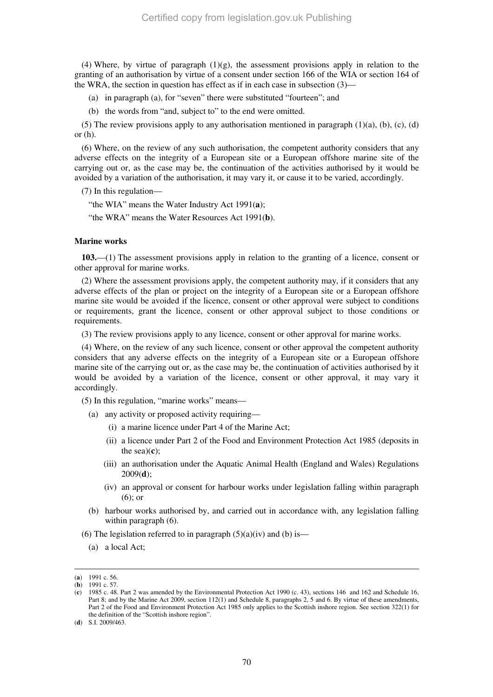(4) Where, by virtue of paragraph  $(1)(g)$ , the assessment provisions apply in relation to the granting of an authorisation by virtue of a consent under section 166 of the WIA or section 164 of the WRA, the section in question has effect as if in each case in subsection (3)—

(a) in paragraph (a), for "seven" there were substituted "fourteen"; and

(b) the words from "and, subject to" to the end were omitted.

(5) The review provisions apply to any authorisation mentioned in paragraph  $(1)(a)$ ,  $(b)$ ,  $(c)$ ,  $(d)$ or (h).

(6) Where, on the review of any such authorisation, the competent authority considers that any adverse effects on the integrity of a European site or a European offshore marine site of the carrying out or, as the case may be, the continuation of the activities authorised by it would be avoided by a variation of the authorisation, it may vary it, or cause it to be varied, accordingly.

(7) In this regulation—

"the WIA" means the Water Industry Act 1991(**a**);

"the WRA" means the Water Resources Act 1991(**b**).

#### **Marine works**

**103.**—(1) The assessment provisions apply in relation to the granting of a licence, consent or other approval for marine works.

(2) Where the assessment provisions apply, the competent authority may, if it considers that any adverse effects of the plan or project on the integrity of a European site or a European offshore marine site would be avoided if the licence, consent or other approval were subject to conditions or requirements, grant the licence, consent or other approval subject to those conditions or requirements.

(3) The review provisions apply to any licence, consent or other approval for marine works.

(4) Where, on the review of any such licence, consent or other approval the competent authority considers that any adverse effects on the integrity of a European site or a European offshore marine site of the carrying out or, as the case may be, the continuation of activities authorised by it would be avoided by a variation of the licence, consent or other approval, it may vary it accordingly.

(5) In this regulation, "marine works" means—

- (a) any activity or proposed activity requiring—
	- (i) a marine licence under Part 4 of the Marine Act;
	- (ii) a licence under Part 2 of the Food and Environment Protection Act 1985 (deposits in the sea)(**c**);
	- (iii) an authorisation under the Aquatic Animal Health (England and Wales) Regulations 2009(**d**);
	- (iv) an approval or consent for harbour works under legislation falling within paragraph (6); or
- (b) harbour works authorised by, and carried out in accordance with, any legislation falling within paragraph (6).
- (6) The legislation referred to in paragraph  $(5)(a)(iv)$  and (b) is—
	- (a) a local Act;

-

(**d**) S.I. 2009/463.

<sup>(</sup>**a**) 1991 c. 56.

<sup>(</sup>**b**) 1991 c. 57.

<sup>(</sup>**c**) 1985 c. 48. Part 2 was amended by the Environmental Protection Act 1990 (c. 43), sections 146 and 162 and Schedule 16, Part 8; and by the Marine Act 2009, section 112(1) and Schedule 8, paragraphs 2, 5 and 6. By virtue of these amendments, Part 2 of the Food and Environment Protection Act 1985 only applies to the Scottish inshore region. See section 322(1) for the definition of the "Scottish inshore region".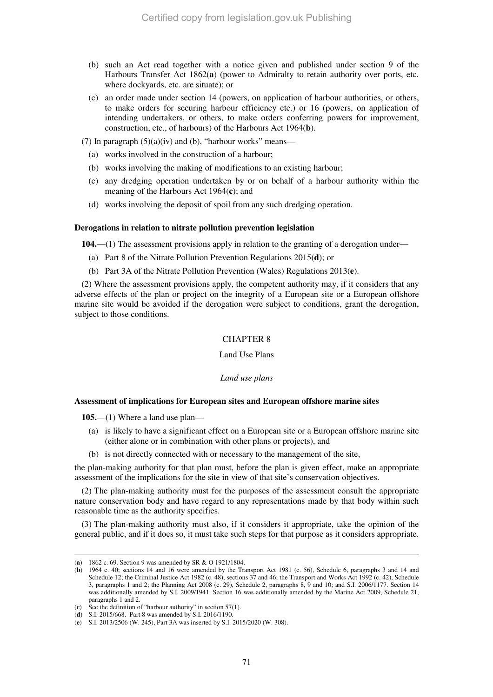- (b) such an Act read together with a notice given and published under section 9 of the Harbours Transfer Act 1862(**a**) (power to Admiralty to retain authority over ports, etc. where dockyards, etc. are situate); or
- (c) an order made under section 14 (powers, on application of harbour authorities, or others, to make orders for securing harbour efficiency etc.) or 16 (powers, on application of intending undertakers, or others, to make orders conferring powers for improvement, construction, etc., of harbours) of the Harbours Act 1964(**b**).
- (7) In paragraph  $(5)(a)(iv)$  and (b), "harbour works" means—
	- (a) works involved in the construction of a harbour;
	- (b) works involving the making of modifications to an existing harbour;
	- (c) any dredging operation undertaken by or on behalf of a harbour authority within the meaning of the Harbours Act 1964(**c**); and
	- (d) works involving the deposit of spoil from any such dredging operation.

#### **Derogations in relation to nitrate pollution prevention legislation**

**104.**—(1) The assessment provisions apply in relation to the granting of a derogation under—

- (a) Part 8 of the Nitrate Pollution Prevention Regulations 2015(**d**); or
- (b) Part 3A of the Nitrate Pollution Prevention (Wales) Regulations 2013(**e**).

(2) Where the assessment provisions apply, the competent authority may, if it considers that any adverse effects of the plan or project on the integrity of a European site or a European offshore marine site would be avoided if the derogation were subject to conditions, grant the derogation, subject to those conditions.

# CHAPTER 8

#### Land Use Plans

#### *Land use plans*

#### **Assessment of implications for European sites and European offshore marine sites**

**105.**—(1) Where a land use plan—

- (a) is likely to have a significant effect on a European site or a European offshore marine site (either alone or in combination with other plans or projects), and
- (b) is not directly connected with or necessary to the management of the site,

the plan-making authority for that plan must, before the plan is given effect, make an appropriate assessment of the implications for the site in view of that site's conservation objectives.

(2) The plan-making authority must for the purposes of the assessment consult the appropriate nature conservation body and have regard to any representations made by that body within such reasonable time as the authority specifies.

(3) The plan-making authority must also, if it considers it appropriate, take the opinion of the general public, and if it does so, it must take such steps for that purpose as it considers appropriate.

<sup>(</sup>**a**) 1862 c. 69. Section 9 was amended by SR & O 1921/1804.

<sup>(</sup>**b**) 1964 c. 40; sections 14 and 16 were amended by the Transport Act 1981 (c. 56), Schedule 6, paragraphs 3 and 14 and Schedule 12; the Criminal Justice Act 1982 (c. 48), sections 37 and 46; the Transport and Works Act 1992 (c. 42), Schedule 3, paragraphs 1 and 2; the Planning Act 2008 (c. 29), Schedule 2, paragraphs 8, 9 and 10; and S.I. 2006/1177. Section 14 was additionally amended by S.I. 2009/1941. Section 16 was additionally amended by the Marine Act 2009, Schedule 21, paragraphs 1 and 2.

<sup>(</sup>**c**) See the definition of "harbour authority" in section 57(1).

<sup>(</sup>**d**) S.I. 2015/668. Part 8 was amended by S.I. 2016/1190.

<sup>(</sup>**e**) S.I. 2013/2506 (W. 245), Part 3A was inserted by S.I. 2015/2020 (W. 308).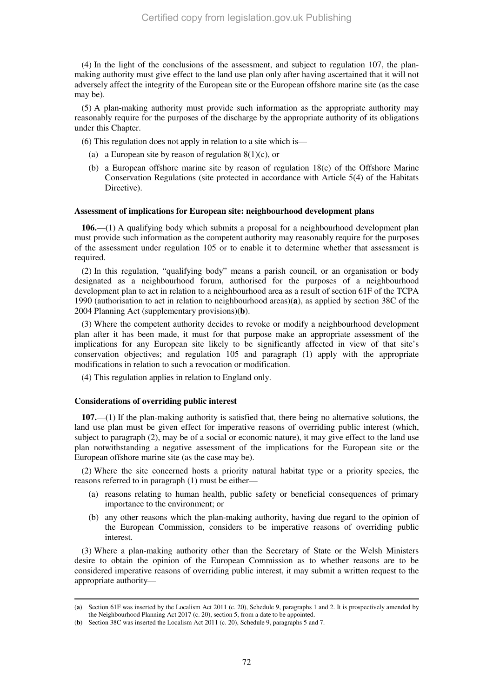(4) In the light of the conclusions of the assessment, and subject to regulation 107, the planmaking authority must give effect to the land use plan only after having ascertained that it will not adversely affect the integrity of the European site or the European offshore marine site (as the case may be).

(5) A plan-making authority must provide such information as the appropriate authority may reasonably require for the purposes of the discharge by the appropriate authority of its obligations under this Chapter.

- (6) This regulation does not apply in relation to a site which is—
	- (a) a European site by reason of regulation  $8(1)(c)$ , or
	- (b) a European offshore marine site by reason of regulation 18(c) of the Offshore Marine Conservation Regulations (site protected in accordance with Article 5(4) of the Habitats Directive).

#### **Assessment of implications for European site: neighbourhood development plans**

**106.**—(1) A qualifying body which submits a proposal for a neighbourhood development plan must provide such information as the competent authority may reasonably require for the purposes of the assessment under regulation 105 or to enable it to determine whether that assessment is required.

(2) In this regulation, "qualifying body" means a parish council, or an organisation or body designated as a neighbourhood forum, authorised for the purposes of a neighbourhood development plan to act in relation to a neighbourhood area as a result of section 61F of the TCPA 1990 (authorisation to act in relation to neighbourhood areas)(**a**), as applied by section 38C of the 2004 Planning Act (supplementary provisions)(**b**).

(3) Where the competent authority decides to revoke or modify a neighbourhood development plan after it has been made, it must for that purpose make an appropriate assessment of the implications for any European site likely to be significantly affected in view of that site's conservation objectives; and regulation 105 and paragraph (1) apply with the appropriate modifications in relation to such a revocation or modification.

(4) This regulation applies in relation to England only.

#### **Considerations of overriding public interest**

**107.**—(1) If the plan-making authority is satisfied that, there being no alternative solutions, the land use plan must be given effect for imperative reasons of overriding public interest (which, subject to paragraph (2), may be of a social or economic nature), it may give effect to the land use plan notwithstanding a negative assessment of the implications for the European site or the European offshore marine site (as the case may be).

(2) Where the site concerned hosts a priority natural habitat type or a priority species, the reasons referred to in paragraph (1) must be either—

- (a) reasons relating to human health, public safety or beneficial consequences of primary importance to the environment; or
- (b) any other reasons which the plan-making authority, having due regard to the opinion of the European Commission, considers to be imperative reasons of overriding public interest.

(3) Where a plan-making authority other than the Secretary of State or the Welsh Ministers desire to obtain the opinion of the European Commission as to whether reasons are to be considered imperative reasons of overriding public interest, it may submit a written request to the appropriate authority—

<sup>-</sup>(**a**) Section 61F was inserted by the Localism Act 2011 (c. 20), Schedule 9, paragraphs 1 and 2. It is prospectively amended by the Neighbourhood Planning Act 2017 (c. 20), section 5, from a date to be appointed.

<sup>(</sup>**b**) Section 38C was inserted the Localism Act 2011 (c. 20), Schedule 9, paragraphs 5 and 7.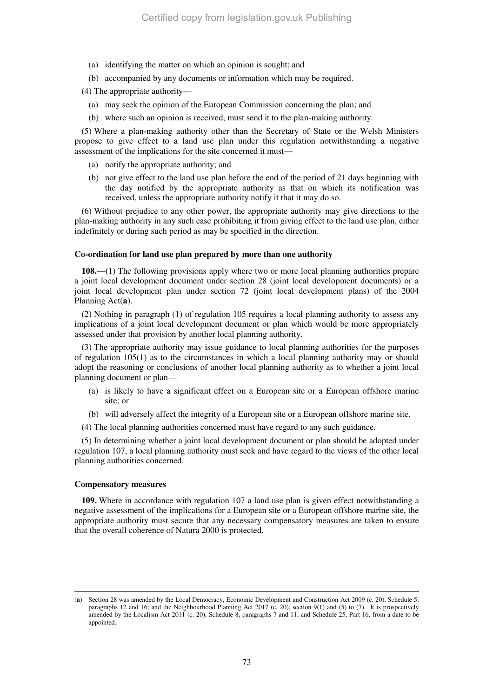- (a) identifying the matter on which an opinion is sought; and
- (b) accompanied by any documents or information which may be required.

(4) The appropriate authority—

- (a) may seek the opinion of the European Commission concerning the plan; and
- (b) where such an opinion is received, must send it to the plan-making authority.

(5) Where a plan-making authority other than the Secretary of State or the Welsh Ministers propose to give effect to a land use plan under this regulation notwithstanding a negative assessment of the implications for the site concerned it must—

- (a) notify the appropriate authority; and
- (b) not give effect to the land use plan before the end of the period of 21 days beginning with the day notified by the appropriate authority as that on which its notification was received, unless the appropriate authority notify it that it may do so.

(6) Without prejudice to any other power, the appropriate authority may give directions to the plan-making authority in any such case prohibiting it from giving effect to the land use plan, either indefinitely or during such period as may be specified in the direction.

#### **Co-ordination for land use plan prepared by more than one authority**

**108.**—(1) The following provisions apply where two or more local planning authorities prepare a joint local development document under section 28 (joint local development documents) or a joint local development plan under section 72 (joint local development plans) of the 2004 Planning Act(**a**).

(2) Nothing in paragraph (1) of regulation 105 requires a local planning authority to assess any implications of a joint local development document or plan which would be more appropriately assessed under that provision by another local planning authority.

(3) The appropriate authority may issue guidance to local planning authorities for the purposes of regulation 105(1) as to the circumstances in which a local planning authority may or should adopt the reasoning or conclusions of another local planning authority as to whether a joint local planning document or plan—

- (a) is likely to have a significant effect on a European site or a European offshore marine site; or
- (b) will adversely affect the integrity of a European site or a European offshore marine site.
- (4) The local planning authorities concerned must have regard to any such guidance.

(5) In determining whether a joint local development document or plan should be adopted under regulation 107, a local planning authority must seek and have regard to the views of the other local planning authorities concerned.

# **Compensatory measures**

-

**109.** Where in accordance with regulation 107 a land use plan is given effect notwithstanding a negative assessment of the implications for a European site or a European offshore marine site, the appropriate authority must secure that any necessary compensatory measures are taken to ensure that the overall coherence of Natura 2000 is protected.

<sup>(</sup>**a**) Section 28 was amended by the Local Democracy, Economic Development and Construction Act 2009 (c. 20), Schedule 5, paragraphs 12 and 16; and the Neighbourhood Planning Act 2017 (c. 20), section 9(1) and (5) to (7). It is prospectively amended by the Localism Act 2011 (c. 20), Schedule 8, paragraphs 7 and 11, and Schedule 25, Part 16, from a date to be appointed.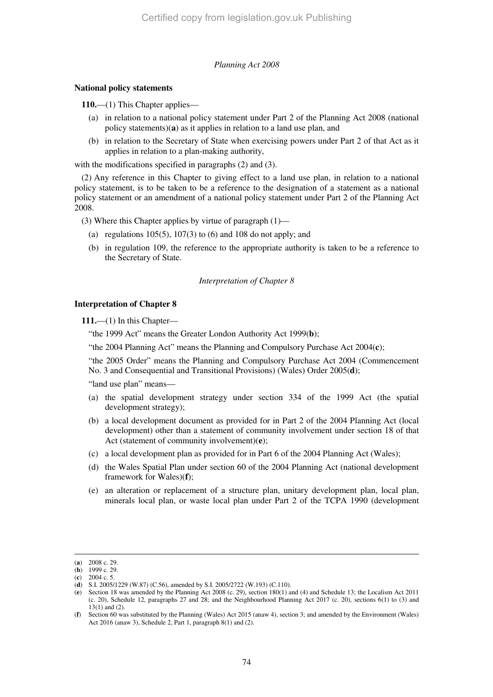# *Planning Act 2008*

### **National policy statements**

**110.**—(1) This Chapter applies—

- (a) in relation to a national policy statement under Part 2 of the Planning Act 2008 (national policy statements)(**a**) as it applies in relation to a land use plan, and
- (b) in relation to the Secretary of State when exercising powers under Part 2 of that Act as it applies in relation to a plan-making authority,

with the modifications specified in paragraphs (2) and (3).

(2) Any reference in this Chapter to giving effect to a land use plan, in relation to a national policy statement, is to be taken to be a reference to the designation of a statement as a national policy statement or an amendment of a national policy statement under Part 2 of the Planning Act 2008.

(3) Where this Chapter applies by virtue of paragraph (1)—

- (a) regulations  $105(5)$ ,  $107(3)$  to  $(6)$  and  $108$  do not apply; and
- (b) in regulation 109, the reference to the appropriate authority is taken to be a reference to the Secretary of State.

#### *Interpretation of Chapter 8*

#### **Interpretation of Chapter 8**

**111.**—(1) In this Chapter—

"the 1999 Act" means the Greater London Authority Act 1999(**b**);

"the 2004 Planning Act" means the Planning and Compulsory Purchase Act 2004(**c**);

"the 2005 Order" means the Planning and Compulsory Purchase Act 2004 (Commencement No. 3 and Consequential and Transitional Provisions) (Wales) Order 2005(**d**);

"land use plan" means—

- (a) the spatial development strategy under section 334 of the 1999 Act (the spatial development strategy);
- (b) a local development document as provided for in Part 2 of the 2004 Planning Act (local development) other than a statement of community involvement under section 18 of that Act (statement of community involvement)(**e**);
- (c) a local development plan as provided for in Part 6 of the 2004 Planning Act (Wales);
- (d) the Wales Spatial Plan under section 60 of the 2004 Planning Act (national development framework for Wales)(**f**);
- (e) an alteration or replacement of a structure plan, unitary development plan, local plan, minerals local plan, or waste local plan under Part 2 of the TCPA 1990 (development

<sup>(</sup>**a**) 2008 c. 29.

 $(b)$  1999 c. 29.

<sup>(</sup>**c**) 2004 c. 5.

<sup>(</sup>**d**) S.I. 2005/1229 (W.87) (C.56), amended by S.I. 2005/2722 (W.193) (C.110).

<sup>(</sup>**e**) Section 18 was amended by the Planning Act 2008 (c. 29), section 180(1) and (4) and Schedule 13; the Localism Act 2011 (c. 20), Schedule 12, paragraphs 27 and 28; and the Neighbourhood Planning Act 2017 (c. 20), sections 6(1) to (3) and 13(1) and (2).

<sup>(</sup>**f**) Section 60 was substituted by the Planning (Wales) Act 2015 (anaw 4), section 3; and amended by the Environment (Wales) Act 2016 (anaw 3), Schedule 2, Part 1, paragraph 8(1) and (2).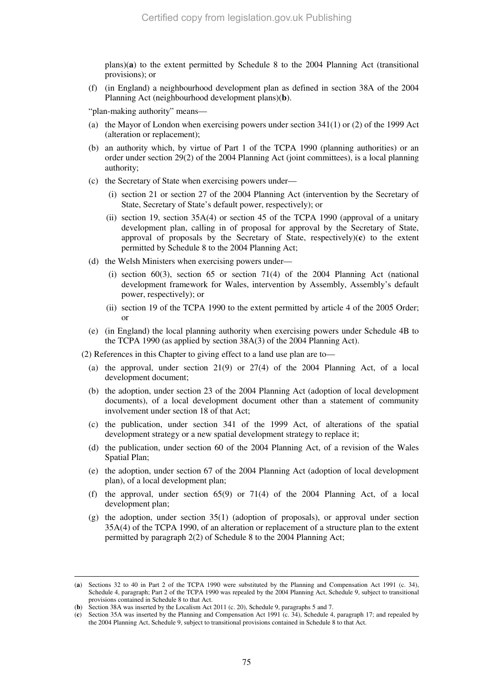plans)(**a**) to the extent permitted by Schedule 8 to the 2004 Planning Act (transitional provisions); or

(f) (in England) a neighbourhood development plan as defined in section 38A of the 2004 Planning Act (neighbourhood development plans)(**b**).

"plan-making authority" means—

- (a) the Mayor of London when exercising powers under section 341(1) or (2) of the 1999 Act (alteration or replacement);
- (b) an authority which, by virtue of Part 1 of the TCPA 1990 (planning authorities) or an order under section 29(2) of the 2004 Planning Act (joint committees), is a local planning authority;
- (c) the Secretary of State when exercising powers under—
	- (i) section 21 or section 27 of the 2004 Planning Act (intervention by the Secretary of State, Secretary of State's default power, respectively); or
	- (ii) section 19, section 35A(4) or section 45 of the TCPA 1990 (approval of a unitary development plan, calling in of proposal for approval by the Secretary of State, approval of proposals by the Secretary of State, respectively)(**c**) to the extent permitted by Schedule 8 to the 2004 Planning Act;
- (d) the Welsh Ministers when exercising powers under—
	- (i) section 60(3), section 65 or section 71(4) of the 2004 Planning Act (national development framework for Wales, intervention by Assembly, Assembly's default power, respectively); or
	- (ii) section 19 of the TCPA 1990 to the extent permitted by article 4 of the 2005 Order; or
- (e) (in England) the local planning authority when exercising powers under Schedule 4B to the TCPA 1990 (as applied by section 38A(3) of the 2004 Planning Act).

(2) References in this Chapter to giving effect to a land use plan are to—

- (a) the approval, under section  $21(9)$  or  $27(4)$  of the 2004 Planning Act, of a local development document;
- (b) the adoption, under section 23 of the 2004 Planning Act (adoption of local development documents), of a local development document other than a statement of community involvement under section 18 of that Act;
- (c) the publication, under section 341 of the 1999 Act, of alterations of the spatial development strategy or a new spatial development strategy to replace it;
- (d) the publication, under section 60 of the 2004 Planning Act, of a revision of the Wales Spatial Plan;
- (e) the adoption, under section 67 of the 2004 Planning Act (adoption of local development plan), of a local development plan;
- (f) the approval, under section  $65(9)$  or  $71(4)$  of the 2004 Planning Act, of a local development plan;
- (g) the adoption, under section 35(1) (adoption of proposals), or approval under section 35A(4) of the TCPA 1990, of an alteration or replacement of a structure plan to the extent permitted by paragraph 2(2) of Schedule 8 to the 2004 Planning Act;

<sup>(</sup>**a**) Sections 32 to 40 in Part 2 of the TCPA 1990 were substituted by the Planning and Compensation Act 1991 (c. 34), Schedule 4, paragraph; Part 2 of the TCPA 1990 was repealed by the 2004 Planning Act, Schedule 9, subject to transitional provisions contained in Schedule 8 to that Act.

<sup>(</sup>**b**) Section 38A was inserted by the Localism Act 2011 (c. 20), Schedule 9, paragraphs 5 and 7.

<sup>(</sup>**c**) Section 35A was inserted by the Planning and Compensation Act 1991 (c. 34), Schedule 4, paragraph 17; and repealed by the 2004 Planning Act, Schedule 9, subject to transitional provisions contained in Schedule 8 to that Act.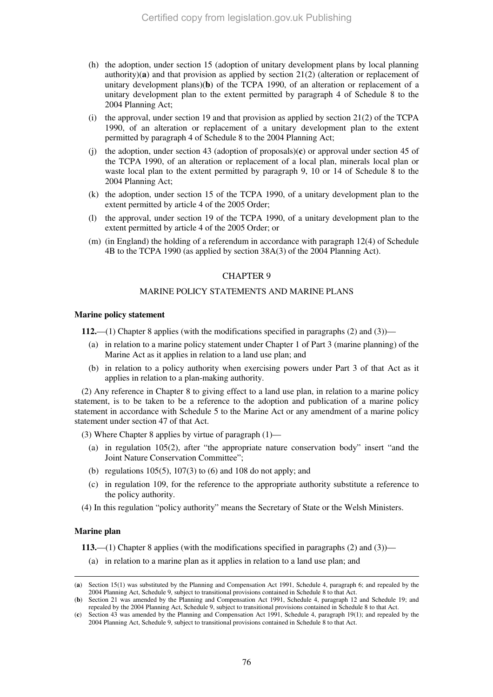- (h) the adoption, under section 15 (adoption of unitary development plans by local planning authority)(a) and that provision as applied by section  $21(2)$  (alteration or replacement of unitary development plans)(**b**) of the TCPA 1990, of an alteration or replacement of a unitary development plan to the extent permitted by paragraph 4 of Schedule 8 to the 2004 Planning Act;
- (i) the approval, under section 19 and that provision as applied by section  $21(2)$  of the TCPA 1990, of an alteration or replacement of a unitary development plan to the extent permitted by paragraph 4 of Schedule 8 to the 2004 Planning Act;
- (j) the adoption, under section 43 (adoption of proposals)(**c**) or approval under section 45 of the TCPA 1990, of an alteration or replacement of a local plan, minerals local plan or waste local plan to the extent permitted by paragraph 9, 10 or 14 of Schedule 8 to the 2004 Planning Act;
- (k) the adoption, under section 15 of the TCPA 1990, of a unitary development plan to the extent permitted by article 4 of the 2005 Order;
- (l) the approval, under section 19 of the TCPA 1990, of a unitary development plan to the extent permitted by article 4 of the 2005 Order; or
- (m) (in England) the holding of a referendum in accordance with paragraph 12(4) of Schedule 4B to the TCPA 1990 (as applied by section 38A(3) of the 2004 Planning Act).

# CHAPTER 9

# MARINE POLICY STATEMENTS AND MARINE PLANS

#### **Marine policy statement**

**112.**—(1) Chapter 8 applies (with the modifications specified in paragraphs (2) and (3))—

- (a) in relation to a marine policy statement under Chapter 1 of Part 3 (marine planning) of the Marine Act as it applies in relation to a land use plan; and
- (b) in relation to a policy authority when exercising powers under Part 3 of that Act as it applies in relation to a plan-making authority.

(2) Any reference in Chapter 8 to giving effect to a land use plan, in relation to a marine policy statement, is to be taken to be a reference to the adoption and publication of a marine policy statement in accordance with Schedule 5 to the Marine Act or any amendment of a marine policy statement under section 47 of that Act.

(3) Where Chapter 8 applies by virtue of paragraph (1)—

- (a) in regulation 105(2), after "the appropriate nature conservation body" insert "and the Joint Nature Conservation Committee";
- (b) regulations  $105(5)$ ,  $107(3)$  to  $(6)$  and  $108$  do not apply; and
- (c) in regulation 109, for the reference to the appropriate authority substitute a reference to the policy authority.
- (4) In this regulation "policy authority" means the Secretary of State or the Welsh Ministers.

#### **Marine plan**

-

**113.**—(1) Chapter 8 applies (with the modifications specified in paragraphs (2) and (3))—

(a) in relation to a marine plan as it applies in relation to a land use plan; and

<sup>(</sup>**a**) Section 15(1) was substituted by the Planning and Compensation Act 1991, Schedule 4, paragraph 6; and repealed by the 2004 Planning Act, Schedule 9, subject to transitional provisions contained in Schedule 8 to that Act.

<sup>(</sup>**b**) Section 21 was amended by the Planning and Compensation Act 1991, Schedule 4, paragraph 12 and Schedule 19; and repealed by the 2004 Planning Act, Schedule 9, subject to transitional provisions contained in Schedule 8 to that Act.

<sup>(</sup>**c**) Section 43 was amended by the Planning and Compensation Act 1991, Schedule 4, paragraph 19(1); and repealed by the 2004 Planning Act, Schedule 9, subject to transitional provisions contained in Schedule 8 to that Act.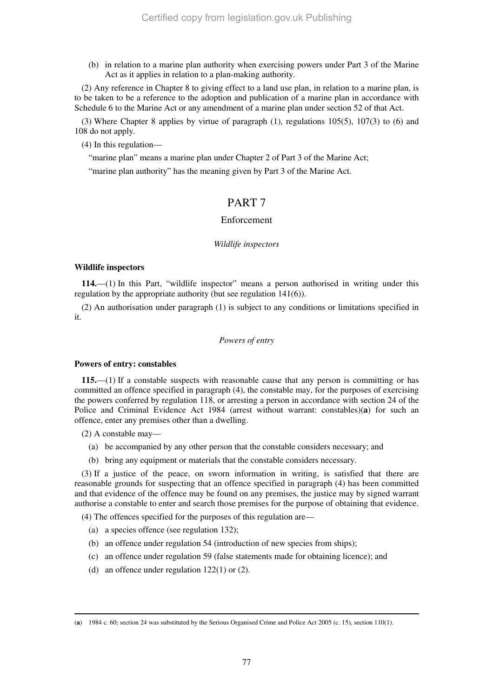(b) in relation to a marine plan authority when exercising powers under Part 3 of the Marine Act as it applies in relation to a plan-making authority.

(2) Any reference in Chapter 8 to giving effect to a land use plan, in relation to a marine plan, is to be taken to be a reference to the adoption and publication of a marine plan in accordance with Schedule 6 to the Marine Act or any amendment of a marine plan under section 52 of that Act.

(3) Where Chapter 8 applies by virtue of paragraph (1), regulations 105(5), 107(3) to (6) and 108 do not apply.

(4) In this regulation—

"marine plan" means a marine plan under Chapter 2 of Part 3 of the Marine Act;

"marine plan authority" has the meaning given by Part 3 of the Marine Act.

# PART 7

# Enforcement

# *Wildlife inspectors*

# **Wildlife inspectors**

**114.**—(1) In this Part, "wildlife inspector" means a person authorised in writing under this regulation by the appropriate authority (but see regulation 141(6)).

(2) An authorisation under paragraph (1) is subject to any conditions or limitations specified in it.

# *Powers of entry*

# **Powers of entry: constables**

**115.**—(1) If a constable suspects with reasonable cause that any person is committing or has committed an offence specified in paragraph (4), the constable may, for the purposes of exercising the powers conferred by regulation 118, or arresting a person in accordance with section 24 of the Police and Criminal Evidence Act 1984 (arrest without warrant: constables)(**a**) for such an offence, enter any premises other than a dwelling.

(2) A constable may—

-

- (a) be accompanied by any other person that the constable considers necessary; and
- (b) bring any equipment or materials that the constable considers necessary.

(3) If a justice of the peace, on sworn information in writing, is satisfied that there are reasonable grounds for suspecting that an offence specified in paragraph (4) has been committed and that evidence of the offence may be found on any premises, the justice may by signed warrant authorise a constable to enter and search those premises for the purpose of obtaining that evidence.

(4) The offences specified for the purposes of this regulation are—

- (a) a species offence (see regulation 132);
- (b) an offence under regulation 54 (introduction of new species from ships);
- (c) an offence under regulation 59 (false statements made for obtaining licence); and
- (d) an offence under regulation 122(1) or (2).

<sup>(</sup>**a**) 1984 c. 60; section 24 was substituted by the Serious Organised Crime and Police Act 2005 (c. 15), section 110(1).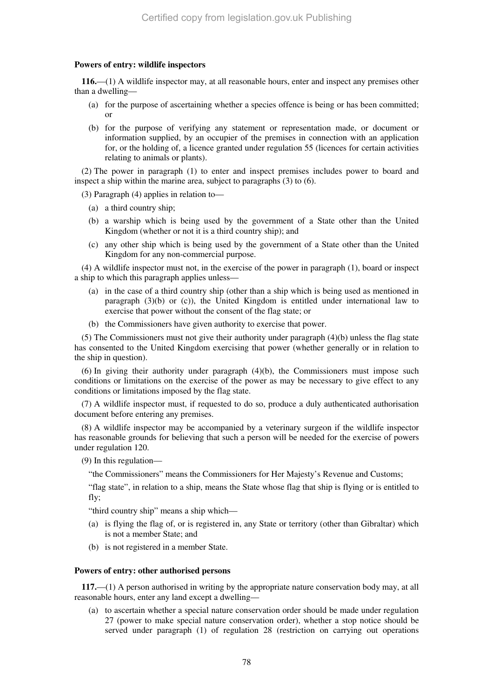# **Powers of entry: wildlife inspectors**

**116.**—(1) A wildlife inspector may, at all reasonable hours, enter and inspect any premises other than a dwelling—

- (a) for the purpose of ascertaining whether a species offence is being or has been committed; or
- (b) for the purpose of verifying any statement or representation made, or document or information supplied, by an occupier of the premises in connection with an application for, or the holding of, a licence granted under regulation 55 (licences for certain activities relating to animals or plants).

(2) The power in paragraph (1) to enter and inspect premises includes power to board and inspect a ship within the marine area, subject to paragraphs (3) to (6).

(3) Paragraph (4) applies in relation to—

- (a) a third country ship;
- (b) a warship which is being used by the government of a State other than the United Kingdom (whether or not it is a third country ship); and
- (c) any other ship which is being used by the government of a State other than the United Kingdom for any non-commercial purpose.

(4) A wildlife inspector must not, in the exercise of the power in paragraph (1), board or inspect a ship to which this paragraph applies unless—

- (a) in the case of a third country ship (other than a ship which is being used as mentioned in paragraph  $(3)(b)$  or  $(c)$ ), the United Kingdom is entitled under international law to exercise that power without the consent of the flag state; or
- (b) the Commissioners have given authority to exercise that power.

(5) The Commissioners must not give their authority under paragraph (4)(b) unless the flag state has consented to the United Kingdom exercising that power (whether generally or in relation to the ship in question).

(6) In giving their authority under paragraph (4)(b), the Commissioners must impose such conditions or limitations on the exercise of the power as may be necessary to give effect to any conditions or limitations imposed by the flag state.

(7) A wildlife inspector must, if requested to do so, produce a duly authenticated authorisation document before entering any premises.

(8) A wildlife inspector may be accompanied by a veterinary surgeon if the wildlife inspector has reasonable grounds for believing that such a person will be needed for the exercise of powers under regulation 120.

(9) In this regulation—

"the Commissioners" means the Commissioners for Her Majesty's Revenue and Customs;

"flag state", in relation to a ship, means the State whose flag that ship is flying or is entitled to fly;

"third country ship" means a ship which—

- (a) is flying the flag of, or is registered in, any State or territory (other than Gibraltar) which is not a member State; and
- (b) is not registered in a member State.

# **Powers of entry: other authorised persons**

**117.**—(1) A person authorised in writing by the appropriate nature conservation body may, at all reasonable hours, enter any land except a dwelling—

(a) to ascertain whether a special nature conservation order should be made under regulation 27 (power to make special nature conservation order), whether a stop notice should be served under paragraph (1) of regulation 28 (restriction on carrying out operations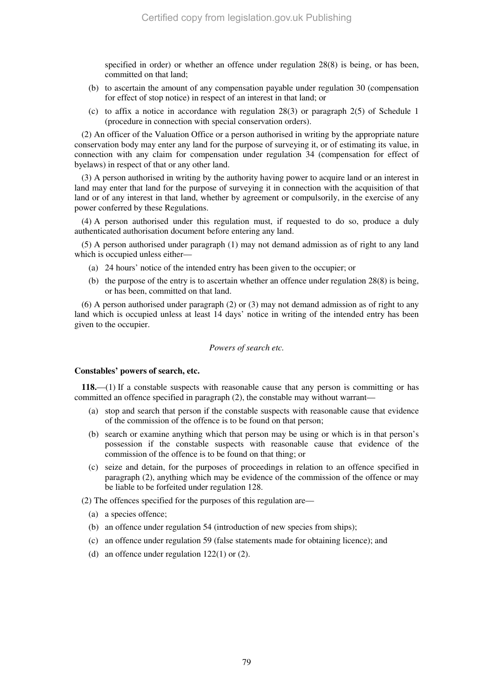specified in order) or whether an offence under regulation 28(8) is being, or has been, committed on that land;

- (b) to ascertain the amount of any compensation payable under regulation 30 (compensation for effect of stop notice) in respect of an interest in that land; or
- (c) to affix a notice in accordance with regulation 28(3) or paragraph 2(5) of Schedule 1 (procedure in connection with special conservation orders).

(2) An officer of the Valuation Office or a person authorised in writing by the appropriate nature conservation body may enter any land for the purpose of surveying it, or of estimating its value, in connection with any claim for compensation under regulation 34 (compensation for effect of byelaws) in respect of that or any other land.

(3) A person authorised in writing by the authority having power to acquire land or an interest in land may enter that land for the purpose of surveying it in connection with the acquisition of that land or of any interest in that land, whether by agreement or compulsorily, in the exercise of any power conferred by these Regulations.

(4) A person authorised under this regulation must, if requested to do so, produce a duly authenticated authorisation document before entering any land.

(5) A person authorised under paragraph (1) may not demand admission as of right to any land which is occupied unless either—

- (a) 24 hours' notice of the intended entry has been given to the occupier; or
- (b) the purpose of the entry is to ascertain whether an offence under regulation 28(8) is being, or has been, committed on that land.

(6) A person authorised under paragraph (2) or (3) may not demand admission as of right to any land which is occupied unless at least 14 days' notice in writing of the intended entry has been given to the occupier.

#### *Powers of search etc.*

#### **Constables' powers of search, etc.**

**118.**—(1) If a constable suspects with reasonable cause that any person is committing or has committed an offence specified in paragraph (2), the constable may without warrant—

- (a) stop and search that person if the constable suspects with reasonable cause that evidence of the commission of the offence is to be found on that person;
- (b) search or examine anything which that person may be using or which is in that person's possession if the constable suspects with reasonable cause that evidence of the commission of the offence is to be found on that thing; or
- (c) seize and detain, for the purposes of proceedings in relation to an offence specified in paragraph (2), anything which may be evidence of the commission of the offence or may be liable to be forfeited under regulation 128.

(2) The offences specified for the purposes of this regulation are—

- (a) a species offence;
- (b) an offence under regulation 54 (introduction of new species from ships);
- (c) an offence under regulation 59 (false statements made for obtaining licence); and
- (d) an offence under regulation 122(1) or (2).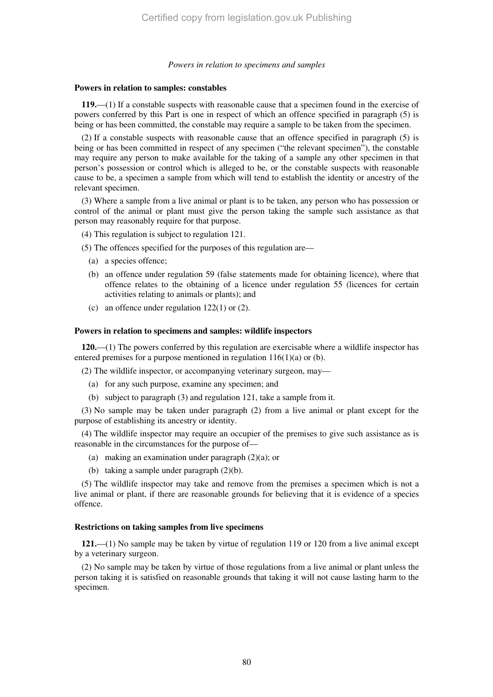#### *Powers in relation to specimens and samples*

#### **Powers in relation to samples: constables**

**119.**—(1) If a constable suspects with reasonable cause that a specimen found in the exercise of powers conferred by this Part is one in respect of which an offence specified in paragraph (5) is being or has been committed, the constable may require a sample to be taken from the specimen.

(2) If a constable suspects with reasonable cause that an offence specified in paragraph (5) is being or has been committed in respect of any specimen ("the relevant specimen"), the constable may require any person to make available for the taking of a sample any other specimen in that person's possession or control which is alleged to be, or the constable suspects with reasonable cause to be, a specimen a sample from which will tend to establish the identity or ancestry of the relevant specimen.

(3) Where a sample from a live animal or plant is to be taken, any person who has possession or control of the animal or plant must give the person taking the sample such assistance as that person may reasonably require for that purpose.

(4) This regulation is subject to regulation 121.

(5) The offences specified for the purposes of this regulation are—

- (a) a species offence;
- (b) an offence under regulation 59 (false statements made for obtaining licence), where that offence relates to the obtaining of a licence under regulation 55 (licences for certain activities relating to animals or plants); and
- (c) an offence under regulation 122(1) or (2).

#### **Powers in relation to specimens and samples: wildlife inspectors**

**120.**—(1) The powers conferred by this regulation are exercisable where a wildlife inspector has entered premises for a purpose mentioned in regulation 116(1)(a) or (b).

(2) The wildlife inspector, or accompanying veterinary surgeon, may—

- (a) for any such purpose, examine any specimen; and
- (b) subject to paragraph (3) and regulation 121, take a sample from it.

(3) No sample may be taken under paragraph (2) from a live animal or plant except for the purpose of establishing its ancestry or identity.

(4) The wildlife inspector may require an occupier of the premises to give such assistance as is reasonable in the circumstances for the purpose of—

- (a) making an examination under paragraph (2)(a); or
- (b) taking a sample under paragraph (2)(b).

(5) The wildlife inspector may take and remove from the premises a specimen which is not a live animal or plant, if there are reasonable grounds for believing that it is evidence of a species offence.

#### **Restrictions on taking samples from live specimens**

**121.**—(1) No sample may be taken by virtue of regulation 119 or 120 from a live animal except by a veterinary surgeon.

(2) No sample may be taken by virtue of those regulations from a live animal or plant unless the person taking it is satisfied on reasonable grounds that taking it will not cause lasting harm to the specimen.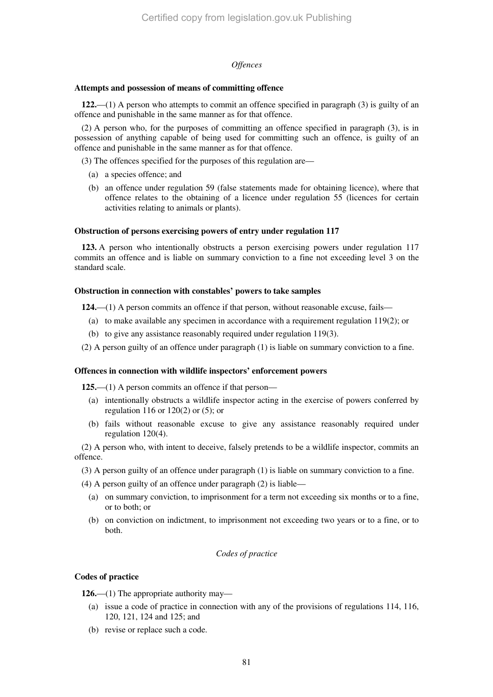# *Offences*

# **Attempts and possession of means of committing offence**

**122.**—(1) A person who attempts to commit an offence specified in paragraph (3) is guilty of an offence and punishable in the same manner as for that offence.

(2) A person who, for the purposes of committing an offence specified in paragraph (3), is in possession of anything capable of being used for committing such an offence, is guilty of an offence and punishable in the same manner as for that offence.

(3) The offences specified for the purposes of this regulation are—

- (a) a species offence; and
- (b) an offence under regulation 59 (false statements made for obtaining licence), where that offence relates to the obtaining of a licence under regulation 55 (licences for certain activities relating to animals or plants).

# **Obstruction of persons exercising powers of entry under regulation 117**

**123.** A person who intentionally obstructs a person exercising powers under regulation 117 commits an offence and is liable on summary conviction to a fine not exceeding level 3 on the standard scale.

#### **Obstruction in connection with constables' powers to take samples**

**124.**—(1) A person commits an offence if that person, without reasonable excuse, fails—

- (a) to make available any specimen in accordance with a requirement regulation  $119(2)$ ; or
- (b) to give any assistance reasonably required under regulation 119(3).

(2) A person guilty of an offence under paragraph (1) is liable on summary conviction to a fine.

# **Offences in connection with wildlife inspectors' enforcement powers**

**125.**—(1) A person commits an offence if that person—

- (a) intentionally obstructs a wildlife inspector acting in the exercise of powers conferred by regulation 116 or 120(2) or (5); or
- (b) fails without reasonable excuse to give any assistance reasonably required under regulation 120(4).

(2) A person who, with intent to deceive, falsely pretends to be a wildlife inspector, commits an offence.

- (3) A person guilty of an offence under paragraph (1) is liable on summary conviction to a fine.
- (4) A person guilty of an offence under paragraph (2) is liable—
	- (a) on summary conviction, to imprisonment for a term not exceeding six months or to a fine, or to both; or
	- (b) on conviction on indictment, to imprisonment not exceeding two years or to a fine, or to both.

# *Codes of practice*

# **Codes of practice**

**126.**—(1) The appropriate authority may—

- (a) issue a code of practice in connection with any of the provisions of regulations 114, 116, 120, 121, 124 and 125; and
- (b) revise or replace such a code.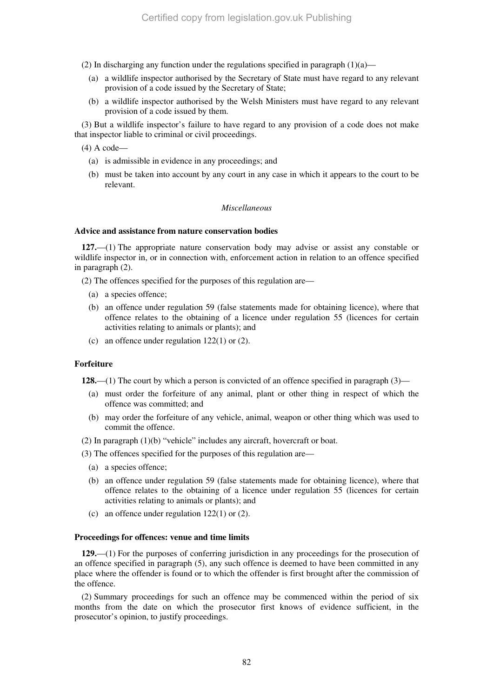(2) In discharging any function under the regulations specified in paragraph  $(1)(a)$ —

- (a) a wildlife inspector authorised by the Secretary of State must have regard to any relevant provision of a code issued by the Secretary of State;
- (b) a wildlife inspector authorised by the Welsh Ministers must have regard to any relevant provision of a code issued by them.

(3) But a wildlife inspector's failure to have regard to any provision of a code does not make that inspector liable to criminal or civil proceedings.

(4) A code—

- (a) is admissible in evidence in any proceedings; and
- (b) must be taken into account by any court in any case in which it appears to the court to be relevant.

# *Miscellaneous*

# **Advice and assistance from nature conservation bodies**

**127.**—(1) The appropriate nature conservation body may advise or assist any constable or wildlife inspector in, or in connection with, enforcement action in relation to an offence specified in paragraph (2).

(2) The offences specified for the purposes of this regulation are—

- (a) a species offence;
- (b) an offence under regulation 59 (false statements made for obtaining licence), where that offence relates to the obtaining of a licence under regulation 55 (licences for certain activities relating to animals or plants); and
- (c) an offence under regulation 122(1) or (2).

#### **Forfeiture**

**128.**—(1) The court by which a person is convicted of an offence specified in paragraph (3)—

- (a) must order the forfeiture of any animal, plant or other thing in respect of which the offence was committed; and
- (b) may order the forfeiture of any vehicle, animal, weapon or other thing which was used to commit the offence.
- (2) In paragraph (1)(b) "vehicle" includes any aircraft, hovercraft or boat.

(3) The offences specified for the purposes of this regulation are—

- (a) a species offence;
- (b) an offence under regulation 59 (false statements made for obtaining licence), where that offence relates to the obtaining of a licence under regulation 55 (licences for certain activities relating to animals or plants); and
- (c) an offence under regulation 122(1) or (2).

#### **Proceedings for offences: venue and time limits**

**129.**—(1) For the purposes of conferring jurisdiction in any proceedings for the prosecution of an offence specified in paragraph (5), any such offence is deemed to have been committed in any place where the offender is found or to which the offender is first brought after the commission of the offence.

(2) Summary proceedings for such an offence may be commenced within the period of six months from the date on which the prosecutor first knows of evidence sufficient, in the prosecutor's opinion, to justify proceedings.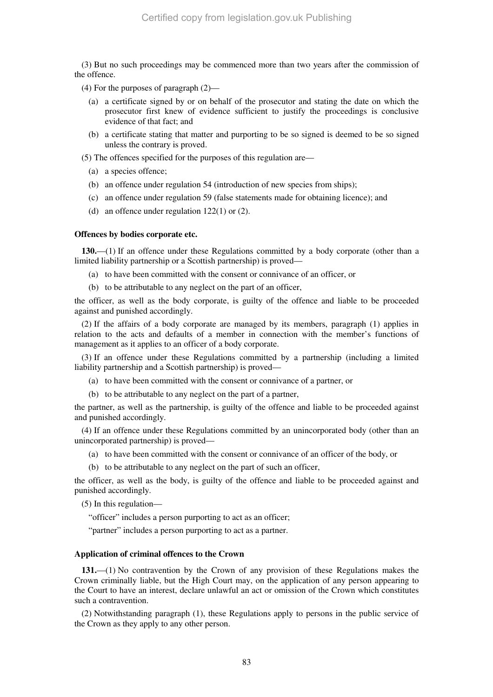(3) But no such proceedings may be commenced more than two years after the commission of the offence.

(4) For the purposes of paragraph (2)—

- (a) a certificate signed by or on behalf of the prosecutor and stating the date on which the prosecutor first knew of evidence sufficient to justify the proceedings is conclusive evidence of that fact; and
- (b) a certificate stating that matter and purporting to be so signed is deemed to be so signed unless the contrary is proved.
- (5) The offences specified for the purposes of this regulation are—
	- (a) a species offence;
	- (b) an offence under regulation 54 (introduction of new species from ships);
	- (c) an offence under regulation 59 (false statements made for obtaining licence); and
	- (d) an offence under regulation 122(1) or (2).

#### **Offences by bodies corporate etc.**

**130.**—(1) If an offence under these Regulations committed by a body corporate (other than a limited liability partnership or a Scottish partnership) is proved—

- (a) to have been committed with the consent or connivance of an officer, or
- (b) to be attributable to any neglect on the part of an officer,

the officer, as well as the body corporate, is guilty of the offence and liable to be proceeded against and punished accordingly.

(2) If the affairs of a body corporate are managed by its members, paragraph (1) applies in relation to the acts and defaults of a member in connection with the member's functions of management as it applies to an officer of a body corporate.

(3) If an offence under these Regulations committed by a partnership (including a limited liability partnership and a Scottish partnership) is proved—

- (a) to have been committed with the consent or connivance of a partner, or
- (b) to be attributable to any neglect on the part of a partner,

the partner, as well as the partnership, is guilty of the offence and liable to be proceeded against and punished accordingly.

(4) If an offence under these Regulations committed by an unincorporated body (other than an unincorporated partnership) is proved—

- (a) to have been committed with the consent or connivance of an officer of the body, or
- (b) to be attributable to any neglect on the part of such an officer,

the officer, as well as the body, is guilty of the offence and liable to be proceeded against and punished accordingly.

(5) In this regulation—

"officer" includes a person purporting to act as an officer;

"partner" includes a person purporting to act as a partner.

# **Application of criminal offences to the Crown**

**131.**—(1) No contravention by the Crown of any provision of these Regulations makes the Crown criminally liable, but the High Court may, on the application of any person appearing to the Court to have an interest, declare unlawful an act or omission of the Crown which constitutes such a contravention.

(2) Notwithstanding paragraph (1), these Regulations apply to persons in the public service of the Crown as they apply to any other person.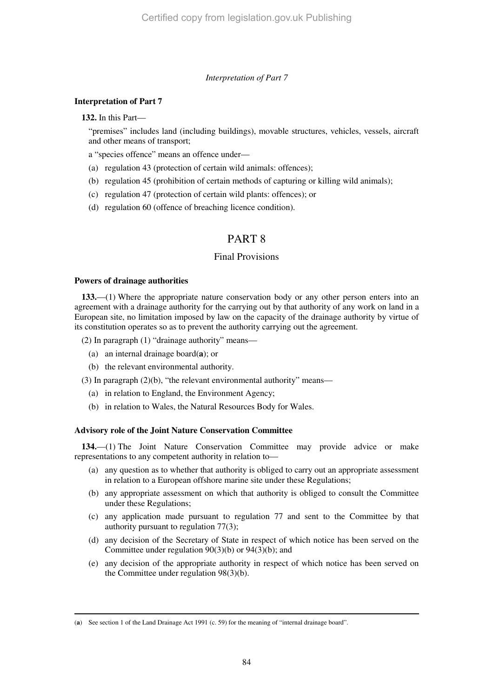# *Interpretation of Part 7*

# **Interpretation of Part 7**

**132.** In this Part—

"premises" includes land (including buildings), movable structures, vehicles, vessels, aircraft and other means of transport;

a "species offence" means an offence under—

- (a) regulation 43 (protection of certain wild animals: offences);
- (b) regulation 45 (prohibition of certain methods of capturing or killing wild animals);
- (c) regulation 47 (protection of certain wild plants: offences); or
- (d) regulation 60 (offence of breaching licence condition).

# PART 8

# Final Provisions

# **Powers of drainage authorities**

-

**133.**—(1) Where the appropriate nature conservation body or any other person enters into an agreement with a drainage authority for the carrying out by that authority of any work on land in a European site, no limitation imposed by law on the capacity of the drainage authority by virtue of its constitution operates so as to prevent the authority carrying out the agreement.

(2) In paragraph (1) "drainage authority" means—

- (a) an internal drainage board(**a**); or
- (b) the relevant environmental authority.

(3) In paragraph  $(2)(b)$ , "the relevant environmental authority" means—

- (a) in relation to England, the Environment Agency;
- (b) in relation to Wales, the Natural Resources Body for Wales.

# **Advisory role of the Joint Nature Conservation Committee**

**134.**—(1) The Joint Nature Conservation Committee may provide advice or make representations to any competent authority in relation to—

- (a) any question as to whether that authority is obliged to carry out an appropriate assessment in relation to a European offshore marine site under these Regulations;
- (b) any appropriate assessment on which that authority is obliged to consult the Committee under these Regulations;
- (c) any application made pursuant to regulation 77 and sent to the Committee by that authority pursuant to regulation 77(3);
- (d) any decision of the Secretary of State in respect of which notice has been served on the Committee under regulation 90(3)(b) or 94(3)(b); and
- (e) any decision of the appropriate authority in respect of which notice has been served on the Committee under regulation 98(3)(b).

<sup>(</sup>**a**) See section 1 of the Land Drainage Act 1991 (c. 59) for the meaning of "internal drainage board".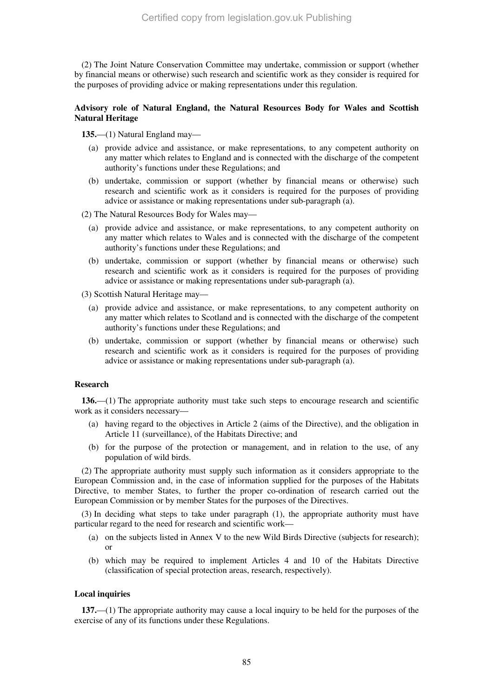(2) The Joint Nature Conservation Committee may undertake, commission or support (whether by financial means or otherwise) such research and scientific work as they consider is required for the purposes of providing advice or making representations under this regulation.

# **Advisory role of Natural England, the Natural Resources Body for Wales and Scottish Natural Heritage**

**135.**—(1) Natural England may—

- (a) provide advice and assistance, or make representations, to any competent authority on any matter which relates to England and is connected with the discharge of the competent authority's functions under these Regulations; and
- (b) undertake, commission or support (whether by financial means or otherwise) such research and scientific work as it considers is required for the purposes of providing advice or assistance or making representations under sub-paragraph (a).
- (2) The Natural Resources Body for Wales may—
	- (a) provide advice and assistance, or make representations, to any competent authority on any matter which relates to Wales and is connected with the discharge of the competent authority's functions under these Regulations; and
	- (b) undertake, commission or support (whether by financial means or otherwise) such research and scientific work as it considers is required for the purposes of providing advice or assistance or making representations under sub-paragraph (a).

(3) Scottish Natural Heritage may—

- (a) provide advice and assistance, or make representations, to any competent authority on any matter which relates to Scotland and is connected with the discharge of the competent authority's functions under these Regulations; and
- (b) undertake, commission or support (whether by financial means or otherwise) such research and scientific work as it considers is required for the purposes of providing advice or assistance or making representations under sub-paragraph (a).

# **Research**

**136.**—(1) The appropriate authority must take such steps to encourage research and scientific work as it considers necessary—

- (a) having regard to the objectives in Article 2 (aims of the Directive), and the obligation in Article 11 (surveillance), of the Habitats Directive; and
- (b) for the purpose of the protection or management, and in relation to the use, of any population of wild birds.

(2) The appropriate authority must supply such information as it considers appropriate to the European Commission and, in the case of information supplied for the purposes of the Habitats Directive, to member States, to further the proper co-ordination of research carried out the European Commission or by member States for the purposes of the Directives.

(3) In deciding what steps to take under paragraph (1), the appropriate authority must have particular regard to the need for research and scientific work—

- (a) on the subjects listed in Annex V to the new Wild Birds Directive (subjects for research); or
- (b) which may be required to implement Articles 4 and 10 of the Habitats Directive (classification of special protection areas, research, respectively).

# **Local inquiries**

**137.**—(1) The appropriate authority may cause a local inquiry to be held for the purposes of the exercise of any of its functions under these Regulations.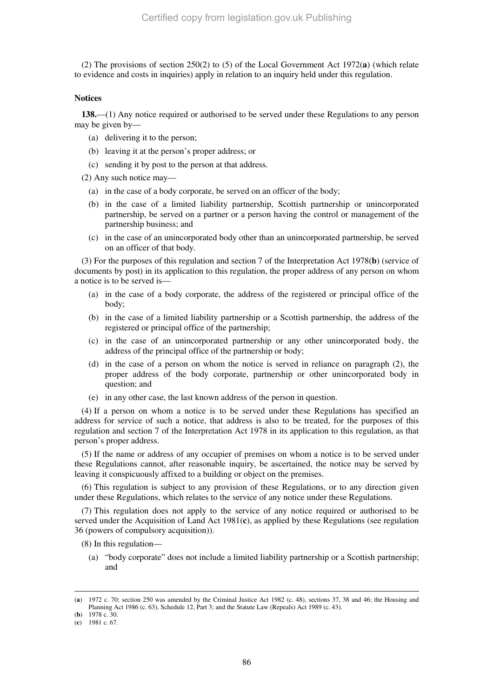(2) The provisions of section 250(2) to (5) of the Local Government Act 1972(**a**) (which relate to evidence and costs in inquiries) apply in relation to an inquiry held under this regulation.

#### **Notices**

**138.**—(1) Any notice required or authorised to be served under these Regulations to any person may be given by—

- (a) delivering it to the person;
- (b) leaving it at the person's proper address; or
- (c) sending it by post to the person at that address.

(2) Any such notice may—

- (a) in the case of a body corporate, be served on an officer of the body;
- (b) in the case of a limited liability partnership, Scottish partnership or unincorporated partnership, be served on a partner or a person having the control or management of the partnership business; and
- (c) in the case of an unincorporated body other than an unincorporated partnership, be served on an officer of that body.

(3) For the purposes of this regulation and section 7 of the Interpretation Act 1978(**b**) (service of documents by post) in its application to this regulation, the proper address of any person on whom a notice is to be served is—

- (a) in the case of a body corporate, the address of the registered or principal office of the body;
- (b) in the case of a limited liability partnership or a Scottish partnership, the address of the registered or principal office of the partnership;
- (c) in the case of an unincorporated partnership or any other unincorporated body, the address of the principal office of the partnership or body;
- (d) in the case of a person on whom the notice is served in reliance on paragraph (2), the proper address of the body corporate, partnership or other unincorporated body in question; and
- (e) in any other case, the last known address of the person in question.

(4) If a person on whom a notice is to be served under these Regulations has specified an address for service of such a notice, that address is also to be treated, for the purposes of this regulation and section 7 of the Interpretation Act 1978 in its application to this regulation, as that person's proper address.

(5) If the name or address of any occupier of premises on whom a notice is to be served under these Regulations cannot, after reasonable inquiry, be ascertained, the notice may be served by leaving it conspicuously affixed to a building or object on the premises.

(6) This regulation is subject to any provision of these Regulations, or to any direction given under these Regulations, which relates to the service of any notice under these Regulations.

(7) This regulation does not apply to the service of any notice required or authorised to be served under the Acquisition of Land Act 1981(**c**), as applied by these Regulations (see regulation 36 (powers of compulsory acquisition)).

- (8) In this regulation—
	- (a) "body corporate" does not include a limited liability partnership or a Scottish partnership; and

<sup>(</sup>**a**) 1972 c. 70; section 250 was amended by the Criminal Justice Act 1982 (c. 48), sections 37, 38 and 46; the Housing and Planning Act 1986 (c. 63), Schedule 12, Part 3; and the Statute Law (Repeals) Act 1989 (c. 43).

<sup>(</sup>**b**) 1978 c. 30.

<sup>(</sup>**c**) 1981 c. 67.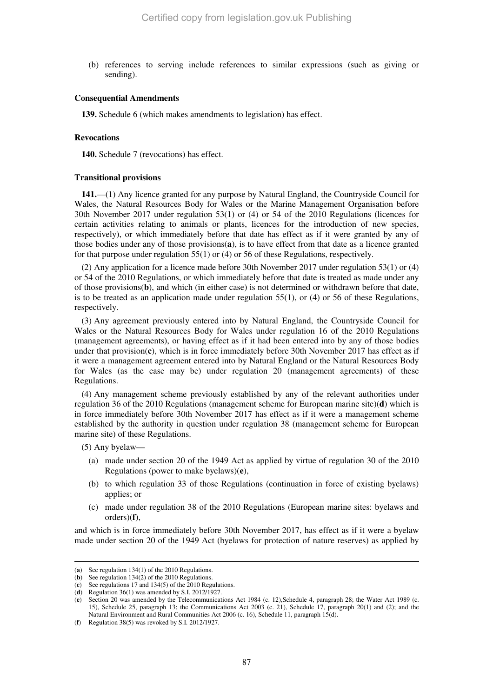(b) references to serving include references to similar expressions (such as giving or sending).

#### **Consequential Amendments**

**139.** Schedule 6 (which makes amendments to legislation) has effect.

#### **Revocations**

**140.** Schedule 7 (revocations) has effect.

#### **Transitional provisions**

**141.**—(1) Any licence granted for any purpose by Natural England, the Countryside Council for Wales, the Natural Resources Body for Wales or the Marine Management Organisation before 30th November 2017 under regulation 53(1) or (4) or 54 of the 2010 Regulations (licences for certain activities relating to animals or plants, licences for the introduction of new species, respectively), or which immediately before that date has effect as if it were granted by any of those bodies under any of those provisions(**a**), is to have effect from that date as a licence granted for that purpose under regulation 55(1) or (4) or 56 of these Regulations, respectively.

(2) Any application for a licence made before 30th November 2017 under regulation 53(1) or (4) or 54 of the 2010 Regulations, or which immediately before that date is treated as made under any of those provisions(**b**), and which (in either case) is not determined or withdrawn before that date, is to be treated as an application made under regulation  $55(1)$ , or  $(4)$  or  $56$  of these Regulations, respectively.

(3) Any agreement previously entered into by Natural England, the Countryside Council for Wales or the Natural Resources Body for Wales under regulation 16 of the 2010 Regulations (management agreements), or having effect as if it had been entered into by any of those bodies under that provision(**c**), which is in force immediately before 30th November 2017 has effect as if it were a management agreement entered into by Natural England or the Natural Resources Body for Wales (as the case may be) under regulation 20 (management agreements) of these Regulations.

(4) Any management scheme previously established by any of the relevant authorities under regulation 36 of the 2010 Regulations (management scheme for European marine site)(**d**) which is in force immediately before 30th November 2017 has effect as if it were a management scheme established by the authority in question under regulation 38 (management scheme for European marine site) of these Regulations.

(5) Any byelaw—

-

- (a) made under section 20 of the 1949 Act as applied by virtue of regulation 30 of the 2010 Regulations (power to make byelaws)(**e**),
- (b) to which regulation 33 of those Regulations (continuation in force of existing byelaws) applies; or
- (c) made under regulation 38 of the 2010 Regulations (European marine sites: byelaws and orders)(**f**),

and which is in force immediately before 30th November 2017, has effect as if it were a byelaw made under section 20 of the 1949 Act (byelaws for protection of nature reserves) as applied by

<sup>(</sup>**a**) See regulation 134(1) of the 2010 Regulations.

<sup>(</sup>**b**) See regulation 134(2) of the 2010 Regulations.

<sup>(</sup>**c**) See regulations 17 and 134(5) of the 2010 Regulations.

<sup>(</sup>**d**) Regulation 36(1) was amended by S.I. 2012/1927.

<sup>(</sup>**e**) Section 20 was amended by the Telecommunications Act 1984 (c. 12),Schedule 4, paragraph 28; the Water Act 1989 (c. 15), Schedule 25, paragraph 13; the Communications Act 2003 (c. 21), Schedule 17, paragraph 20(1) and (2); and the Natural Environment and Rural Communities Act 2006 (c. 16), Schedule 11, paragraph 15(d).

<sup>(</sup>**f**) Regulation 38(5) was revoked by S.I. 2012/1927.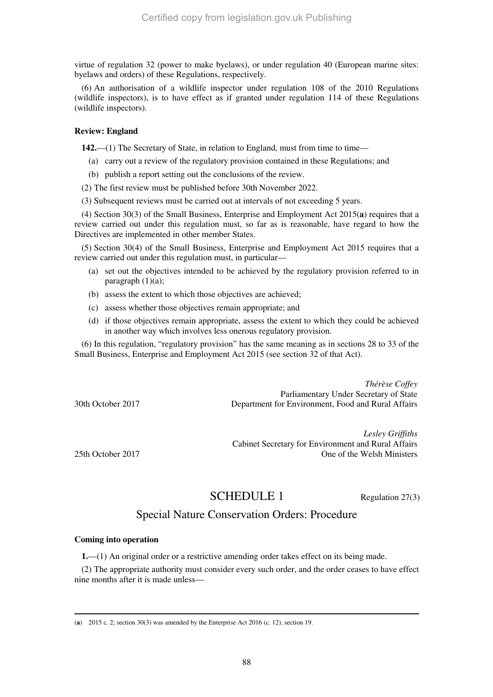virtue of regulation 32 (power to make byelaws), or under regulation 40 (European marine sites: byelaws and orders) of these Regulations, respectively.

(6) An authorisation of a wildlife inspector under regulation 108 of the 2010 Regulations (wildlife inspectors), is to have effect as if granted under regulation 114 of these Regulations (wildlife inspectors).

# **Review: England**

**142.**—(1) The Secretary of State, in relation to England, must from time to time—

- (a) carry out a review of the regulatory provision contained in these Regulations; and
- (b) publish a report setting out the conclusions of the review.
- (2) The first review must be published before 30th November 2022.
- (3) Subsequent reviews must be carried out at intervals of not exceeding 5 years.

(4) Section 30(3) of the Small Business, Enterprise and Employment Act 2015(**a**) requires that a review carried out under this regulation must, so far as is reasonable, have regard to how the Directives are implemented in other member States.

(5) Section 30(4) of the Small Business, Enterprise and Employment Act 2015 requires that a review carried out under this regulation must, in particular—

- (a) set out the objectives intended to be achieved by the regulatory provision referred to in paragraph (1)(a);
- (b) assess the extent to which those objectives are achieved;
- (c) assess whether those objectives remain appropriate; and
- (d) if those objectives remain appropriate, assess the extent to which they could be achieved in another way which involves less onerous regulatory provision.

(6) In this regulation, "regulatory provision" has the same meaning as in sections 28 to 33 of the Small Business, Enterprise and Employment Act 2015 (see section 32 of that Act).

*Thérèse Coffey*  Parliamentary Under Secretary of State 30th October 2017 Department for Environment, Food and Rural Affairs

*Lesley Griffiths*  Cabinet Secretary for Environment and Rural Affairs 25th October 2017 One of the Welsh Ministers

# SCHEDULE 1 Regulation 27(3)

# Special Nature Conservation Orders: Procedure

# **Coming into operation**

**1.**—(1) An original order or a restrictive amending order takes effect on its being made.

(2) The appropriate authority must consider every such order, and the order ceases to have effect nine months after it is made unless—

<sup>-</sup>(**a**) 2015 c. 2; section 30(3) was amended by the Enterprise Act 2016 (c. 12), section 19.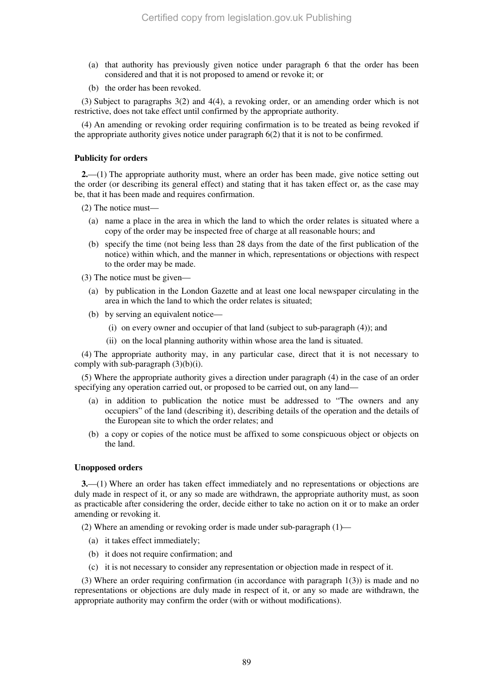- (a) that authority has previously given notice under paragraph 6 that the order has been considered and that it is not proposed to amend or revoke it; or
- (b) the order has been revoked.

(3) Subject to paragraphs 3(2) and 4(4), a revoking order, or an amending order which is not restrictive, does not take effect until confirmed by the appropriate authority.

(4) An amending or revoking order requiring confirmation is to be treated as being revoked if the appropriate authority gives notice under paragraph 6(2) that it is not to be confirmed.

# **Publicity for orders**

**2.**—(1) The appropriate authority must, where an order has been made, give notice setting out the order (or describing its general effect) and stating that it has taken effect or, as the case may be, that it has been made and requires confirmation.

(2) The notice must—

- (a) name a place in the area in which the land to which the order relates is situated where a copy of the order may be inspected free of charge at all reasonable hours; and
- (b) specify the time (not being less than 28 days from the date of the first publication of the notice) within which, and the manner in which, representations or objections with respect to the order may be made.

(3) The notice must be given—

- (a) by publication in the London Gazette and at least one local newspaper circulating in the area in which the land to which the order relates is situated;
- (b) by serving an equivalent notice—
	- (i) on every owner and occupier of that land (subject to sub-paragraph (4)); and
	- (ii) on the local planning authority within whose area the land is situated.

(4) The appropriate authority may, in any particular case, direct that it is not necessary to comply with sub-paragraph  $(3)(b)(i)$ .

(5) Where the appropriate authority gives a direction under paragraph (4) in the case of an order specifying any operation carried out, or proposed to be carried out, on any land—

- (a) in addition to publication the notice must be addressed to "The owners and any occupiers" of the land (describing it), describing details of the operation and the details of the European site to which the order relates; and
- (b) a copy or copies of the notice must be affixed to some conspicuous object or objects on the land.

# **Unopposed orders**

**3.**—(1) Where an order has taken effect immediately and no representations or objections are duly made in respect of it, or any so made are withdrawn, the appropriate authority must, as soon as practicable after considering the order, decide either to take no action on it or to make an order amending or revoking it.

(2) Where an amending or revoking order is made under sub-paragraph (1)—

- (a) it takes effect immediately;
- (b) it does not require confirmation; and
- (c) it is not necessary to consider any representation or objection made in respect of it.

(3) Where an order requiring confirmation (in accordance with paragraph 1(3)) is made and no representations or objections are duly made in respect of it, or any so made are withdrawn, the appropriate authority may confirm the order (with or without modifications).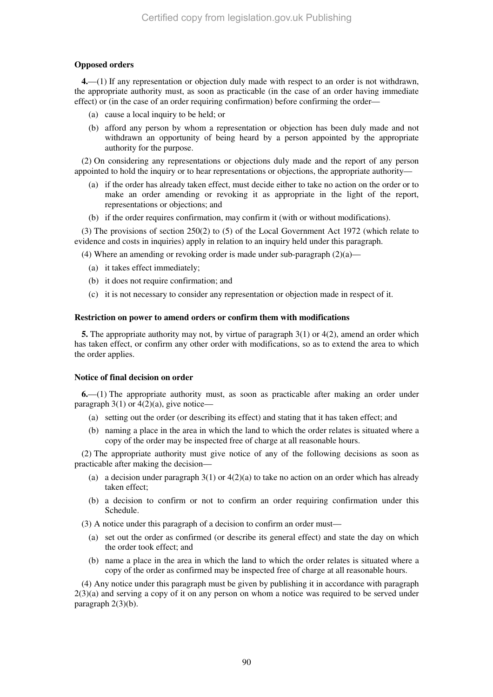# **Opposed orders**

**4.**—(1) If any representation or objection duly made with respect to an order is not withdrawn, the appropriate authority must, as soon as practicable (in the case of an order having immediate effect) or (in the case of an order requiring confirmation) before confirming the order—

- (a) cause a local inquiry to be held; or
- (b) afford any person by whom a representation or objection has been duly made and not withdrawn an opportunity of being heard by a person appointed by the appropriate authority for the purpose.

(2) On considering any representations or objections duly made and the report of any person appointed to hold the inquiry or to hear representations or objections, the appropriate authority—

- (a) if the order has already taken effect, must decide either to take no action on the order or to make an order amending or revoking it as appropriate in the light of the report, representations or objections; and
- (b) if the order requires confirmation, may confirm it (with or without modifications).

(3) The provisions of section 250(2) to (5) of the Local Government Act 1972 (which relate to evidence and costs in inquiries) apply in relation to an inquiry held under this paragraph.

(4) Where an amending or revoking order is made under sub-paragraph  $(2)(a)$ —

- (a) it takes effect immediately;
- (b) it does not require confirmation; and
- (c) it is not necessary to consider any representation or objection made in respect of it.

#### **Restriction on power to amend orders or confirm them with modifications**

**5.** The appropriate authority may not, by virtue of paragraph 3(1) or 4(2), amend an order which has taken effect, or confirm any other order with modifications, so as to extend the area to which the order applies.

# **Notice of final decision on order**

**6.**—(1) The appropriate authority must, as soon as practicable after making an order under paragraph  $3(1)$  or  $4(2)(a)$ , give notice—

- (a) setting out the order (or describing its effect) and stating that it has taken effect; and
- (b) naming a place in the area in which the land to which the order relates is situated where a copy of the order may be inspected free of charge at all reasonable hours.

(2) The appropriate authority must give notice of any of the following decisions as soon as practicable after making the decision—

- (a) a decision under paragraph  $3(1)$  or  $4(2)(a)$  to take no action on an order which has already taken effect;
- (b) a decision to confirm or not to confirm an order requiring confirmation under this Schedule.

(3) A notice under this paragraph of a decision to confirm an order must—

- (a) set out the order as confirmed (or describe its general effect) and state the day on which the order took effect; and
- (b) name a place in the area in which the land to which the order relates is situated where a copy of the order as confirmed may be inspected free of charge at all reasonable hours.

(4) Any notice under this paragraph must be given by publishing it in accordance with paragraph  $2(3)(a)$  and serving a copy of it on any person on whom a notice was required to be served under paragraph 2(3)(b).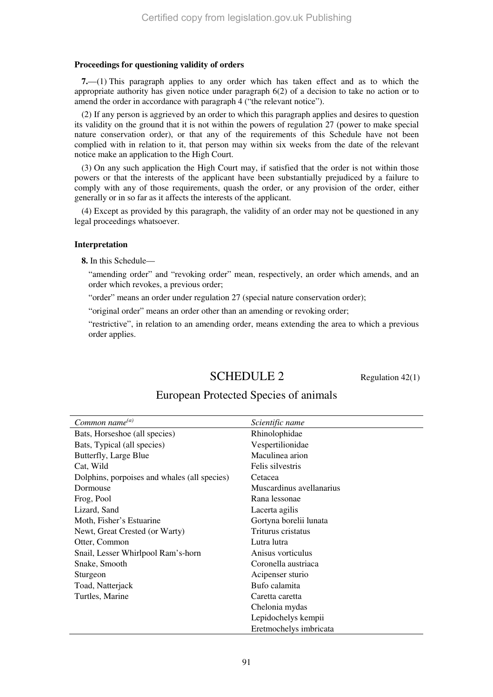# **Proceedings for questioning validity of orders**

**7.**—(1) This paragraph applies to any order which has taken effect and as to which the appropriate authority has given notice under paragraph 6(2) of a decision to take no action or to amend the order in accordance with paragraph 4 ("the relevant notice").

(2) If any person is aggrieved by an order to which this paragraph applies and desires to question its validity on the ground that it is not within the powers of regulation 27 (power to make special nature conservation order), or that any of the requirements of this Schedule have not been complied with in relation to it, that person may within six weeks from the date of the relevant notice make an application to the High Court.

(3) On any such application the High Court may, if satisfied that the order is not within those powers or that the interests of the applicant have been substantially prejudiced by a failure to comply with any of those requirements, quash the order, or any provision of the order, either generally or in so far as it affects the interests of the applicant.

(4) Except as provided by this paragraph, the validity of an order may not be questioned in any legal proceedings whatsoever.

#### **Interpretation**

**8.** In this Schedule—

"amending order" and "revoking order" mean, respectively, an order which amends, and an order which revokes, a previous order;

"order" means an order under regulation 27 (special nature conservation order);

"original order" means an order other than an amending or revoking order;

"restrictive", in relation to an amending order, means extending the area to which a previous order applies.

# $\text{SCHEDULE 2}$  Regulation 42(1)

| Common name $^{(a)}$                         | Scientific name          |
|----------------------------------------------|--------------------------|
| Bats, Horseshoe (all species)                | Rhinolophidae            |
| Bats, Typical (all species)                  | Vespertilionidae         |
| Butterfly, Large Blue                        | Maculinea arion          |
| Cat, Wild                                    | Felis silvestris         |
| Dolphins, porpoises and whales (all species) | Cetacea                  |
| Dormouse                                     | Muscardinus avellanarius |
| Frog, Pool                                   | Rana lessonae            |
| Lizard, Sand                                 | Lacerta agilis           |
| Moth, Fisher's Estuarine                     | Gortyna borelii lunata   |
| Newt, Great Crested (or Warty)               | Triturus cristatus       |
| Otter, Common                                | Lutra lutra              |
| Snail, Lesser Whirlpool Ram's-horn           | Anisus vorticulus        |
| Snake, Smooth                                | Coronella austriaca      |
| Sturgeon                                     | Acipenser sturio         |
| Toad, Natterjack                             | Bufo calamita            |
| Turtles, Marine                              | Caretta caretta          |
|                                              | Chelonia mydas           |
|                                              | Lepidochelys kempii      |
|                                              | Eretmochelys imbricata   |

# European Protected Species of animals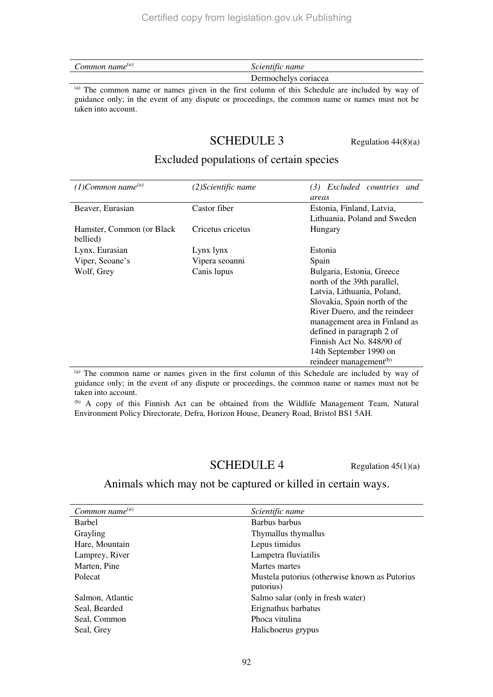| Common name $^{(a)}$ | Scientific name      |
|----------------------|----------------------|
|                      | Dermochelys coriacea |

(a) The common name or names given in the first column of this Schedule are included by way of guidance only; in the event of any dispute or proceedings, the common name or names must not be taken into account.

# **SCHEDULE 3** Regulation  $44(8)(a)$

# Excluded populations of certain species

| $(1)$ Common name <sup>(a)</sup>       | (2)Scientific name | Excluded countries and<br>(3)<br>areas                                                                                                                                                   |
|----------------------------------------|--------------------|------------------------------------------------------------------------------------------------------------------------------------------------------------------------------------------|
| Beaver, Eurasian                       | Castor fiber       | Estonia, Finland, Latvia,<br>Lithuania, Poland and Sweden                                                                                                                                |
| Hamster, Common (or Black)<br>bellied) | Cricetus cricetus  | Hungary                                                                                                                                                                                  |
| Lynx, Eurasian                         | Lynx lynx          | Estonia                                                                                                                                                                                  |
| Viper, Seoane's                        | Vipera seoanni     | Spain                                                                                                                                                                                    |
| Wolf, Grey                             | Canis lupus        | Bulgaria, Estonia, Greece<br>north of the 39th parallel,<br>Latvia, Lithuania, Poland,<br>Slovakia, Spain north of the<br>River Duero, and the reindeer<br>management area in Finland as |
|                                        |                    | defined in paragraph 2 of<br>Finnish Act No. 848/90 of<br>14th September 1990 on<br>reindeer management <sup>(b)</sup>                                                                   |

(a) The common name or names given in the first column of this Schedule are included by way of guidance only; in the event of any dispute or proceedings, the common name or names must not be taken into account.

(b) A copy of this Finnish Act can be obtained from the Wildlife Management Team, Natural Environment Policy Directorate, Defra, Horizon House, Deanery Road, Bristol BS1 5AH.

# **Regulation 45(1)(a)**

Animals which may not be captured or killed in certain ways.

| Common name $^{(a)}$ | Scientific name                                            |
|----------------------|------------------------------------------------------------|
| Barbel               | Barbus barbus                                              |
| Grayling             | Thymallus thymallus                                        |
| Hare, Mountain       | Lepus timidus                                              |
| Lamprey, River       | Lampetra fluviatilis                                       |
| Marten, Pine         | Martes martes                                              |
| Polecat              | Mustela putorius (otherwise known as Putorius<br>putorius) |
| Salmon, Atlantic     | Salmo salar (only in fresh water)                          |
| Seal, Bearded        | Erignathus barbatus                                        |
| Seal, Common         | Phoca vitulina                                             |
| Seal, Grey           | Halichoerus grypus                                         |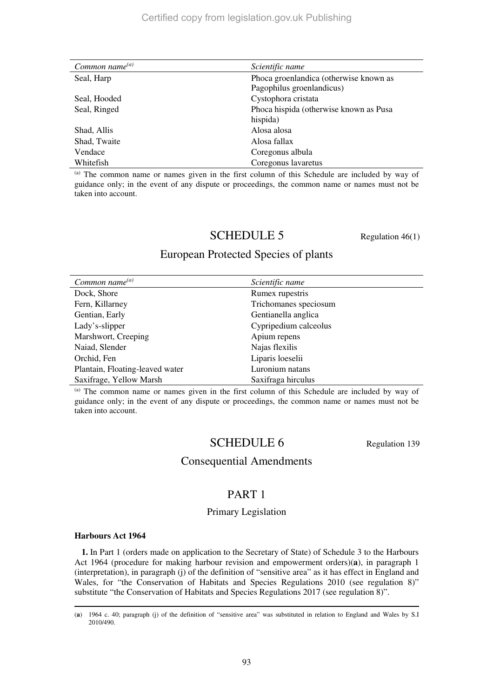| Common name $^{(a)}$ | Scientific name                        |
|----------------------|----------------------------------------|
| Seal, Harp           | Phoca groenlandica (otherwise known as |
|                      | Pagophilus groenlandicus)              |
| Seal, Hooded         | Cystophora cristata                    |
| Seal, Ringed         | Phoca hispida (otherwise known as Pusa |
|                      | hispida)                               |
| Shad, Allis          | Alosa alosa                            |
| Shad, Twaite         | Alosa fallax                           |
| Vendace              | Coregonus albula                       |
| Whitefish            | Coregonus lavaretus                    |

(a) The common name or names given in the first column of this Schedule are included by way of guidance only; in the event of any dispute or proceedings, the common name or names must not be taken into account.

# SCHEDULE 5 Regulation 46(1)

# European Protected Species of plants

| Common name $^{(a)}$            | Scientific name       |
|---------------------------------|-----------------------|
| Dock, Shore                     | Rumex rupestris       |
| Fern, Killarney                 | Trichomanes speciosum |
| Gentian, Early                  | Gentianella anglica   |
| Lady's-slipper                  | Cypripedium calceolus |
| Marshwort, Creeping             | Apium repens          |
| Naiad, Slender                  | Najas flexilis        |
| Orchid, Fen                     | Liparis loeselii      |
| Plantain, Floating-leaved water | Luronium natans       |
| Saxifrage, Yellow Marsh         | Saxifraga hirculus    |

(a) The common name or names given in the first column of this Schedule are included by way of guidance only; in the event of any dispute or proceedings, the common name or names must not be taken into account.

# SCHEDULE 6 Regulation 139

# Consequential Amendments

# PART 1

# Primary Legislation

# **Harbours Act 1964**

**1.** In Part 1 (orders made on application to the Secretary of State) of Schedule 3 to the Harbours Act 1964 (procedure for making harbour revision and empowerment orders)(**a**), in paragraph 1 (interpretation), in paragraph (j) of the definition of "sensitive area" as it has effect in England and Wales, for "the Conservation of Habitats and Species Regulations 2010 (see regulation 8)" substitute "the Conservation of Habitats and Species Regulations 2017 (see regulation 8)".

<sup>-</sup>(**a**) 1964 c. 40; paragraph (j) of the definition of "sensitive area" was substituted in relation to England and Wales by S.I 2010/490.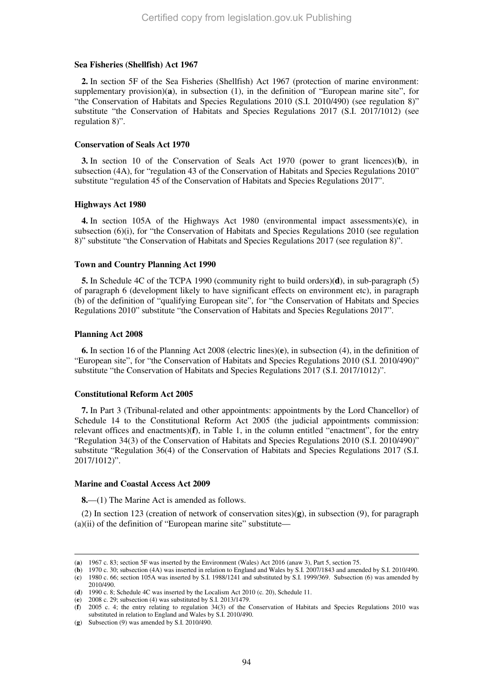#### **Sea Fisheries (Shellfish) Act 1967**

**2.** In section 5F of the Sea Fisheries (Shellfish) Act 1967 (protection of marine environment: supplementary provision)(**a**), in subsection (1), in the definition of "European marine site", for "the Conservation of Habitats and Species Regulations 2010 (S.I. 2010/490) (see regulation 8)" substitute "the Conservation of Habitats and Species Regulations 2017 (S.I. 2017/1012) (see regulation 8)".

#### **Conservation of Seals Act 1970**

**3.** In section 10 of the Conservation of Seals Act 1970 (power to grant licences)(**b**), in subsection (4A), for "regulation 43 of the Conservation of Habitats and Species Regulations 2010" substitute "regulation 45 of the Conservation of Habitats and Species Regulations 2017".

#### **Highways Act 1980**

**4.** In section 105A of the Highways Act 1980 (environmental impact assessments)(**c**), in subsection (6)(i), for "the Conservation of Habitats and Species Regulations 2010 (see regulation 8)" substitute "the Conservation of Habitats and Species Regulations 2017 (see regulation 8)".

#### **Town and Country Planning Act 1990**

**5.** In Schedule 4C of the TCPA 1990 (community right to build orders)(**d**), in sub-paragraph (5) of paragraph 6 (development likely to have significant effects on environment etc), in paragraph (b) of the definition of "qualifying European site", for "the Conservation of Habitats and Species Regulations 2010" substitute "the Conservation of Habitats and Species Regulations 2017".

#### **Planning Act 2008**

-

**6.** In section 16 of the Planning Act 2008 (electric lines)(**e**), in subsection (4), in the definition of "European site", for "the Conservation of Habitats and Species Regulations 2010 (S.I. 2010/490)" substitute "the Conservation of Habitats and Species Regulations 2017 (S.I. 2017/1012)".

# **Constitutional Reform Act 2005**

**7.** In Part 3 (Tribunal-related and other appointments: appointments by the Lord Chancellor) of Schedule 14 to the Constitutional Reform Act 2005 (the judicial appointments commission: relevant offices and enactments)(**f**), in Table 1, in the column entitled "enactment", for the entry "Regulation 34(3) of the Conservation of Habitats and Species Regulations 2010 (S.I. 2010/490)" substitute "Regulation 36(4) of the Conservation of Habitats and Species Regulations 2017 (S.I. 2017/1012)".

# **Marine and Coastal Access Act 2009**

**8.**—(1) The Marine Act is amended as follows.

(2) In section 123 (creation of network of conservation sites)(**g**), in subsection (9), for paragraph (a)(ii) of the definition of "European marine site" substitute—

(**b**) 1970 c. 30; subsection (4A) was inserted in relation to England and Wales by S.I. 2007/1843 and amended by S.I. 2010/490. (**c**) 1980 c. 66; section 105A was inserted by S.I. 1988/1241 and substituted by S.I. 1999/369. Subsection (6) was amended by 2010/490.

<sup>(</sup>**a**) 1967 c. 83; section 5F was inserted by the Environment (Wales) Act 2016 (anaw 3), Part 5, section 75.

<sup>(</sup>**d**) 1990 c. 8; Schedule 4C was inserted by the Localism Act 2010 (c. 20), Schedule 11.

<sup>(</sup>**e**) 2008 c. 29; subsection (4) was substituted by S.I. 2013/1479.

<sup>(</sup>**f**) 2005 c. 4; the entry relating to regulation 34(3) of the Conservation of Habitats and Species Regulations 2010 was substituted in relation to England and Wales by S.I. 2010/490.

<sup>(</sup>**g**) Subsection (9) was amended by S.I. 2010/490.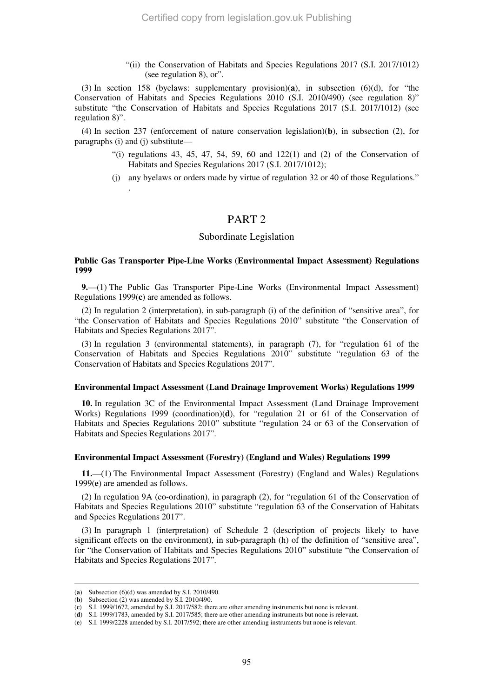"(ii) the Conservation of Habitats and Species Regulations 2017 (S.I. 2017/1012) (see regulation 8), or".

(3) In section 158 (byelaws: supplementary provision)(**a**), in subsection (6)(d), for "the Conservation of Habitats and Species Regulations 2010 (S.I. 2010/490) (see regulation 8)" substitute "the Conservation of Habitats and Species Regulations 2017 (S.I. 2017/1012) (see regulation 8)".

(4) In section 237 (enforcement of nature conservation legislation)(**b**), in subsection (2), for paragraphs (i) and (j) substitute—

- "(i) regulations 43, 45, 47, 54, 59, 60 and  $122(1)$  and  $(2)$  of the Conservation of Habitats and Species Regulations 2017 (S.I. 2017/1012);
- (j) any byelaws or orders made by virtue of regulation 32 or 40 of those Regulations."

# PART 2

#### Subordinate Legislation

# **Public Gas Transporter Pipe-Line Works (Environmental Impact Assessment) Regulations 1999**

**9.**—(1) The Public Gas Transporter Pipe-Line Works (Environmental Impact Assessment) Regulations 1999(**c**) are amended as follows.

(2) In regulation 2 (interpretation), in sub-paragraph (i) of the definition of "sensitive area", for "the Conservation of Habitats and Species Regulations 2010" substitute "the Conservation of Habitats and Species Regulations 2017".

(3) In regulation 3 (environmental statements), in paragraph (7), for "regulation 61 of the Conservation of Habitats and Species Regulations 2010" substitute "regulation 63 of the Conservation of Habitats and Species Regulations 2017".

#### **Environmental Impact Assessment (Land Drainage Improvement Works) Regulations 1999**

**10.** In regulation 3C of the Environmental Impact Assessment (Land Drainage Improvement Works) Regulations 1999 (coordination)(**d**), for "regulation 21 or 61 of the Conservation of Habitats and Species Regulations 2010" substitute "regulation 24 or 63 of the Conservation of Habitats and Species Regulations 2017".

#### **Environmental Impact Assessment (Forestry) (England and Wales) Regulations 1999**

**11.**—(1) The Environmental Impact Assessment (Forestry) (England and Wales) Regulations 1999(**e**) are amended as follows.

(2) In regulation 9A (co-ordination), in paragraph (2), for "regulation 61 of the Conservation of Habitats and Species Regulations 2010" substitute "regulation 63 of the Conservation of Habitats and Species Regulations 2017".

(3) In paragraph 1 (interpretation) of Schedule 2 (description of projects likely to have significant effects on the environment), in sub-paragraph (h) of the definition of "sensitive area", for "the Conservation of Habitats and Species Regulations 2010" substitute "the Conservation of Habitats and Species Regulations 2017".

-

.

<sup>(</sup>**a**) Subsection (6)(d) was amended by S.I. 2010/490.

<sup>(</sup>**b**) Subsection (2) was amended by S.I. 2010/490.

<sup>(</sup>**c**) S.I. 1999/1672, amended by S.I. 2017/582; there are other amending instruments but none is relevant.

<sup>(</sup>**d**) S.I. 1999/1783, amended by S.I. 2017/585; there are other amending instruments but none is relevant.

<sup>(</sup>**e**) S.I. 1999/2228 amended by S.I. 2017/592; there are other amending instruments but none is relevant.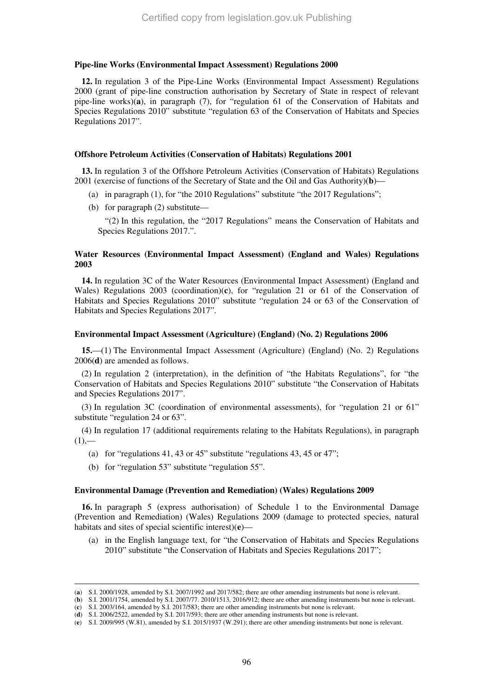#### **Pipe-line Works (Environmental Impact Assessment) Regulations 2000**

**12.** In regulation 3 of the Pipe-Line Works (Environmental Impact Assessment) Regulations 2000 (grant of pipe-line construction authorisation by Secretary of State in respect of relevant pipe-line works)(**a**), in paragraph (7), for "regulation 61 of the Conservation of Habitats and Species Regulations 2010" substitute "regulation 63 of the Conservation of Habitats and Species Regulations 2017".

#### **Offshore Petroleum Activities (Conservation of Habitats) Regulations 2001**

**13.** In regulation 3 of the Offshore Petroleum Activities (Conservation of Habitats) Regulations 2001 (exercise of functions of the Secretary of State and the Oil and Gas Authority)(**b**)—

- (a) in paragraph (1), for "the 2010 Regulations" substitute "the 2017 Regulations";
- (b) for paragraph (2) substitute—

"(2) In this regulation, the "2017 Regulations" means the Conservation of Habitats and Species Regulations 2017.".

### **Water Resources (Environmental Impact Assessment) (England and Wales) Regulations 2003**

**14.** In regulation 3C of the Water Resources (Environmental Impact Assessment) (England and Wales) Regulations 2003 (coordination)(**c**), for "regulation 21 or 61 of the Conservation of Habitats and Species Regulations 2010" substitute "regulation 24 or 63 of the Conservation of Habitats and Species Regulations 2017".

#### **Environmental Impact Assessment (Agriculture) (England) (No. 2) Regulations 2006**

**15.**—(1) The Environmental Impact Assessment (Agriculture) (England) (No. 2) Regulations 2006(**d**) are amended as follows.

(2) In regulation 2 (interpretation), in the definition of "the Habitats Regulations", for "the Conservation of Habitats and Species Regulations 2010" substitute "the Conservation of Habitats and Species Regulations 2017".

(3) In regulation 3C (coordination of environmental assessments), for "regulation 21 or 61" substitute "regulation 24 or 63".

(4) In regulation 17 (additional requirements relating to the Habitats Regulations), in paragraph  $(1)$ ,—

- (a) for "regulations 41, 43 or 45" substitute "regulations 43, 45 or 47";
- (b) for "regulation 53" substitute "regulation 55".

-

#### **Environmental Damage (Prevention and Remediation) (Wales) Regulations 2009**

**16.** In paragraph 5 (express authorisation) of Schedule 1 to the Environmental Damage (Prevention and Remediation) (Wales) Regulations 2009 (damage to protected species, natural habitats and sites of special scientific interest)(**e**)—

(a) in the English language text, for "the Conservation of Habitats and Species Regulations 2010" substitute "the Conservation of Habitats and Species Regulations 2017";

<sup>(</sup>**a**) S.I. 2000/1928, amended by S.I. 2007/1992 and 2017/582; there are other amending instruments but none is relevant.

<sup>(</sup>**b**) S.I. 2001/1754, amended by S.I. 2007/77. 2010/1513, 2016/912; there are other amending instruments but none is relevant.

<sup>(</sup>**c**) S.I. 2003/164, amended by S.I. 2017/583; there are other amending instruments but none is relevant.

<sup>(</sup>**d**) S.I. 2006/2522, amended by S.I. 2017/593; there are other amending instruments but none is relevant.

<sup>(</sup>**e**) S.I. 2009/995 (W.81), amended by S.I. 2015/1937 (W.291); there are other amending instruments but none is relevant.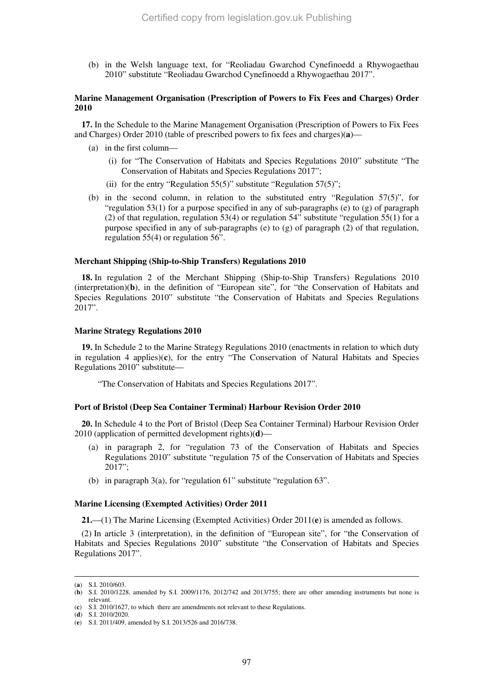(b) in the Welsh language text, for "Reoliadau Gwarchod Cynefinoedd a Rhywogaethau 2010" substitute "Reoliadau Gwarchod Cynefinoedd a Rhywogaethau 2017".

# **Marine Management Organisation (Prescription of Powers to Fix Fees and Charges) Order 2010**

**17.** In the Schedule to the Marine Management Organisation (Prescription of Powers to Fix Fees and Charges) Order 2010 (table of prescribed powers to fix fees and charges)(**a**)—

- (a) in the first column—
	- (i) for "The Conservation of Habitats and Species Regulations 2010" substitute "The Conservation of Habitats and Species Regulations 2017";
	- (ii) for the entry "Regulation  $55(5)$ " substitute "Regulation  $57(5)$ ";
- (b) in the second column, in relation to the substituted entry "Regulation 57(5)", for "regulation  $53(1)$  for a purpose specified in any of sub-paragraphs (e) to (g) of paragraph (2) of that regulation, regulation  $53(4)$  or regulation  $54$ <sup>"</sup> substitute "regulation  $55(1)$  for a purpose specified in any of sub-paragraphs (e) to  $(g)$  of paragraph  $(2)$  of that regulation, regulation 55(4) or regulation 56".

# **Merchant Shipping (Ship-to-Ship Transfers) Regulations 2010**

**18.** In regulation 2 of the Merchant Shipping (Ship-to-Ship Transfers) Regulations 2010 (interpretation)(**b**), in the definition of "European site", for "the Conservation of Habitats and Species Regulations 2010" substitute "the Conservation of Habitats and Species Regulations 2017".

#### **Marine Strategy Regulations 2010**

**19.** In Schedule 2 to the Marine Strategy Regulations 2010 (enactments in relation to which duty in regulation 4 applies)(**c**), for the entry "The Conservation of Natural Habitats and Species Regulations 2010" substitute—

"The Conservation of Habitats and Species Regulations 2017".

# **Port of Bristol (Deep Sea Container Terminal) Harbour Revision Order 2010**

**20.** In Schedule 4 to the Port of Bristol (Deep Sea Container Terminal) Harbour Revision Order 2010 (application of permitted development rights)(**d**)—

- (a) in paragraph 2, for "regulation 73 of the Conservation of Habitats and Species Regulations 2010" substitute "regulation 75 of the Conservation of Habitats and Species 2017";
- (b) in paragraph 3(a), for "regulation 61" substitute "regulation 63".

#### **Marine Licensing (Exempted Activities) Order 2011**

**21.**—(1) The Marine Licensing (Exempted Activities) Order 2011(**e**) is amended as follows.

(2) In article 3 (interpretation), in the definition of "European site", for "the Conservation of Habitats and Species Regulations 2010" substitute "the Conservation of Habitats and Species Regulations 2017".

<sup>(</sup>**a**) S.I. 2010/603.

<sup>(</sup>**b**) S.I. 2010/1228, amended by S.I. 2009/1176, 2012/742 and 2013/755; there are other amending instruments but none is relevant.

<sup>(</sup>**c**) S.I. 2010/1627, to which there are amendments not relevant to these Regulations.

<sup>(</sup>**d**) S.I. 2010/2020.

<sup>(</sup>**e**) S.I. 2011/409, amended by S.I. 2013/526 and 2016/738.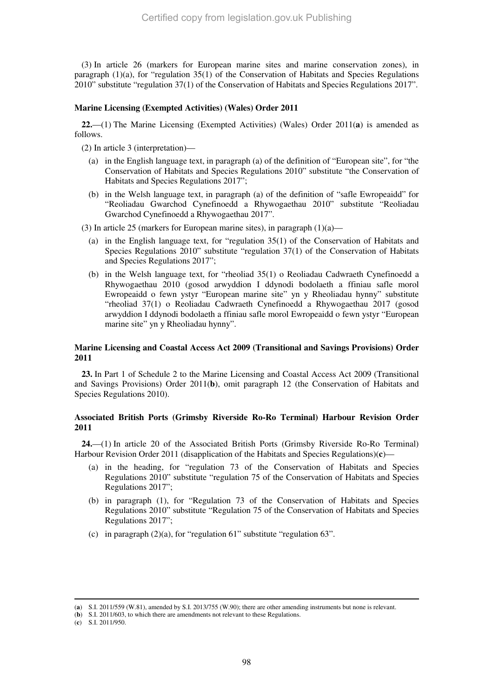(3) In article 26 (markers for European marine sites and marine conservation zones), in paragraph (1)(a), for "regulation 35(1) of the Conservation of Habitats and Species Regulations 2010" substitute "regulation 37(1) of the Conservation of Habitats and Species Regulations 2017".

#### **Marine Licensing (Exempted Activities) (Wales) Order 2011**

**22.**—(1) The Marine Licensing (Exempted Activities) (Wales) Order 2011(**a**) is amended as follows.

(2) In article 3 (interpretation)—

- (a) in the English language text, in paragraph (a) of the definition of "European site", for "the Conservation of Habitats and Species Regulations 2010" substitute "the Conservation of Habitats and Species Regulations 2017";
- (b) in the Welsh language text, in paragraph (a) of the definition of "safle Ewropeaidd" for "Reoliadau Gwarchod Cynefinoedd a Rhywogaethau 2010" substitute "Reoliadau Gwarchod Cynefinoedd a Rhywogaethau 2017".
- (3) In article 25 (markers for European marine sites), in paragraph  $(1)(a)$ 
	- (a) in the English language text, for "regulation 35(1) of the Conservation of Habitats and Species Regulations 2010" substitute "regulation 37(1) of the Conservation of Habitats and Species Regulations 2017";
	- (b) in the Welsh language text, for "rheoliad 35(1) o Reoliadau Cadwraeth Cynefinoedd a Rhywogaethau 2010 (gosod arwyddion I ddynodi bodolaeth a ffiniau safle morol Ewropeaidd o fewn ystyr "European marine site" yn y Rheoliadau hynny" substitute "rheoliad 37(1) o Reoliadau Cadwraeth Cynefinoedd a Rhywogaethau 2017 (gosod arwyddion I ddynodi bodolaeth a ffiniau safle morol Ewropeaidd o fewn ystyr "European marine site" yn y Rheoliadau hynny".

# **Marine Licensing and Coastal Access Act 2009 (Transitional and Savings Provisions) Order 2011**

**23.** In Part 1 of Schedule 2 to the Marine Licensing and Coastal Access Act 2009 (Transitional and Savings Provisions) Order 2011(**b**), omit paragraph 12 (the Conservation of Habitats and Species Regulations 2010).

# **Associated British Ports (Grimsby Riverside Ro-Ro Terminal) Harbour Revision Order 2011**

**24.**—(1) In article 20 of the Associated British Ports (Grimsby Riverside Ro-Ro Terminal) Harbour Revision Order 2011 (disapplication of the Habitats and Species Regulations)(**c**)—

- (a) in the heading, for "regulation 73 of the Conservation of Habitats and Species Regulations 2010" substitute "regulation 75 of the Conservation of Habitats and Species Regulations 2017";
- (b) in paragraph (1), for "Regulation 73 of the Conservation of Habitats and Species Regulations 2010" substitute "Regulation 75 of the Conservation of Habitats and Species Regulations 2017";
- (c) in paragraph (2)(a), for "regulation 61" substitute "regulation 63".

<sup>(</sup>**a**) S.I. 2011/559 (W.81), amended by S.I. 2013/755 (W.90); there are other amending instruments but none is relevant.

<sup>(</sup>**b**) S.I. 2011/603, to which there are amendments not relevant to these Regulations.

<sup>(</sup>**c**) S.I. 2011/950.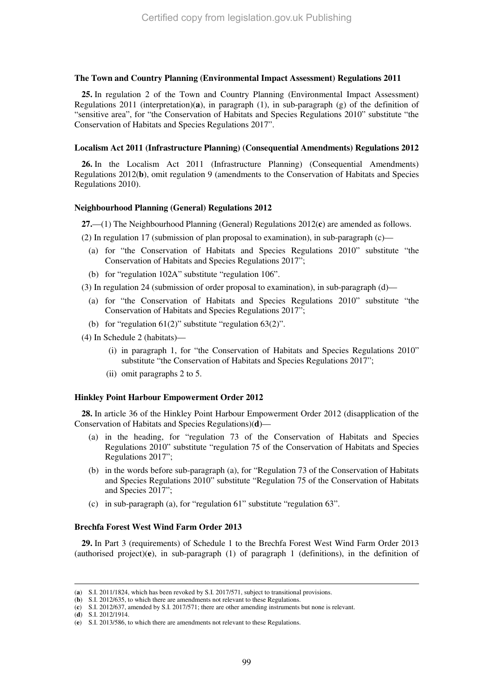#### **The Town and Country Planning (Environmental Impact Assessment) Regulations 2011**

**25.** In regulation 2 of the Town and Country Planning (Environmental Impact Assessment) Regulations 2011 (interpretation)(**a**), in paragraph (1), in sub-paragraph (g) of the definition of "sensitive area", for "the Conservation of Habitats and Species Regulations 2010" substitute "the Conservation of Habitats and Species Regulations 2017".

#### **Localism Act 2011 (Infrastructure Planning) (Consequential Amendments) Regulations 2012**

**26.** In the Localism Act 2011 (Infrastructure Planning) (Consequential Amendments) Regulations 2012(**b**), omit regulation 9 (amendments to the Conservation of Habitats and Species Regulations 2010).

#### **Neighbourhood Planning (General) Regulations 2012**

**27.**—(1) The Neighbourhood Planning (General) Regulations 2012(**c**) are amended as follows.

(2) In regulation 17 (submission of plan proposal to examination), in sub-paragraph (c)—

- (a) for "the Conservation of Habitats and Species Regulations 2010" substitute "the Conservation of Habitats and Species Regulations 2017";
- (b) for "regulation 102A" substitute "regulation 106".
- (3) In regulation 24 (submission of order proposal to examination), in sub-paragraph (d)—
	- (a) for "the Conservation of Habitats and Species Regulations 2010" substitute "the Conservation of Habitats and Species Regulations 2017";
	- (b) for "regulation 61(2)" substitute "regulation 63(2)".
- (4) In Schedule 2 (habitats)—
	- (i) in paragraph 1, for "the Conservation of Habitats and Species Regulations 2010" substitute "the Conservation of Habitats and Species Regulations 2017";
	- (ii) omit paragraphs 2 to 5.

#### **Hinkley Point Harbour Empowerment Order 2012**

**28.** In article 36 of the Hinkley Point Harbour Empowerment Order 2012 (disapplication of the Conservation of Habitats and Species Regulations)(**d**)—

- (a) in the heading, for "regulation 73 of the Conservation of Habitats and Species Regulations 2010" substitute "regulation 75 of the Conservation of Habitats and Species Regulations 2017";
- (b) in the words before sub-paragraph (a), for "Regulation 73 of the Conservation of Habitats and Species Regulations 2010" substitute "Regulation 75 of the Conservation of Habitats and Species 2017";
- (c) in sub-paragraph (a), for "regulation 61" substitute "regulation 63".

#### **Brechfa Forest West Wind Farm Order 2013**

**29.** In Part 3 (requirements) of Schedule 1 to the Brechfa Forest West Wind Farm Order 2013 (authorised project)(**e**), in sub-paragraph (1) of paragraph 1 (definitions), in the definition of

<sup>(</sup>**a**) S.I. 2011/1824, which has been revoked by S.I. 2017/571, subject to transitional provisions.

<sup>(</sup>**b**) S.I. 2012/635, to which there are amendments not relevant to these Regulations.

<sup>(</sup>**c**) S.I. 2012/637, amended by S.I. 2017/571; there are other amending instruments but none is relevant.

<sup>(</sup>**d**) S.I. 2012/1914.

<sup>(</sup>**e**) S.I. 2013/586, to which there are amendments not relevant to these Regulations.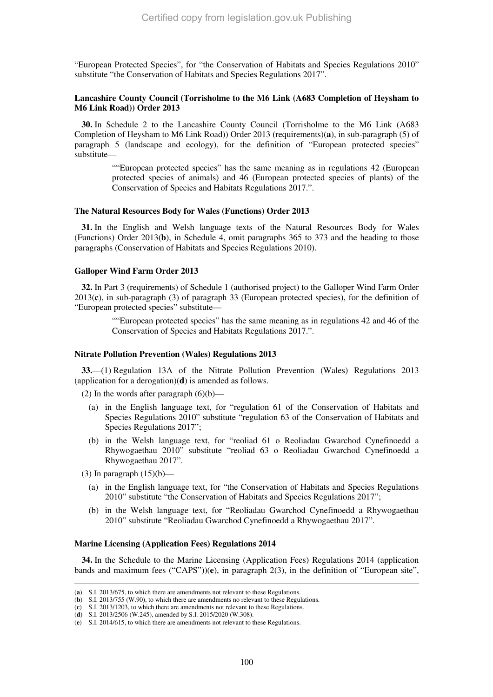"European Protected Species", for "the Conservation of Habitats and Species Regulations 2010" substitute "the Conservation of Habitats and Species Regulations 2017".

### **Lancashire County Council (Torrisholme to the M6 Link (A683 Completion of Heysham to M6 Link Road)) Order 2013**

**30.** In Schedule 2 to the Lancashire County Council (Torrisholme to the M6 Link (A683 Completion of Heysham to M6 Link Road)) Order 2013 (requirements)(**a**), in sub-paragraph (5) of paragraph 5 (landscape and ecology), for the definition of "European protected species" substitute—

> ""European protected species" has the same meaning as in regulations 42 (European protected species of animals) and 46 (European protected species of plants) of the Conservation of Species and Habitats Regulations 2017.".

#### **The Natural Resources Body for Wales (Functions) Order 2013**

**31.** In the English and Welsh language texts of the Natural Resources Body for Wales (Functions) Order 2013(**b**), in Schedule 4, omit paragraphs 365 to 373 and the heading to those paragraphs (Conservation of Habitats and Species Regulations 2010).

#### **Galloper Wind Farm Order 2013**

**32.** In Part 3 (requirements) of Schedule 1 (authorised project) to the Galloper Wind Farm Order 2013(**c**), in sub-paragraph (3) of paragraph 33 (European protected species), for the definition of "European protected species" substitute—

> ""European protected species" has the same meaning as in regulations 42 and 46 of the Conservation of Species and Habitats Regulations 2017.".

#### **Nitrate Pollution Prevention (Wales) Regulations 2013**

**33.**—(1) Regulation 13A of the Nitrate Pollution Prevention (Wales) Regulations 2013 (application for a derogation)(**d**) is amended as follows.

(2) In the words after paragraph  $(6)(b)$ —

- (a) in the English language text, for "regulation 61 of the Conservation of Habitats and Species Regulations 2010" substitute "regulation 63 of the Conservation of Habitats and Species Regulations 2017";
- (b) in the Welsh language text, for "reoliad 61 o Reoliadau Gwarchod Cynefinoedd a Rhywogaethau 2010" substitute "reoliad 63 o Reoliadau Gwarchod Cynefinoedd a Rhywogaethau 2017".
- (3) In paragraph  $(15)(b)$ —

-

- (a) in the English language text, for "the Conservation of Habitats and Species Regulations 2010" substitute "the Conservation of Habitats and Species Regulations 2017";
- (b) in the Welsh language text, for "Reoliadau Gwarchod Cynefinoedd a Rhywogaethau 2010" substitute "Reoliadau Gwarchod Cynefinoedd a Rhywogaethau 2017".

#### **Marine Licensing (Application Fees) Regulations 2014**

**34.** In the Schedule to the Marine Licensing (Application Fees) Regulations 2014 (application bands and maximum fees ("CAPS"))(**e**), in paragraph 2(3), in the definition of "European site",

<sup>(</sup>**a**) S.I. 2013/675, to which there are amendments not relevant to these Regulations.

<sup>(</sup>**b**) S.I. 2013/755 (W.90), to which there are amendments no relevant to these Regulations.

<sup>(</sup>**c**) S.I. 2013/1203, to which there are amendments not relevant to these Regulations.

<sup>(</sup>**d**) S.I. 2013/2506 (W.245), amended by S.I. 2015/2020 (W.308).

<sup>(</sup>**e**) S.I. 2014/615, to which there are amendments not relevant to these Regulations.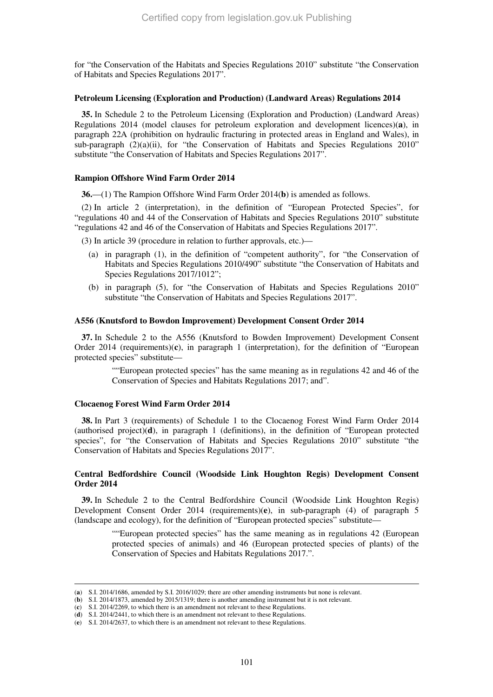for "the Conservation of the Habitats and Species Regulations 2010" substitute "the Conservation of Habitats and Species Regulations 2017".

#### **Petroleum Licensing (Exploration and Production) (Landward Areas) Regulations 2014**

**35.** In Schedule 2 to the Petroleum Licensing (Exploration and Production) (Landward Areas) Regulations 2014 (model clauses for petroleum exploration and development licences)(**a**), in paragraph 22A (prohibition on hydraulic fracturing in protected areas in England and Wales), in sub-paragraph  $(2)(a)(ii)$ , for "the Conservation of Habitats and Species Regulations 2010" substitute "the Conservation of Habitats and Species Regulations 2017".

# **Rampion Offshore Wind Farm Order 2014**

**36.**—(1) The Rampion Offshore Wind Farm Order 2014(**b**) is amended as follows.

(2) In article 2 (interpretation), in the definition of "European Protected Species", for "regulations 40 and 44 of the Conservation of Habitats and Species Regulations 2010" substitute "regulations 42 and 46 of the Conservation of Habitats and Species Regulations 2017".

(3) In article 39 (procedure in relation to further approvals, etc.)—

- (a) in paragraph (1), in the definition of "competent authority", for "the Conservation of Habitats and Species Regulations 2010/490" substitute "the Conservation of Habitats and Species Regulations 2017/1012";
- (b) in paragraph (5), for "the Conservation of Habitats and Species Regulations 2010" substitute "the Conservation of Habitats and Species Regulations 2017".

#### **A556 (Knutsford to Bowdon Improvement) Development Consent Order 2014**

**37.** In Schedule 2 to the A556 (Knutsford to Bowden Improvement) Development Consent Order 2014 (requirements)(**c**), in paragraph 1 (interpretation), for the definition of "European protected species" substitute—

> ""European protected species" has the same meaning as in regulations 42 and 46 of the Conservation of Species and Habitats Regulations 2017; and".

### **Clocaenog Forest Wind Farm Order 2014**

-

**38.** In Part 3 (requirements) of Schedule 1 to the Clocaenog Forest Wind Farm Order 2014 (authorised project)(**d**), in paragraph 1 (definitions), in the definition of "European protected species", for "the Conservation of Habitats and Species Regulations 2010" substitute "the Conservation of Habitats and Species Regulations 2017".

# **Central Bedfordshire Council (Woodside Link Houghton Regis) Development Consent Order 2014**

**39.** In Schedule 2 to the Central Bedfordshire Council (Woodside Link Houghton Regis) Development Consent Order 2014 (requirements)(**e**), in sub-paragraph (4) of paragraph 5 (landscape and ecology), for the definition of "European protected species" substitute—

> ""European protected species" has the same meaning as in regulations 42 (European protected species of animals) and 46 (European protected species of plants) of the Conservation of Species and Habitats Regulations 2017.".

<sup>(</sup>**a**) S.I. 2014/1686, amended by S.I. 2016/1029; there are other amending instruments but none is relevant.

<sup>(</sup>**b**) S.I. 2014/1873, amended by 2015/1319; there is another amending instrument but it is not relevant.

<sup>(</sup>**c**) S.I. 2014/2269, to which there is an amendment not relevant to these Regulations.

<sup>(</sup>**d**) S.I. 2014/2441, to which there is an amendment not relevant to these Regulations.

<sup>(</sup>**e**) S.I. 2014/2637, to which there is an amendment not relevant to these Regulations.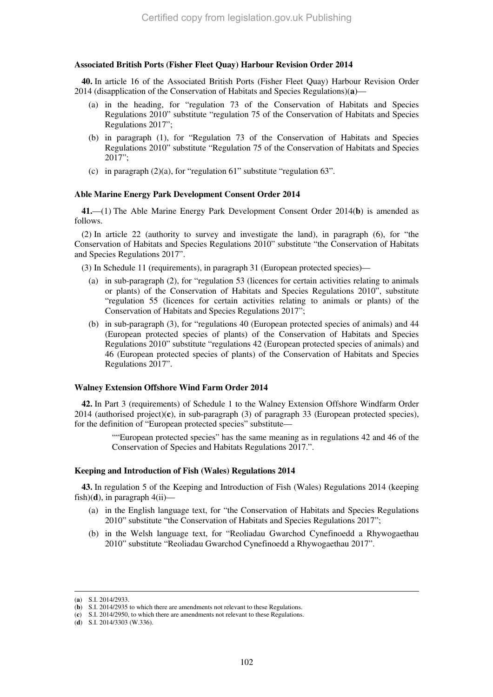# **Associated British Ports (Fisher Fleet Quay) Harbour Revision Order 2014**

**40.** In article 16 of the Associated British Ports (Fisher Fleet Quay) Harbour Revision Order 2014 (disapplication of the Conservation of Habitats and Species Regulations)(**a**)—

- (a) in the heading, for "regulation 73 of the Conservation of Habitats and Species Regulations 2010" substitute "regulation 75 of the Conservation of Habitats and Species Regulations 2017";
- (b) in paragraph (1), for "Regulation 73 of the Conservation of Habitats and Species Regulations 2010" substitute "Regulation 75 of the Conservation of Habitats and Species 2017";
- (c) in paragraph  $(2)(a)$ , for "regulation 61" substitute "regulation 63".

# **Able Marine Energy Park Development Consent Order 2014**

**41.**—(1) The Able Marine Energy Park Development Consent Order 2014(**b**) is amended as follows.

(2) In article 22 (authority to survey and investigate the land), in paragraph (6), for "the Conservation of Habitats and Species Regulations 2010" substitute "the Conservation of Habitats and Species Regulations 2017".

(3) In Schedule 11 (requirements), in paragraph 31 (European protected species)—

- (a) in sub-paragraph (2), for "regulation 53 (licences for certain activities relating to animals or plants) of the Conservation of Habitats and Species Regulations 2010", substitute "regulation 55 (licences for certain activities relating to animals or plants) of the Conservation of Habitats and Species Regulations 2017";
- (b) in sub-paragraph (3), for "regulations 40 (European protected species of animals) and 44 (European protected species of plants) of the Conservation of Habitats and Species Regulations 2010" substitute "regulations 42 (European protected species of animals) and 46 (European protected species of plants) of the Conservation of Habitats and Species Regulations 2017".

#### **Walney Extension Offshore Wind Farm Order 2014**

**42.** In Part 3 (requirements) of Schedule 1 to the Walney Extension Offshore Windfarm Order 2014 (authorised project)(**c**), in sub-paragraph (3) of paragraph 33 (European protected species), for the definition of "European protected species" substitute—

> ""European protected species" has the same meaning as in regulations 42 and 46 of the Conservation of Species and Habitats Regulations 2017.".

# **Keeping and Introduction of Fish (Wales) Regulations 2014**

**43.** In regulation 5 of the Keeping and Introduction of Fish (Wales) Regulations 2014 (keeping fish) $(d)$ , in paragraph  $4(ii)$ —

- (a) in the English language text, for "the Conservation of Habitats and Species Regulations 2010" substitute "the Conservation of Habitats and Species Regulations 2017";
- (b) in the Welsh language text, for "Reoliadau Gwarchod Cynefinoedd a Rhywogaethau 2010" substitute "Reoliadau Gwarchod Cynefinoedd a Rhywogaethau 2017".

<sup>(</sup>**a**) S.I. 2014/2933.

<sup>(</sup>**b**) S.I. 2014/2935 to which there are amendments not relevant to these Regulations.

<sup>(</sup>**c**) S.I. 2014/2950, to which there are amendments not relevant to these Regulations.

<sup>(</sup>**d**) S.I. 2014/3303 (W.336).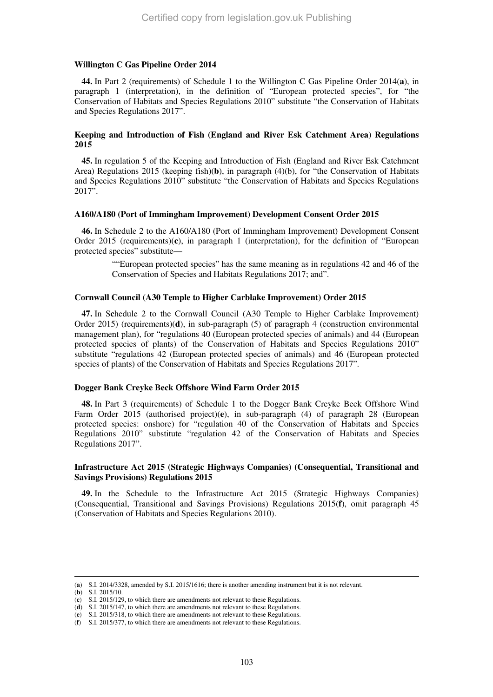#### **Willington C Gas Pipeline Order 2014**

**44.** In Part 2 (requirements) of Schedule 1 to the Willington C Gas Pipeline Order 2014(**a**), in paragraph 1 (interpretation), in the definition of "European protected species", for "the Conservation of Habitats and Species Regulations 2010" substitute "the Conservation of Habitats and Species Regulations 2017".

# **Keeping and Introduction of Fish (England and River Esk Catchment Area) Regulations 2015**

**45.** In regulation 5 of the Keeping and Introduction of Fish (England and River Esk Catchment Area) Regulations 2015 (keeping fish)(**b**), in paragraph (4)(b), for "the Conservation of Habitats and Species Regulations 2010" substitute "the Conservation of Habitats and Species Regulations 2017".

#### **A160/A180 (Port of Immingham Improvement) Development Consent Order 2015**

**46.** In Schedule 2 to the A160/A180 (Port of Immingham Improvement) Development Consent Order 2015 (requirements)(**c**), in paragraph 1 (interpretation), for the definition of "European protected species" substitute—

> ""European protected species" has the same meaning as in regulations 42 and 46 of the Conservation of Species and Habitats Regulations 2017; and".

#### **Cornwall Council (A30 Temple to Higher Carblake Improvement) Order 2015**

**47.** In S**c**hedule 2 to the Cornwall Council (A30 Temple to Higher Carblake Improvement) Order 2015) (requirements)(**d**), in sub-paragraph (5) of paragraph 4 (construction environmental management plan), for "regulations 40 (European protected species of animals) and 44 (European protected species of plants) of the Conservation of Habitats and Species Regulations 2010" substitute "regulations 42 (European protected species of animals) and 46 (European protected species of plants) of the Conservation of Habitats and Species Regulations 2017".

#### **Dogger Bank Creyke Beck Offshore Wind Farm Order 2015**

**48.** In Part 3 (requirements) of Schedule 1 to the Dogger Bank Creyke Beck Offshore Wind Farm Order 2015 (authorised project)(**e**), in sub-paragraph (4) of paragraph 28 (European protected species: onshore) for "regulation 40 of the Conservation of Habitats and Species Regulations 2010" substitute "regulation 42 of the Conservation of Habitats and Species Regulations 2017".

# **Infrastructure Act 2015 (Strategic Highways Companies) (Consequential, Transitional and Savings Provisions) Regulations 2015**

**49.** In the Schedule to the Infrastructure Act 2015 (Strategic Highways Companies) (Consequential, Transitional and Savings Provisions) Regulations 2015(**f**), omit paragraph 45 (Conservation of Habitats and Species Regulations 2010).

<sup>(</sup>**a**) S.I. 2014/3328, amended by S.I. 2015/1616; there is another amending instrument but it is not relevant.

<sup>(</sup>**b**) S.I. 2015/10.

<sup>(</sup>**c**) S.I. 2015/129, to which there are amendments not relevant to these Regulations.

<sup>(</sup>**d**) S.I. 2015/147, to which there are amendments not relevant to these Regulations.

<sup>(</sup>**e**) S.I. 2015/318, to which there are amendments not relevant to these Regulations.

<sup>(</sup>**f**) S.I. 2015/377, to which there are amendments not relevant to these Regulations.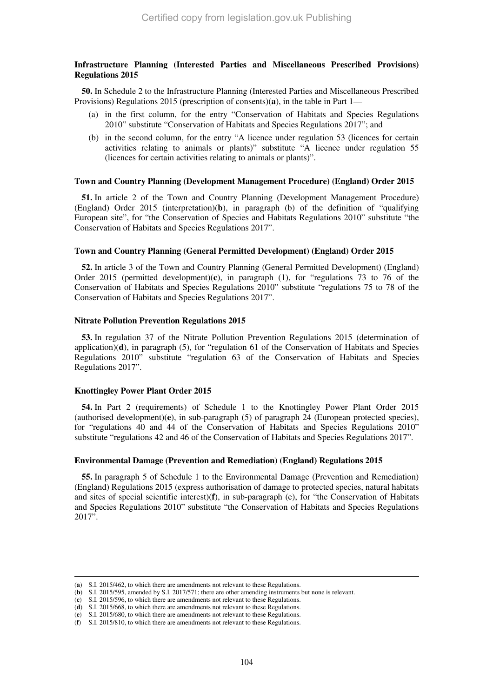# **Infrastructure Planning (Interested Parties and Miscellaneous Prescribed Provisions) Regulations 2015**

**50.** In Schedule 2 to the Infrastructure Planning (Interested Parties and Miscellaneous Prescribed Provisions) Regulations 2015 (prescription of consents)(**a**), in the table in Part 1—

- (a) in the first column, for the entry "Conservation of Habitats and Species Regulations 2010" substitute "Conservation of Habitats and Species Regulations 2017"; and
- (b) in the second column, for the entry "A licence under regulation 53 (licences for certain activities relating to animals or plants)" substitute "A licence under regulation 55 (licences for certain activities relating to animals or plants)".

#### **Town and Country Planning (Development Management Procedure) (England) Order 2015**

**51.** In article 2 of the Town and Country Planning (Development Management Procedure) (England) Order 2015 (interpretation)(**b**), in paragraph (b) of the definition of "qualifying European site", for "the Conservation of Species and Habitats Regulations 2010" substitute "the Conservation of Habitats and Species Regulations 2017".

# **Town and Country Planning (General Permitted Development) (England) Order 2015**

**52.** In article 3 of the Town and Country Planning (General Permitted Development) (England) Order 2015 (permitted development)(**c**), in paragraph (1), for "regulations 73 to 76 of the Conservation of Habitats and Species Regulations 2010" substitute "regulations 75 to 78 of the Conservation of Habitats and Species Regulations 2017".

#### **Nitrate Pollution Prevention Regulations 2015**

**53.** In regulation 37 of the Nitrate Pollution Prevention Regulations 2015 (determination of application) $(d)$ , in paragraph (5), for "regulation 61 of the Conservation of Habitats and Species Regulations 2010" substitute "regulation 63 of the Conservation of Habitats and Species Regulations 2017".

# **Knottingley Power Plant Order 2015**

-

**54.** In Part 2 (requirements) of Schedule 1 to the Knottingley Power Plant Order 2015 (authorised development)(**e**), in sub-paragraph (5) of paragraph 24 (European protected species), for "regulations 40 and 44 of the Conservation of Habitats and Species Regulations 2010" substitute "regulations 42 and 46 of the Conservation of Habitats and Species Regulations 2017".

# **Environmental Damage (Prevention and Remediation) (England) Regulations 2015**

**55.** In paragraph 5 of Schedule 1 to the Environmental Damage (Prevention and Remediation) (England) Regulations 2015 (express authorisation of damage to protected species, natural habitats and sites of special scientific interest)(**f**), in sub-paragraph (e), for "the Conservation of Habitats and Species Regulations 2010" substitute "the Conservation of Habitats and Species Regulations 2017".

<sup>(</sup>**a**) S.I. 2015/462, to which there are amendments not relevant to these Regulations.

<sup>(</sup>**b**) S.I. 2015/595, amended by S.I. 2017/571; there are other amending instruments but none is relevant.

<sup>(</sup>**c**) S.I. 2015/596, to which there are amendments not relevant to these Regulations.

<sup>(</sup>**d**) S.I. 2015/668, to which there are amendments not relevant to these Regulations.

<sup>(</sup>**e**) S.I. 2015/680, to which there are amendments not relevant to these Regulations.

<sup>(</sup>**f**) S.I. 2015/810, to which there are amendments not relevant to these Regulations.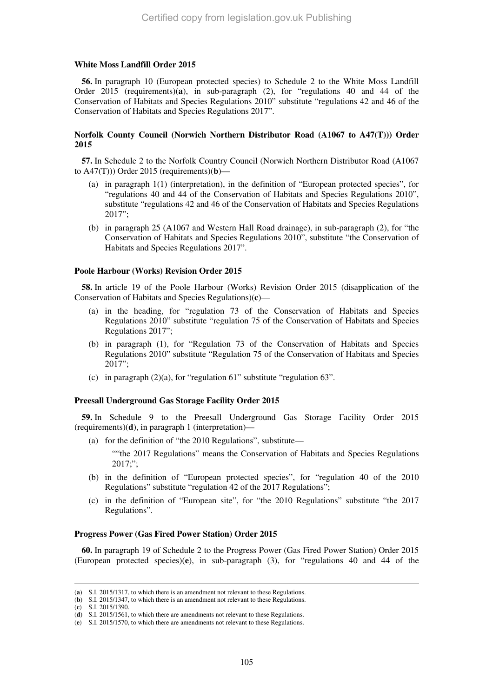#### **White Moss Landfill Order 2015**

**56.** In paragraph 10 (European protected species) to Schedule 2 to the White Moss Landfill Order 2015 (requirements)(**a**), in sub-paragraph (2), for "regulations 40 and 44 of the Conservation of Habitats and Species Regulations 2010" substitute "regulations 42 and 46 of the Conservation of Habitats and Species Regulations 2017".

# **Norfolk County Council (Norwich Northern Distributor Road (A1067 to A47(T))) Order 2015**

**57.** In Schedule 2 to the Norfolk Country Council (Norwich Northern Distributor Road (A1067 to A47(T))) Order 2015 (requirements)(**b**)—

- (a) in paragraph 1(1) (interpretation), in the definition of "European protected species", for "regulations 40 and 44 of the Conservation of Habitats and Species Regulations 2010", substitute "regulations 42 and 46 of the Conservation of Habitats and Species Regulations 2017";
- (b) in paragraph 25 (A1067 and Western Hall Road drainage), in sub-paragraph (2), for "the Conservation of Habitats and Species Regulations 2010", substitute "the Conservation of Habitats and Species Regulations 2017".

# **Poole Harbour (Works) Revision Order 2015**

**58.** In article 19 of the Poole Harbour (Works) Revision Order 2015 (disapplication of the Conservation of Habitats and Species Regulations)(**c**)—

- (a) in the heading, for "regulation 73 of the Conservation of Habitats and Species Regulations 2010" substitute "regulation 75 of the Conservation of Habitats and Species Regulations 2017";
- (b) in paragraph (1), for "Regulation 73 of the Conservation of Habitats and Species Regulations 2010" substitute "Regulation 75 of the Conservation of Habitats and Species 2017";
- (c) in paragraph  $(2)(a)$ , for "regulation 61" substitute "regulation 63".

#### **Preesall Underground Gas Storage Facility Order 2015**

**59.** In Schedule 9 to the Preesall Underground Gas Storage Facility Order 2015 (requirements)(**d**), in paragraph 1 (interpretation)—

(a) for the definition of "the 2010 Regulations", substitute—

""the 2017 Regulations" means the Conservation of Habitats and Species Regulations 2017;";

- (b) in the definition of "European protected species", for "regulation 40 of the 2010 Regulations" substitute "regulation 42 of the 2017 Regulations";
- (c) in the definition of "European site", for "the 2010 Regulations" substitute "the 2017 Regulations".

#### **Progress Power (Gas Fired Power Station) Order 2015**

**60.** In paragraph 19 of Schedule 2 to the Progress Power (Gas Fired Power Station) Order 2015 (European protected species)(**e**), in sub-paragraph (3), for "regulations 40 and 44 of the

<sup>(</sup>**a**) S.I. 2015/1317, to which there is an amendment not relevant to these Regulations.

<sup>(</sup>**b**) S.I. 2015/1347, to which there is an amendment not relevant to these Regulations.

<sup>(</sup>**c**) S.I. 2015/1390.

<sup>(</sup>**d**) S.I. 2015/1561, to which there are amendments not relevant to these Regulations.

<sup>(</sup>**e**) S.I. 2015/1570, to which there are amendments not relevant to these Regulations.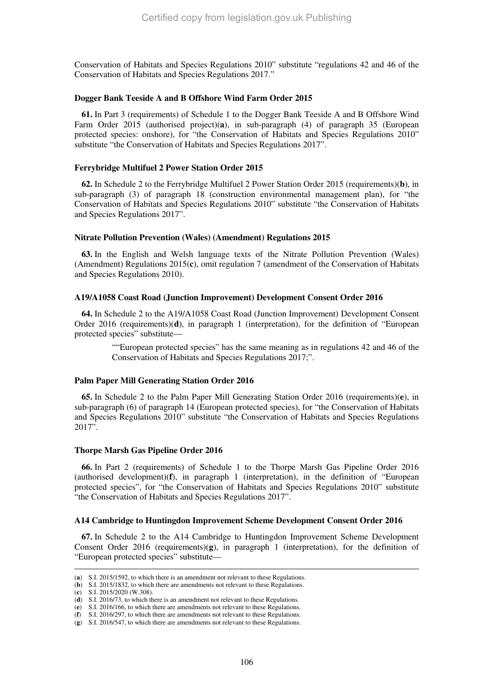Conservation of Habitats and Species Regulations 2010" substitute "regulations 42 and 46 of the Conservation of Habitats and Species Regulations 2017."

#### **Dogger Bank Teeside A and B Offshore Wind Farm Order 2015**

**61.** In Part 3 (requirements) of Schedule 1 to the Dogger Bank Teeside A and B Offshore Wind Farm Order 2015 (authorised project)(**a**), in sub-paragraph (4) of paragraph 35 (European protected species: onshore), for "the Conservation of Habitats and Species Regulations 2010" substitute "the Conservation of Habitats and Species Regulations 2017".

#### **Ferrybridge Multifuel 2 Power Station Order 2015**

**62.** In Schedule 2 to the Ferrybridge Multifuel 2 Power Station Order 2015 (requirements)(**b**), in sub-paragraph (3) of paragraph 18 (construction environmental management plan), for "the Conservation of Habitats and Species Regulations 2010" substitute "the Conservation of Habitats and Species Regulations 2017".

#### **Nitrate Pollution Prevention (Wales) (Amendment) Regulations 2015**

**63.** In the English and Welsh language texts of the Nitrate Pollution Prevention (Wales) (Amendment) Regulations 2015(**c**), omit regulation 7 (amendment of the Conservation of Habitats and Species Regulations 2010).

#### **A19/A1058 Coast Road (Junction Improvement) Development Consent Order 2016**

**64.** In Schedule 2 to the A19/A1058 Coast Road (Junction Improvement) Development Consent Order 2016 (requirements)(**d**), in paragraph 1 (interpretation), for the definition of "European protected species" substitute—

> ""European protected species" has the same meaning as in regulations 42 and 46 of the Conservation of Habitats and Species Regulations 2017;".

#### **Palm Paper Mill Generating Station Order 2016**

**65.** In Schedule 2 to the Palm Paper Mill Generating Station Order 2016 (requirements)(**e**), in sub-paragraph (6) of paragraph 14 (European protected species), for "the Conservation of Habitats and Species Regulations 2010" substitute "the Conservation of Habitats and Species Regulations 2017".

#### **Thorpe Marsh Gas Pipeline Order 2016**

**66.** In Part 2 (requirements) of Schedule 1 to the Thorpe Marsh Gas Pipeline Order 2016 (authorised development)(**f**), in paragraph 1 (interpretation), in the definition of "European protected species", for "the Conservation of Habitats and Species Regulations 2010" substitute "the Conservation of Habitats and Species Regulations 2017".

#### **A14 Cambridge to Huntingdon Improvement Scheme Development Consent Order 2016**

**67.** In Schedule 2 to the A14 Cambridge to Huntingdon Improvement Scheme Development Consent Order 2016 (requirements)(**g**), in paragraph 1 (interpretation), for the definition of "European protected species" substitute—

<sup>(</sup>**a**) S.I. 2015/1592, to which there is an amendment not relevant to these Regulations.

<sup>(</sup>**b**) S.I. 2015/1832, to which there are amendments not relevant to these Regulations.

<sup>(</sup>**c**) S.I. 2015/2020 (W.308).

<sup>(</sup>**d**) S.I. 2016/73, to which there is an amendment not relevant to these Regulations.

<sup>(</sup>**e**) S.I. 2016/166, to which there are amendments not relevant to these Regulations.

<sup>(</sup>**f**) S.I. 2016/297, to which there are amendments not relevant to these Regulations.

<sup>(</sup>**g**) S.I. 2016/547, to which there are amendments not relevant to these Regulations.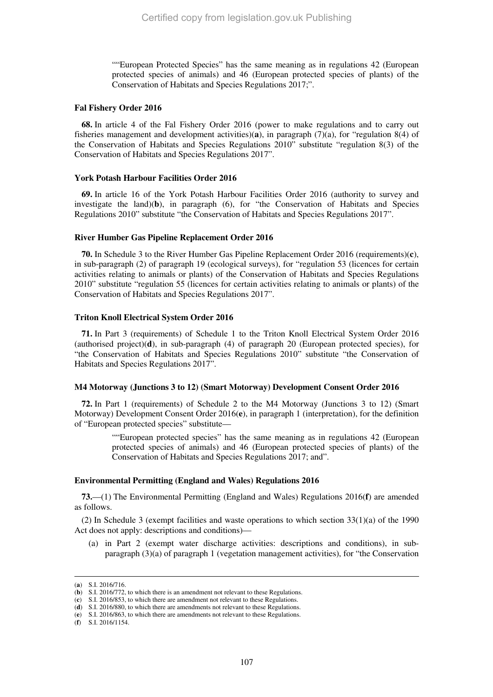""European Protected Species" has the same meaning as in regulations 42 (European protected species of animals) and 46 (European protected species of plants) of the Conservation of Habitats and Species Regulations 2017;".

#### **Fal Fishery Order 2016**

**68.** In article 4 of the Fal Fishery Order 2016 (power to make regulations and to carry out fisheries management and development activities)(**a**), in paragraph (7)(a), for "regulation 8(4) of the Conservation of Habitats and Species Regulations 2010" substitute "regulation 8(3) of the Conservation of Habitats and Species Regulations 2017".

# **York Potash Harbour Facilities Order 2016**

**69.** In article 16 of the York Potash Harbour Facilities Order 2016 (authority to survey and investigate the land)(**b**), in paragraph (6), for "the Conservation of Habitats and Species Regulations 2010" substitute "the Conservation of Habitats and Species Regulations 2017".

#### **River Humber Gas Pipeline Replacement Order 2016**

**70.** In Schedule 3 to the River Humber Gas Pipeline Replacement Order 2016 (requirements)(**c**), in sub-paragraph (2) of paragraph 19 (ecological surveys), for "regulation 53 (licences for certain activities relating to animals or plants) of the Conservation of Habitats and Species Regulations 2010" substitute "regulation 55 (licences for certain activities relating to animals or plants) of the Conservation of Habitats and Species Regulations 2017".

#### **Triton Knoll Electrical System Order 2016**

**71.** In Part 3 (requirements) of Schedule 1 to the Triton Knoll Electrical System Order 2016 (authorised project)(**d**), in sub-paragraph (4) of paragraph 20 (European protected species), for "the Conservation of Habitats and Species Regulations 2010" substitute "the Conservation of Habitats and Species Regulations 2017".

#### **M4 Motorway (Junctions 3 to 12) (Smart Motorway) Development Consent Order 2016**

**72.** In Part 1 (requirements) of Schedule 2 to the M4 Motorway (Junctions 3 to 12) (Smart Motorway) Development Consent Order 2016(**e**), in paragraph 1 (interpretation), for the definition of "European protected species" substitute—

> ""European protected species" has the same meaning as in regulations 42 (European protected species of animals) and 46 (European protected species of plants) of the Conservation of Habitats and Species Regulations 2017; and".

# **Environmental Permitting (England and Wales) Regulations 2016**

**73.**—(1) The Environmental Permitting (England and Wales) Regulations 2016(**f**) are amended as follows.

(2) In Schedule 3 (exempt facilities and waste operations to which section 33(1)(a) of the 1990 Act does not apply: descriptions and conditions)—

(a) in Part 2 (exempt water discharge activities: descriptions and conditions), in subparagraph (3)(a) of paragraph 1 (vegetation management activities), for "the Conservation

<sup>(</sup>**a**) S.I. 2016/716.

<sup>(</sup>**b**) S.I. 2016/772, to which there is an amendment not relevant to these Regulations.

<sup>(</sup>**c**) S.I. 2016/853, to which there are amendment not relevant to these Regulations. (**d**) S.I. 2016/880, to which there are amendments not relevant to these Regulations.

<sup>(</sup>**e**) S.I. 2016/863, to which there are amendments not relevant to these Regulations.

<sup>(</sup>**f**) S.I. 2016/1154.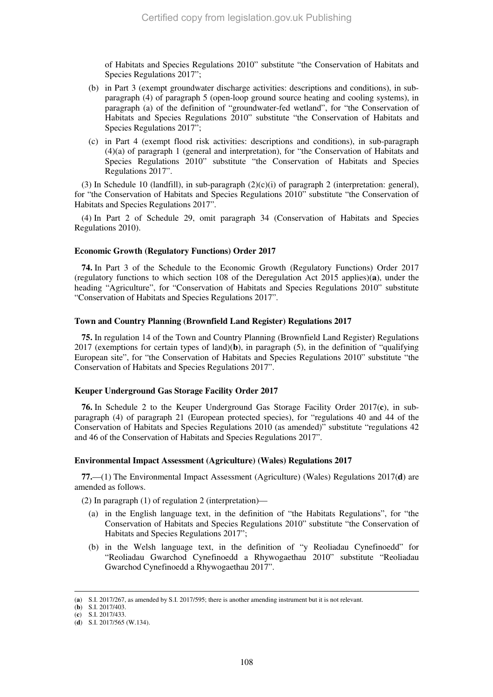of Habitats and Species Regulations 2010" substitute "the Conservation of Habitats and Species Regulations 2017";

- (b) in Part 3 (exempt groundwater discharge activities: descriptions and conditions), in subparagraph (4) of paragraph 5 (open-loop ground source heating and cooling systems), in paragraph (a) of the definition of "groundwater-fed wetland", for "the Conservation of Habitats and Species Regulations 2010" substitute "the Conservation of Habitats and Species Regulations 2017";
- (c) in Part 4 (exempt flood risk activities: descriptions and conditions), in sub-paragraph (4)(a) of paragraph 1 (general and interpretation), for "the Conservation of Habitats and Species Regulations 2010" substitute "the Conservation of Habitats and Species Regulations 2017".

(3) In Schedule 10 (landfill), in sub-paragraph  $(2)(c)(i)$  of paragraph 2 (interpretation: general), for "the Conservation of Habitats and Species Regulations 2010" substitute "the Conservation of Habitats and Species Regulations 2017".

(4) In Part 2 of Schedule 29, omit paragraph 34 (Conservation of Habitats and Species Regulations 2010).

# **Economic Growth (Regulatory Functions) Order 2017**

**74.** In Part 3 of the Schedule to the Economic Growth (Regulatory Functions) Order 2017 (regulatory functions to which section 108 of the Deregulation Act 2015 applies)(**a**), under the heading "Agriculture", for "Conservation of Habitats and Species Regulations 2010" substitute "Conservation of Habitats and Species Regulations 2017".

#### **Town and Country Planning (Brownfield Land Register) Regulations 2017**

**75.** In regulation 14 of the Town and Country Planning (Brownfield Land Register) Regulations 2017 (exemptions for certain types of land)(**b**), in paragraph (5), in the definition of "qualifying European site", for "the Conservation of Habitats and Species Regulations 2010" substitute "the Conservation of Habitats and Species Regulations 2017".

# **Keuper Underground Gas Storage Facility Order 2017**

**76.** In Schedule 2 to the Keuper Underground Gas Storage Facility Order 2017(**c**), in subparagraph (4) of paragraph 21 (European protected species), for "regulations 40 and 44 of the Conservation of Habitats and Species Regulations 2010 (as amended)" substitute "regulations 42 and 46 of the Conservation of Habitats and Species Regulations 2017".

# **Environmental Impact Assessment (Agriculture) (Wales) Regulations 2017**

**77.**—(1) The Environmental Impact Assessment (Agriculture) (Wales) Regulations 2017(**d**) are amended as follows.

(2) In paragraph (1) of regulation 2 (interpretation)—

- (a) in the English language text, in the definition of "the Habitats Regulations", for "the Conservation of Habitats and Species Regulations 2010" substitute "the Conservation of Habitats and Species Regulations 2017";
- (b) in the Welsh language text, in the definition of "y Reoliadau Cynefinoedd" for "Reoliadau Gwarchod Cynefinoedd a Rhywogaethau 2010" substitute "Reoliadau Gwarchod Cynefinoedd a Rhywogaethau 2017".

<sup>(</sup>**a**) S.I. 2017/267, as amended by S.I. 2017/595; there is another amending instrument but it is not relevant.

<sup>(</sup>**b**) S.I. 2017/403.

<sup>(</sup>**c**) S.I. 2017/433.

<sup>(</sup>**d**) S.I. 2017/565 (W.134).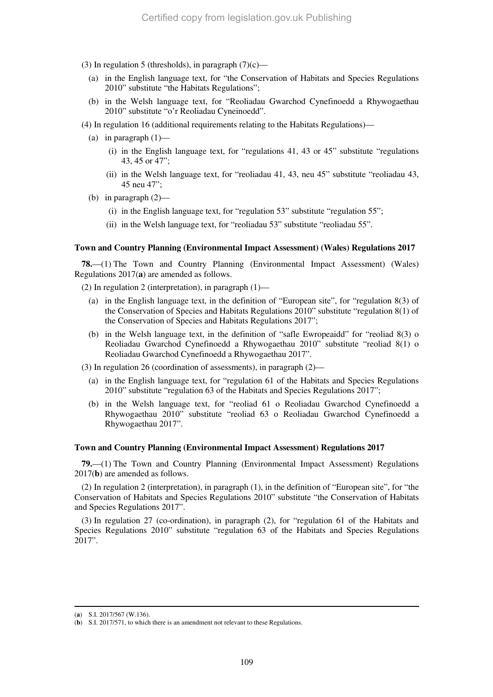- (3) In regulation 5 (thresholds), in paragraph  $(7)(c)$ 
	- (a) in the English language text, for "the Conservation of Habitats and Species Regulations 2010" substitute "the Habitats Regulations";
	- (b) in the Welsh language text, for "Reoliadau Gwarchod Cynefinoedd a Rhywogaethau 2010" substitute "o'r Reoliadau Cyneinoedd".
- (4) In regulation 16 (additional requirements relating to the Habitats Regulations)—
	- (a) in paragraph  $(1)$ 
		- (i) in the English language text, for "regulations 41, 43 or 45" substitute "regulations 43, 45 or 47";
		- (ii) in the Welsh language text, for "reoliadau 41, 43, neu 45" substitute "reoliadau 43, 45 neu 47";
	- (b) in paragraph (2)—
		- (i) in the English language text, for "regulation 53" substitute "regulation 55";
		- (ii) in the Welsh language text, for "reoliadau 53" substitute "reoliadau 55".

#### **Town and Country Planning (Environmental Impact Assessment) (Wales) Regulations 2017**

**78.**—(1) The Town and Country Planning (Environmental Impact Assessment) (Wales) Regulations 2017(**a**) are amended as follows.

- (2) In regulation 2 (interpretation), in paragraph  $(1)$ 
	- (a) in the English language text, in the definition of "European site", for "regulation 8(3) of the Conservation of Species and Habitats Regulations 2010" substitute "regulation 8(1) of the Conservation of Species and Habitats Regulations 2017";
	- (b) in the Welsh language text, in the definition of "safle Ewropeaidd" for "reoliad 8(3) o Reoliadau Gwarchod Cynefinoedd a Rhywogaethau 2010" substitute "reoliad 8(1) o Reoliadau Gwarchod Cynefinoedd a Rhywogaethau 2017".
- (3) In regulation 26 (coordination of assessments), in paragraph (2)—
	- (a) in the English language text, for "regulation 61 of the Habitats and Species Regulations 2010" substitute "regulation 63 of the Habitats and Species Regulations 2017";
	- (b) in the Welsh language text, for "reoliad 61 o Reoliadau Gwarchod Cynefinoedd a Rhywogaethau 2010" substitute "reoliad 63 o Reoliadau Gwarchod Cynefinoedd a Rhywogaethau 2017".

#### **Town and Country Planning (Environmental Impact Assessment) Regulations 2017**

**79.**—(1) The Town and Country Planning (Environmental Impact Assessment) Regulations 2017(**b**) are amended as follows.

(2) In regulation 2 (interpretation), in paragraph (1), in the definition of "European site", for "the Conservation of Habitats and Species Regulations 2010" substitute "the Conservation of Habitats and Species Regulations 2017".

(3) In regulation 27 (co-ordination), in paragraph (2), for "regulation 61 of the Habitats and Species Regulations 2010" substitute "regulation 63 of the Habitats and Species Regulations 2017".

-

<sup>(</sup>**a**) S.I. 2017/567 (W.136).

<sup>(</sup>**b**) S.I. 2017/571, to which there is an amendment not relevant to these Regulations.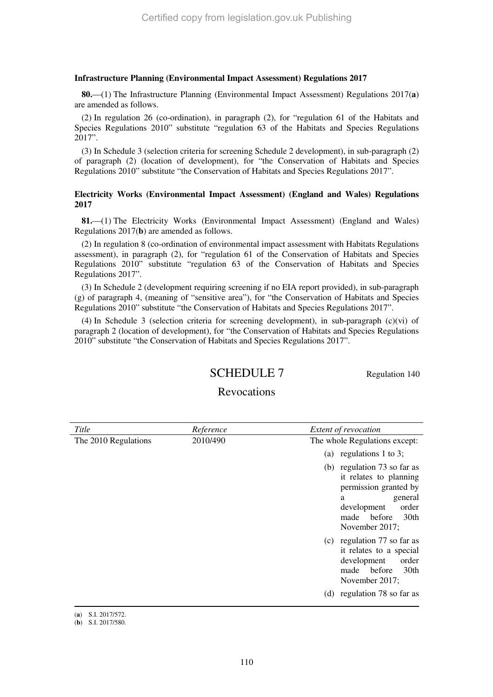#### **Infrastructure Planning (Environmental Impact Assessment) Regulations 2017**

**80.**—(1) The Infrastructure Planning (Environmental Impact Assessment) Regulations 2017(**a**) are amended as follows.

(2) In regulation 26 (co-ordination), in paragraph (2), for "regulation 61 of the Habitats and Species Regulations 2010" substitute "regulation 63 of the Habitats and Species Regulations 2017".

(3) In Schedule 3 (selection criteria for screening Schedule 2 development), in sub-paragraph (2) of paragraph (2) (location of development), for "the Conservation of Habitats and Species Regulations 2010" substitute "the Conservation of Habitats and Species Regulations 2017".

#### **Electricity Works (Environmental Impact Assessment) (England and Wales) Regulations 2017**

**81.**—(1) The Electricity Works (Environmental Impact Assessment) (England and Wales) Regulations 2017(**b**) are amended as follows.

(2) In regulation 8 (co-ordination of environmental impact assessment with Habitats Regulations assessment), in paragraph (2), for "regulation 61 of the Conservation of Habitats and Species Regulations 2010" substitute "regulation 63 of the Conservation of Habitats and Species Regulations 2017".

(3) In Schedule 2 (development requiring screening if no EIA report provided), in sub-paragraph (g) of paragraph 4, (meaning of "sensitive area"), for "the Conservation of Habitats and Species Regulations 2010" substitute "the Conservation of Habitats and Species Regulations 2017".

(4) In Schedule 3 (selection criteria for screening development), in sub-paragraph (c)(vi) of paragraph 2 (location of development), for "the Conservation of Habitats and Species Regulations 2010" substitute "the Conservation of Habitats and Species Regulations 2017".

# SCHEDULE 7 Regulation 140

## Revocations

| Title                | Reference | Extent of revocation                                                                                                                                                           |
|----------------------|-----------|--------------------------------------------------------------------------------------------------------------------------------------------------------------------------------|
| The 2010 Regulations | 2010/490  | The whole Regulations except:                                                                                                                                                  |
|                      |           | (a) regulations 1 to 3;                                                                                                                                                        |
|                      |           | (b) regulation 73 so far as<br>it relates to planning<br>permission granted by<br>general<br>a<br>order<br>development<br>30 <sub>th</sub><br>made<br>before<br>November 2017; |
|                      |           | (c) regulation 77 so far as<br>it relates to a special<br>development<br>order<br>30th<br>made<br>before<br>November 2017;<br>(d) regulation 78 so far as                      |
|                      |           |                                                                                                                                                                                |

(**a**) S.I. 2017/572.

<sup>(</sup>**b**) S.I. 2017/580.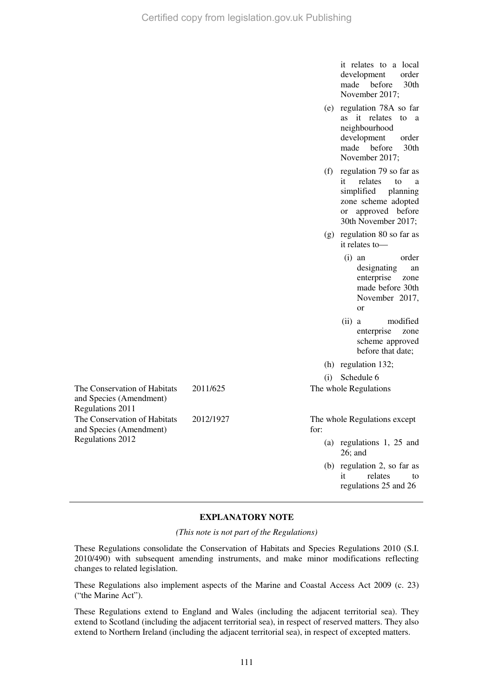it relates to a local development order made before 30th November 2017;

- (e) regulation 78A so far as it relates to a neighbourhood development order made before 30th November 2017;
- (f) regulation 79 so far as it relates to a simplified planning zone scheme adopted or approved before 30th November 2017;
- (g) regulation 80 so far as it relates to—
	- (i) an order designating an enterprise zone made before 30th November 2017, or
	- (ii) a modified enterprise zone scheme approved before that date;
- (h) regulation 132;

(i) Schedule 6

2011/625 The whole Regulations

2012/1927 The whole Regulations except for:

- (a) regulations 1, 25 and 26; and
- (b) regulation 2, so far as it relates to regulations 25 and 26

#### **EXPLANATORY NOTE**

*(This note is not part of the Regulations)* 

These Regulations consolidate the Conservation of Habitats and Species Regulations 2010 (S.I. 2010/490) with subsequent amending instruments, and make minor modifications reflecting changes to related legislation.

These Regulations also implement aspects of the Marine and Coastal Access Act 2009 (c. 23) ("the Marine Act").

These Regulations extend to England and Wales (including the adjacent territorial sea). They extend to Scotland (including the adjacent territorial sea), in respect of reserved matters. They also extend to Northern Ireland (including the adjacent territorial sea), in respect of excepted matters.

The Conservation of Habitats and Species (Amendment) Regulations 2011 The Conservation of Habitats and Species (Amendment) Regulations 2012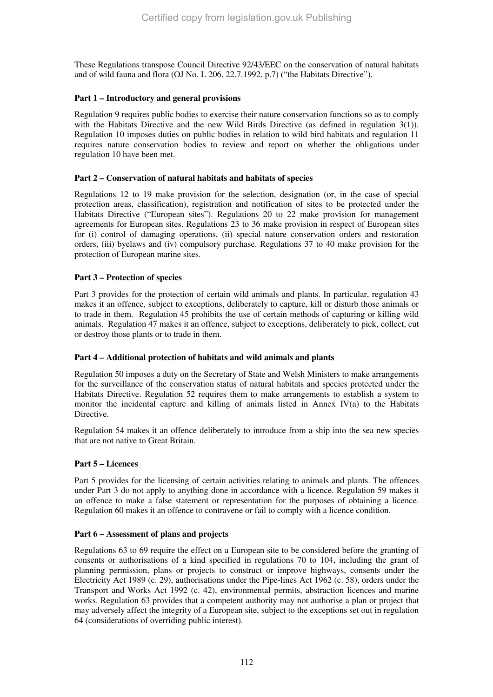These Regulations transpose Council Directive 92/43/EEC on the conservation of natural habitats and of wild fauna and flora (OJ No. L 206, 22.7.1992, p.7) ("the Habitats Directive").

## **Part 1 – Introductory and general provisions**

Regulation 9 requires public bodies to exercise their nature conservation functions so as to comply with the Habitats Directive and the new Wild Birds Directive (as defined in regulation 3(1)). Regulation 10 imposes duties on public bodies in relation to wild bird habitats and regulation 11 requires nature conservation bodies to review and report on whether the obligations under regulation 10 have been met.

## **Part 2 – Conservation of natural habitats and habitats of species**

Regulations 12 to 19 make provision for the selection, designation (or, in the case of special protection areas, classification), registration and notification of sites to be protected under the Habitats Directive ("European sites"). Regulations 20 to 22 make provision for management agreements for European sites. Regulations 23 to 36 make provision in respect of European sites for (i) control of damaging operations, (ii) special nature conservation orders and restoration orders, (iii) byelaws and (iv) compulsory purchase. Regulations 37 to 40 make provision for the protection of European marine sites.

## **Part 3 – Protection of species**

Part 3 provides for the protection of certain wild animals and plants. In particular, regulation 43 makes it an offence, subject to exceptions, deliberately to capture, kill or disturb those animals or to trade in them. Regulation 45 prohibits the use of certain methods of capturing or killing wild animals. Regulation 47 makes it an offence, subject to exceptions, deliberately to pick, collect, cut or destroy those plants or to trade in them.

### **Part 4 – Additional protection of habitats and wild animals and plants**

Regulation 50 imposes a duty on the Secretary of State and Welsh Ministers to make arrangements for the surveillance of the conservation status of natural habitats and species protected under the Habitats Directive. Regulation 52 requires them to make arrangements to establish a system to monitor the incidental capture and killing of animals listed in Annex IV(a) to the Habitats Directive.

Regulation 54 makes it an offence deliberately to introduce from a ship into the sea new species that are not native to Great Britain.

### **Part 5 – Licences**

Part 5 provides for the licensing of certain activities relating to animals and plants. The offences under Part 3 do not apply to anything done in accordance with a licence. Regulation 59 makes it an offence to make a false statement or representation for the purposes of obtaining a licence. Regulation 60 makes it an offence to contravene or fail to comply with a licence condition.

## **Part 6 – Assessment of plans and projects**

Regulations 63 to 69 require the effect on a European site to be considered before the granting of consents or authorisations of a kind specified in regulations 70 to 104, including the grant of planning permission, plans or projects to construct or improve highways, consents under the Electricity Act 1989 (c. 29), authorisations under the Pipe-lines Act 1962 (c. 58), orders under the Transport and Works Act 1992 (c. 42), environmental permits, abstraction licences and marine works. Regulation 63 provides that a competent authority may not authorise a plan or project that may adversely affect the integrity of a European site, subject to the exceptions set out in regulation 64 (considerations of overriding public interest).